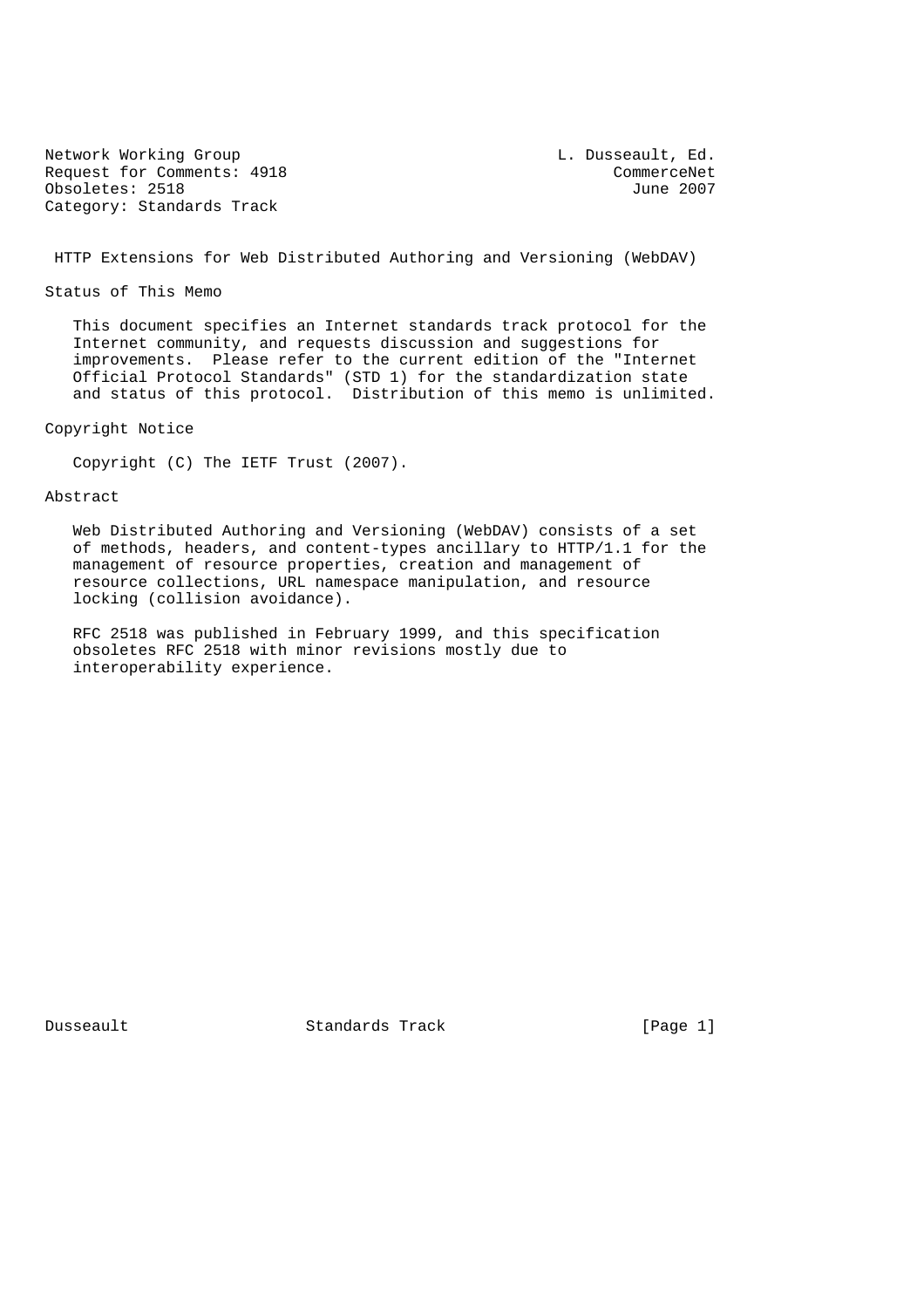Network Working Group<br>Request for Comments: 4918 CommerceNet Request for Comments: 4918 CommerceNet<br>
Obsoletes: 2518 June 2007  $Obsoletes: 2518$ Category: Standards Track

HTTP Extensions for Web Distributed Authoring and Versioning (WebDAV)

Status of This Memo

 This document specifies an Internet standards track protocol for the Internet community, and requests discussion and suggestions for improvements. Please refer to the current edition of the "Internet Official Protocol Standards" (STD 1) for the standardization state and status of this protocol. Distribution of this memo is unlimited.

Copyright Notice

Copyright (C) The IETF Trust (2007).

# Abstract

 Web Distributed Authoring and Versioning (WebDAV) consists of a set of methods, headers, and content-types ancillary to HTTP/1.1 for the management of resource properties, creation and management of resource collections, URL namespace manipulation, and resource locking (collision avoidance).

 RFC 2518 was published in February 1999, and this specification obsoletes RFC 2518 with minor revisions mostly due to interoperability experience.

Dusseault Standards Track [Page 1]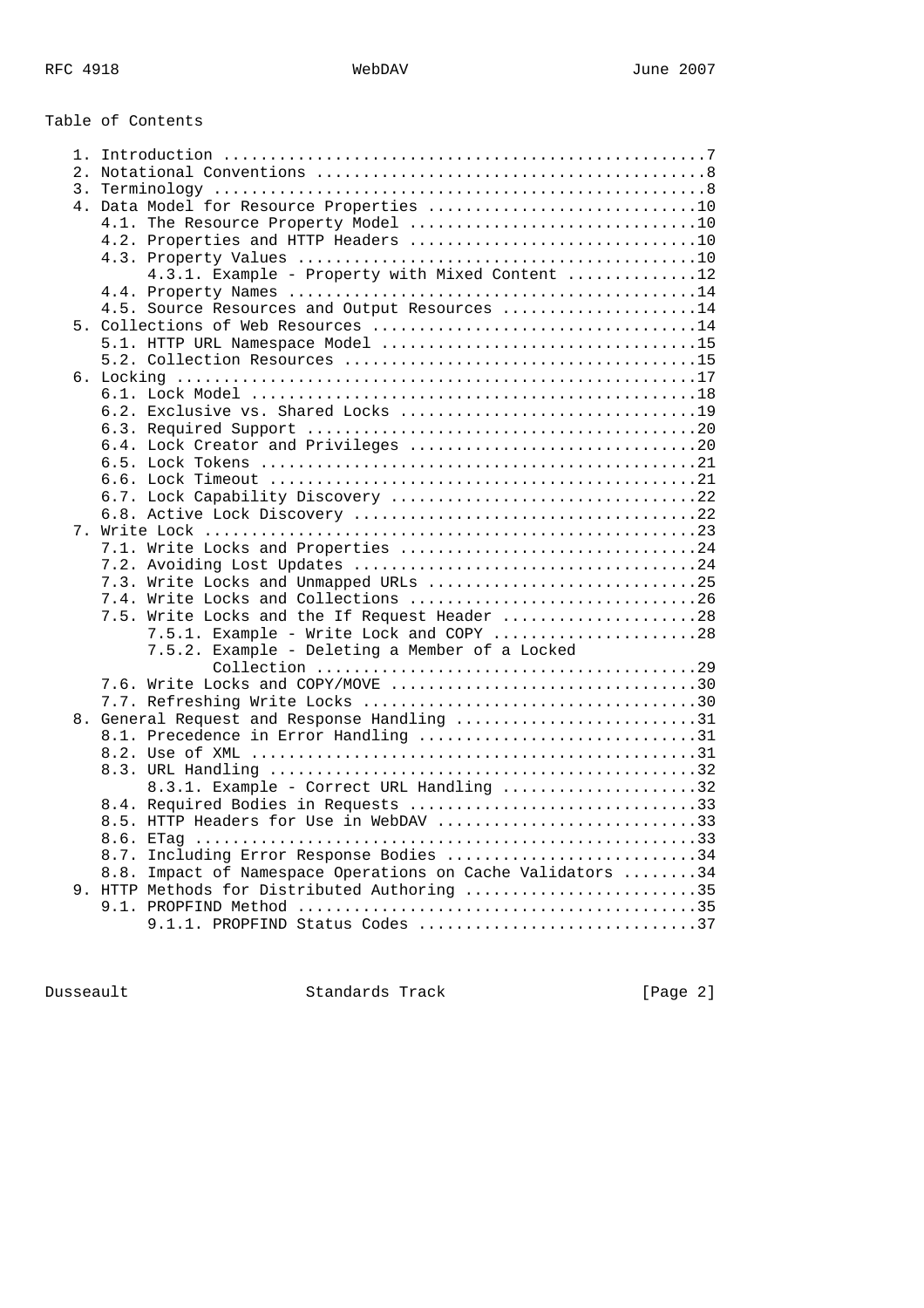| Table of Contents                                                                                             |  |
|---------------------------------------------------------------------------------------------------------------|--|
|                                                                                                               |  |
|                                                                                                               |  |
|                                                                                                               |  |
| 4. Data Model for Resource Properties 10                                                                      |  |
| 4.1. The Resource Property Model 10                                                                           |  |
|                                                                                                               |  |
|                                                                                                               |  |
| 4.3.1. Example - Property with Mixed Content 12                                                               |  |
|                                                                                                               |  |
| 4.5. Source Resources and Output Resources 14                                                                 |  |
|                                                                                                               |  |
|                                                                                                               |  |
|                                                                                                               |  |
|                                                                                                               |  |
|                                                                                                               |  |
|                                                                                                               |  |
|                                                                                                               |  |
|                                                                                                               |  |
|                                                                                                               |  |
|                                                                                                               |  |
|                                                                                                               |  |
|                                                                                                               |  |
| 7.1. Write Locks and Properties 24                                                                            |  |
|                                                                                                               |  |
| 7.3. Write Locks and Unmapped URLs 25                                                                         |  |
| 7.4. Write Locks and Collections 26                                                                           |  |
| Write Locks and the If Request Header 28<br>7.5.                                                              |  |
| 7.5.1. Example - Write Lock and COPY 28                                                                       |  |
| 7.5.2. Example - Deleting a Member of a Locked                                                                |  |
|                                                                                                               |  |
|                                                                                                               |  |
|                                                                                                               |  |
| 8. General Request and Response Handling 31                                                                   |  |
| 8.1. Precedence in Error Handling 31                                                                          |  |
|                                                                                                               |  |
|                                                                                                               |  |
| 8.3.1. Example - Correct URL Handling 32                                                                      |  |
| 8.4. Required Bodies in Requests 33                                                                           |  |
| 8.5. HTTP Headers for Use in WebDAV 33                                                                        |  |
|                                                                                                               |  |
| Including Error Response Bodies 34<br>8.7.                                                                    |  |
| Impact of Namespace Operations on Cache Validators 34<br>8.8.<br>9. HTTP Methods for Distributed Authoring 35 |  |
|                                                                                                               |  |
| 9.1.1. PROPFIND Status Codes 37                                                                               |  |
|                                                                                                               |  |

Dusseault Standards Track [Page 2]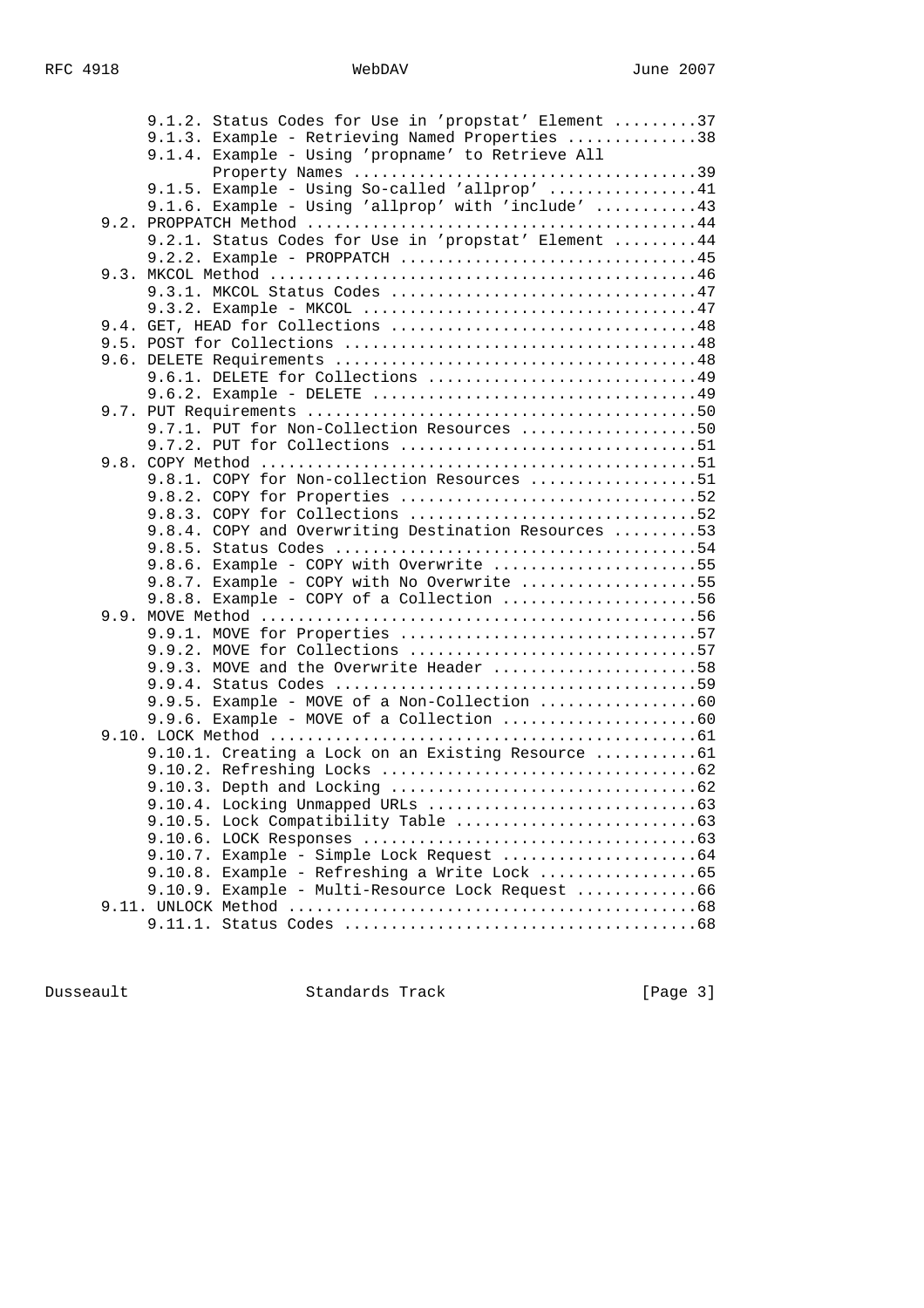| 9.1.2. Status Codes for Use in 'propstat' Element 37 |  |
|------------------------------------------------------|--|
| 9.1.3. Example - Retrieving Named Properties 38      |  |
| 9.1.4. Example - Using 'propname' to Retrieve All    |  |
|                                                      |  |
| $9.1.5.$ Example - Using So-called 'allprop' 41      |  |
| 9.1.6. Example - Using 'allprop' with 'include' 43   |  |
|                                                      |  |
| 9.2.1. Status Codes for Use in 'propstat' Element 44 |  |
| $9.2.2.$ Example - PROPPATCH 45                      |  |
|                                                      |  |
|                                                      |  |
|                                                      |  |
|                                                      |  |
|                                                      |  |
| 9.6.1. DELETE for Collections 49                     |  |
|                                                      |  |
|                                                      |  |
| 9.7.1. PUT for Non-Collection Resources 50           |  |
|                                                      |  |
|                                                      |  |
| 9.8.1. COPY for Non-collection Resources 51          |  |
|                                                      |  |
|                                                      |  |
| 9.8.4. COPY and Overwriting Destination Resources 53 |  |
|                                                      |  |
| 9.8.6. Example - COPY with Overwrite 55              |  |
| 9.8.7. Example - COPY with No Overwrite 55           |  |
| $9.8.8$ . Example - COPY of a Collection 56          |  |
|                                                      |  |
| 9.9.1. MOVE for Properties 57                        |  |
| 9.9.2. MOVE for Collections 57                       |  |
| 9.9.3. MOVE and the Overwrite Header 58              |  |
|                                                      |  |
|                                                      |  |
|                                                      |  |
|                                                      |  |
| 9.10.1. Creating a Lock on an Existing Resource 61   |  |
|                                                      |  |
|                                                      |  |
|                                                      |  |
|                                                      |  |
|                                                      |  |
|                                                      |  |
|                                                      |  |
| 9.10.9. Example - Multi-Resource Lock Request 66     |  |
|                                                      |  |
|                                                      |  |

Dusseault Standards Track [Page 3]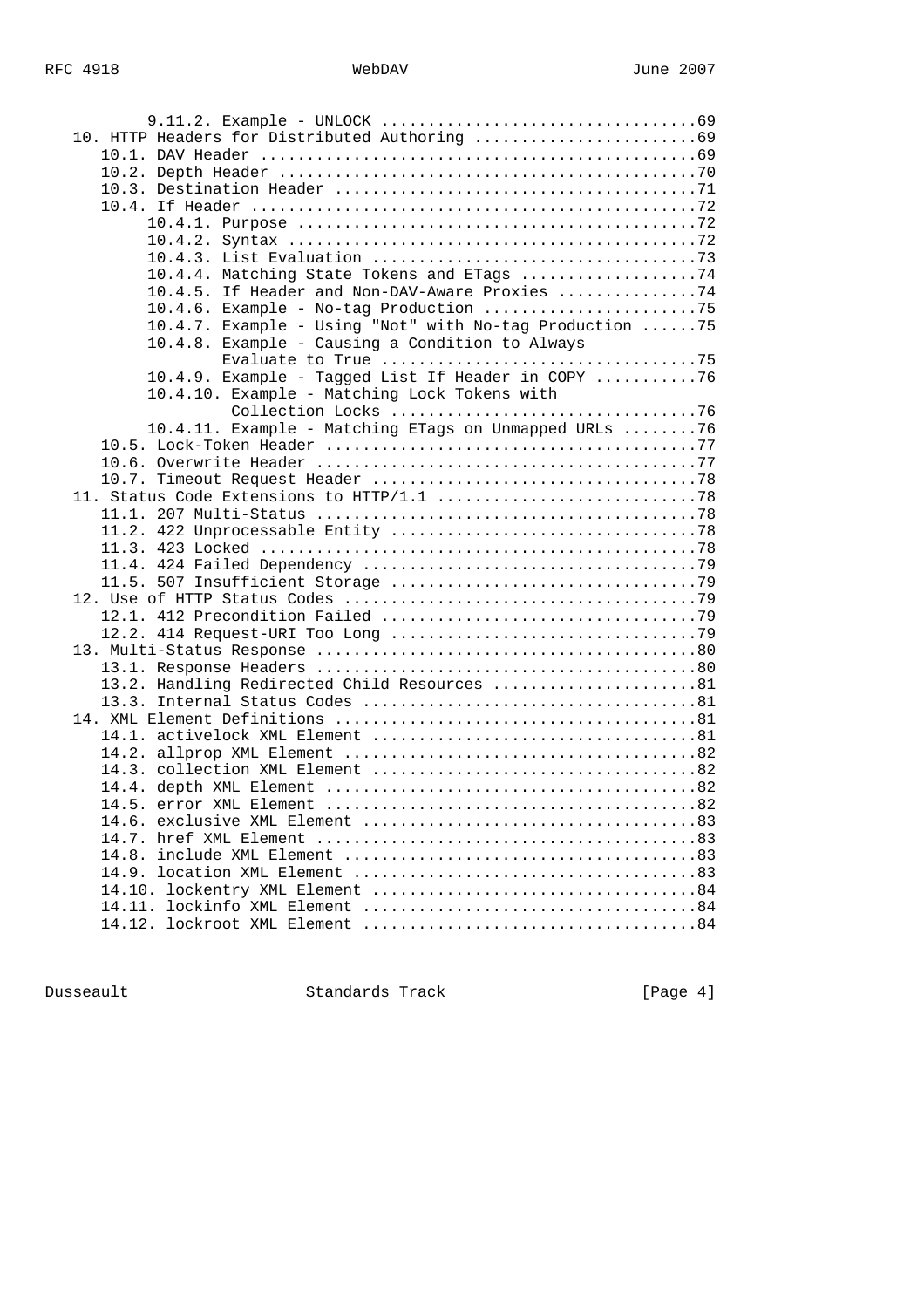| 10.4.4. Matching State Tokens and ETags 74              |  |
|---------------------------------------------------------|--|
| 10.4.5. If Header and Non-DAV-Aware Proxies 74          |  |
|                                                         |  |
| 10.4.7. Example - Using "Not" with No-tag Production 75 |  |
| 10.4.8. Example - Causing a Condition to Always         |  |
|                                                         |  |
| 10.4.9. Example - Tagged List If Header in COPY 76      |  |
| 10.4.10. Example - Matching Lock Tokens with            |  |
|                                                         |  |
| 10.4.11. Example - Matching ETags on Unmapped URLs 76   |  |
|                                                         |  |
|                                                         |  |
|                                                         |  |
|                                                         |  |
|                                                         |  |
|                                                         |  |
|                                                         |  |
|                                                         |  |
|                                                         |  |
|                                                         |  |
|                                                         |  |
|                                                         |  |
|                                                         |  |
|                                                         |  |
| 13.2. Handling Redirected Child Resources 81            |  |
|                                                         |  |
|                                                         |  |
|                                                         |  |
|                                                         |  |
|                                                         |  |
|                                                         |  |
|                                                         |  |
|                                                         |  |
|                                                         |  |
|                                                         |  |
|                                                         |  |
|                                                         |  |
|                                                         |  |
|                                                         |  |

Dusseault Standards Track [Page 4]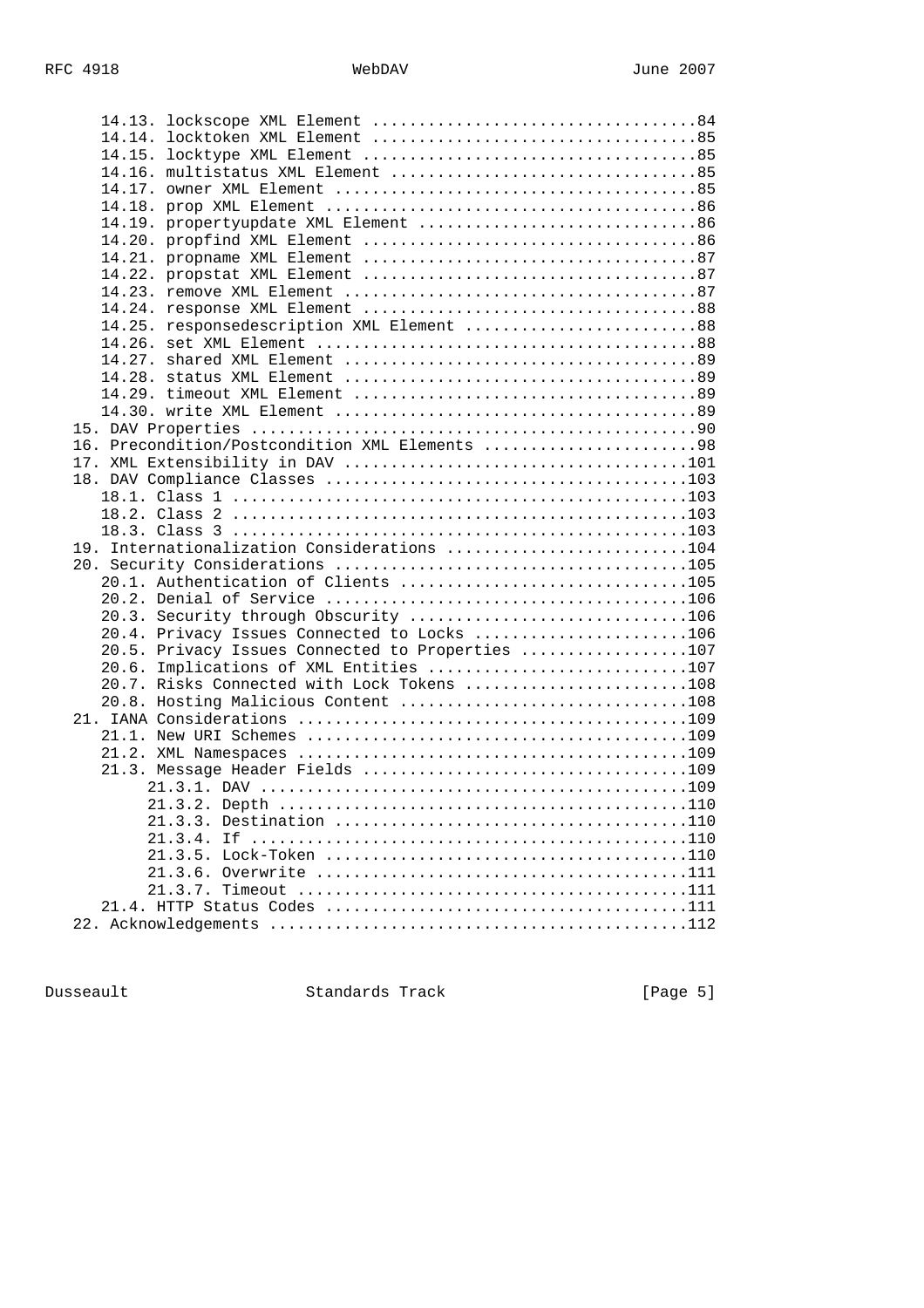| 14.19. propertyupdate XML Element 86             |  |
|--------------------------------------------------|--|
|                                                  |  |
|                                                  |  |
|                                                  |  |
|                                                  |  |
|                                                  |  |
|                                                  |  |
| 14.25. responsedescription XML Element 88        |  |
|                                                  |  |
|                                                  |  |
|                                                  |  |
|                                                  |  |
|                                                  |  |
|                                                  |  |
| 16. Precondition/Postcondition XML Elements 98   |  |
|                                                  |  |
|                                                  |  |
|                                                  |  |
|                                                  |  |
|                                                  |  |
|                                                  |  |
| 19. Internationalization Considerations 104      |  |
|                                                  |  |
| 20.1. Authentication of Clients 105              |  |
|                                                  |  |
| 20.3. Security through Obscurity 106             |  |
| 20.4. Privacy Issues Connected to Locks 106      |  |
| 20.5. Privacy Issues Connected to Properties 107 |  |
| 20.6. Implications of XML Entities 107           |  |
| 20.7. Risks Connected with Lock Tokens 108       |  |
|                                                  |  |
|                                                  |  |
|                                                  |  |
|                                                  |  |
|                                                  |  |
|                                                  |  |
|                                                  |  |
|                                                  |  |
| 21.3.4.                                          |  |
|                                                  |  |
|                                                  |  |
|                                                  |  |
|                                                  |  |
|                                                  |  |
|                                                  |  |

Dusseault Standards Track [Page 5]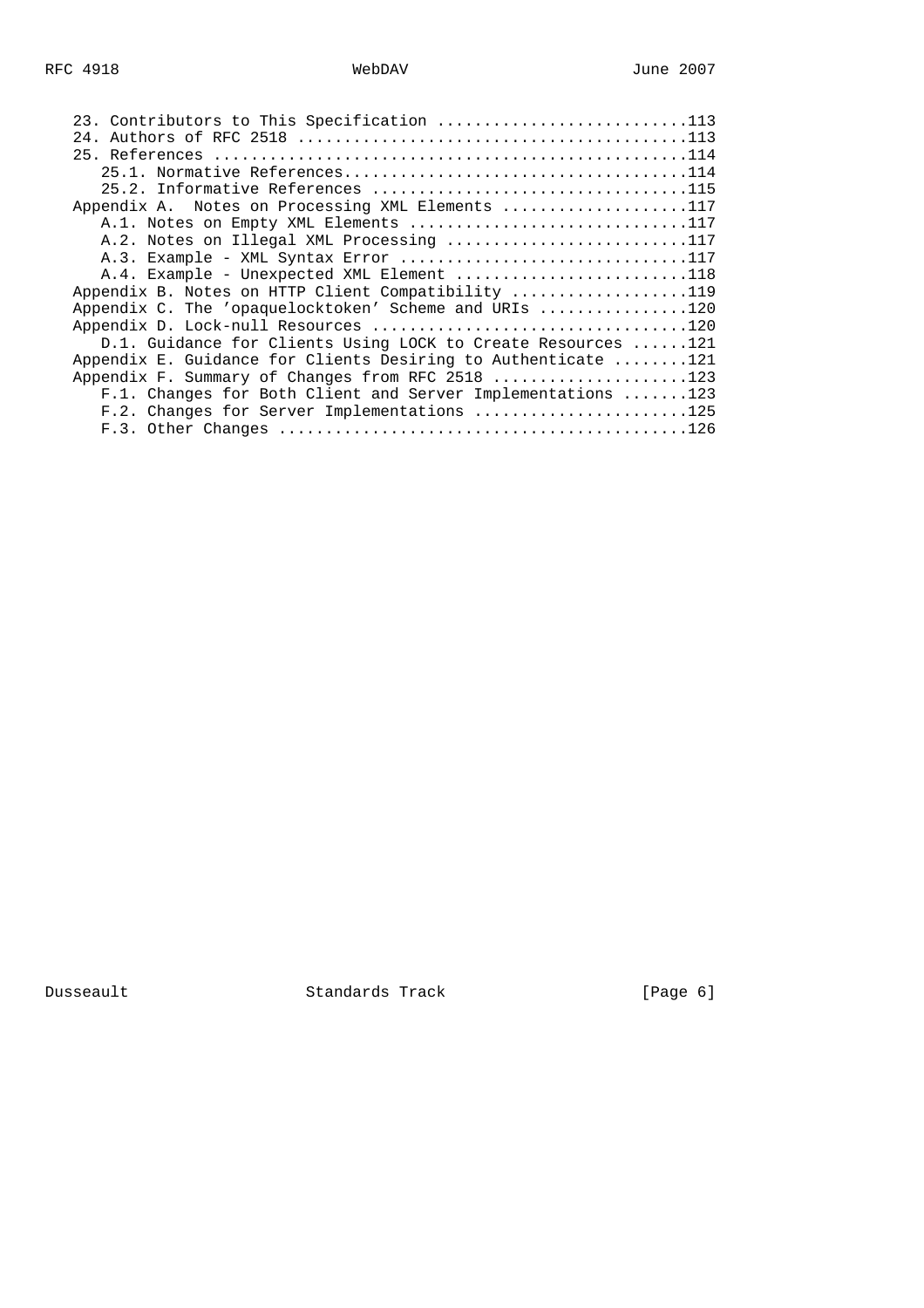| 23. Contributors to This Specification 113                    |  |
|---------------------------------------------------------------|--|
| 24.                                                           |  |
|                                                               |  |
|                                                               |  |
|                                                               |  |
| Appendix A. Notes on Processing XML Elements 117              |  |
| A.1. Notes on Empty XML Elements 117                          |  |
| A.2. Notes on Illegal XML Processing 117                      |  |
|                                                               |  |
| A.4. Example - Unexpected XML Element 118                     |  |
| Appendix B. Notes on HTTP Client Compatibility 119            |  |
| Appendix C. The 'opaquelocktoken' Scheme and URIs 120         |  |
|                                                               |  |
| D.1. Guidance for Clients Using LOCK to Create Resources 121  |  |
| Appendix E. Guidance for Clients Desiring to Authenticate 121 |  |
| Appendix F. Summary of Changes from RFC 2518 123              |  |
| F.1. Changes for Both Client and Server Implementations 123   |  |
| F.2. Changes for Server Implementations 125                   |  |
|                                                               |  |
|                                                               |  |

Dusseault Standards Track [Page 6]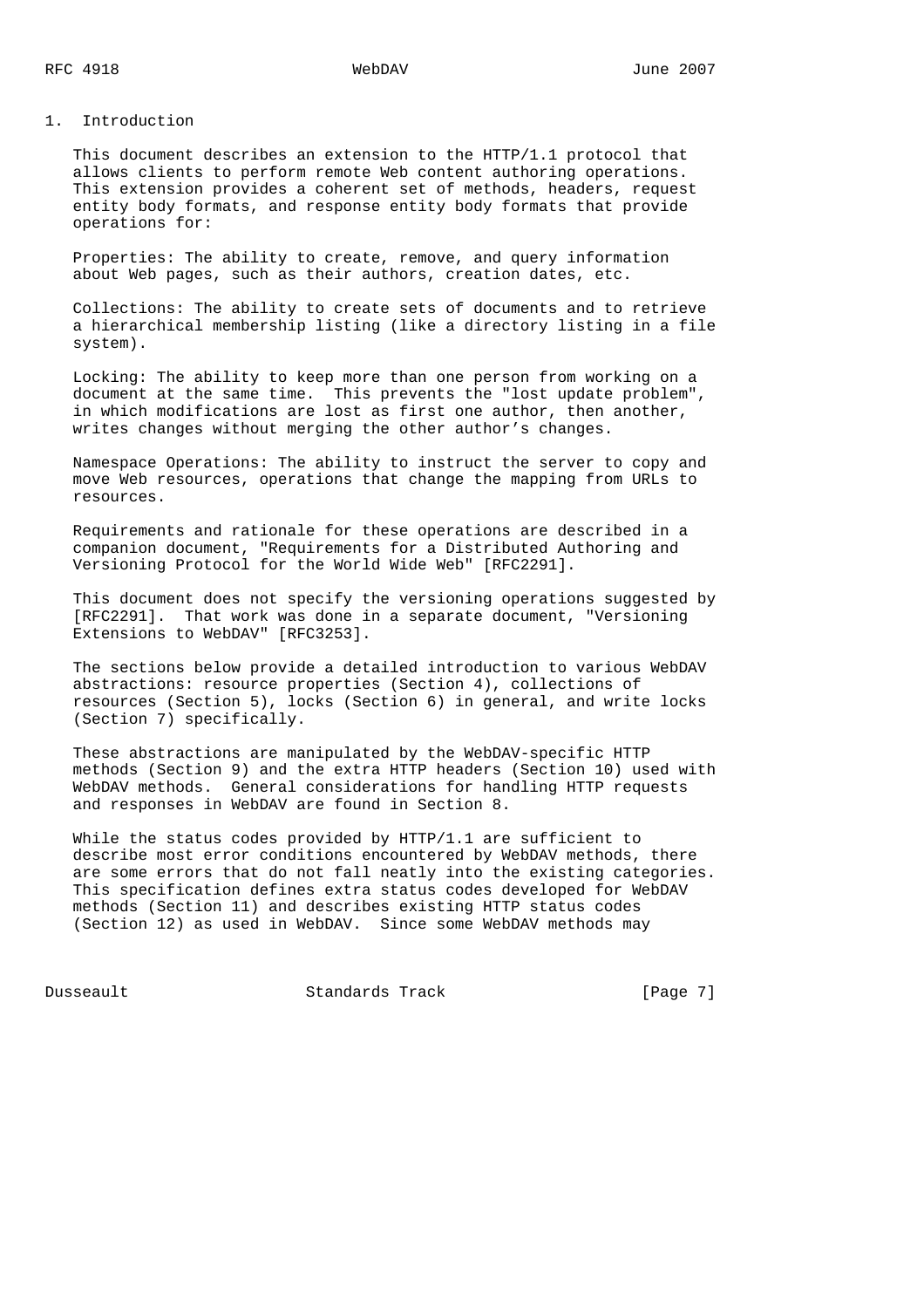### 1. Introduction

 This document describes an extension to the HTTP/1.1 protocol that allows clients to perform remote Web content authoring operations. This extension provides a coherent set of methods, headers, request entity body formats, and response entity body formats that provide operations for:

 Properties: The ability to create, remove, and query information about Web pages, such as their authors, creation dates, etc.

 Collections: The ability to create sets of documents and to retrieve a hierarchical membership listing (like a directory listing in a file system).

 Locking: The ability to keep more than one person from working on a document at the same time. This prevents the "lost update problem", in which modifications are lost as first one author, then another, writes changes without merging the other author's changes.

 Namespace Operations: The ability to instruct the server to copy and move Web resources, operations that change the mapping from URLs to resources.

 Requirements and rationale for these operations are described in a companion document, "Requirements for a Distributed Authoring and Versioning Protocol for the World Wide Web" [RFC2291].

 This document does not specify the versioning operations suggested by [RFC2291]. That work was done in a separate document, "Versioning Extensions to WebDAV" [RFC3253].

 The sections below provide a detailed introduction to various WebDAV abstractions: resource properties (Section 4), collections of resources (Section 5), locks (Section 6) in general, and write locks (Section 7) specifically.

 These abstractions are manipulated by the WebDAV-specific HTTP methods (Section 9) and the extra HTTP headers (Section 10) used with WebDAV methods. General considerations for handling HTTP requests and responses in WebDAV are found in Section 8.

 While the status codes provided by HTTP/1.1 are sufficient to describe most error conditions encountered by WebDAV methods, there are some errors that do not fall neatly into the existing categories. This specification defines extra status codes developed for WebDAV methods (Section 11) and describes existing HTTP status codes (Section 12) as used in WebDAV. Since some WebDAV methods may

Dusseault Standards Track [Page 7]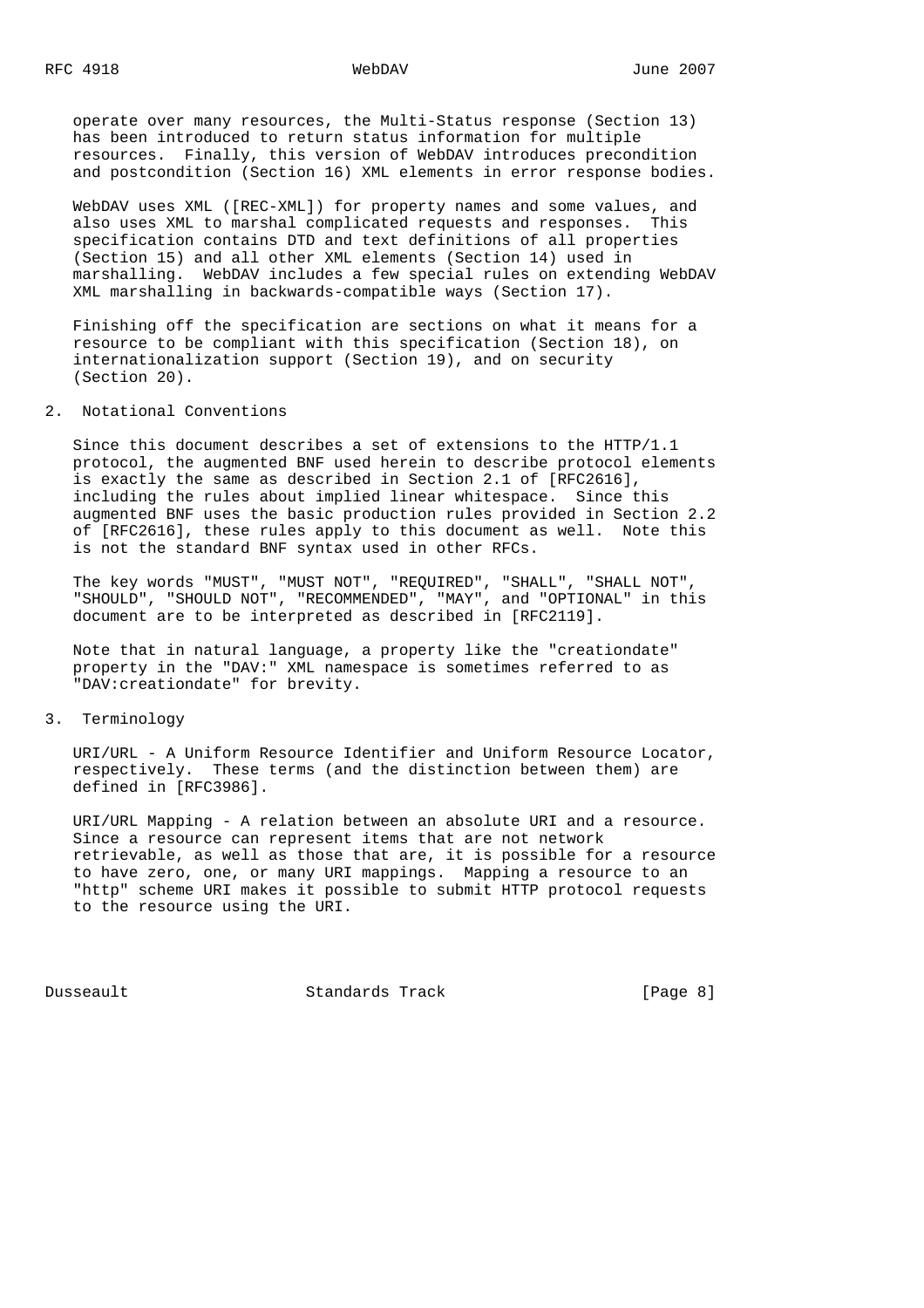operate over many resources, the Multi-Status response (Section 13) has been introduced to return status information for multiple resources. Finally, this version of WebDAV introduces precondition and postcondition (Section 16) XML elements in error response bodies.

 WebDAV uses XML ([REC-XML]) for property names and some values, and also uses XML to marshal complicated requests and responses. This specification contains DTD and text definitions of all properties (Section 15) and all other XML elements (Section 14) used in marshalling. WebDAV includes a few special rules on extending WebDAV XML marshalling in backwards-compatible ways (Section 17).

 Finishing off the specification are sections on what it means for a resource to be compliant with this specification (Section 18), on internationalization support (Section 19), and on security (Section 20).

2. Notational Conventions

 Since this document describes a set of extensions to the HTTP/1.1 protocol, the augmented BNF used herein to describe protocol elements is exactly the same as described in Section 2.1 of [RFC2616], including the rules about implied linear whitespace. Since this augmented BNF uses the basic production rules provided in Section 2.2 of [RFC2616], these rules apply to this document as well. Note this is not the standard BNF syntax used in other RFCs.

 The key words "MUST", "MUST NOT", "REQUIRED", "SHALL", "SHALL NOT", "SHOULD", "SHOULD NOT", "RECOMMENDED", "MAY", and "OPTIONAL" in this document are to be interpreted as described in [RFC2119].

 Note that in natural language, a property like the "creationdate" property in the "DAV:" XML namespace is sometimes referred to as "DAV:creationdate" for brevity.

# 3. Terminology

 URI/URL - A Uniform Resource Identifier and Uniform Resource Locator, respectively. These terms (and the distinction between them) are defined in [RFC3986].

 URI/URL Mapping - A relation between an absolute URI and a resource. Since a resource can represent items that are not network retrievable, as well as those that are, it is possible for a resource to have zero, one, or many URI mappings. Mapping a resource to an "http" scheme URI makes it possible to submit HTTP protocol requests to the resource using the URI.

Dusseault Standards Track [Page 8]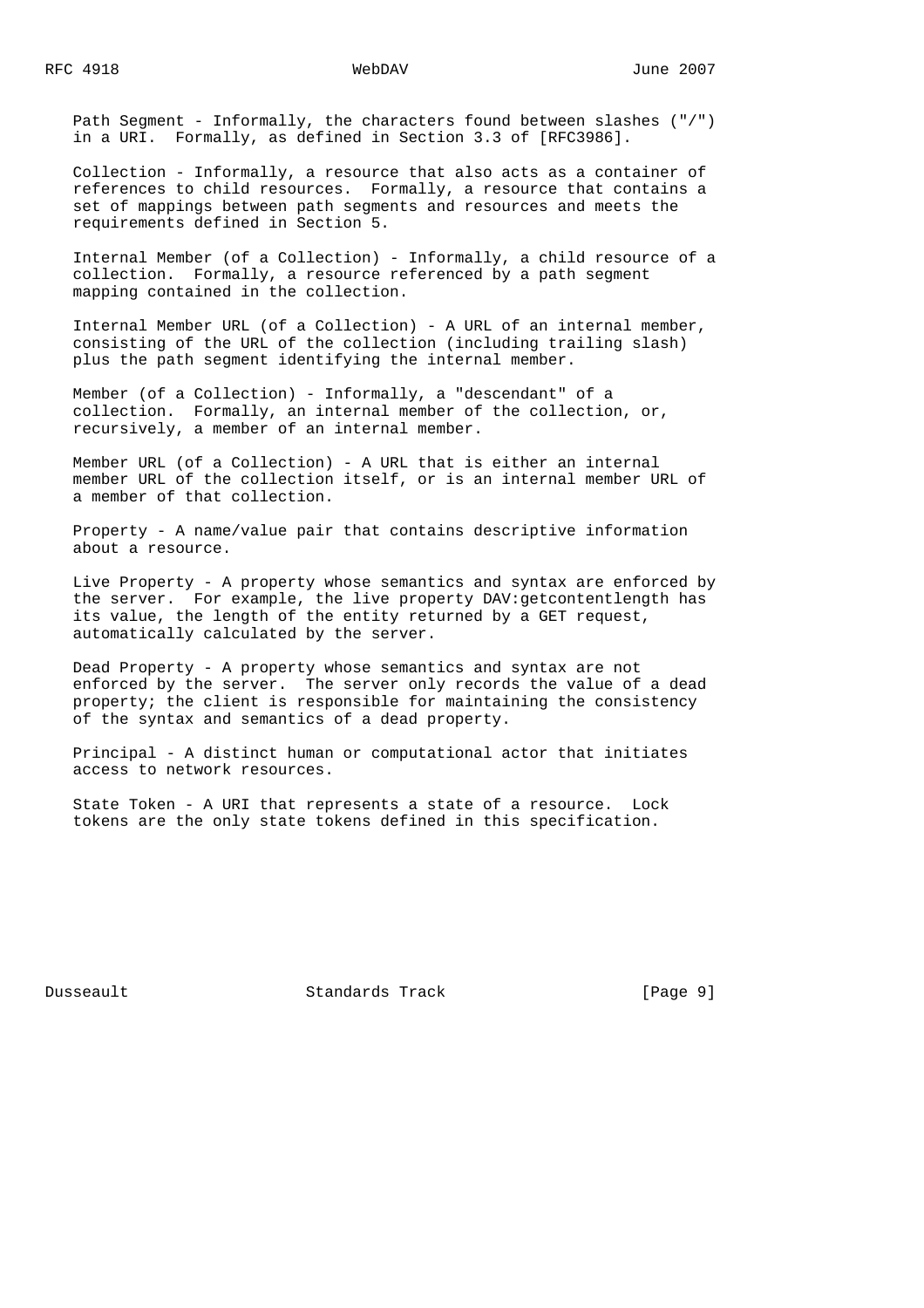Path Segment - Informally, the characters found between slashes ("/") in a URI. Formally, as defined in Section 3.3 of [RFC3986].

 Collection - Informally, a resource that also acts as a container of references to child resources. Formally, a resource that contains a set of mappings between path segments and resources and meets the requirements defined in Section 5.

 Internal Member (of a Collection) - Informally, a child resource of a collection. Formally, a resource referenced by a path segment mapping contained in the collection.

 Internal Member URL (of a Collection) - A URL of an internal member, consisting of the URL of the collection (including trailing slash) plus the path segment identifying the internal member.

 Member (of a Collection) - Informally, a "descendant" of a collection. Formally, an internal member of the collection, or, recursively, a member of an internal member.

 Member URL (of a Collection) - A URL that is either an internal member URL of the collection itself, or is an internal member URL of a member of that collection.

 Property - A name/value pair that contains descriptive information about a resource.

 Live Property - A property whose semantics and syntax are enforced by the server. For example, the live property DAV:getcontentlength has its value, the length of the entity returned by a GET request, automatically calculated by the server.

 Dead Property - A property whose semantics and syntax are not enforced by the server. The server only records the value of a dead property; the client is responsible for maintaining the consistency of the syntax and semantics of a dead property.

 Principal - A distinct human or computational actor that initiates access to network resources.

 State Token - A URI that represents a state of a resource. Lock tokens are the only state tokens defined in this specification.

Dusseault Standards Track [Page 9]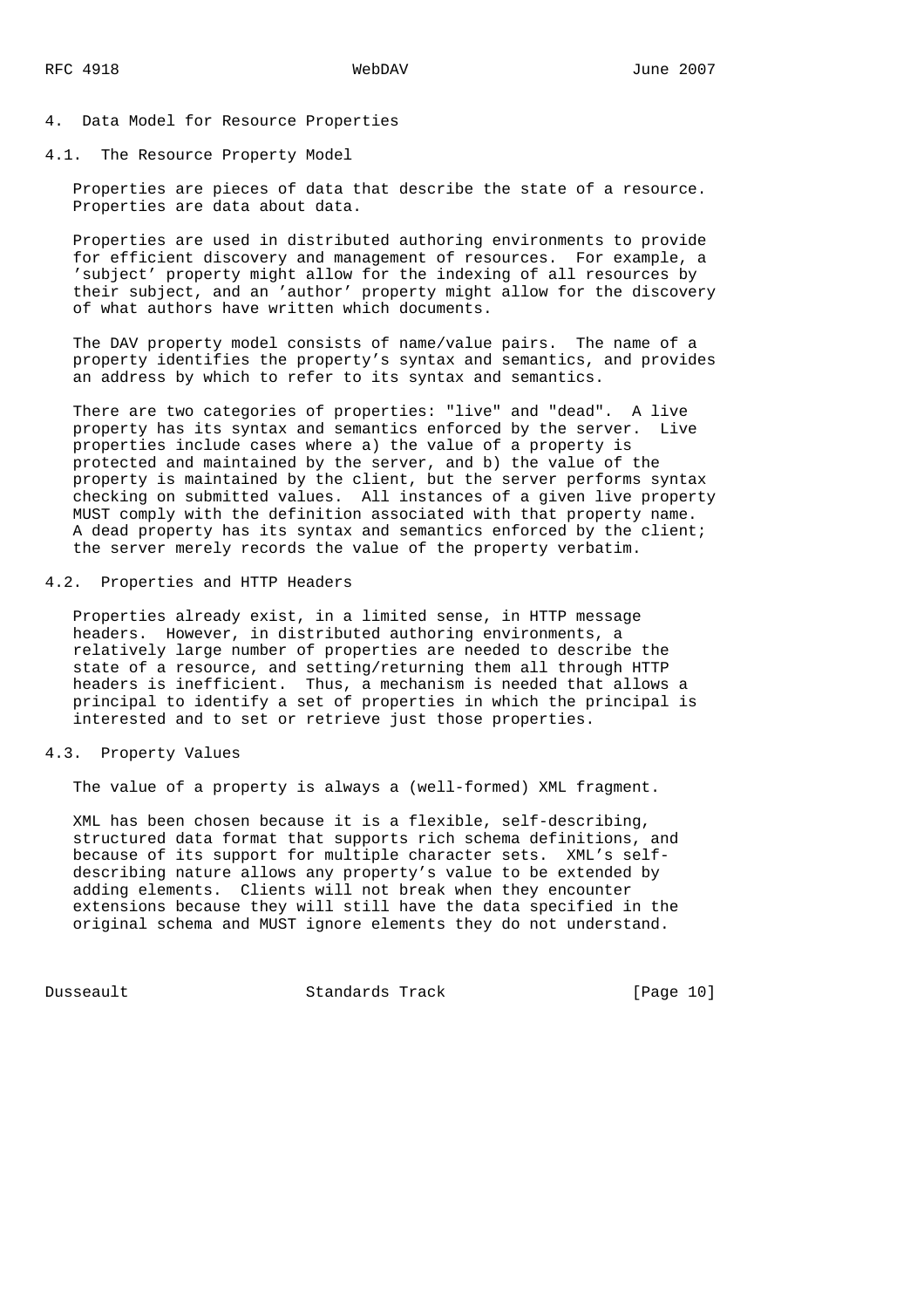### 4. Data Model for Resource Properties

4.1. The Resource Property Model

 Properties are pieces of data that describe the state of a resource. Properties are data about data.

 Properties are used in distributed authoring environments to provide for efficient discovery and management of resources. For example, a 'subject' property might allow for the indexing of all resources by their subject, and an 'author' property might allow for the discovery of what authors have written which documents.

 The DAV property model consists of name/value pairs. The name of a property identifies the property's syntax and semantics, and provides an address by which to refer to its syntax and semantics.

 There are two categories of properties: "live" and "dead". A live property has its syntax and semantics enforced by the server. Live properties include cases where a) the value of a property is protected and maintained by the server, and b) the value of the property is maintained by the client, but the server performs syntax checking on submitted values. All instances of a given live property MUST comply with the definition associated with that property name. A dead property has its syntax and semantics enforced by the client; the server merely records the value of the property verbatim.

## 4.2. Properties and HTTP Headers

 Properties already exist, in a limited sense, in HTTP message headers. However, in distributed authoring environments, a relatively large number of properties are needed to describe the state of a resource, and setting/returning them all through HTTP headers is inefficient. Thus, a mechanism is needed that allows a principal to identify a set of properties in which the principal is interested and to set or retrieve just those properties.

### 4.3. Property Values

The value of a property is always a (well-formed) XML fragment.

 XML has been chosen because it is a flexible, self-describing, structured data format that supports rich schema definitions, and because of its support for multiple character sets. XML's self describing nature allows any property's value to be extended by adding elements. Clients will not break when they encounter extensions because they will still have the data specified in the original schema and MUST ignore elements they do not understand.

Dusseault Standards Track [Page 10]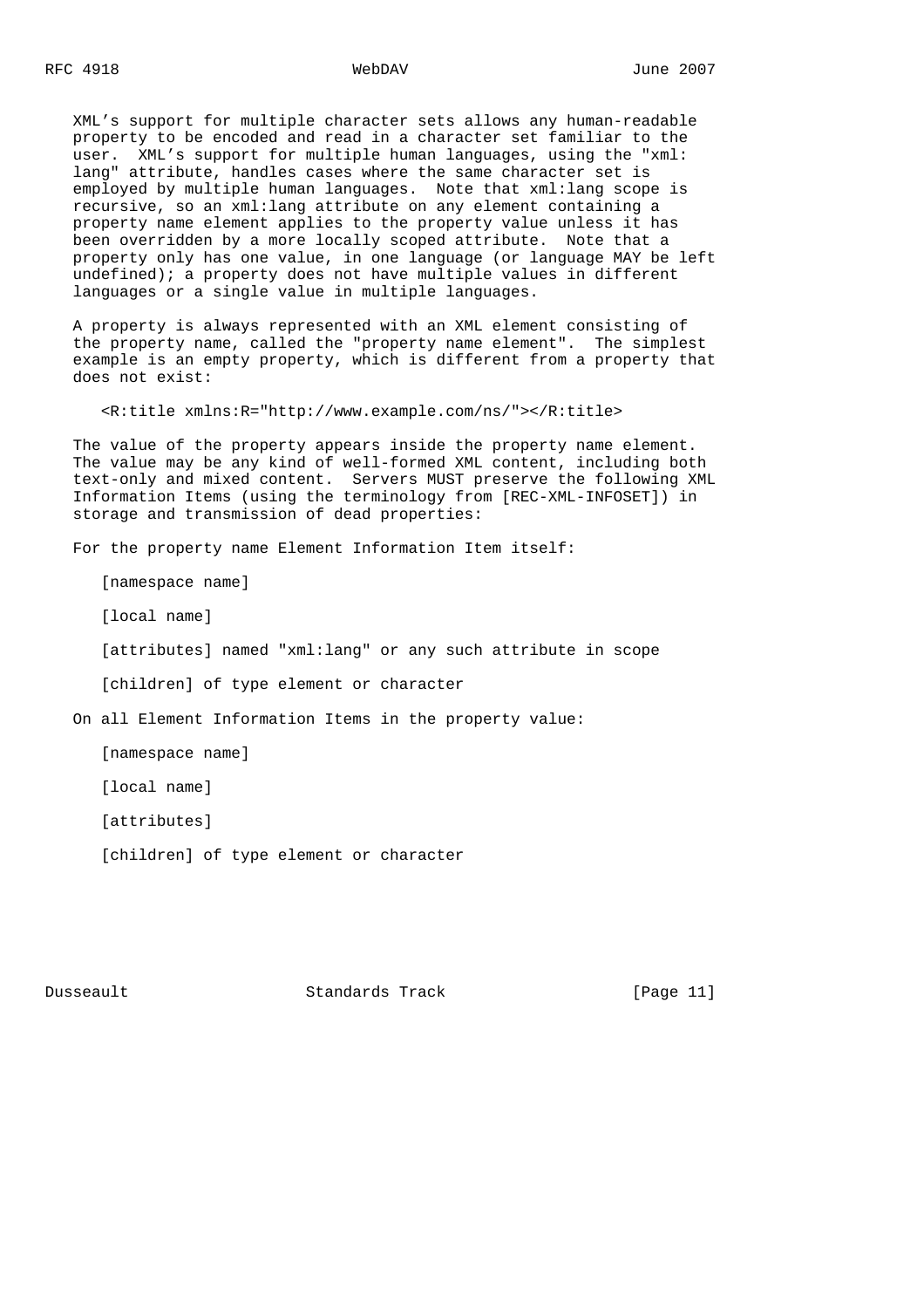XML's support for multiple character sets allows any human-readable property to be encoded and read in a character set familiar to the user. XML's support for multiple human languages, using the "xml: lang" attribute, handles cases where the same character set is employed by multiple human languages. Note that xml:lang scope is recursive, so an xml:lang attribute on any element containing a property name element applies to the property value unless it has been overridden by a more locally scoped attribute. Note that a property only has one value, in one language (or language MAY be left undefined); a property does not have multiple values in different languages or a single value in multiple languages.

 A property is always represented with an XML element consisting of the property name, called the "property name element". The simplest example is an empty property, which is different from a property that does not exist:

<R:title xmlns:R="http://www.example.com/ns/"></R:title>

 The value of the property appears inside the property name element. The value may be any kind of well-formed XML content, including both text-only and mixed content. Servers MUST preserve the following XML Information Items (using the terminology from [REC-XML-INFOSET]) in storage and transmission of dead properties:

For the property name Element Information Item itself:

[namespace name]

[local name]

[attributes] named "xml:lang" or any such attribute in scope

[children] of type element or character

On all Element Information Items in the property value:

[namespace name]

[local name]

[attributes]

[children] of type element or character

Dusseault Standards Track [Page 11]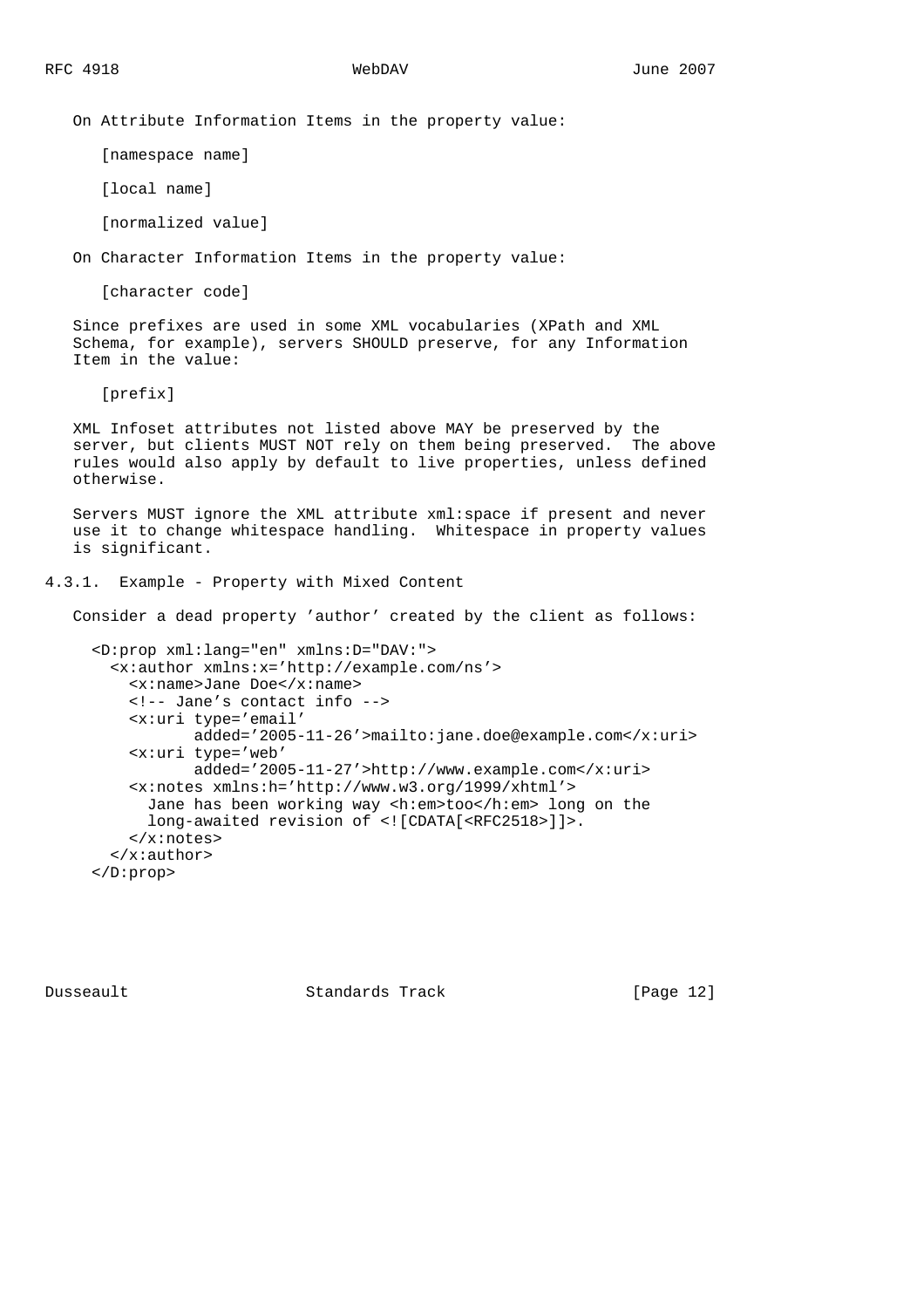On Attribute Information Items in the property value:

[namespace name]

[local name]

[normalized value]

On Character Information Items in the property value:

[character code]

 Since prefixes are used in some XML vocabularies (XPath and XML Schema, for example), servers SHOULD preserve, for any Information Item in the value:

[prefix]

 XML Infoset attributes not listed above MAY be preserved by the server, but clients MUST NOT rely on them being preserved. The above rules would also apply by default to live properties, unless defined otherwise.

 Servers MUST ignore the XML attribute xml:space if present and never use it to change whitespace handling. Whitespace in property values is significant.

4.3.1. Example - Property with Mixed Content

Consider a dead property 'author' created by the client as follows:

```
 <D:prop xml:lang="en" xmlns:D="DAV:">
  <x:author xmlns:x='http://example.com/ns'>
    <x:name>Jane Doe</x:name>
    <!-- Jane's contact info -->
    <x:uri type='email'
            added='2005-11-26'>mailto:jane.doe@example.com</x:uri>
     <x:uri type='web'
            added='2005-11-27'>http://www.example.com</x:uri>
     <x:notes xmlns:h='http://www.w3.org/1999/xhtml'>
      Jane has been working way <h:em>too</h:em> long on the
      long-awaited revision of <![CDATA[<RFC2518>]]>.
     </x:notes>
  </x:author>
 </D:prop>
```
Dusseault Standards Track [Page 12]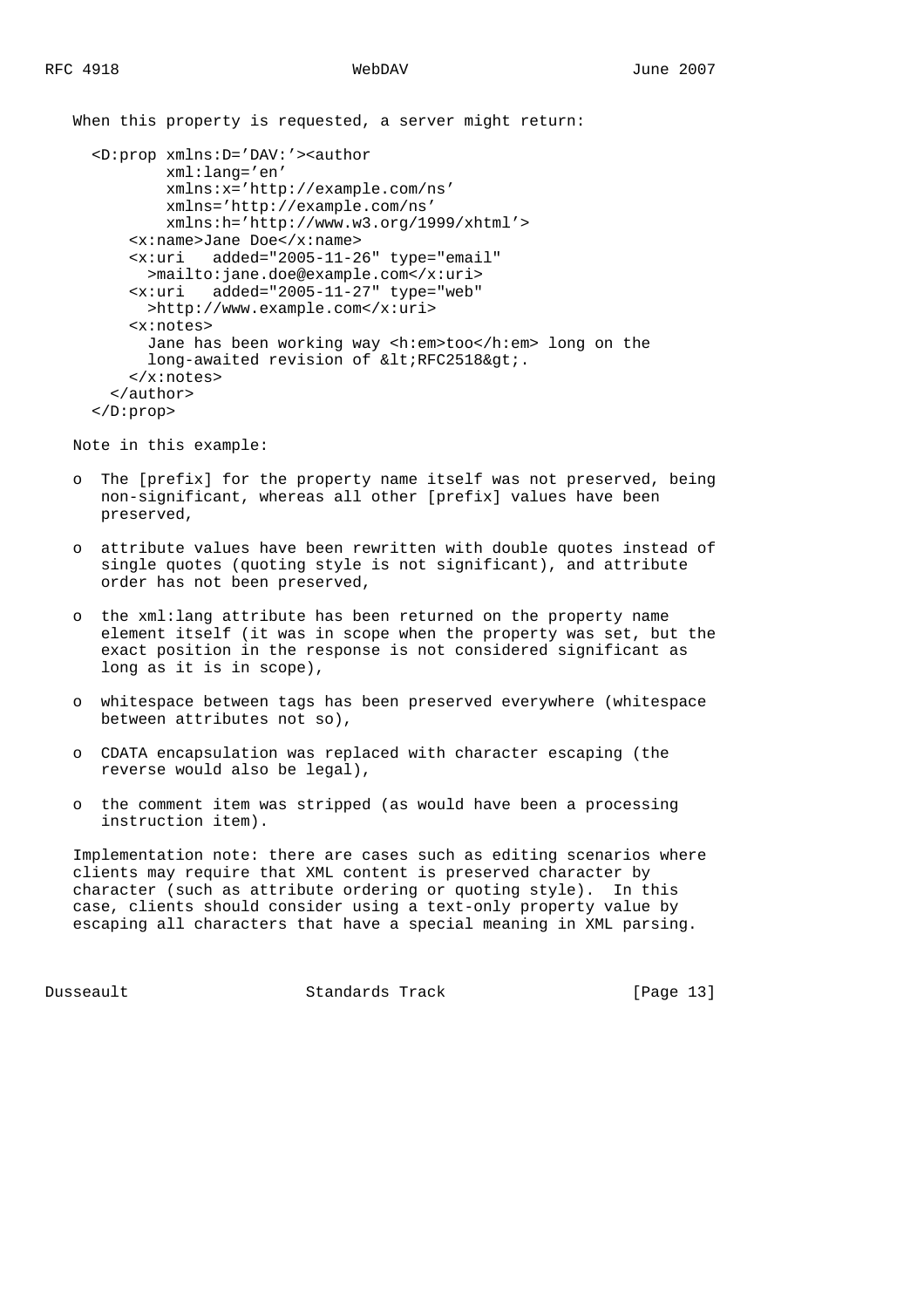When this property is requested, a server might return:

```
 <D:prop xmlns:D='DAV:'><author
        xml:lang='en'
         xmlns:x='http://example.com/ns'
         xmlns='http://example.com/ns'
         xmlns:h='http://www.w3.org/1999/xhtml'>
     <x:name>Jane Doe</x:name>
     <x:uri added="2005-11-26" type="email"
      >mailto:jane.doe@example.com</x:uri>
     <x:uri added="2005-11-27" type="web"
      >http://www.example.com</x:uri>
     <x:notes>
       Jane has been working way <h:em>too</h:em> long on the
      long-awaited revision of <RFC2518&qt;.
     </x:notes>
   </author>
 </D:prop>
```
Note in this example:

- o The [prefix] for the property name itself was not preserved, being non-significant, whereas all other [prefix] values have been preserved,
- o attribute values have been rewritten with double quotes instead of single quotes (quoting style is not significant), and attribute order has not been preserved,
- o the xml:lang attribute has been returned on the property name element itself (it was in scope when the property was set, but the exact position in the response is not considered significant as long as it is in scope),
- o whitespace between tags has been preserved everywhere (whitespace between attributes not so),
- o CDATA encapsulation was replaced with character escaping (the reverse would also be legal),
- o the comment item was stripped (as would have been a processing instruction item).

 Implementation note: there are cases such as editing scenarios where clients may require that XML content is preserved character by character (such as attribute ordering or quoting style). In this case, clients should consider using a text-only property value by escaping all characters that have a special meaning in XML parsing.

Dusseault Standards Track [Page 13]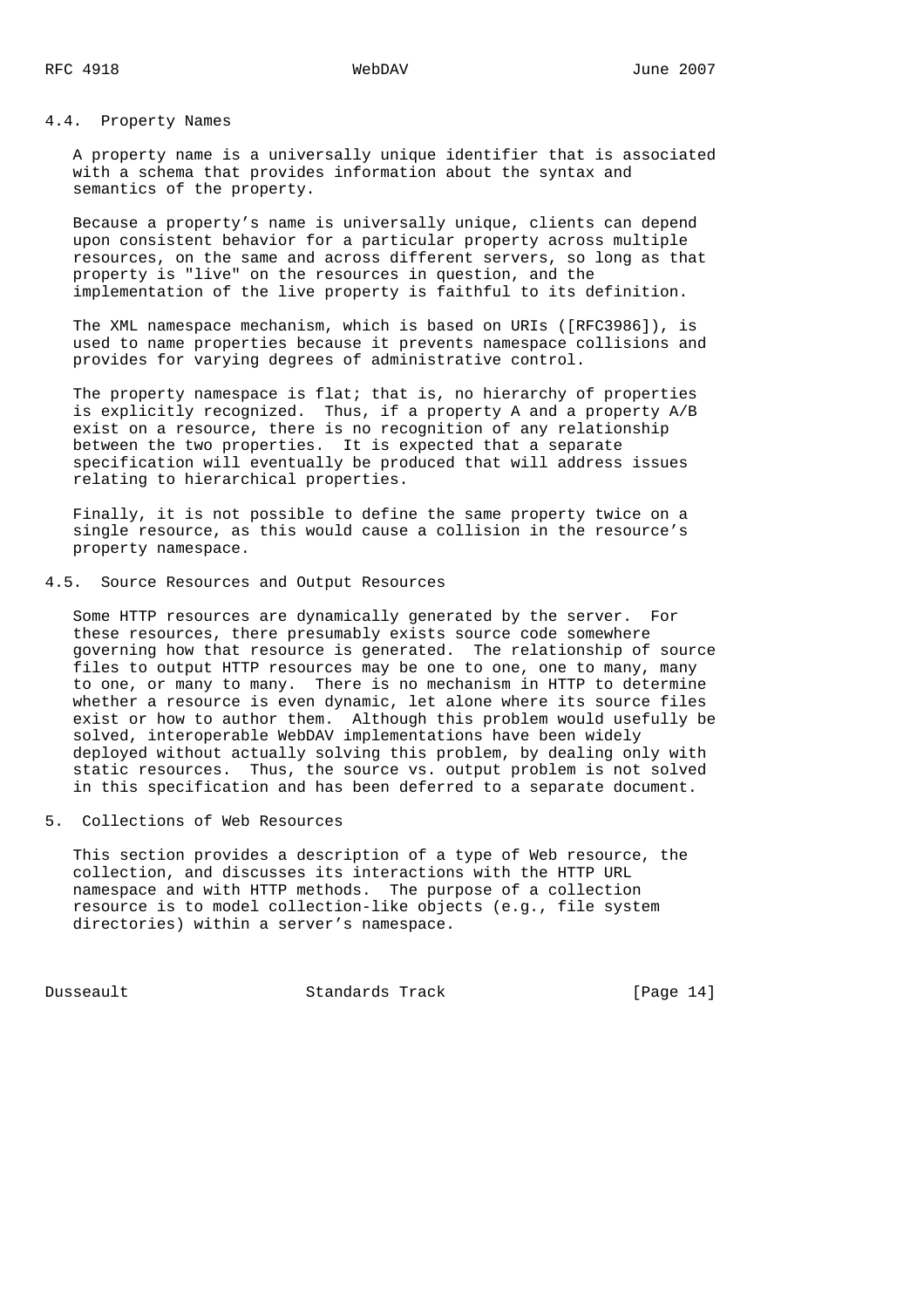# 4.4. Property Names

 A property name is a universally unique identifier that is associated with a schema that provides information about the syntax and semantics of the property.

 Because a property's name is universally unique, clients can depend upon consistent behavior for a particular property across multiple resources, on the same and across different servers, so long as that property is "live" on the resources in question, and the implementation of the live property is faithful to its definition.

 The XML namespace mechanism, which is based on URIs ([RFC3986]), is used to name properties because it prevents namespace collisions and provides for varying degrees of administrative control.

The property namespace is flat; that is, no hierarchy of properties is explicitly recognized. Thus, if a property A and a property A/B exist on a resource, there is no recognition of any relationship between the two properties. It is expected that a separate specification will eventually be produced that will address issues relating to hierarchical properties.

 Finally, it is not possible to define the same property twice on a single resource, as this would cause a collision in the resource's property namespace.

# 4.5. Source Resources and Output Resources

 Some HTTP resources are dynamically generated by the server. For these resources, there presumably exists source code somewhere governing how that resource is generated. The relationship of source files to output HTTP resources may be one to one, one to many, many to one, or many to many. There is no mechanism in HTTP to determine whether a resource is even dynamic, let alone where its source files exist or how to author them. Although this problem would usefully be solved, interoperable WebDAV implementations have been widely deployed without actually solving this problem, by dealing only with static resources. Thus, the source vs. output problem is not solved in this specification and has been deferred to a separate document.

5. Collections of Web Resources

 This section provides a description of a type of Web resource, the collection, and discusses its interactions with the HTTP URL namespace and with HTTP methods. The purpose of a collection resource is to model collection-like objects (e.g., file system directories) within a server's namespace.

Dusseault Standards Track [Page 14]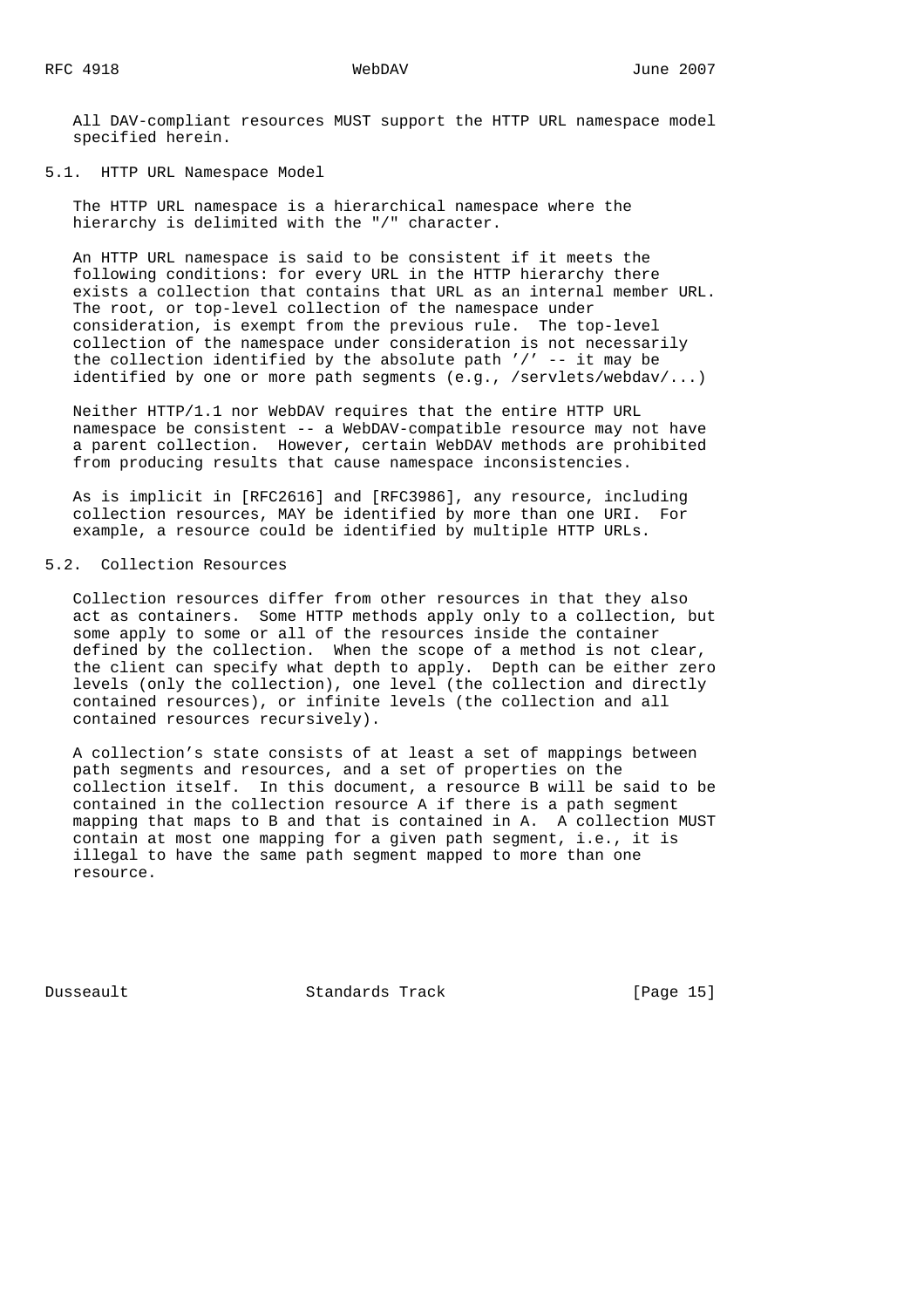All DAV-compliant resources MUST support the HTTP URL namespace model specified herein.

5.1. HTTP URL Namespace Model

 The HTTP URL namespace is a hierarchical namespace where the hierarchy is delimited with the "/" character.

 An HTTP URL namespace is said to be consistent if it meets the following conditions: for every URL in the HTTP hierarchy there exists a collection that contains that URL as an internal member URL. The root, or top-level collection of the namespace under consideration, is exempt from the previous rule. The top-level collection of the namespace under consideration is not necessarily the collection identified by the absolute path  $\prime$  /' -- it may be identified by one or more path segments (e.g., /servlets/webdav/...)

 Neither HTTP/1.1 nor WebDAV requires that the entire HTTP URL namespace be consistent -- a WebDAV-compatible resource may not have a parent collection. However, certain WebDAV methods are prohibited from producing results that cause namespace inconsistencies.

 As is implicit in [RFC2616] and [RFC3986], any resource, including collection resources, MAY be identified by more than one URI. For example, a resource could be identified by multiple HTTP URLs.

# 5.2. Collection Resources

 Collection resources differ from other resources in that they also act as containers. Some HTTP methods apply only to a collection, but some apply to some or all of the resources inside the container defined by the collection. When the scope of a method is not clear, the client can specify what depth to apply. Depth can be either zero levels (only the collection), one level (the collection and directly contained resources), or infinite levels (the collection and all contained resources recursively).

 A collection's state consists of at least a set of mappings between path segments and resources, and a set of properties on the collection itself. In this document, a resource B will be said to be contained in the collection resource A if there is a path segment mapping that maps to B and that is contained in A. A collection MUST contain at most one mapping for a given path segment, i.e., it is illegal to have the same path segment mapped to more than one resource.

Dusseault Standards Track [Page 15]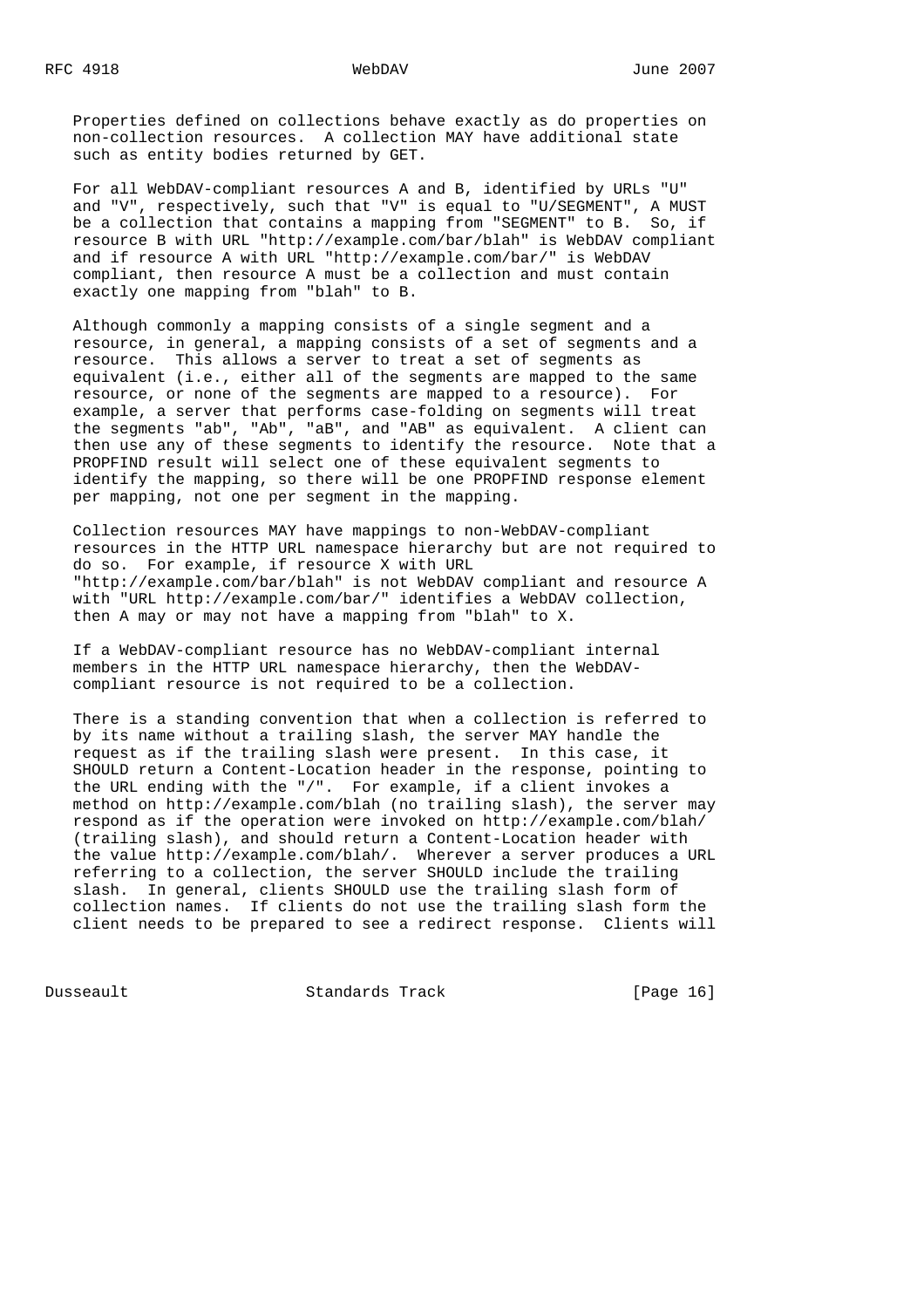Properties defined on collections behave exactly as do properties on non-collection resources. A collection MAY have additional state such as entity bodies returned by GET.

 For all WebDAV-compliant resources A and B, identified by URLs "U" and "V", respectively, such that "V" is equal to "U/SEGMENT", A MUST be a collection that contains a mapping from "SEGMENT" to B. So, if resource B with URL "http://example.com/bar/blah" is WebDAV compliant and if resource A with URL "http://example.com/bar/" is WebDAV compliant, then resource A must be a collection and must contain exactly one mapping from "blah" to B.

 Although commonly a mapping consists of a single segment and a resource, in general, a mapping consists of a set of segments and a resource. This allows a server to treat a set of segments as equivalent (i.e., either all of the segments are mapped to the same resource, or none of the segments are mapped to a resource). For example, a server that performs case-folding on segments will treat the segments "ab", "Ab", "aB", and "AB" as equivalent. A client can then use any of these segments to identify the resource. Note that a PROPFIND result will select one of these equivalent segments to identify the mapping, so there will be one PROPFIND response element per mapping, not one per segment in the mapping.

 Collection resources MAY have mappings to non-WebDAV-compliant resources in the HTTP URL namespace hierarchy but are not required to do so. For example, if resource X with URL "http://example.com/bar/blah" is not WebDAV compliant and resource A with "URL http://example.com/bar/" identifies a WebDAV collection, then A may or may not have a mapping from "blah" to X.

 If a WebDAV-compliant resource has no WebDAV-compliant internal members in the HTTP URL namespace hierarchy, then the WebDAV compliant resource is not required to be a collection.

 There is a standing convention that when a collection is referred to by its name without a trailing slash, the server MAY handle the request as if the trailing slash were present. In this case, it SHOULD return a Content-Location header in the response, pointing to the URL ending with the "/". For example, if a client invokes a method on http://example.com/blah (no trailing slash), the server may respond as if the operation were invoked on http://example.com/blah/ (trailing slash), and should return a Content-Location header with the value http://example.com/blah/. Wherever a server produces a URL referring to a collection, the server SHOULD include the trailing slash. In general, clients SHOULD use the trailing slash form of collection names. If clients do not use the trailing slash form the client needs to be prepared to see a redirect response. Clients will

Dusseault Standards Track [Page 16]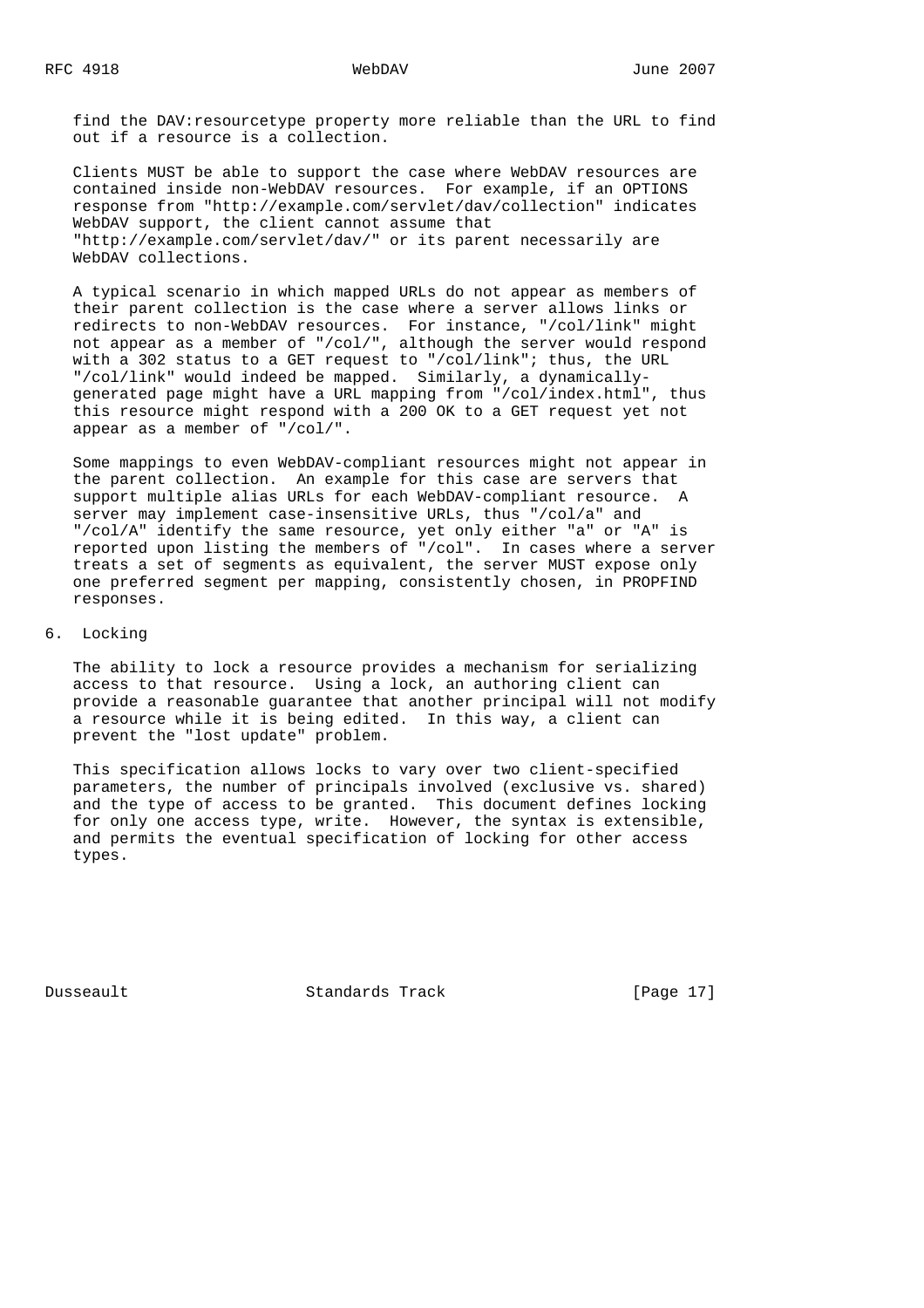find the DAV:resourcetype property more reliable than the URL to find out if a resource is a collection.

 Clients MUST be able to support the case where WebDAV resources are contained inside non-WebDAV resources. For example, if an OPTIONS response from "http://example.com/servlet/dav/collection" indicates WebDAV support, the client cannot assume that "http://example.com/servlet/dav/" or its parent necessarily are WebDAV collections.

 A typical scenario in which mapped URLs do not appear as members of their parent collection is the case where a server allows links or redirects to non-WebDAV resources. For instance, "/col/link" might not appear as a member of "/col/", although the server would respond with a 302 status to a GET request to "/col/link"; thus, the URL "/col/link" would indeed be mapped. Similarly, a dynamically generated page might have a URL mapping from "/col/index.html", thus this resource might respond with a 200 OK to a GET request yet not appear as a member of "/col/".

 Some mappings to even WebDAV-compliant resources might not appear in the parent collection. An example for this case are servers that support multiple alias URLs for each WebDAV-compliant resource. A server may implement case-insensitive URLs, thus "/col/a" and "/col/A" identify the same resource, yet only either "a" or "A" is reported upon listing the members of "/col". In cases where a server treats a set of segments as equivalent, the server MUST expose only one preferred segment per mapping, consistently chosen, in PROPFIND responses.

# 6. Locking

 The ability to lock a resource provides a mechanism for serializing access to that resource. Using a lock, an authoring client can provide a reasonable guarantee that another principal will not modify a resource while it is being edited. In this way, a client can prevent the "lost update" problem.

 This specification allows locks to vary over two client-specified parameters, the number of principals involved (exclusive vs. shared) and the type of access to be granted. This document defines locking for only one access type, write. However, the syntax is extensible, and permits the eventual specification of locking for other access types.

Dusseault Standards Track [Page 17]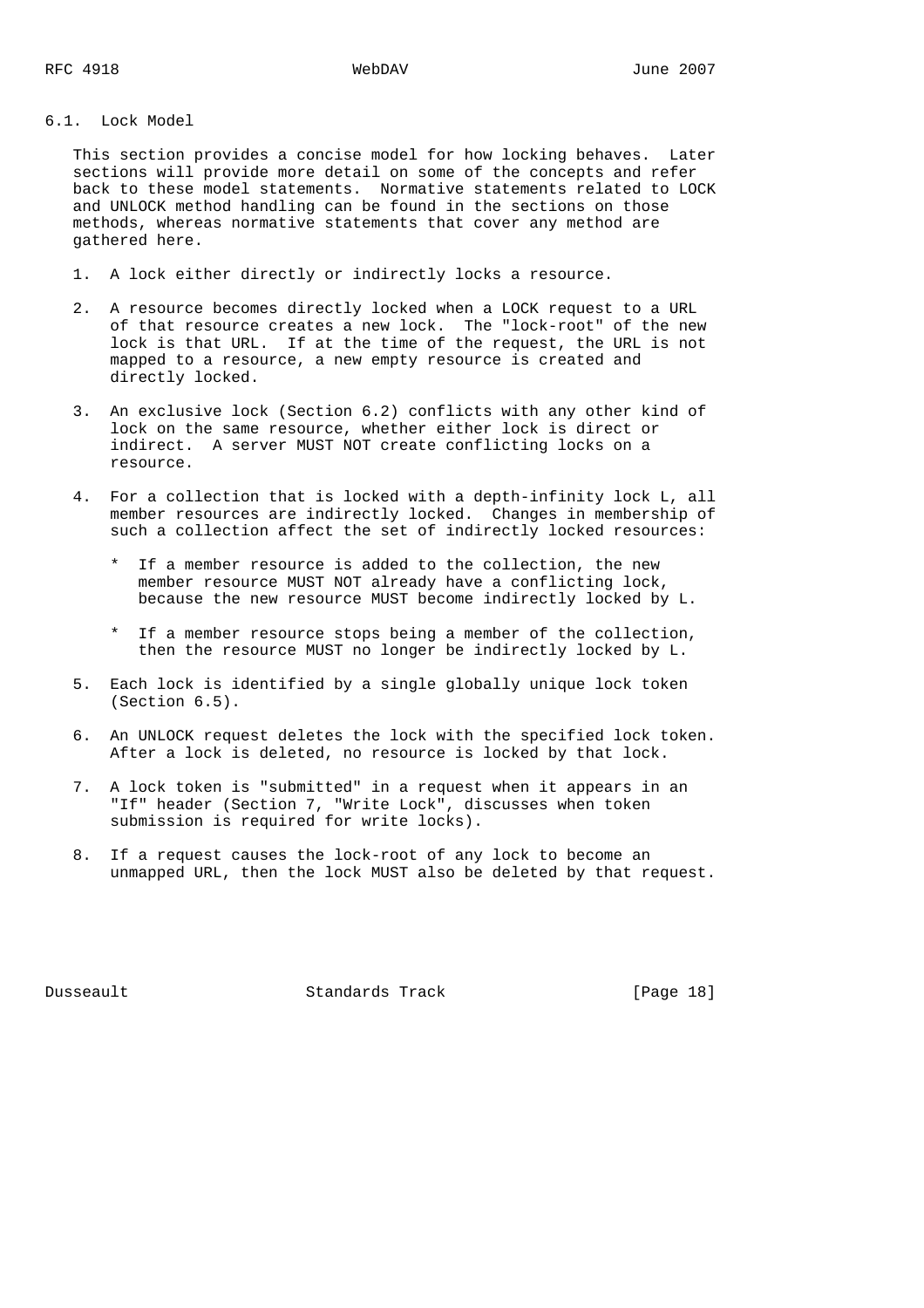# 6.1. Lock Model

 This section provides a concise model for how locking behaves. Later sections will provide more detail on some of the concepts and refer back to these model statements. Normative statements related to LOCK and UNLOCK method handling can be found in the sections on those methods, whereas normative statements that cover any method are gathered here.

- 1. A lock either directly or indirectly locks a resource.
- 2. A resource becomes directly locked when a LOCK request to a URL of that resource creates a new lock. The "lock-root" of the new lock is that URL. If at the time of the request, the URL is not mapped to a resource, a new empty resource is created and directly locked.
- 3. An exclusive lock (Section 6.2) conflicts with any other kind of lock on the same resource, whether either lock is direct or indirect. A server MUST NOT create conflicting locks on a resource.
- 4. For a collection that is locked with a depth-infinity lock L, all member resources are indirectly locked. Changes in membership of such a collection affect the set of indirectly locked resources:
	- \* If a member resource is added to the collection, the new member resource MUST NOT already have a conflicting lock, because the new resource MUST become indirectly locked by L.
	- \* If a member resource stops being a member of the collection, then the resource MUST no longer be indirectly locked by L.
- 5. Each lock is identified by a single globally unique lock token (Section 6.5).
- 6. An UNLOCK request deletes the lock with the specified lock token. After a lock is deleted, no resource is locked by that lock.
- 7. A lock token is "submitted" in a request when it appears in an "If" header (Section 7, "Write Lock", discusses when token submission is required for write locks).
- 8. If a request causes the lock-root of any lock to become an unmapped URL, then the lock MUST also be deleted by that request.

Dusseault Standards Track [Page 18]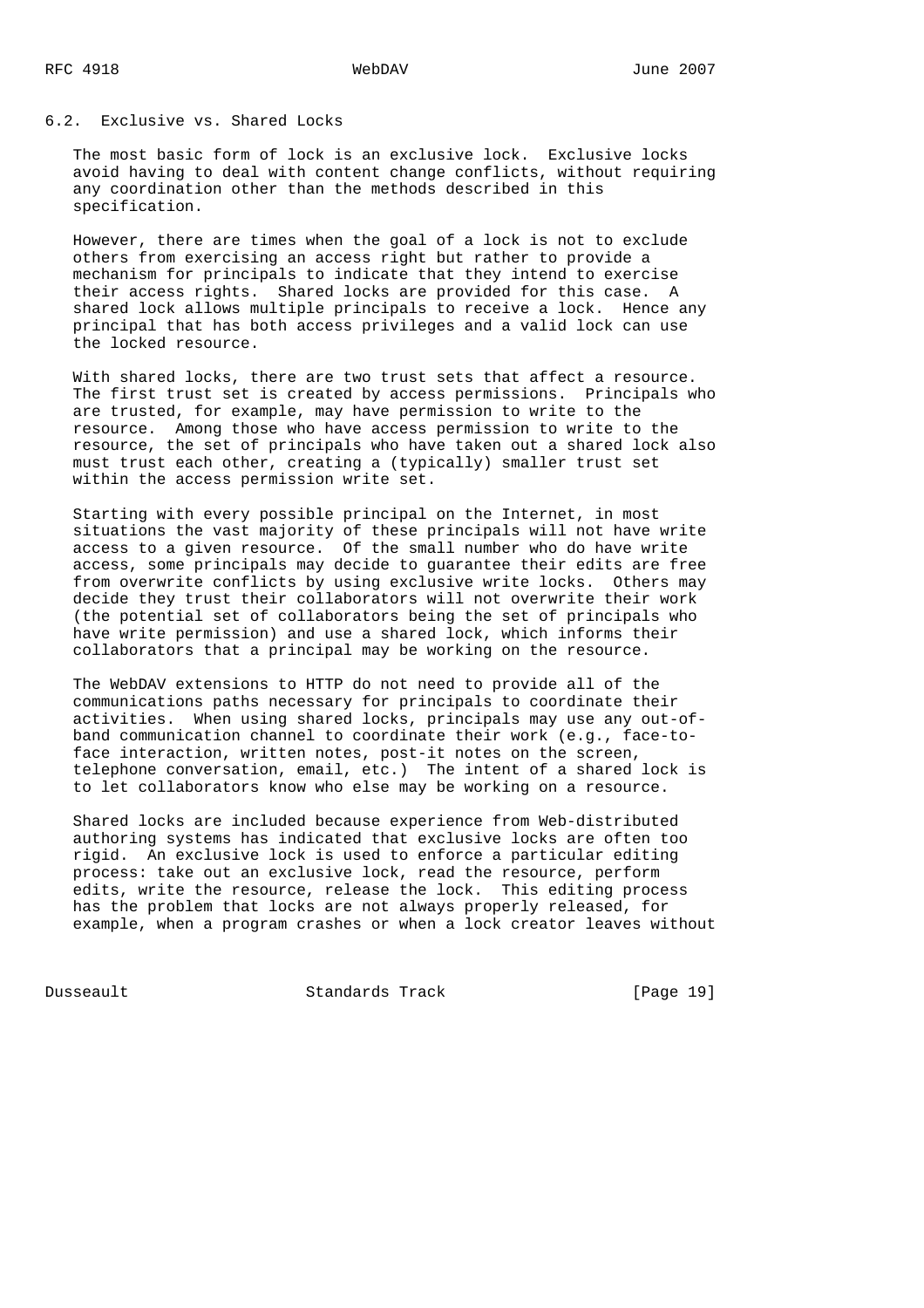# 6.2. Exclusive vs. Shared Locks

 The most basic form of lock is an exclusive lock. Exclusive locks avoid having to deal with content change conflicts, without requiring any coordination other than the methods described in this specification.

 However, there are times when the goal of a lock is not to exclude others from exercising an access right but rather to provide a mechanism for principals to indicate that they intend to exercise their access rights. Shared locks are provided for this case. A shared lock allows multiple principals to receive a lock. Hence any principal that has both access privileges and a valid lock can use the locked resource.

 With shared locks, there are two trust sets that affect a resource. The first trust set is created by access permissions. Principals who are trusted, for example, may have permission to write to the resource. Among those who have access permission to write to the resource, the set of principals who have taken out a shared lock also must trust each other, creating a (typically) smaller trust set within the access permission write set.

 Starting with every possible principal on the Internet, in most situations the vast majority of these principals will not have write access to a given resource. Of the small number who do have write access, some principals may decide to guarantee their edits are free from overwrite conflicts by using exclusive write locks. Others may decide they trust their collaborators will not overwrite their work (the potential set of collaborators being the set of principals who have write permission) and use a shared lock, which informs their collaborators that a principal may be working on the resource.

 The WebDAV extensions to HTTP do not need to provide all of the communications paths necessary for principals to coordinate their activities. When using shared locks, principals may use any out-of band communication channel to coordinate their work (e.g., face-to face interaction, written notes, post-it notes on the screen, telephone conversation, email, etc.) The intent of a shared lock is to let collaborators know who else may be working on a resource.

 Shared locks are included because experience from Web-distributed authoring systems has indicated that exclusive locks are often too rigid. An exclusive lock is used to enforce a particular editing process: take out an exclusive lock, read the resource, perform edits, write the resource, release the lock. This editing process has the problem that locks are not always properly released, for example, when a program crashes or when a lock creator leaves without

Dusseault Standards Track [Page 19]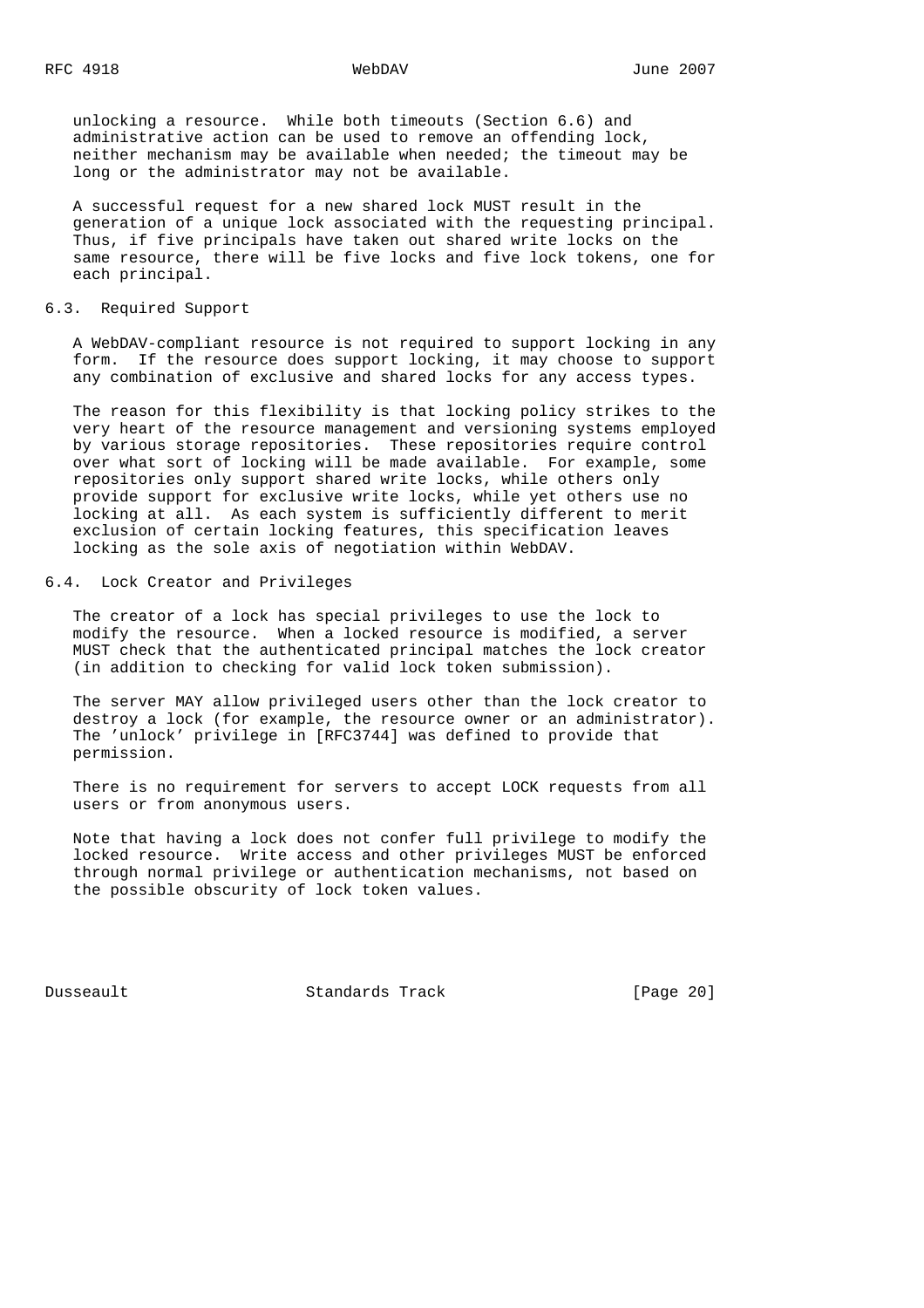unlocking a resource. While both timeouts (Section 6.6) and administrative action can be used to remove an offending lock, neither mechanism may be available when needed; the timeout may be long or the administrator may not be available.

 A successful request for a new shared lock MUST result in the generation of a unique lock associated with the requesting principal. Thus, if five principals have taken out shared write locks on the same resource, there will be five locks and five lock tokens, one for each principal.

### 6.3. Required Support

 A WebDAV-compliant resource is not required to support locking in any form. If the resource does support locking, it may choose to support any combination of exclusive and shared locks for any access types.

 The reason for this flexibility is that locking policy strikes to the very heart of the resource management and versioning systems employed by various storage repositories. These repositories require control over what sort of locking will be made available. For example, some repositories only support shared write locks, while others only provide support for exclusive write locks, while yet others use no locking at all. As each system is sufficiently different to merit exclusion of certain locking features, this specification leaves locking as the sole axis of negotiation within WebDAV.

# 6.4. Lock Creator and Privileges

 The creator of a lock has special privileges to use the lock to modify the resource. When a locked resource is modified, a server MUST check that the authenticated principal matches the lock creator (in addition to checking for valid lock token submission).

 The server MAY allow privileged users other than the lock creator to destroy a lock (for example, the resource owner or an administrator). The 'unlock' privilege in [RFC3744] was defined to provide that permission.

 There is no requirement for servers to accept LOCK requests from all users or from anonymous users.

 Note that having a lock does not confer full privilege to modify the locked resource. Write access and other privileges MUST be enforced through normal privilege or authentication mechanisms, not based on the possible obscurity of lock token values.

Dusseault Standards Track [Page 20]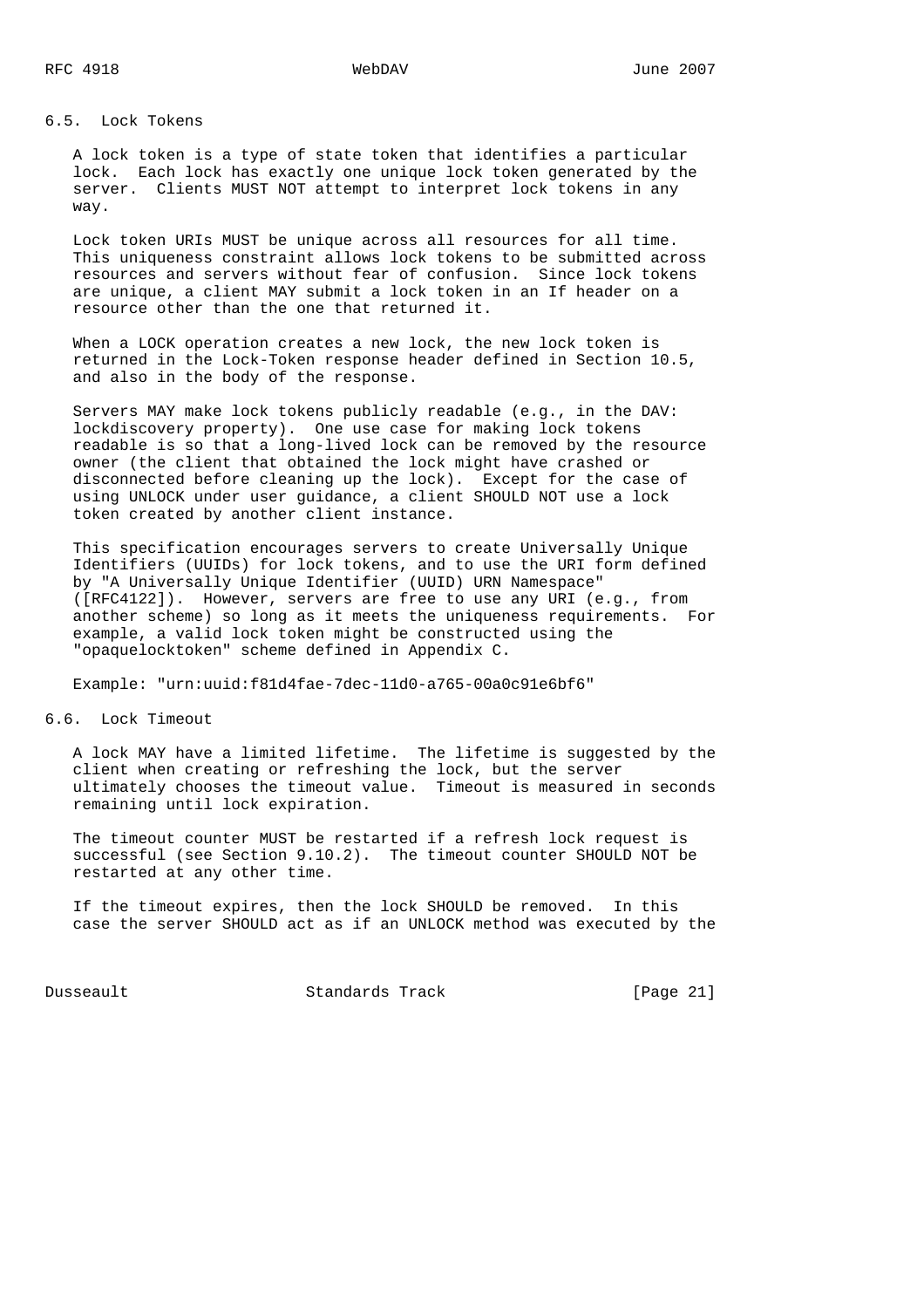# 6.5. Lock Tokens

 A lock token is a type of state token that identifies a particular lock. Each lock has exactly one unique lock token generated by the server. Clients MUST NOT attempt to interpret lock tokens in any way.

 Lock token URIs MUST be unique across all resources for all time. This uniqueness constraint allows lock tokens to be submitted across resources and servers without fear of confusion. Since lock tokens are unique, a client MAY submit a lock token in an If header on a resource other than the one that returned it.

 When a LOCK operation creates a new lock, the new lock token is returned in the Lock-Token response header defined in Section 10.5, and also in the body of the response.

 Servers MAY make lock tokens publicly readable (e.g., in the DAV: lockdiscovery property). One use case for making lock tokens readable is so that a long-lived lock can be removed by the resource owner (the client that obtained the lock might have crashed or disconnected before cleaning up the lock). Except for the case of using UNLOCK under user guidance, a client SHOULD NOT use a lock token created by another client instance.

 This specification encourages servers to create Universally Unique Identifiers (UUIDs) for lock tokens, and to use the URI form defined by "A Universally Unique Identifier (UUID) URN Namespace" ([RFC4122]). However, servers are free to use any URI (e.g., from another scheme) so long as it meets the uniqueness requirements. For example, a valid lock token might be constructed using the "opaquelocktoken" scheme defined in Appendix C.

Example: "urn:uuid:f81d4fae-7dec-11d0-a765-00a0c91e6bf6"

# 6.6. Lock Timeout

 A lock MAY have a limited lifetime. The lifetime is suggested by the client when creating or refreshing the lock, but the server ultimately chooses the timeout value. Timeout is measured in seconds remaining until lock expiration.

 The timeout counter MUST be restarted if a refresh lock request is successful (see Section 9.10.2). The timeout counter SHOULD NOT be restarted at any other time.

 If the timeout expires, then the lock SHOULD be removed. In this case the server SHOULD act as if an UNLOCK method was executed by the

Dusseault Standards Track [Page 21]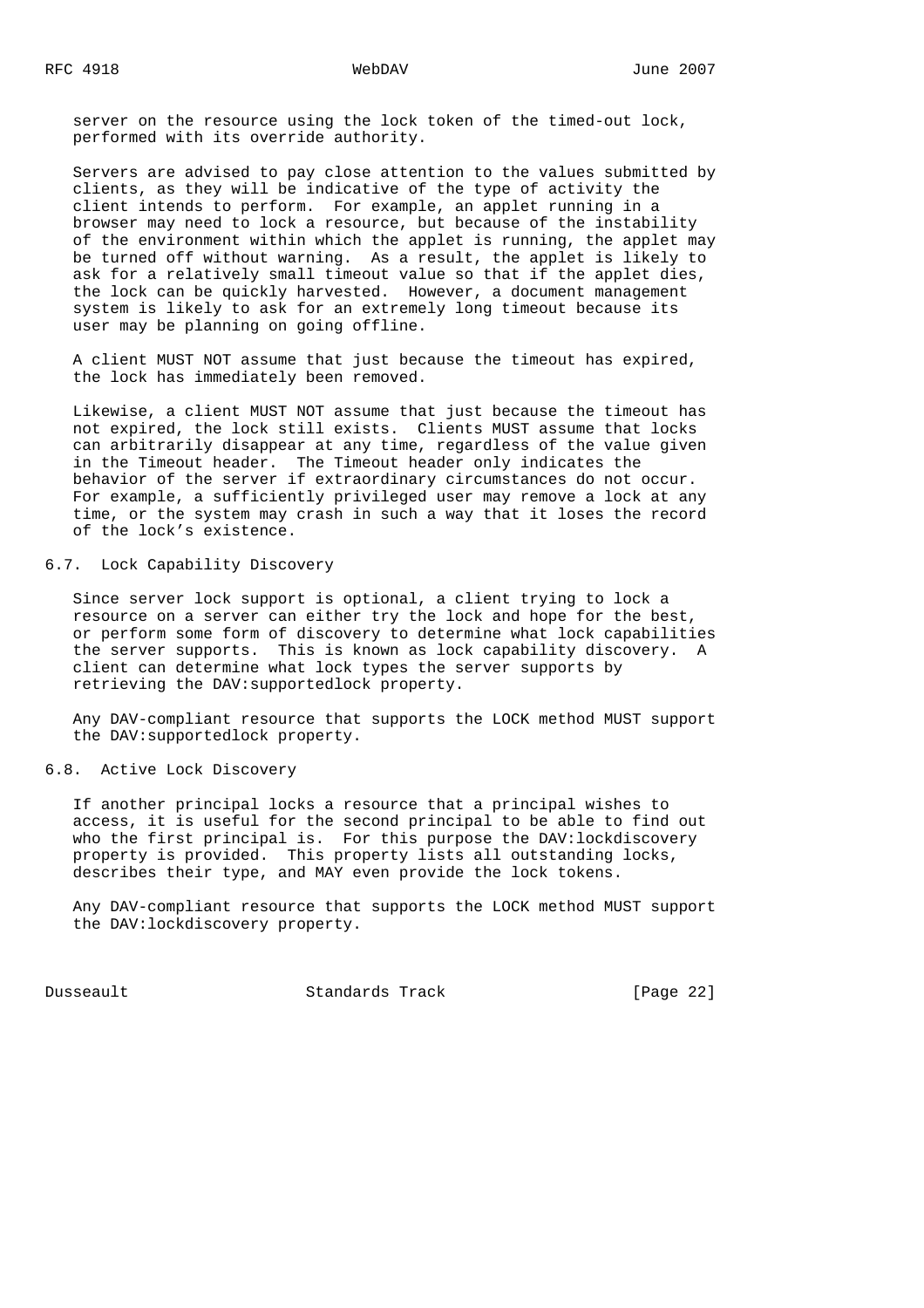server on the resource using the lock token of the timed-out lock, performed with its override authority.

 Servers are advised to pay close attention to the values submitted by clients, as they will be indicative of the type of activity the client intends to perform. For example, an applet running in a browser may need to lock a resource, but because of the instability of the environment within which the applet is running, the applet may be turned off without warning. As a result, the applet is likely to ask for a relatively small timeout value so that if the applet dies, the lock can be quickly harvested. However, a document management system is likely to ask for an extremely long timeout because its user may be planning on going offline.

 A client MUST NOT assume that just because the timeout has expired, the lock has immediately been removed.

 Likewise, a client MUST NOT assume that just because the timeout has not expired, the lock still exists. Clients MUST assume that locks can arbitrarily disappear at any time, regardless of the value given in the Timeout header. The Timeout header only indicates the behavior of the server if extraordinary circumstances do not occur. For example, a sufficiently privileged user may remove a lock at any time, or the system may crash in such a way that it loses the record of the lock's existence.

# 6.7. Lock Capability Discovery

 Since server lock support is optional, a client trying to lock a resource on a server can either try the lock and hope for the best, or perform some form of discovery to determine what lock capabilities the server supports. This is known as lock capability discovery. A client can determine what lock types the server supports by retrieving the DAV:supportedlock property.

 Any DAV-compliant resource that supports the LOCK method MUST support the DAV:supportedlock property.

6.8. Active Lock Discovery

 If another principal locks a resource that a principal wishes to access, it is useful for the second principal to be able to find out who the first principal is. For this purpose the DAV:lockdiscovery property is provided. This property lists all outstanding locks, describes their type, and MAY even provide the lock tokens.

 Any DAV-compliant resource that supports the LOCK method MUST support the DAV:lockdiscovery property.

Dusseault Standards Track [Page 22]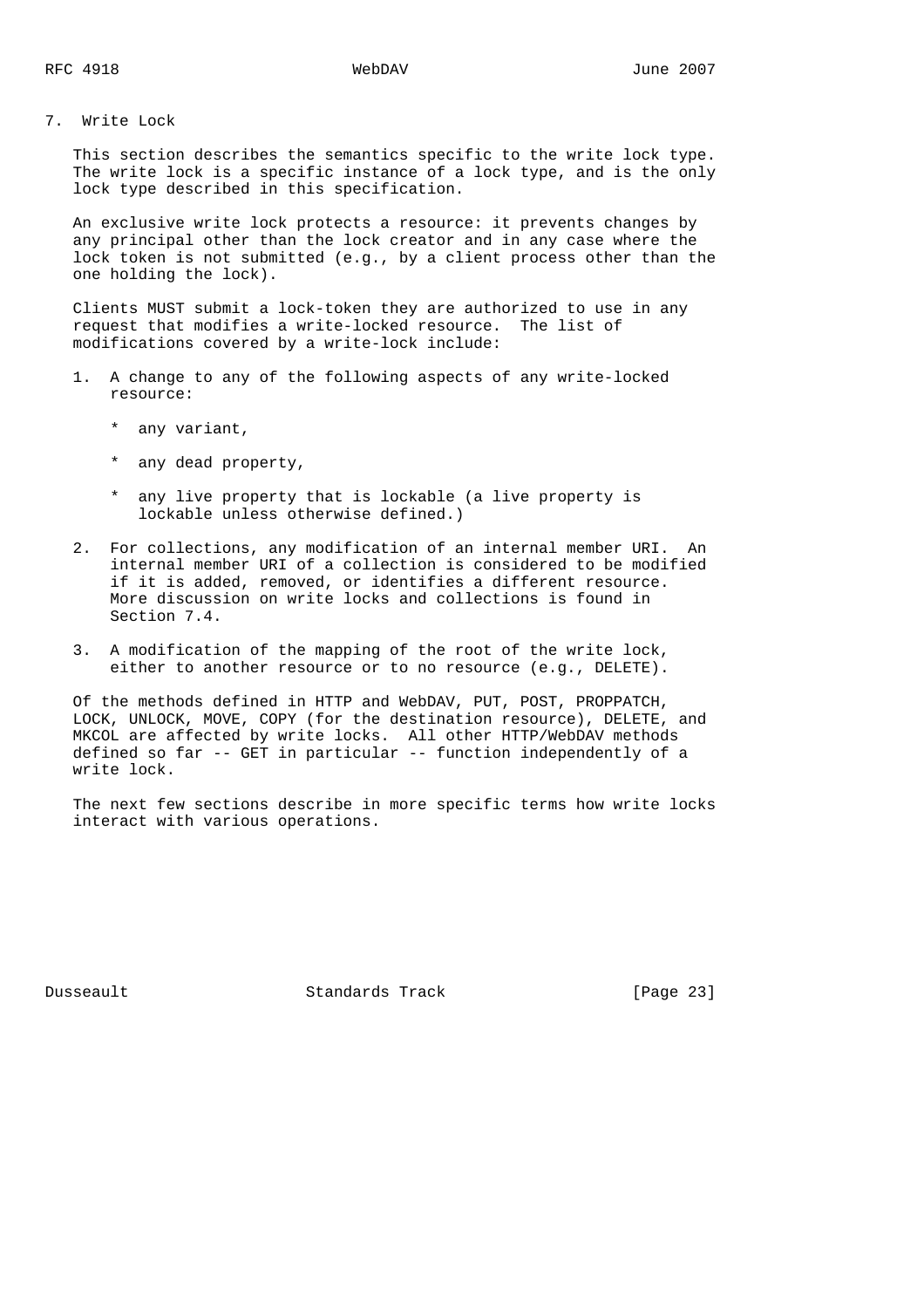7. Write Lock

 This section describes the semantics specific to the write lock type. The write lock is a specific instance of a lock type, and is the only lock type described in this specification.

 An exclusive write lock protects a resource: it prevents changes by any principal other than the lock creator and in any case where the lock token is not submitted (e.g., by a client process other than the one holding the lock).

 Clients MUST submit a lock-token they are authorized to use in any request that modifies a write-locked resource. The list of modifications covered by a write-lock include:

- 1. A change to any of the following aspects of any write-locked resource:
	- \* any variant,
	- \* any dead property,
	- \* any live property that is lockable (a live property is lockable unless otherwise defined.)
- 2. For collections, any modification of an internal member URI. An internal member URI of a collection is considered to be modified if it is added, removed, or identifies a different resource. More discussion on write locks and collections is found in Section 7.4.
- 3. A modification of the mapping of the root of the write lock, either to another resource or to no resource (e.g., DELETE).

 Of the methods defined in HTTP and WebDAV, PUT, POST, PROPPATCH, LOCK, UNLOCK, MOVE, COPY (for the destination resource), DELETE, and MKCOL are affected by write locks. All other HTTP/WebDAV methods defined so far -- GET in particular -- function independently of a write lock.

 The next few sections describe in more specific terms how write locks interact with various operations.

Dusseault Standards Track [Page 23]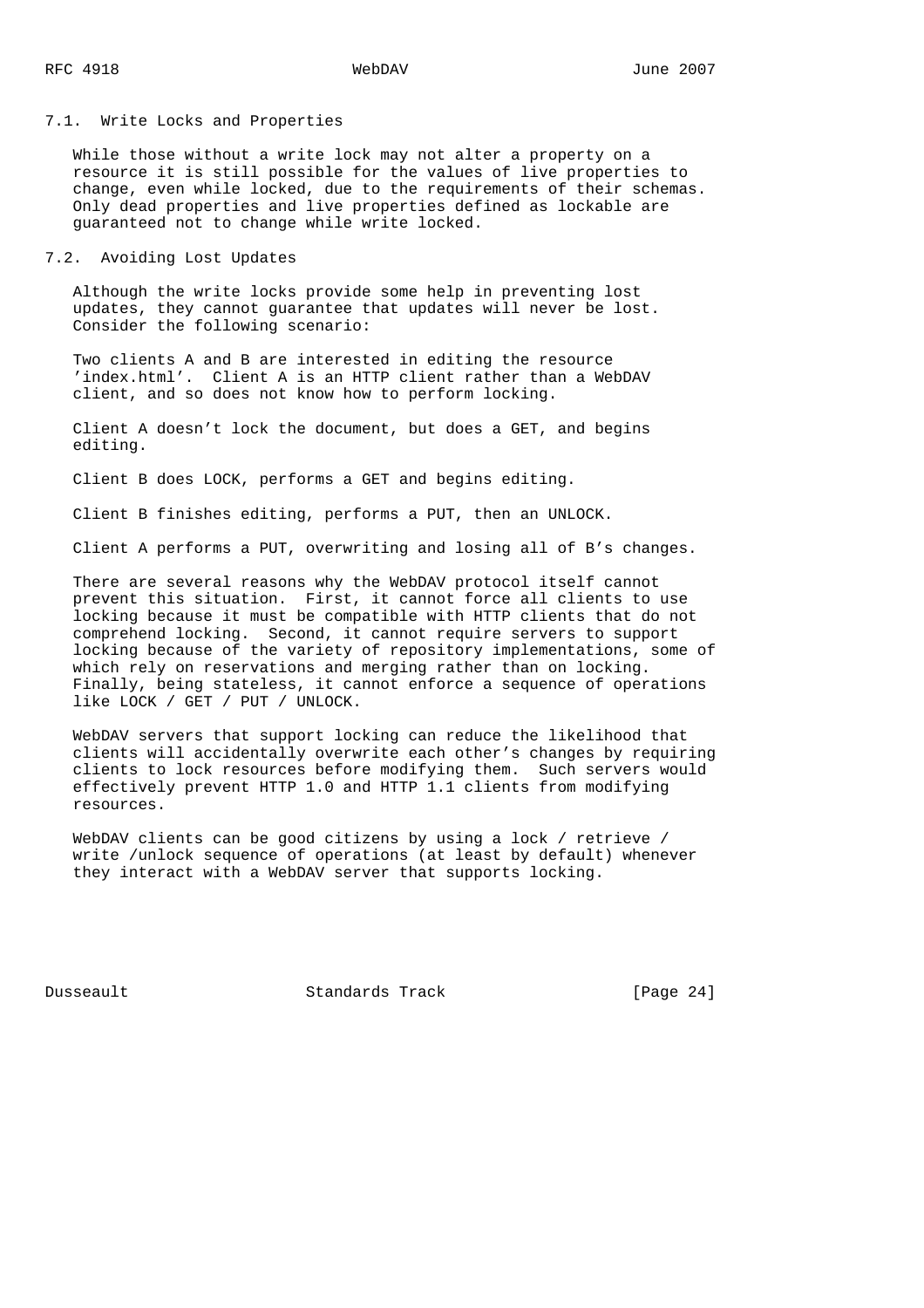### 7.1. Write Locks and Properties

 While those without a write lock may not alter a property on a resource it is still possible for the values of live properties to change, even while locked, due to the requirements of their schemas. Only dead properties and live properties defined as lockable are guaranteed not to change while write locked.

# 7.2. Avoiding Lost Updates

 Although the write locks provide some help in preventing lost updates, they cannot guarantee that updates will never be lost. Consider the following scenario:

 Two clients A and B are interested in editing the resource 'index.html'. Client A is an HTTP client rather than a WebDAV client, and so does not know how to perform locking.

 Client A doesn't lock the document, but does a GET, and begins editing.

Client B does LOCK, performs a GET and begins editing.

Client B finishes editing, performs a PUT, then an UNLOCK.

Client A performs a PUT, overwriting and losing all of B's changes.

 There are several reasons why the WebDAV protocol itself cannot prevent this situation. First, it cannot force all clients to use locking because it must be compatible with HTTP clients that do not comprehend locking. Second, it cannot require servers to support locking because of the variety of repository implementations, some of which rely on reservations and merging rather than on locking. Finally, being stateless, it cannot enforce a sequence of operations like LOCK / GET / PUT / UNLOCK.

 WebDAV servers that support locking can reduce the likelihood that clients will accidentally overwrite each other's changes by requiring clients to lock resources before modifying them. Such servers would effectively prevent HTTP 1.0 and HTTP 1.1 clients from modifying resources.

 WebDAV clients can be good citizens by using a lock / retrieve / write /unlock sequence of operations (at least by default) whenever they interact with a WebDAV server that supports locking.

Dusseault Standards Track [Page 24]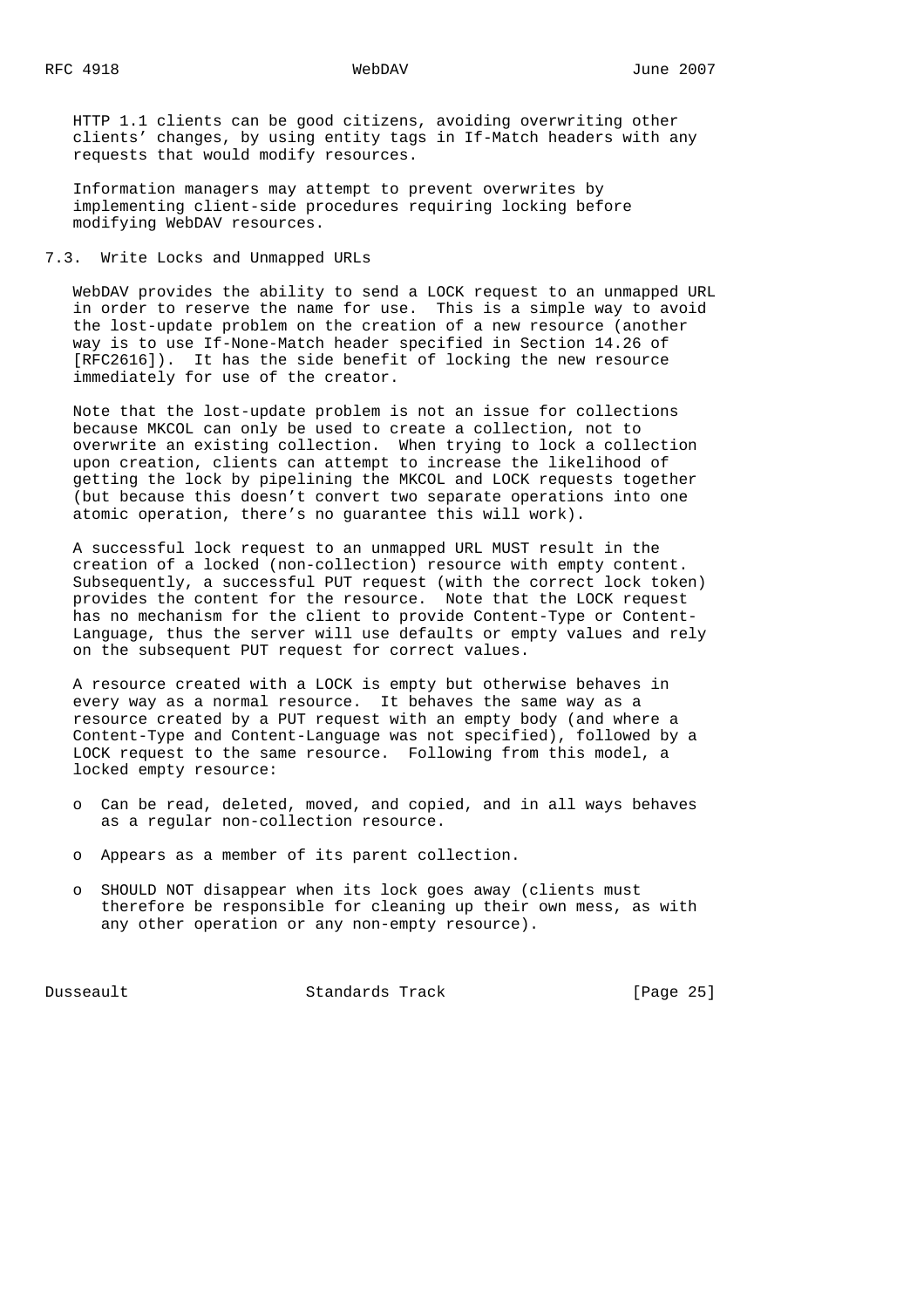HTTP 1.1 clients can be good citizens, avoiding overwriting other clients' changes, by using entity tags in If-Match headers with any requests that would modify resources.

 Information managers may attempt to prevent overwrites by implementing client-side procedures requiring locking before modifying WebDAV resources.

# 7.3. Write Locks and Unmapped URLs

 WebDAV provides the ability to send a LOCK request to an unmapped URL in order to reserve the name for use. This is a simple way to avoid the lost-update problem on the creation of a new resource (another way is to use If-None-Match header specified in Section 14.26 of [RFC2616]). It has the side benefit of locking the new resource immediately for use of the creator.

 Note that the lost-update problem is not an issue for collections because MKCOL can only be used to create a collection, not to overwrite an existing collection. When trying to lock a collection upon creation, clients can attempt to increase the likelihood of getting the lock by pipelining the MKCOL and LOCK requests together (but because this doesn't convert two separate operations into one atomic operation, there's no guarantee this will work).

 A successful lock request to an unmapped URL MUST result in the creation of a locked (non-collection) resource with empty content. Subsequently, a successful PUT request (with the correct lock token) provides the content for the resource. Note that the LOCK request has no mechanism for the client to provide Content-Type or Content- Language, thus the server will use defaults or empty values and rely on the subsequent PUT request for correct values.

 A resource created with a LOCK is empty but otherwise behaves in every way as a normal resource. It behaves the same way as a resource created by a PUT request with an empty body (and where a Content-Type and Content-Language was not specified), followed by a LOCK request to the same resource. Following from this model, a locked empty resource:

- o Can be read, deleted, moved, and copied, and in all ways behaves as a regular non-collection resource.
- o Appears as a member of its parent collection.
- o SHOULD NOT disappear when its lock goes away (clients must therefore be responsible for cleaning up their own mess, as with any other operation or any non-empty resource).

Dusseault Standards Track [Page 25]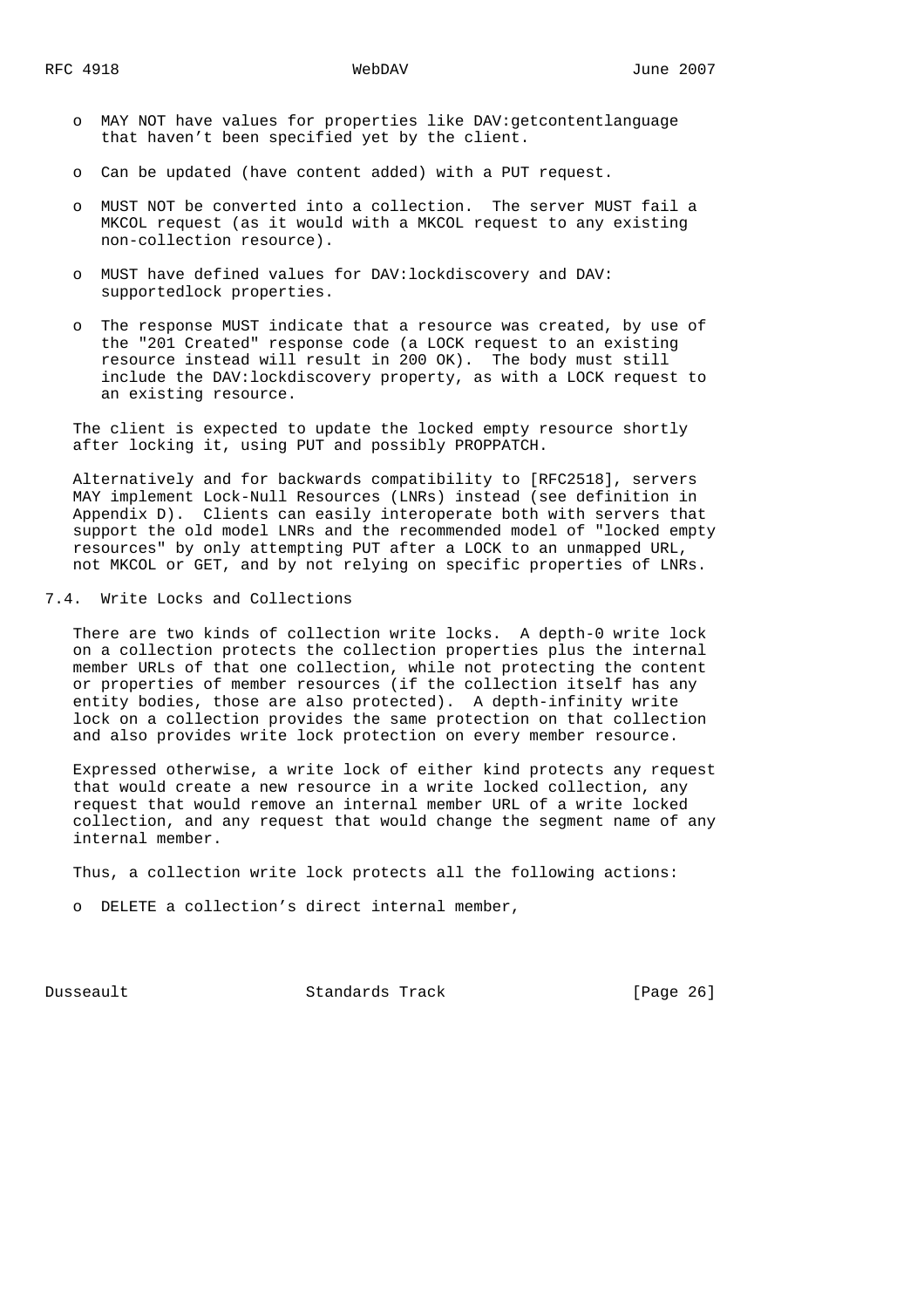- o MAY NOT have values for properties like DAV:getcontentlanguage that haven't been specified yet by the client.
- o Can be updated (have content added) with a PUT request.
- o MUST NOT be converted into a collection. The server MUST fail a MKCOL request (as it would with a MKCOL request to any existing non-collection resource).
- o MUST have defined values for DAV:lockdiscovery and DAV: supportedlock properties.
- o The response MUST indicate that a resource was created, by use of the "201 Created" response code (a LOCK request to an existing resource instead will result in 200 OK). The body must still include the DAV:lockdiscovery property, as with a LOCK request to an existing resource.

 The client is expected to update the locked empty resource shortly after locking it, using PUT and possibly PROPPATCH.

 Alternatively and for backwards compatibility to [RFC2518], servers MAY implement Lock-Null Resources (LNRs) instead (see definition in Appendix D). Clients can easily interoperate both with servers that support the old model LNRs and the recommended model of "locked empty resources" by only attempting PUT after a LOCK to an unmapped URL, not MKCOL or GET, and by not relying on specific properties of LNRs.

# 7.4. Write Locks and Collections

 There are two kinds of collection write locks. A depth-0 write lock on a collection protects the collection properties plus the internal member URLs of that one collection, while not protecting the content or properties of member resources (if the collection itself has any entity bodies, those are also protected). A depth-infinity write lock on a collection provides the same protection on that collection and also provides write lock protection on every member resource.

 Expressed otherwise, a write lock of either kind protects any request that would create a new resource in a write locked collection, any request that would remove an internal member URL of a write locked collection, and any request that would change the segment name of any internal member.

Thus, a collection write lock protects all the following actions:

o DELETE a collection's direct internal member,

Dusseault Standards Track [Page 26]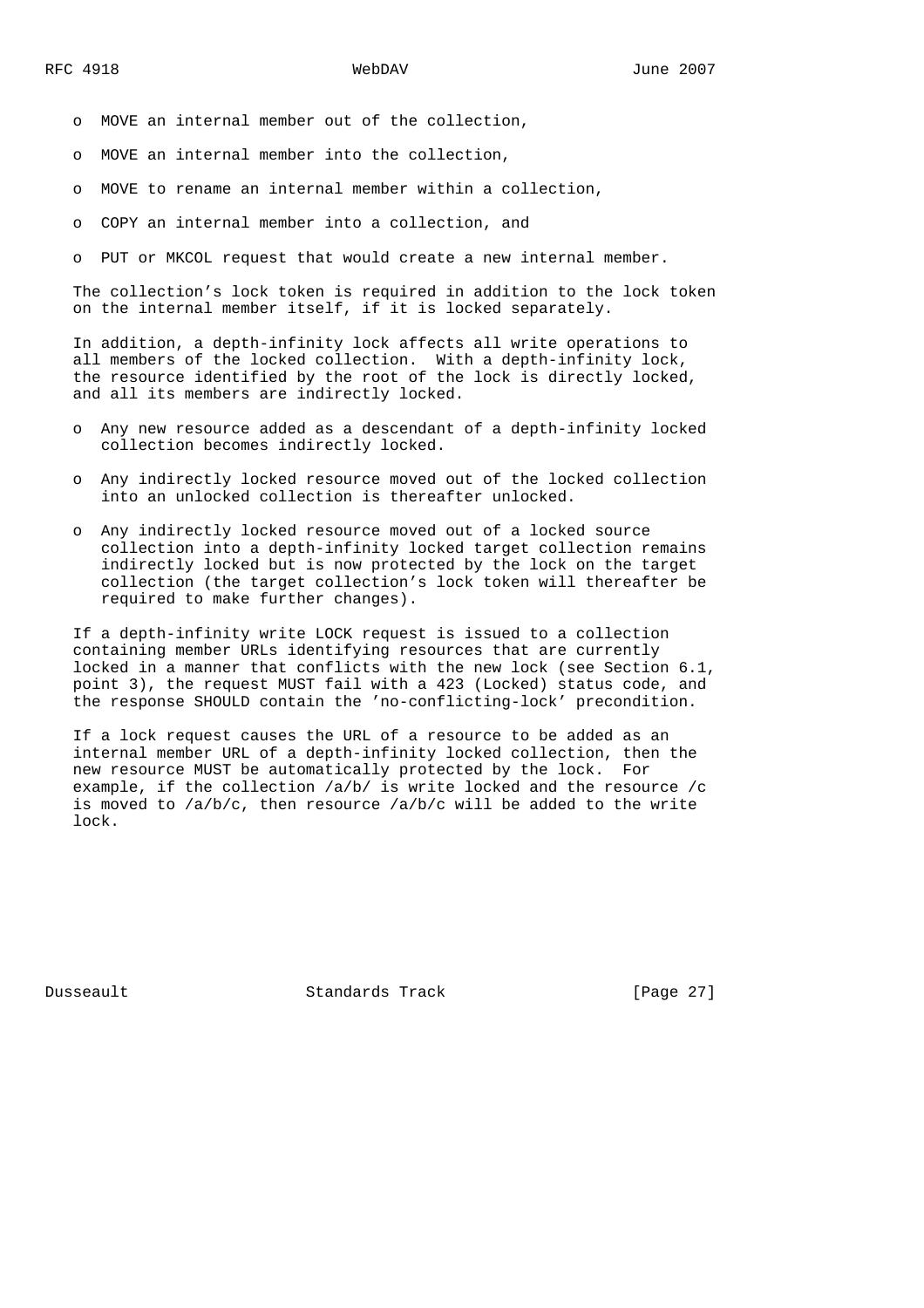- o MOVE an internal member out of the collection,
- o MOVE an internal member into the collection,
- o MOVE to rename an internal member within a collection,
- o COPY an internal member into a collection, and
- o PUT or MKCOL request that would create a new internal member.

 The collection's lock token is required in addition to the lock token on the internal member itself, if it is locked separately.

 In addition, a depth-infinity lock affects all write operations to all members of the locked collection. With a depth-infinity lock, the resource identified by the root of the lock is directly locked, and all its members are indirectly locked.

- o Any new resource added as a descendant of a depth-infinity locked collection becomes indirectly locked.
- o Any indirectly locked resource moved out of the locked collection into an unlocked collection is thereafter unlocked.
- o Any indirectly locked resource moved out of a locked source collection into a depth-infinity locked target collection remains indirectly locked but is now protected by the lock on the target collection (the target collection's lock token will thereafter be required to make further changes).

 If a depth-infinity write LOCK request is issued to a collection containing member URLs identifying resources that are currently locked in a manner that conflicts with the new lock (see Section 6.1, point 3), the request MUST fail with a 423 (Locked) status code, and the response SHOULD contain the 'no-conflicting-lock' precondition.

 If a lock request causes the URL of a resource to be added as an internal member URL of a depth-infinity locked collection, then the new resource MUST be automatically protected by the lock. For example, if the collection /a/b/ is write locked and the resource /c is moved to  $/a/b/c$ , then resource  $/a/b/c$  will be added to the write lock.

Dusseault Standards Track [Page 27]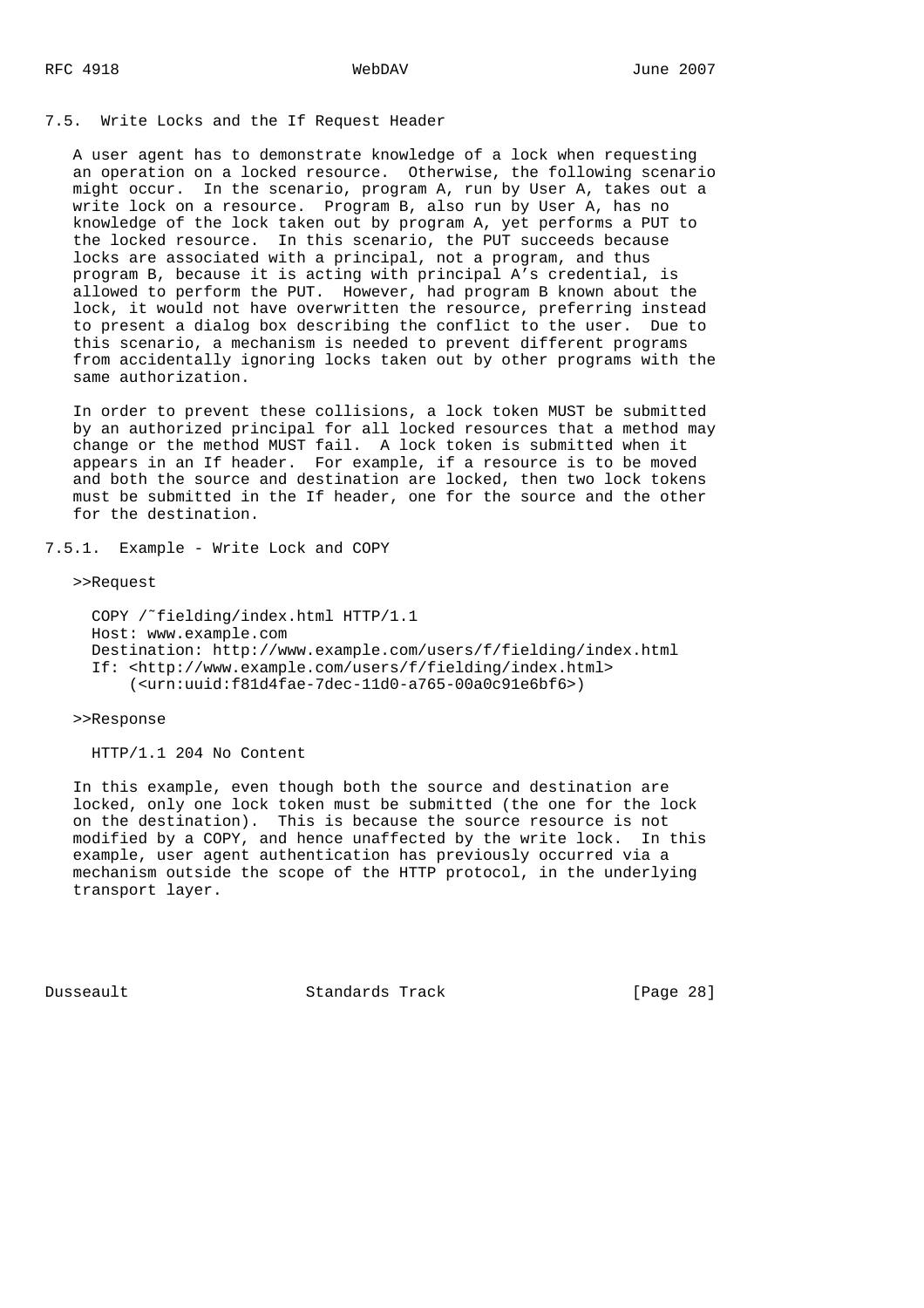7.5. Write Locks and the If Request Header

 A user agent has to demonstrate knowledge of a lock when requesting an operation on a locked resource. Otherwise, the following scenario might occur. In the scenario, program A, run by User A, takes out a write lock on a resource. Program B, also run by User A, has no knowledge of the lock taken out by program A, yet performs a PUT to the locked resource. In this scenario, the PUT succeeds because locks are associated with a principal, not a program, and thus program B, because it is acting with principal A's credential, is allowed to perform the PUT. However, had program B known about the lock, it would not have overwritten the resource, preferring instead to present a dialog box describing the conflict to the user. Due to this scenario, a mechanism is needed to prevent different programs from accidentally ignoring locks taken out by other programs with the same authorization.

 In order to prevent these collisions, a lock token MUST be submitted by an authorized principal for all locked resources that a method may change or the method MUST fail. A lock token is submitted when it appears in an If header. For example, if a resource is to be moved and both the source and destination are locked, then two lock tokens must be submitted in the If header, one for the source and the other for the destination.

7.5.1. Example - Write Lock and COPY

>>Request

```
 COPY /˜fielding/index.html HTTP/1.1
 Host: www.example.com
 Destination: http://www.example.com/users/f/fielding/index.html
 If: <http://www.example.com/users/f/fielding/index.html>
     (<urn:uuid:f81d4fae-7dec-11d0-a765-00a0c91e6bf6>)
```
>>Response

HTTP/1.1 204 No Content

 In this example, even though both the source and destination are locked, only one lock token must be submitted (the one for the lock on the destination). This is because the source resource is not modified by a COPY, and hence unaffected by the write lock. In this example, user agent authentication has previously occurred via a mechanism outside the scope of the HTTP protocol, in the underlying transport layer.

Dusseault Standards Track [Page 28]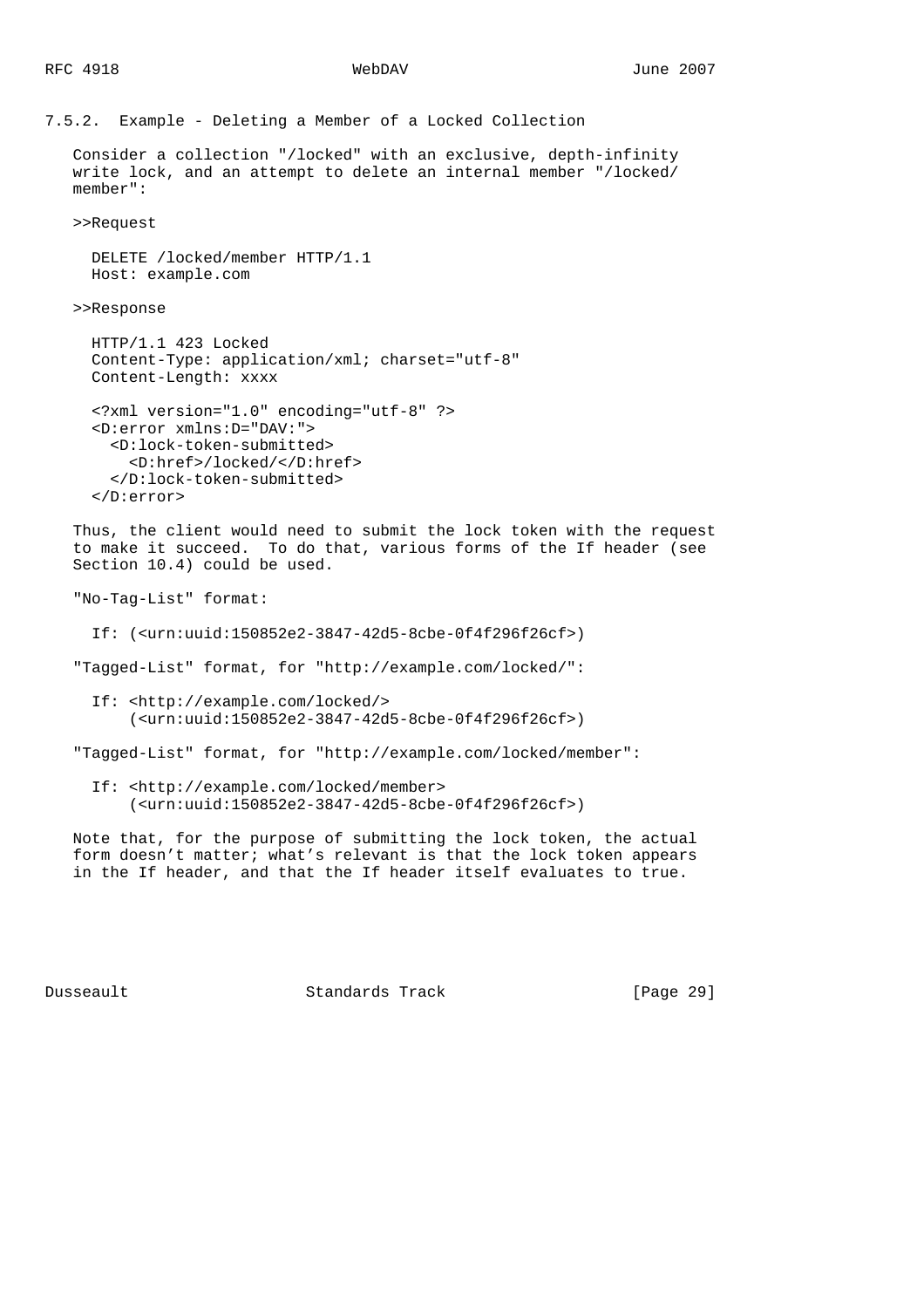7.5.2. Example - Deleting a Member of a Locked Collection

 Consider a collection "/locked" with an exclusive, depth-infinity write lock, and an attempt to delete an internal member "/locked/ member":

>>Request

```
 DELETE /locked/member HTTP/1.1
 Host: example.com
```
>>Response

```
 HTTP/1.1 423 Locked
 Content-Type: application/xml; charset="utf-8"
 Content-Length: xxxx
```

```
 <?xml version="1.0" encoding="utf-8" ?>
 <D:error xmlns:D="DAV:">
   <D:lock-token-submitted>
     <D:href>/locked/</D:href>
   </D:lock-token-submitted>
 </D:error>
```
 Thus, the client would need to submit the lock token with the request to make it succeed. To do that, various forms of the If header (see Section 10.4) could be used.

"No-Tag-List" format:

If: (<urn:uuid:150852e2-3847-42d5-8cbe-0f4f296f26cf>)

"Tagged-List" format, for "http://example.com/locked/":

 If: <http://example.com/locked/> (<urn:uuid:150852e2-3847-42d5-8cbe-0f4f296f26cf>)

"Tagged-List" format, for "http://example.com/locked/member":

 If: <http://example.com/locked/member> (<urn:uuid:150852e2-3847-42d5-8cbe-0f4f296f26cf>)

 Note that, for the purpose of submitting the lock token, the actual form doesn't matter; what's relevant is that the lock token appears in the If header, and that the If header itself evaluates to true.

Dusseault Standards Track [Page 29]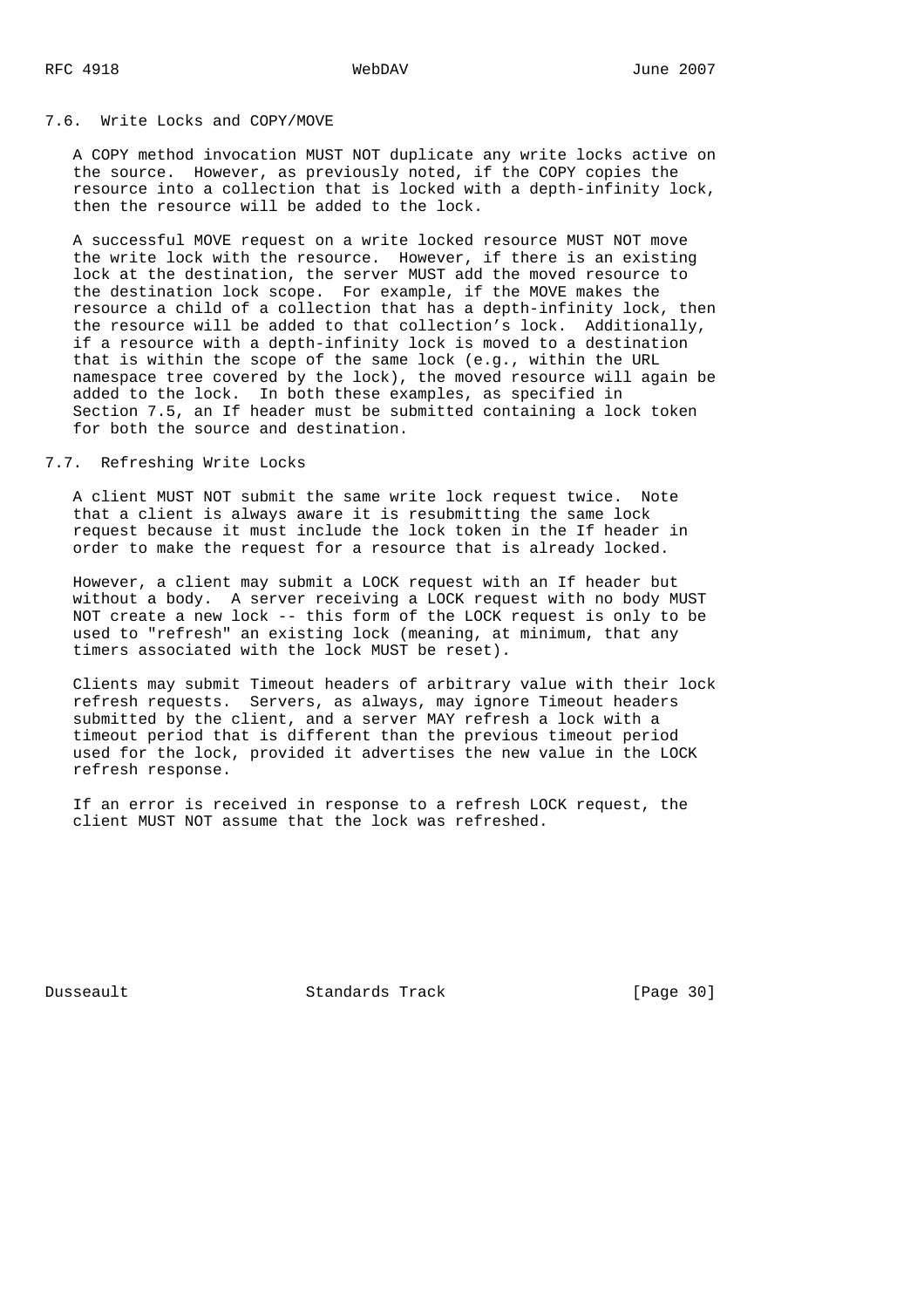## 7.6. Write Locks and COPY/MOVE

 A COPY method invocation MUST NOT duplicate any write locks active on the source. However, as previously noted, if the COPY copies the resource into a collection that is locked with a depth-infinity lock, then the resource will be added to the lock.

 A successful MOVE request on a write locked resource MUST NOT move the write lock with the resource. However, if there is an existing lock at the destination, the server MUST add the moved resource to the destination lock scope. For example, if the MOVE makes the resource a child of a collection that has a depth-infinity lock, then the resource will be added to that collection's lock. Additionally, if a resource with a depth-infinity lock is moved to a destination that is within the scope of the same lock (e.g., within the URL namespace tree covered by the lock), the moved resource will again be added to the lock. In both these examples, as specified in Section 7.5, an If header must be submitted containing a lock token for both the source and destination.

# 7.7. Refreshing Write Locks

 A client MUST NOT submit the same write lock request twice. Note that a client is always aware it is resubmitting the same lock request because it must include the lock token in the If header in order to make the request for a resource that is already locked.

 However, a client may submit a LOCK request with an If header but without a body. A server receiving a LOCK request with no body MUST NOT create a new lock -- this form of the LOCK request is only to be used to "refresh" an existing lock (meaning, at minimum, that any timers associated with the lock MUST be reset).

 Clients may submit Timeout headers of arbitrary value with their lock refresh requests. Servers, as always, may ignore Timeout headers submitted by the client, and a server MAY refresh a lock with a timeout period that is different than the previous timeout period used for the lock, provided it advertises the new value in the LOCK refresh response.

 If an error is received in response to a refresh LOCK request, the client MUST NOT assume that the lock was refreshed.

Dusseault Standards Track [Page 30]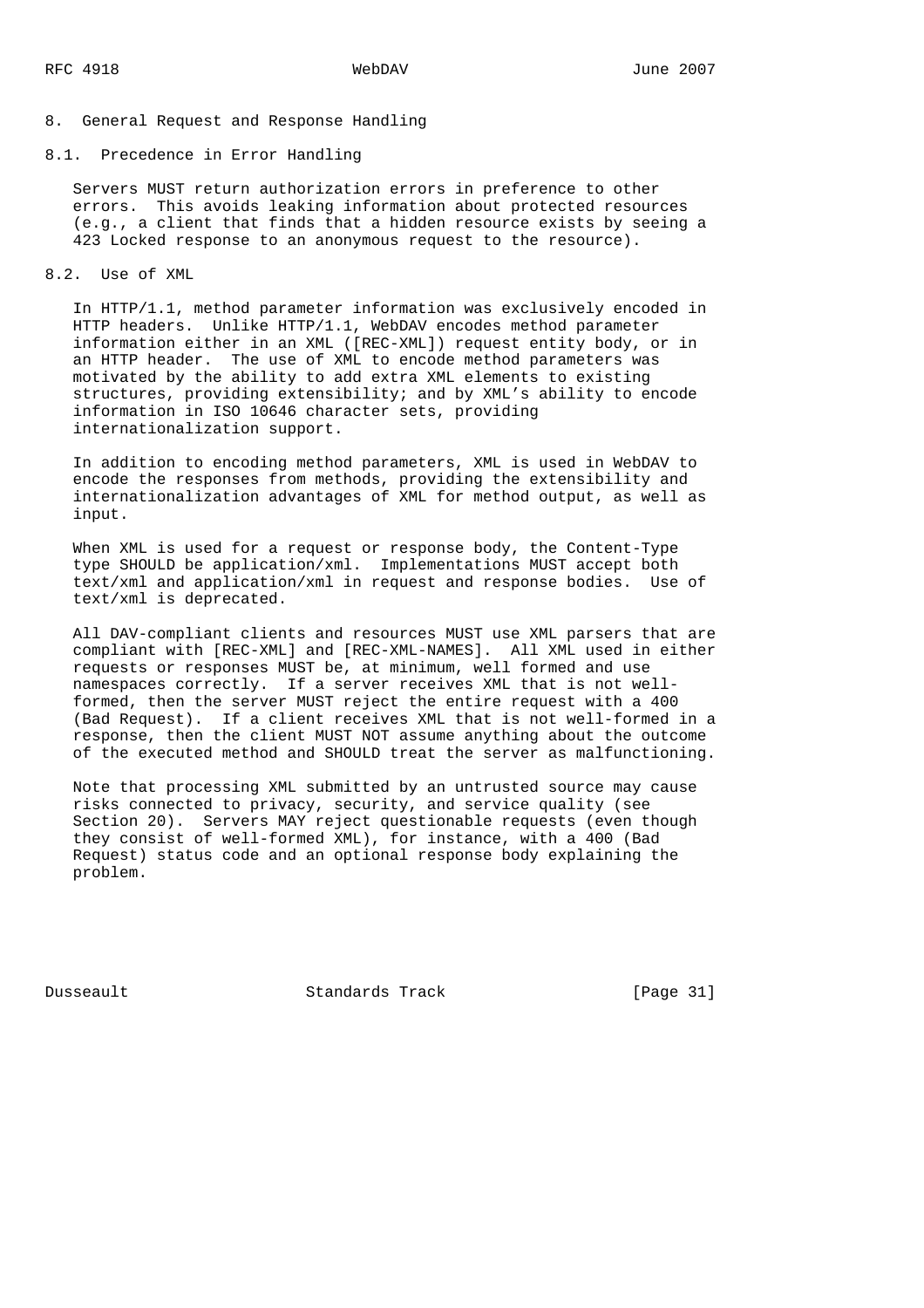# 8. General Request and Response Handling

8.1. Precedence in Error Handling

 Servers MUST return authorization errors in preference to other errors. This avoids leaking information about protected resources (e.g., a client that finds that a hidden resource exists by seeing a 423 Locked response to an anonymous request to the resource).

8.2. Use of XML

 In HTTP/1.1, method parameter information was exclusively encoded in HTTP headers. Unlike HTTP/1.1, WebDAV encodes method parameter information either in an XML ([REC-XML]) request entity body, or in an HTTP header. The use of XML to encode method parameters was motivated by the ability to add extra XML elements to existing structures, providing extensibility; and by XML's ability to encode information in ISO 10646 character sets, providing internationalization support.

 In addition to encoding method parameters, XML is used in WebDAV to encode the responses from methods, providing the extensibility and internationalization advantages of XML for method output, as well as input.

 When XML is used for a request or response body, the Content-Type type SHOULD be application/xml. Implementations MUST accept both text/xml and application/xml in request and response bodies. Use of text/xml is deprecated.

 All DAV-compliant clients and resources MUST use XML parsers that are compliant with [REC-XML] and [REC-XML-NAMES]. All XML used in either requests or responses MUST be, at minimum, well formed and use namespaces correctly. If a server receives XML that is not well formed, then the server MUST reject the entire request with a 400 (Bad Request). If a client receives XML that is not well-formed in a response, then the client MUST NOT assume anything about the outcome of the executed method and SHOULD treat the server as malfunctioning.

 Note that processing XML submitted by an untrusted source may cause risks connected to privacy, security, and service quality (see Section 20). Servers MAY reject questionable requests (even though they consist of well-formed XML), for instance, with a 400 (Bad Request) status code and an optional response body explaining the problem.

Dusseault Standards Track [Page 31]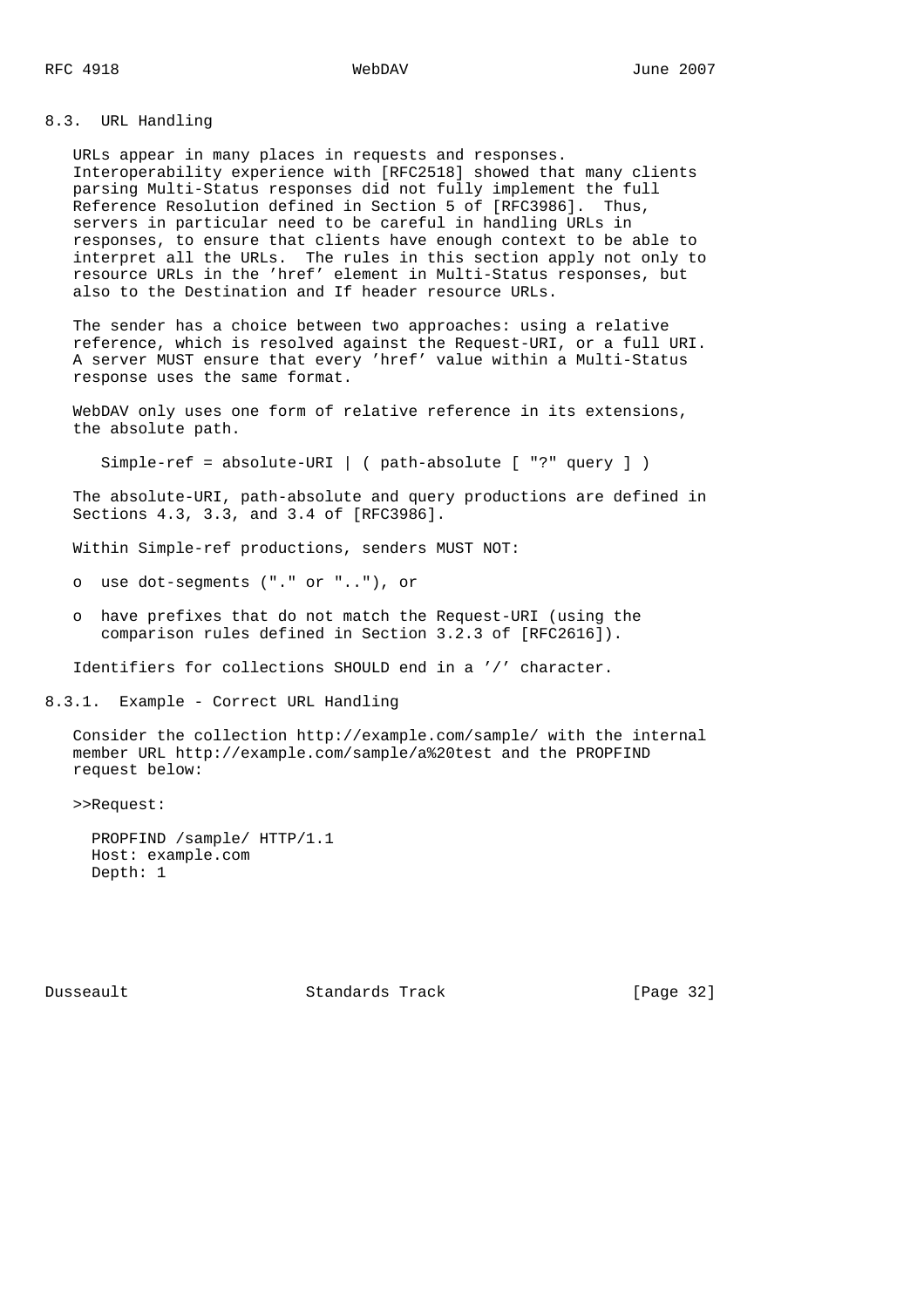8.3. URL Handling

 URLs appear in many places in requests and responses. Interoperability experience with [RFC2518] showed that many clients parsing Multi-Status responses did not fully implement the full Reference Resolution defined in Section 5 of [RFC3986]. Thus, servers in particular need to be careful in handling URLs in responses, to ensure that clients have enough context to be able to interpret all the URLs. The rules in this section apply not only to resource URLs in the 'href' element in Multi-Status responses, but also to the Destination and If header resource URLs.

 The sender has a choice between two approaches: using a relative reference, which is resolved against the Request-URI, or a full URI. A server MUST ensure that every 'href' value within a Multi-Status response uses the same format.

 WebDAV only uses one form of relative reference in its extensions, the absolute path.

Simple-ref = absolute-URI | ( path-absolute [ "?" query ] )

 The absolute-URI, path-absolute and query productions are defined in Sections 4.3, 3.3, and 3.4 of [RFC3986].

Within Simple-ref productions, senders MUST NOT:

o use dot-segments ("." or ".."), or

 o have prefixes that do not match the Request-URI (using the comparison rules defined in Section 3.2.3 of [RFC2616]).

Identifiers for collections SHOULD end in a '/' character.

8.3.1. Example - Correct URL Handling

 Consider the collection http://example.com/sample/ with the internal member URL http://example.com/sample/a%20test and the PROPFIND request below:

>>Request:

 PROPFIND /sample/ HTTP/1.1 Host: example.com Depth: 1

Dusseault Standards Track [Page 32]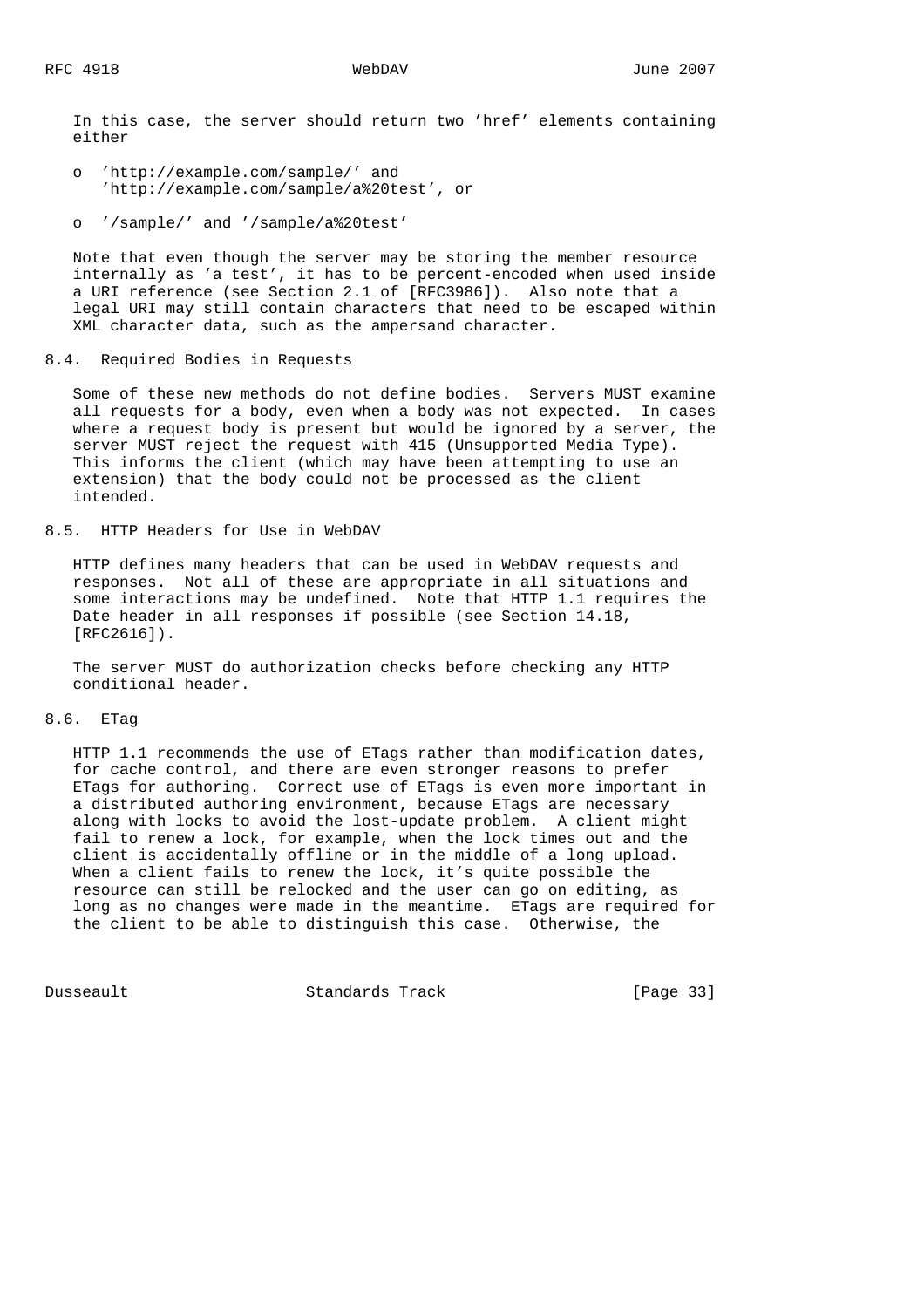In this case, the server should return two 'href' elements containing either

- o 'http://example.com/sample/' and 'http://example.com/sample/a%20test', or
- o '/sample/' and '/sample/a%20test'

 Note that even though the server may be storing the member resource internally as 'a test', it has to be percent-encoded when used inside a URI reference (see Section 2.1 of [RFC3986]). Also note that a legal URI may still contain characters that need to be escaped within XML character data, such as the ampersand character.

# 8.4. Required Bodies in Requests

 Some of these new methods do not define bodies. Servers MUST examine all requests for a body, even when a body was not expected. In cases where a request body is present but would be ignored by a server, the server MUST reject the request with 415 (Unsupported Media Type). This informs the client (which may have been attempting to use an extension) that the body could not be processed as the client intended.

8.5. HTTP Headers for Use in WebDAV

 HTTP defines many headers that can be used in WebDAV requests and responses. Not all of these are appropriate in all situations and some interactions may be undefined. Note that HTTP 1.1 requires the Date header in all responses if possible (see Section 14.18, [RFC2616]).

 The server MUST do authorization checks before checking any HTTP conditional header.

# 8.6. ETag

 HTTP 1.1 recommends the use of ETags rather than modification dates, for cache control, and there are even stronger reasons to prefer ETags for authoring. Correct use of ETags is even more important in a distributed authoring environment, because ETags are necessary along with locks to avoid the lost-update problem. A client might fail to renew a lock, for example, when the lock times out and the client is accidentally offline or in the middle of a long upload. When a client fails to renew the lock, it's quite possible the resource can still be relocked and the user can go on editing, as long as no changes were made in the meantime. ETags are required for the client to be able to distinguish this case. Otherwise, the

Dusseault Standards Track [Page 33]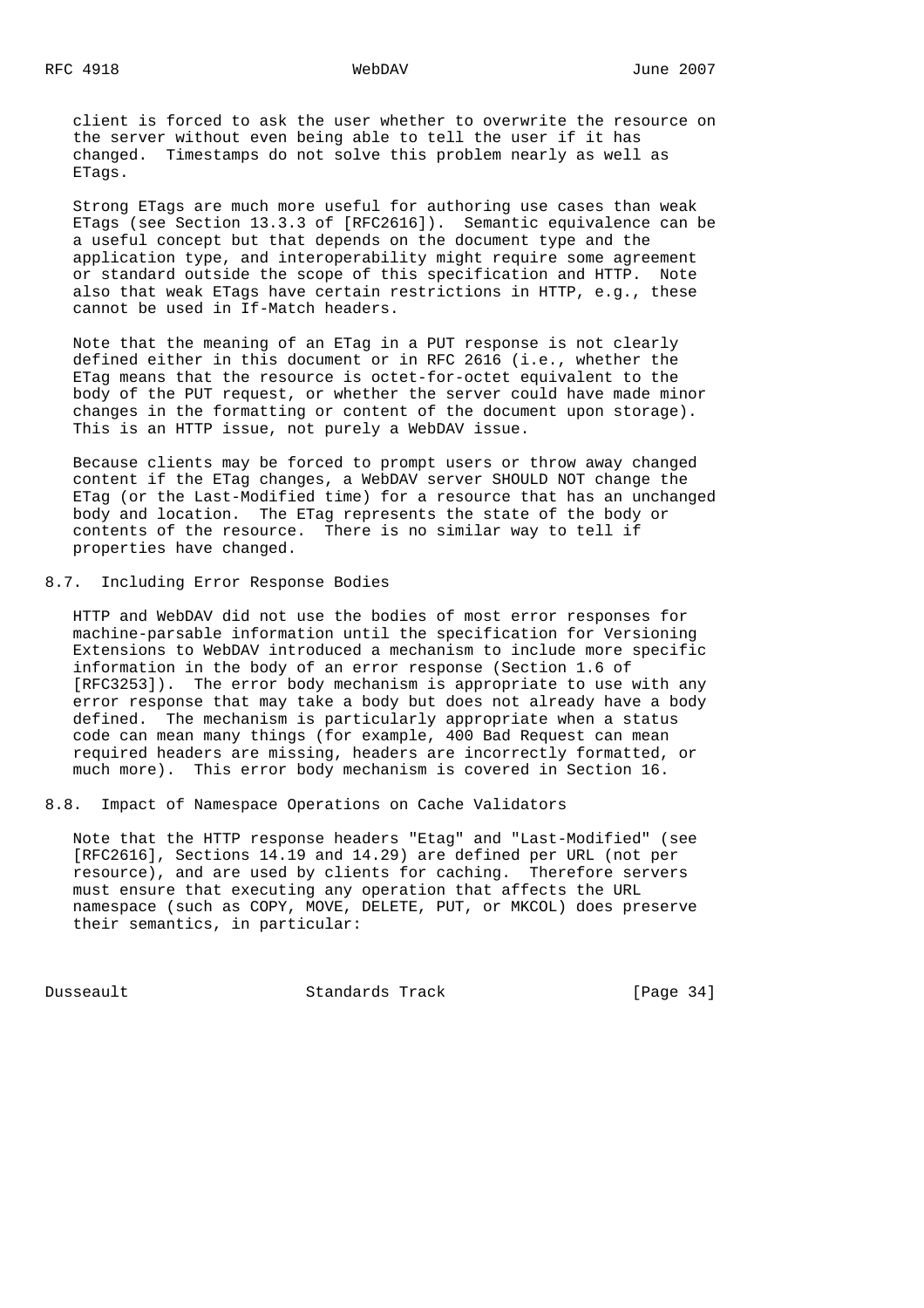client is forced to ask the user whether to overwrite the resource on the server without even being able to tell the user if it has changed. Timestamps do not solve this problem nearly as well as ETags.

 Strong ETags are much more useful for authoring use cases than weak ETags (see Section 13.3.3 of [RFC2616]). Semantic equivalence can be a useful concept but that depends on the document type and the application type, and interoperability might require some agreement or standard outside the scope of this specification and HTTP. Note also that weak ETags have certain restrictions in HTTP, e.g., these cannot be used in If-Match headers.

 Note that the meaning of an ETag in a PUT response is not clearly defined either in this document or in RFC 2616 (i.e., whether the ETag means that the resource is octet-for-octet equivalent to the body of the PUT request, or whether the server could have made minor changes in the formatting or content of the document upon storage). This is an HTTP issue, not purely a WebDAV issue.

 Because clients may be forced to prompt users or throw away changed content if the ETag changes, a WebDAV server SHOULD NOT change the ETag (or the Last-Modified time) for a resource that has an unchanged body and location. The ETag represents the state of the body or contents of the resource. There is no similar way to tell if properties have changed.

8.7. Including Error Response Bodies

 HTTP and WebDAV did not use the bodies of most error responses for machine-parsable information until the specification for Versioning Extensions to WebDAV introduced a mechanism to include more specific information in the body of an error response (Section 1.6 of [RFC3253]). The error body mechanism is appropriate to use with any error response that may take a body but does not already have a body defined. The mechanism is particularly appropriate when a status code can mean many things (for example, 400 Bad Request can mean required headers are missing, headers are incorrectly formatted, or much more). This error body mechanism is covered in Section 16.

8.8. Impact of Namespace Operations on Cache Validators

 Note that the HTTP response headers "Etag" and "Last-Modified" (see [RFC2616], Sections 14.19 and 14.29) are defined per URL (not per resource), and are used by clients for caching. Therefore servers must ensure that executing any operation that affects the URL namespace (such as COPY, MOVE, DELETE, PUT, or MKCOL) does preserve their semantics, in particular:

Dusseault Standards Track [Page 34]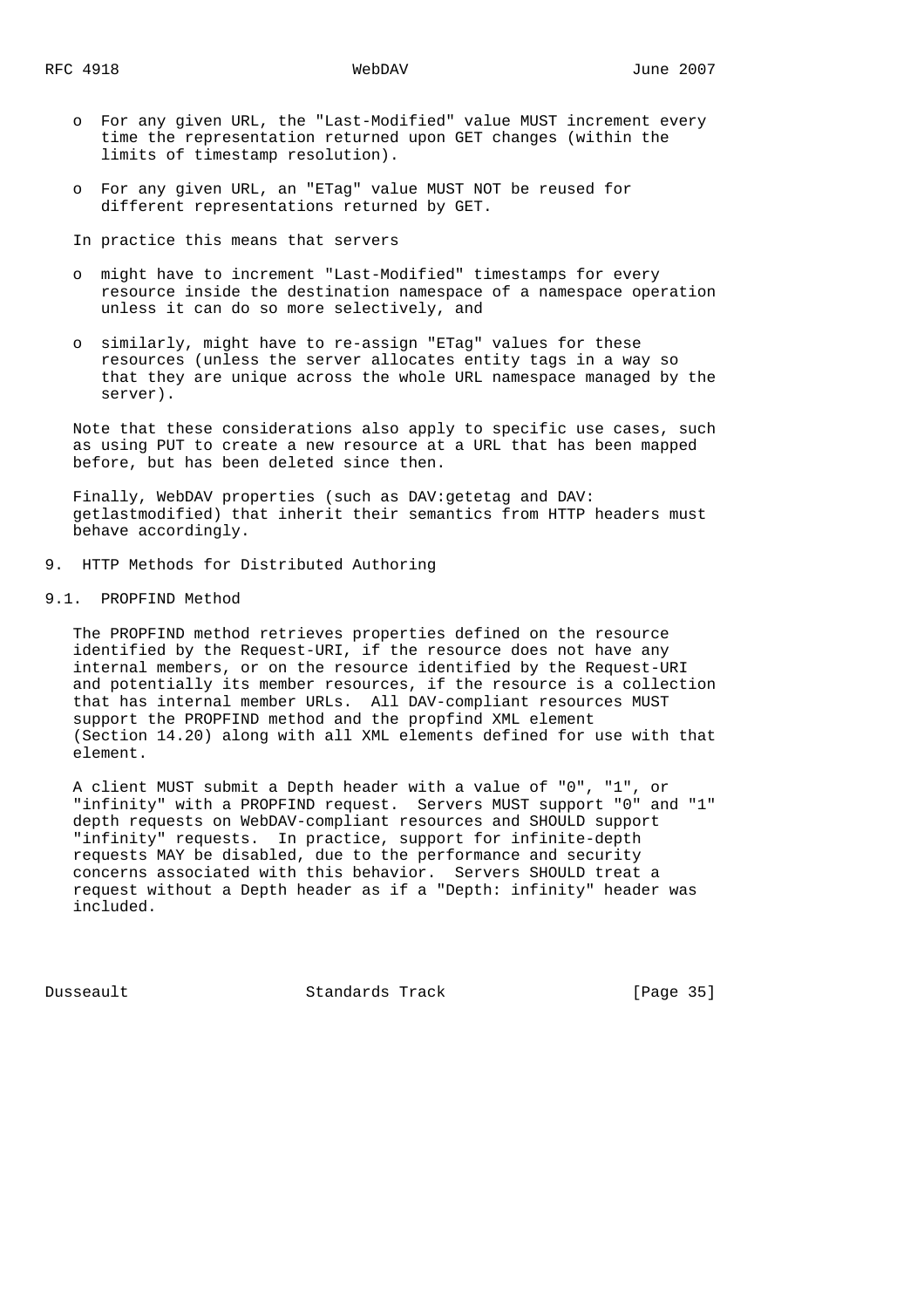- o For any given URL, the "Last-Modified" value MUST increment every time the representation returned upon GET changes (within the limits of timestamp resolution).
- o For any given URL, an "ETag" value MUST NOT be reused for different representations returned by GET.

In practice this means that servers

- o might have to increment "Last-Modified" timestamps for every resource inside the destination namespace of a namespace operation unless it can do so more selectively, and
- o similarly, might have to re-assign "ETag" values for these resources (unless the server allocates entity tags in a way so that they are unique across the whole URL namespace managed by the server).

 Note that these considerations also apply to specific use cases, such as using PUT to create a new resource at a URL that has been mapped before, but has been deleted since then.

 Finally, WebDAV properties (such as DAV:getetag and DAV: getlastmodified) that inherit their semantics from HTTP headers must behave accordingly.

- 9. HTTP Methods for Distributed Authoring
- 9.1. PROPFIND Method

 The PROPFIND method retrieves properties defined on the resource identified by the Request-URI, if the resource does not have any internal members, or on the resource identified by the Request-URI and potentially its member resources, if the resource is a collection that has internal member URLs. All DAV-compliant resources MUST support the PROPFIND method and the propfind XML element (Section 14.20) along with all XML elements defined for use with that element.

 A client MUST submit a Depth header with a value of "0", "1", or "infinity" with a PROPFIND request. Servers MUST support "0" and "1" depth requests on WebDAV-compliant resources and SHOULD support "infinity" requests. In practice, support for infinite-depth requests MAY be disabled, due to the performance and security concerns associated with this behavior. Servers SHOULD treat a request without a Depth header as if a "Depth: infinity" header was included.

Dusseault Standards Track [Page 35]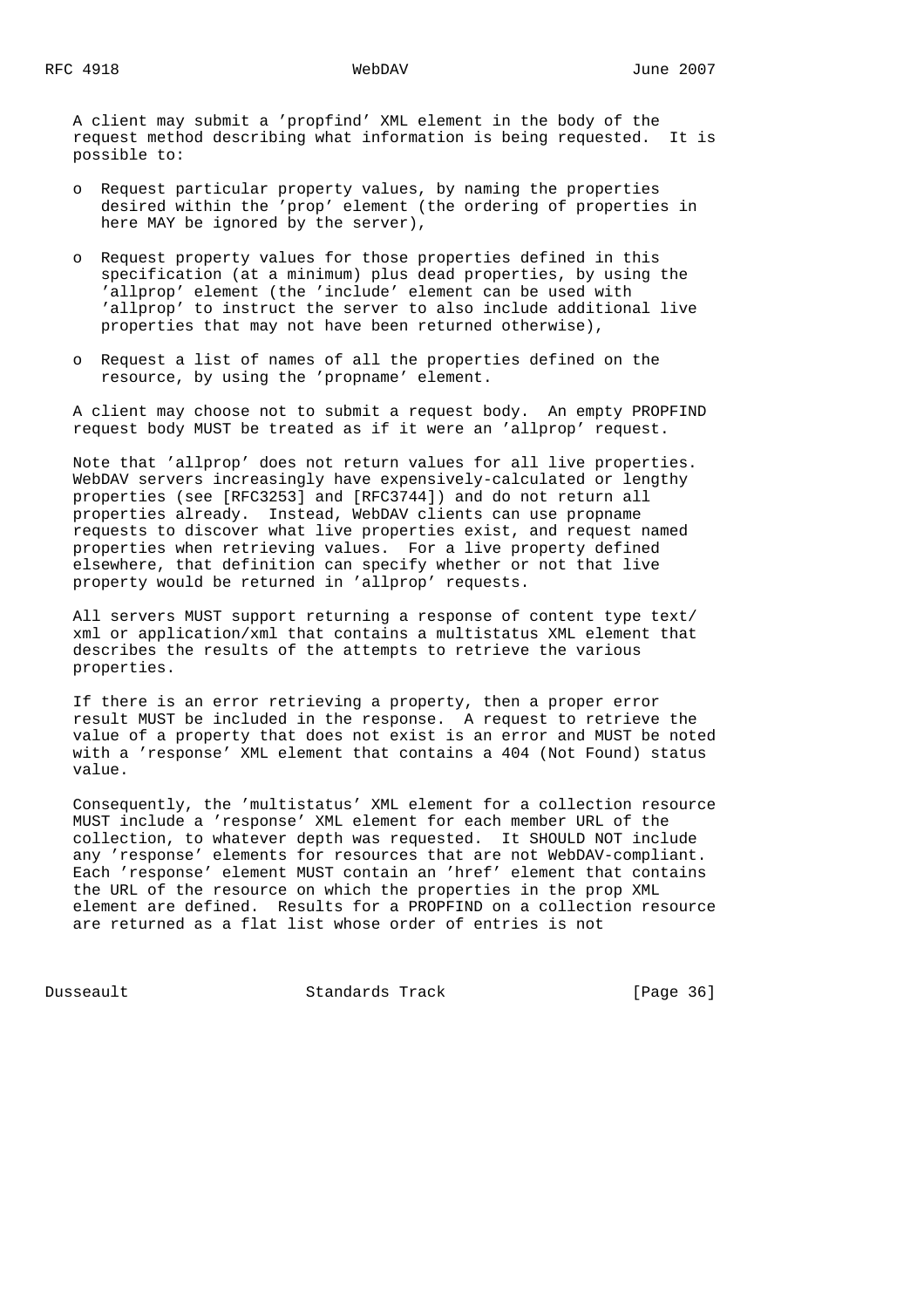A client may submit a 'propfind' XML element in the body of the request method describing what information is being requested. It is possible to:

- o Request particular property values, by naming the properties desired within the 'prop' element (the ordering of properties in here MAY be ignored by the server),
- o Request property values for those properties defined in this specification (at a minimum) plus dead properties, by using the 'allprop' element (the 'include' element can be used with 'allprop' to instruct the server to also include additional live properties that may not have been returned otherwise),
- o Request a list of names of all the properties defined on the resource, by using the 'propname' element.

 A client may choose not to submit a request body. An empty PROPFIND request body MUST be treated as if it were an 'allprop' request.

 Note that 'allprop' does not return values for all live properties. WebDAV servers increasingly have expensively-calculated or lengthy properties (see [RFC3253] and [RFC3744]) and do not return all properties already. Instead, WebDAV clients can use propname requests to discover what live properties exist, and request named properties when retrieving values. For a live property defined elsewhere, that definition can specify whether or not that live property would be returned in 'allprop' requests.

 All servers MUST support returning a response of content type text/ xml or application/xml that contains a multistatus XML element that describes the results of the attempts to retrieve the various properties.

 If there is an error retrieving a property, then a proper error result MUST be included in the response. A request to retrieve the value of a property that does not exist is an error and MUST be noted with a 'response' XML element that contains a 404 (Not Found) status value.

 Consequently, the 'multistatus' XML element for a collection resource MUST include a 'response' XML element for each member URL of the collection, to whatever depth was requested. It SHOULD NOT include any 'response' elements for resources that are not WebDAV-compliant. Each 'response' element MUST contain an 'href' element that contains the URL of the resource on which the properties in the prop XML element are defined. Results for a PROPFIND on a collection resource are returned as a flat list whose order of entries is not

Dusseault Standards Track [Page 36]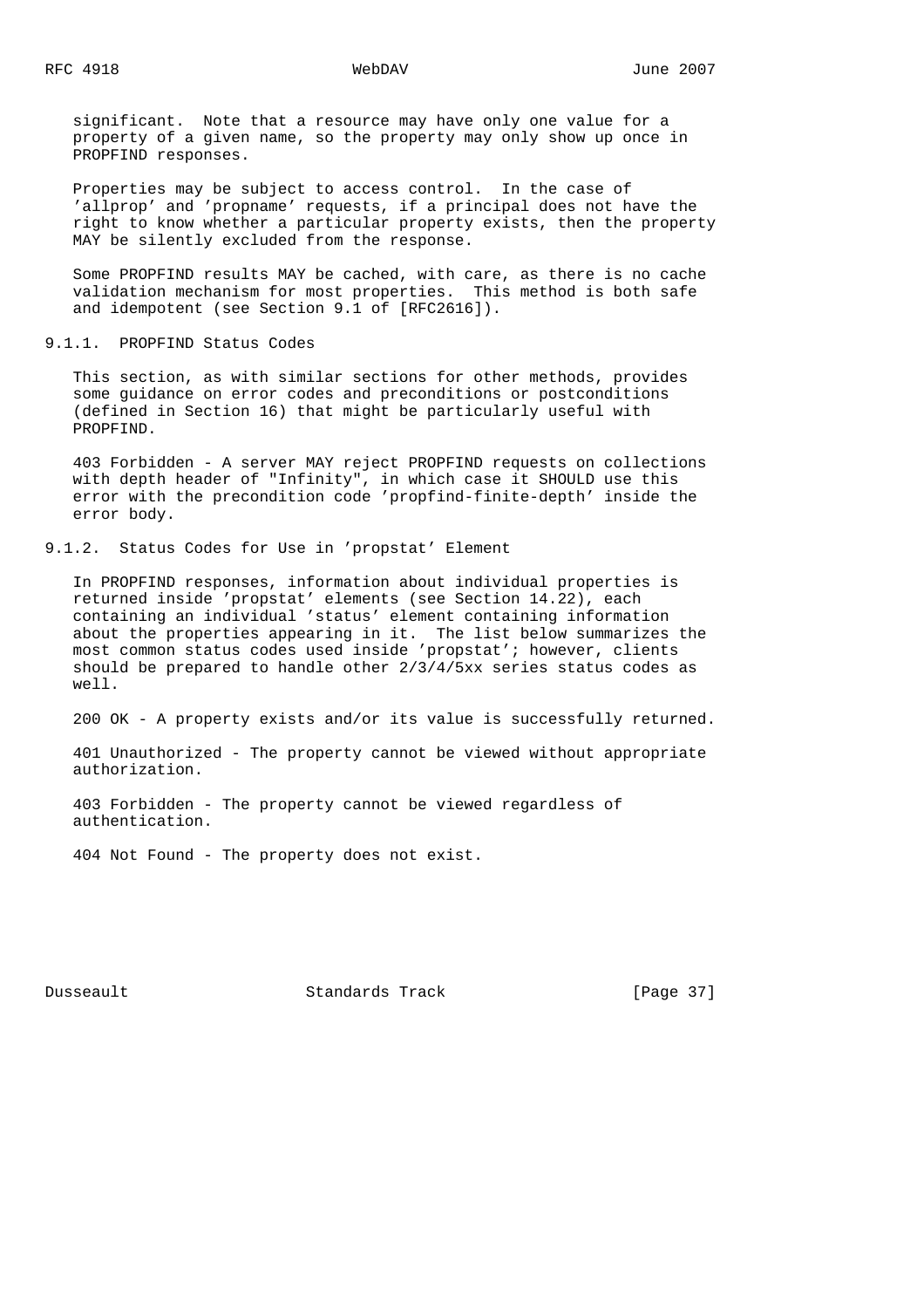significant. Note that a resource may have only one value for a property of a given name, so the property may only show up once in PROPFIND responses.

 Properties may be subject to access control. In the case of 'allprop' and 'propname' requests, if a principal does not have the right to know whether a particular property exists, then the property MAY be silently excluded from the response.

 Some PROPFIND results MAY be cached, with care, as there is no cache validation mechanism for most properties. This method is both safe and idempotent (see Section 9.1 of [RFC2616]).

9.1.1. PROPFIND Status Codes

 This section, as with similar sections for other methods, provides some guidance on error codes and preconditions or postconditions (defined in Section 16) that might be particularly useful with PROPFIND.

 403 Forbidden - A server MAY reject PROPFIND requests on collections with depth header of "Infinity", in which case it SHOULD use this error with the precondition code 'propfind-finite-depth' inside the error body.

9.1.2. Status Codes for Use in 'propstat' Element

 In PROPFIND responses, information about individual properties is returned inside 'propstat' elements (see Section 14.22), each containing an individual 'status' element containing information about the properties appearing in it. The list below summarizes the most common status codes used inside 'propstat'; however, clients should be prepared to handle other 2/3/4/5xx series status codes as well.

200 OK - A property exists and/or its value is successfully returned.

 401 Unauthorized - The property cannot be viewed without appropriate authorization.

 403 Forbidden - The property cannot be viewed regardless of authentication.

404 Not Found - The property does not exist.

Dusseault Standards Track [Page 37]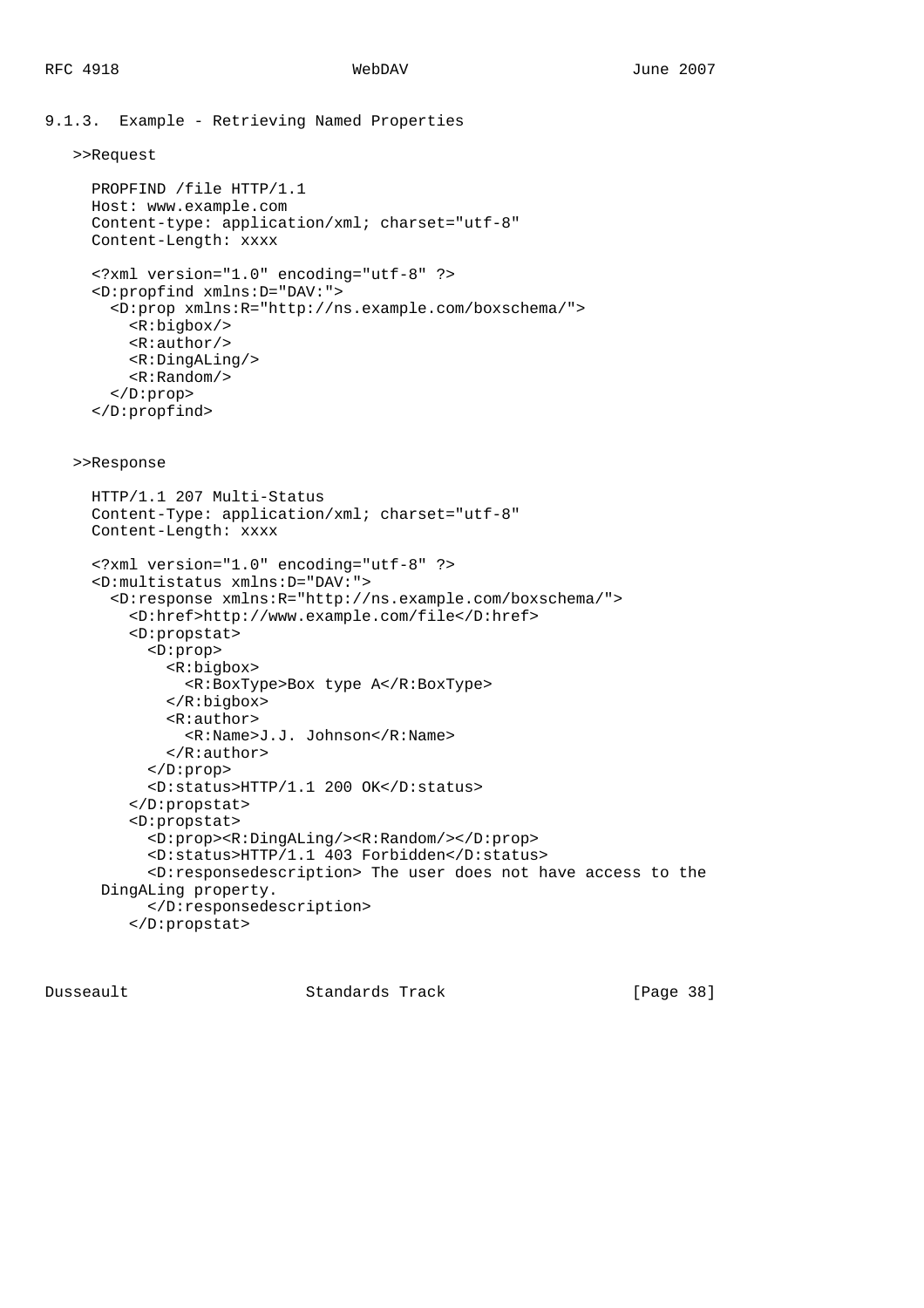```
9.1.3. Example - Retrieving Named Properties
    >>Request
      PROPFIND /file HTTP/1.1
      Host: www.example.com
      Content-type: application/xml; charset="utf-8"
      Content-Length: xxxx
      <?xml version="1.0" encoding="utf-8" ?>
      <D:propfind xmlns:D="DAV:">
        <D:prop xmlns:R="http://ns.example.com/boxschema/">
          <R:bigbox/>
          <R:author/>
          <R:DingALing/>
          <R:Random/>
        </D:prop>
      </D:propfind>
    >>Response
      HTTP/1.1 207 Multi-Status
      Content-Type: application/xml; charset="utf-8"
      Content-Length: xxxx
      <?xml version="1.0" encoding="utf-8" ?>
      <D:multistatus xmlns:D="DAV:">
        <D:response xmlns:R="http://ns.example.com/boxschema/">
          <D:href>http://www.example.com/file</D:href>
          <D:propstat>
            <D:prop>
              <R:bigbox>
                <R:BoxType>Box type A</R:BoxType>
              </R:bigbox>
              <R:author>
                <R:Name>J.J. Johnson</R:Name>
              </R:author>
            </D:prop>
            <D:status>HTTP/1.1 200 OK</D:status>
          </D:propstat>
          <D:propstat>
            <D:prop><R:DingALing/><R:Random/></D:prop>
            <D:status>HTTP/1.1 403 Forbidden</D:status>
            <D:responsedescription> The user does not have access to the
       DingALing property.
            </D:responsedescription>
          </D:propstat>
```
Dusseault Standards Track [Page 38]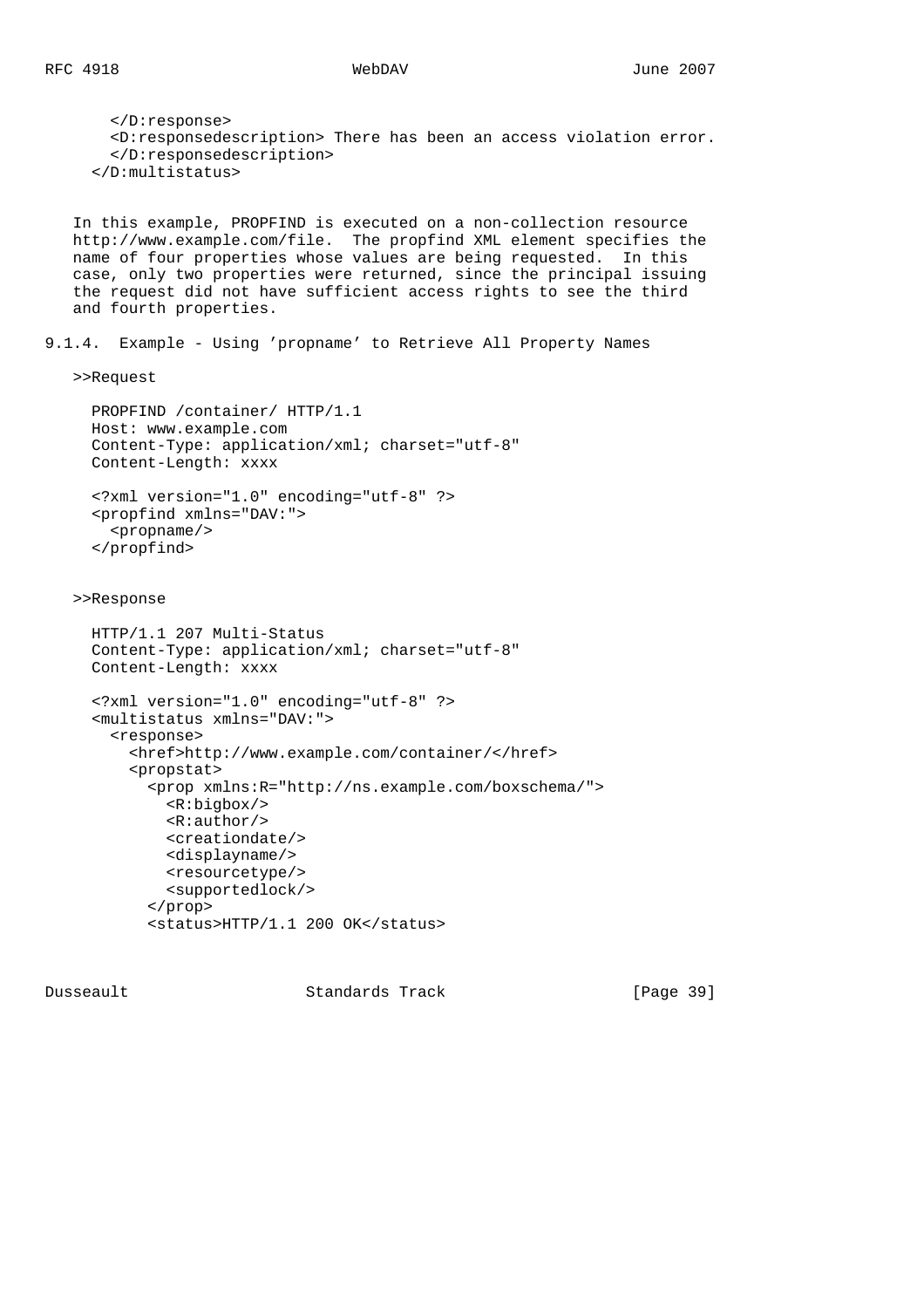</D:response> <D:responsedescription> There has been an access violation error. </D:responsedescription> </D:multistatus> In this example, PROPFIND is executed on a non-collection resource http://www.example.com/file. The propfind XML element specifies the name of four properties whose values are being requested. In this case, only two properties were returned, since the principal issuing the request did not have sufficient access rights to see the third and fourth properties. 9.1.4. Example - Using 'propname' to Retrieve All Property Names >>Request PROPFIND /container/ HTTP/1.1 Host: www.example.com Content-Type: application/xml; charset="utf-8" Content-Length: xxxx <?xml version="1.0" encoding="utf-8" ?> <propfind xmlns="DAV:"> <propname/> </propfind> >>Response HTTP/1.1 207 Multi-Status Content-Type: application/xml; charset="utf-8" Content-Length: xxxx <?xml version="1.0" encoding="utf-8" ?> <multistatus xmlns="DAV:"> <response> <href>http://www.example.com/container/</href> <propstat> <prop xmlns:R="http://ns.example.com/boxschema/"> <R:bigbox/> <R:author/> <creationdate/> <displayname/> <resourcetype/> <supportedlock/> </prop> <status>HTTP/1.1 200 OK</status>

Dusseault Standards Track [Page 39]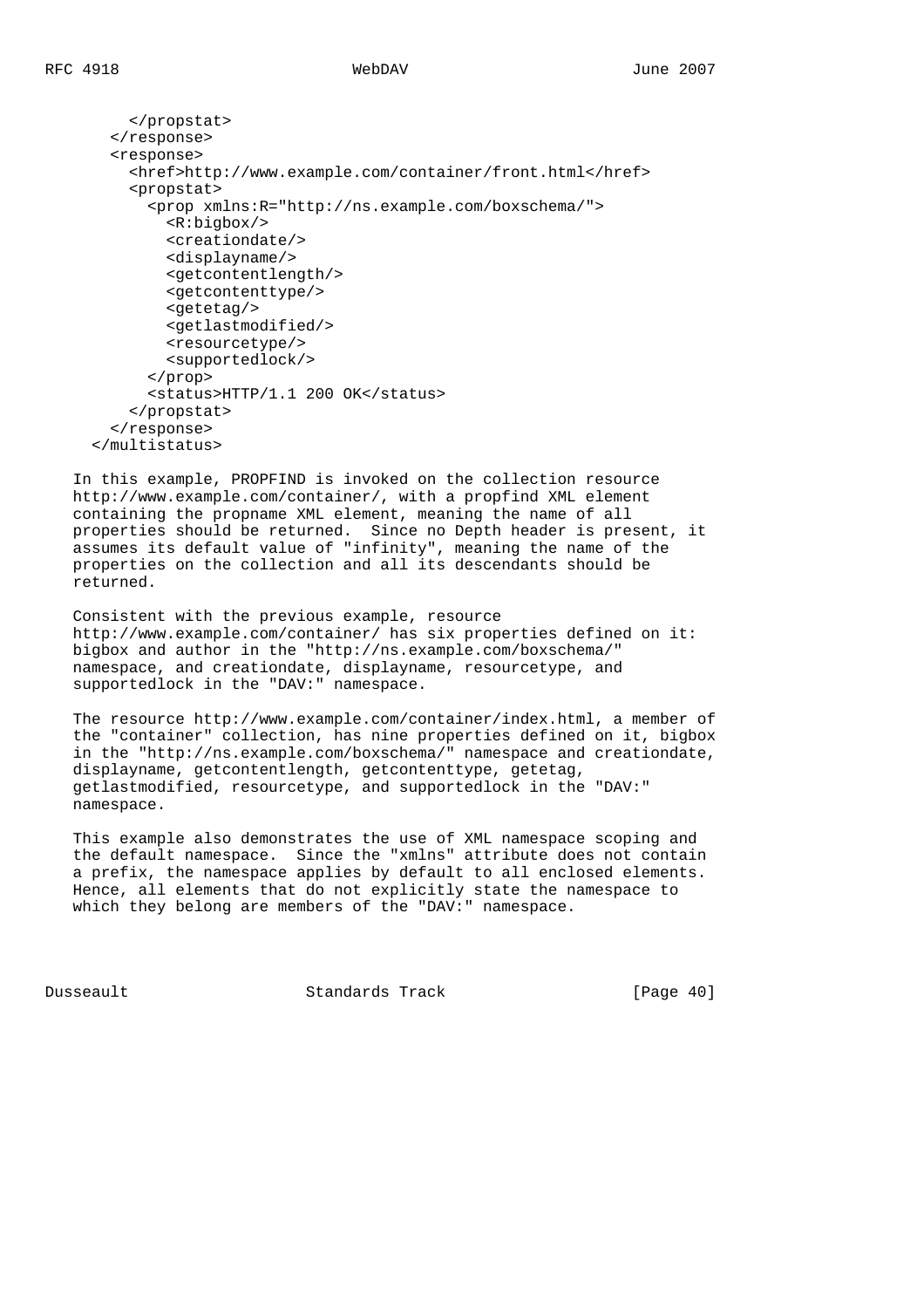```
 </propstat>
   </response>
   <response>
     <href>http://www.example.com/container/front.html</href>
     <propstat>
       <prop xmlns:R="http://ns.example.com/boxschema/">
         <R:bigbox/>
         <creationdate/>
         <displayname/>
         <getcontentlength/>
         <getcontenttype/>
         <getetag/>
         <getlastmodified/>
         <resourcetype/>
         <supportedlock/>
       </prop>
       <status>HTTP/1.1 200 OK</status>
     </propstat>
   </response>
 </multistatus>
```
 In this example, PROPFIND is invoked on the collection resource http://www.example.com/container/, with a propfind XML element containing the propname XML element, meaning the name of all properties should be returned. Since no Depth header is present, it assumes its default value of "infinity", meaning the name of the properties on the collection and all its descendants should be returned.

 Consistent with the previous example, resource http://www.example.com/container/ has six properties defined on it: bigbox and author in the "http://ns.example.com/boxschema/" namespace, and creationdate, displayname, resourcetype, and supportedlock in the "DAV:" namespace.

 The resource http://www.example.com/container/index.html, a member of the "container" collection, has nine properties defined on it, bigbox in the "http://ns.example.com/boxschema/" namespace and creationdate, displayname, getcontentlength, getcontenttype, getetag, getlastmodified, resourcetype, and supportedlock in the "DAV:" namespace.

 This example also demonstrates the use of XML namespace scoping and the default namespace. Since the "xmlns" attribute does not contain a prefix, the namespace applies by default to all enclosed elements. Hence, all elements that do not explicitly state the namespace to which they belong are members of the "DAV:" namespace.

Dusseault Standards Track [Page 40]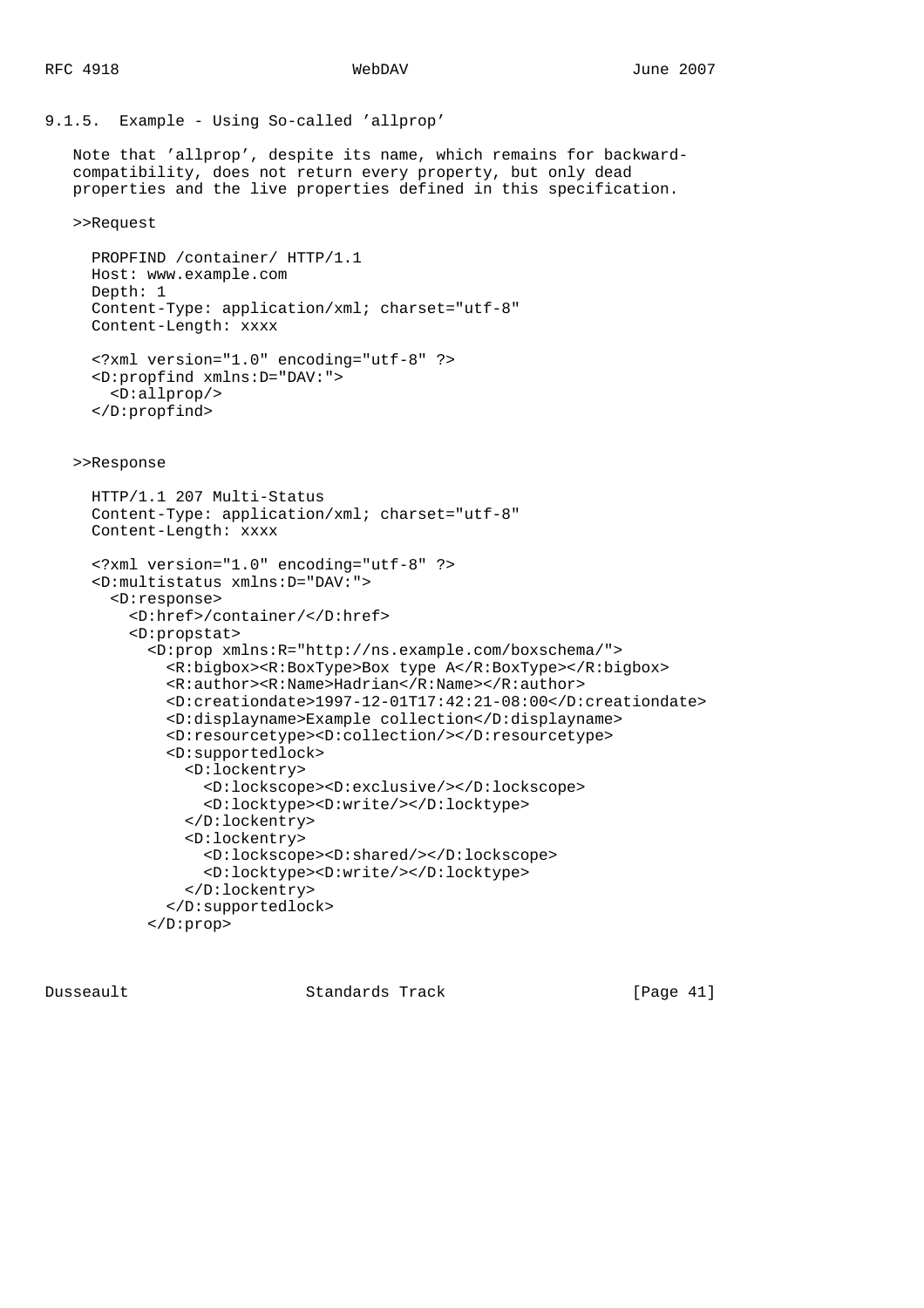## 9.1.5. Example - Using So-called 'allprop'

 Note that 'allprop', despite its name, which remains for backward compatibility, does not return every property, but only dead properties and the live properties defined in this specification.

>>Request

```
 PROPFIND /container/ HTTP/1.1
 Host: www.example.com
 Depth: 1
 Content-Type: application/xml; charset="utf-8"
 Content-Length: xxxx
```

```
 <?xml version="1.0" encoding="utf-8" ?>
 <D:propfind xmlns:D="DAV:">
   <D:allprop/>
 </D:propfind>
```
>>Response

```
 HTTP/1.1 207 Multi-Status
 Content-Type: application/xml; charset="utf-8"
 Content-Length: xxxx
 <?xml version="1.0" encoding="utf-8" ?>
 <D:multistatus xmlns:D="DAV:">
   <D:response>
     <D:href>/container/</D:href>
     <D:propstat>
       <D:prop xmlns:R="http://ns.example.com/boxschema/">
         <R:bigbox><R:BoxType>Box type A</R:BoxType></R:bigbox>
         <R:author><R:Name>Hadrian</R:Name></R:author>
         <D:creationdate>1997-12-01T17:42:21-08:00</D:creationdate>
         <D:displayname>Example collection</D:displayname>
         <D:resourcetype><D:collection/></D:resourcetype>
         <D:supportedlock>
           <D:lockentry>
             <D:lockscope><D:exclusive/></D:lockscope>
             <D:locktype><D:write/></D:locktype>
           </D:lockentry>
           <D:lockentry>
             <D:lockscope><D:shared/></D:lockscope>
             <D:locktype><D:write/></D:locktype>
           </D:lockentry>
         </D:supportedlock>
       </D:prop>
```
Dusseault Standards Track [Page 41]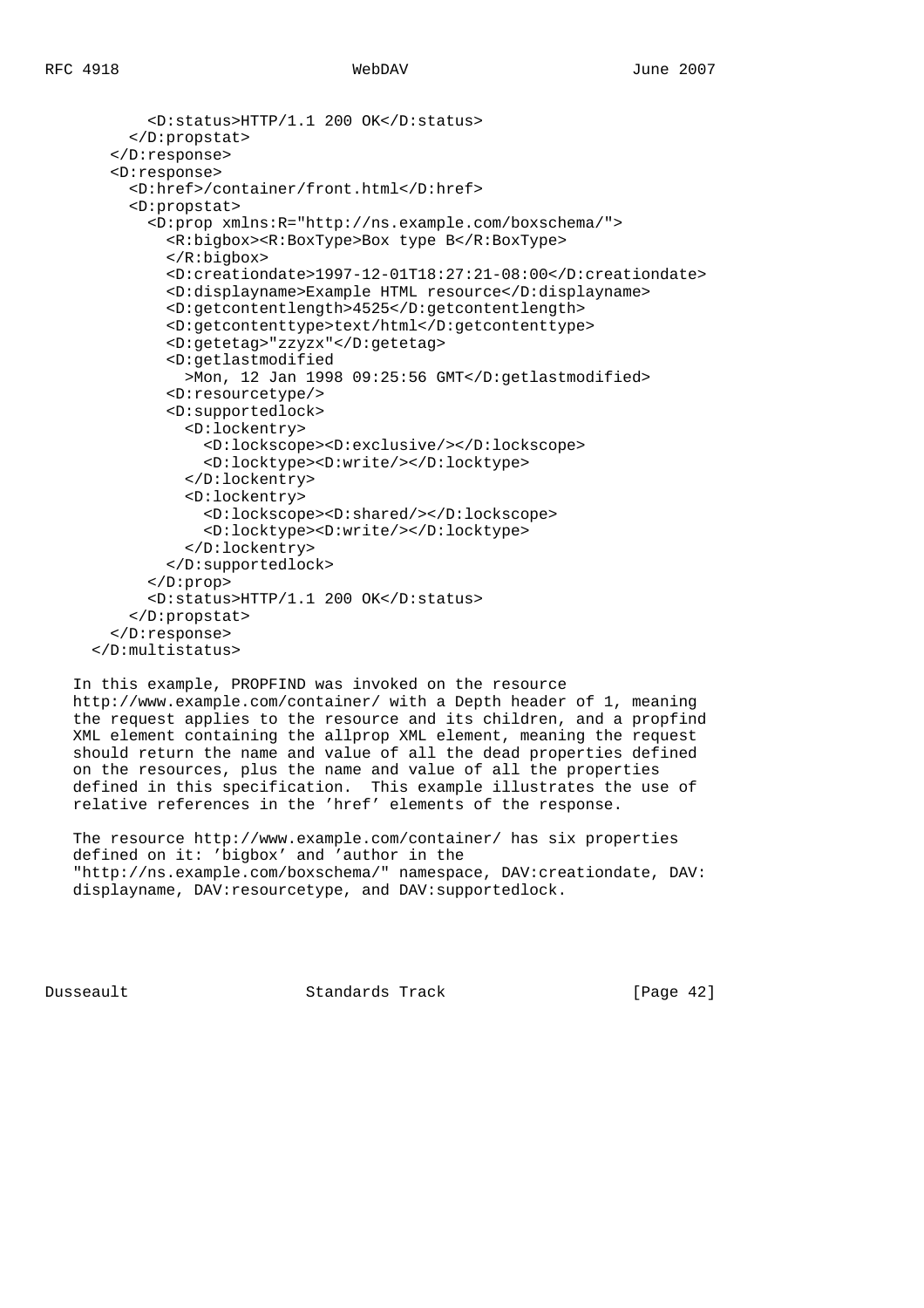```
 <D:status>HTTP/1.1 200 OK</D:status>
     </D:propstat>
  </D:response>
  <D:response>
     <D:href>/container/front.html</D:href>
     <D:propstat>
       <D:prop xmlns:R="http://ns.example.com/boxschema/">
         <R:bigbox><R:BoxType>Box type B</R:BoxType>
         </R:bigbox>
         <D:creationdate>1997-12-01T18:27:21-08:00</D:creationdate>
         <D:displayname>Example HTML resource</D:displayname>
         <D:getcontentlength>4525</D:getcontentlength>
         <D:getcontenttype>text/html</D:getcontenttype>
         <D:getetag>"zzyzx"</D:getetag>
         <D:getlastmodified
           >Mon, 12 Jan 1998 09:25:56 GMT</D:getlastmodified>
         <D:resourcetype/>
         <D:supportedlock>
           <D:lockentry>
             <D:lockscope><D:exclusive/></D:lockscope>
             <D:locktype><D:write/></D:locktype>
           </D:lockentry>
           <D:lockentry>
             <D:lockscope><D:shared/></D:lockscope>
             <D:locktype><D:write/></D:locktype>
           </D:lockentry>
         </D:supportedlock>
       </D:prop>
       <D:status>HTTP/1.1 200 OK</D:status>
     </D:propstat>
  </D:response>
 </D:multistatus>
```
 In this example, PROPFIND was invoked on the resource http://www.example.com/container/ with a Depth header of 1, meaning the request applies to the resource and its children, and a propfind XML element containing the allprop XML element, meaning the request should return the name and value of all the dead properties defined on the resources, plus the name and value of all the properties defined in this specification. This example illustrates the use of relative references in the 'href' elements of the response.

 The resource http://www.example.com/container/ has six properties defined on it: 'bigbox' and 'author in the "http://ns.example.com/boxschema/" namespace, DAV:creationdate, DAV: displayname, DAV:resourcetype, and DAV:supportedlock.

Dusseault Standards Track [Page 42]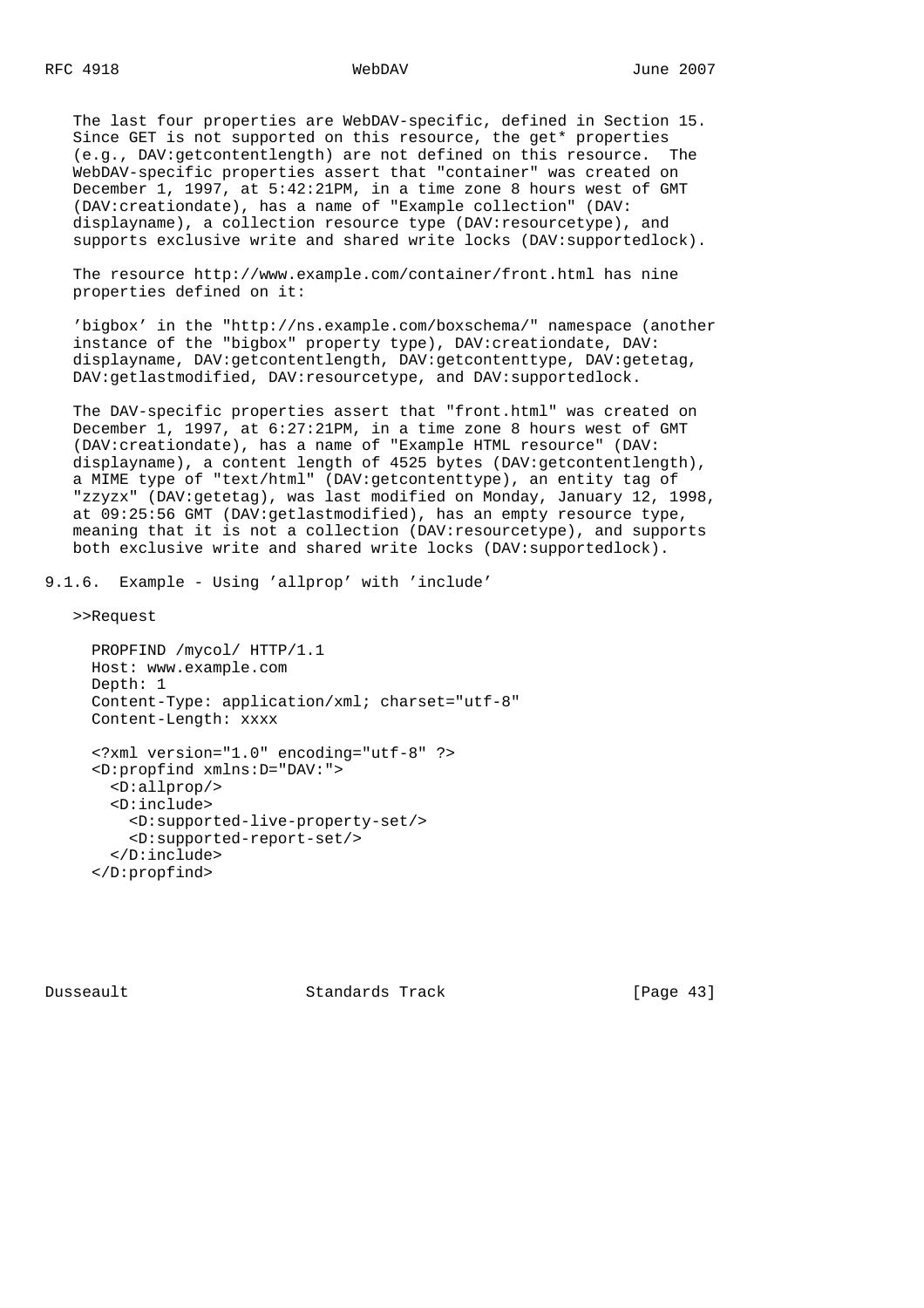The last four properties are WebDAV-specific, defined in Section 15. Since GET is not supported on this resource, the get\* properties (e.g., DAV:getcontentlength) are not defined on this resource. The WebDAV-specific properties assert that "container" was created on December 1, 1997, at 5:42:21PM, in a time zone 8 hours west of GMT (DAV:creationdate), has a name of "Example collection" (DAV: displayname), a collection resource type (DAV:resourcetype), and supports exclusive write and shared write locks (DAV:supportedlock).

 The resource http://www.example.com/container/front.html has nine properties defined on it:

 'bigbox' in the "http://ns.example.com/boxschema/" namespace (another instance of the "bigbox" property type), DAV:creationdate, DAV: displayname, DAV:getcontentlength, DAV:getcontenttype, DAV:getetag, DAV:getlastmodified, DAV:resourcetype, and DAV:supportedlock.

 The DAV-specific properties assert that "front.html" was created on December 1, 1997, at 6:27:21PM, in a time zone 8 hours west of GMT (DAV:creationdate), has a name of "Example HTML resource" (DAV: displayname), a content length of 4525 bytes (DAV: qetcontentlength), a MIME type of "text/html" (DAV:getcontenttype), an entity tag of "zzyzx" (DAV:getetag), was last modified on Monday, January 12, 1998, at 09:25:56 GMT (DAV:getlastmodified), has an empty resource type, meaning that it is not a collection (DAV:resourcetype), and supports both exclusive write and shared write locks (DAV:supportedlock).

9.1.6. Example - Using 'allprop' with 'include'

>>Request

```
 PROPFIND /mycol/ HTTP/1.1
 Host: www.example.com
 Depth: 1
 Content-Type: application/xml; charset="utf-8"
 Content-Length: xxxx
 <?xml version="1.0" encoding="utf-8" ?>
 <D:propfind xmlns:D="DAV:">
   <D:allprop/>
   <D:include>
     <D:supported-live-property-set/>
     <D:supported-report-set/>
   </D:include>
 </D:propfind>
```
Dusseault Standards Track [Page 43]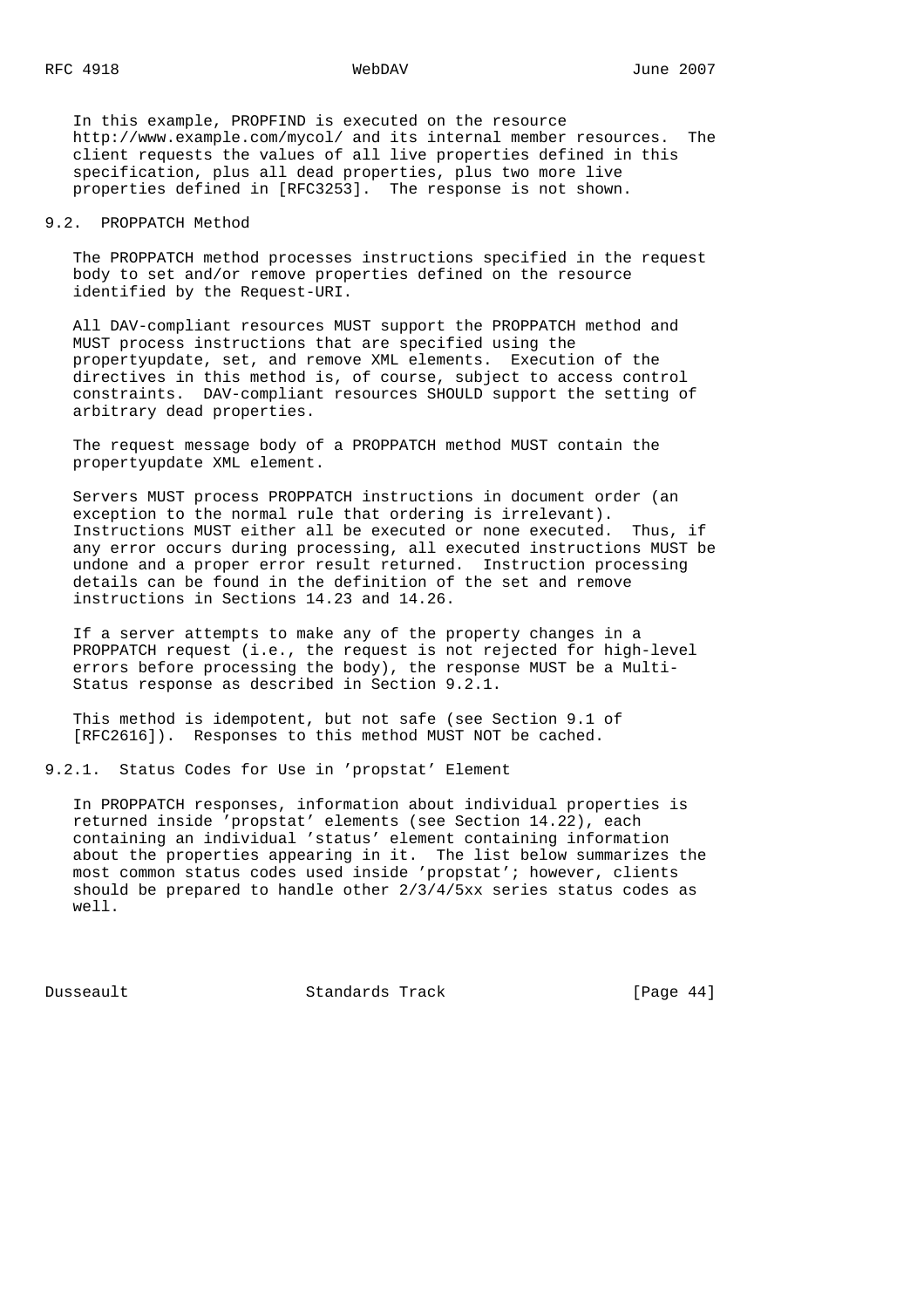In this example, PROPFIND is executed on the resource http://www.example.com/mycol/ and its internal member resources. The client requests the values of all live properties defined in this specification, plus all dead properties, plus two more live properties defined in [RFC3253]. The response is not shown.

## 9.2. PROPPATCH Method

 The PROPPATCH method processes instructions specified in the request body to set and/or remove properties defined on the resource identified by the Request-URI.

 All DAV-compliant resources MUST support the PROPPATCH method and MUST process instructions that are specified using the propertyupdate, set, and remove XML elements. Execution of the directives in this method is, of course, subject to access control constraints. DAV-compliant resources SHOULD support the setting of arbitrary dead properties.

 The request message body of a PROPPATCH method MUST contain the propertyupdate XML element.

 Servers MUST process PROPPATCH instructions in document order (an exception to the normal rule that ordering is irrelevant). Instructions MUST either all be executed or none executed. Thus, if any error occurs during processing, all executed instructions MUST be undone and a proper error result returned. Instruction processing details can be found in the definition of the set and remove instructions in Sections 14.23 and 14.26.

 If a server attempts to make any of the property changes in a PROPPATCH request (i.e., the request is not rejected for high-level errors before processing the body), the response MUST be a Multi- Status response as described in Section 9.2.1.

 This method is idempotent, but not safe (see Section 9.1 of [RFC2616]). Responses to this method MUST NOT be cached.

9.2.1. Status Codes for Use in 'propstat' Element

 In PROPPATCH responses, information about individual properties is returned inside 'propstat' elements (see Section 14.22), each containing an individual 'status' element containing information about the properties appearing in it. The list below summarizes the most common status codes used inside 'propstat'; however, clients should be prepared to handle other 2/3/4/5xx series status codes as well.

Dusseault Standards Track [Page 44]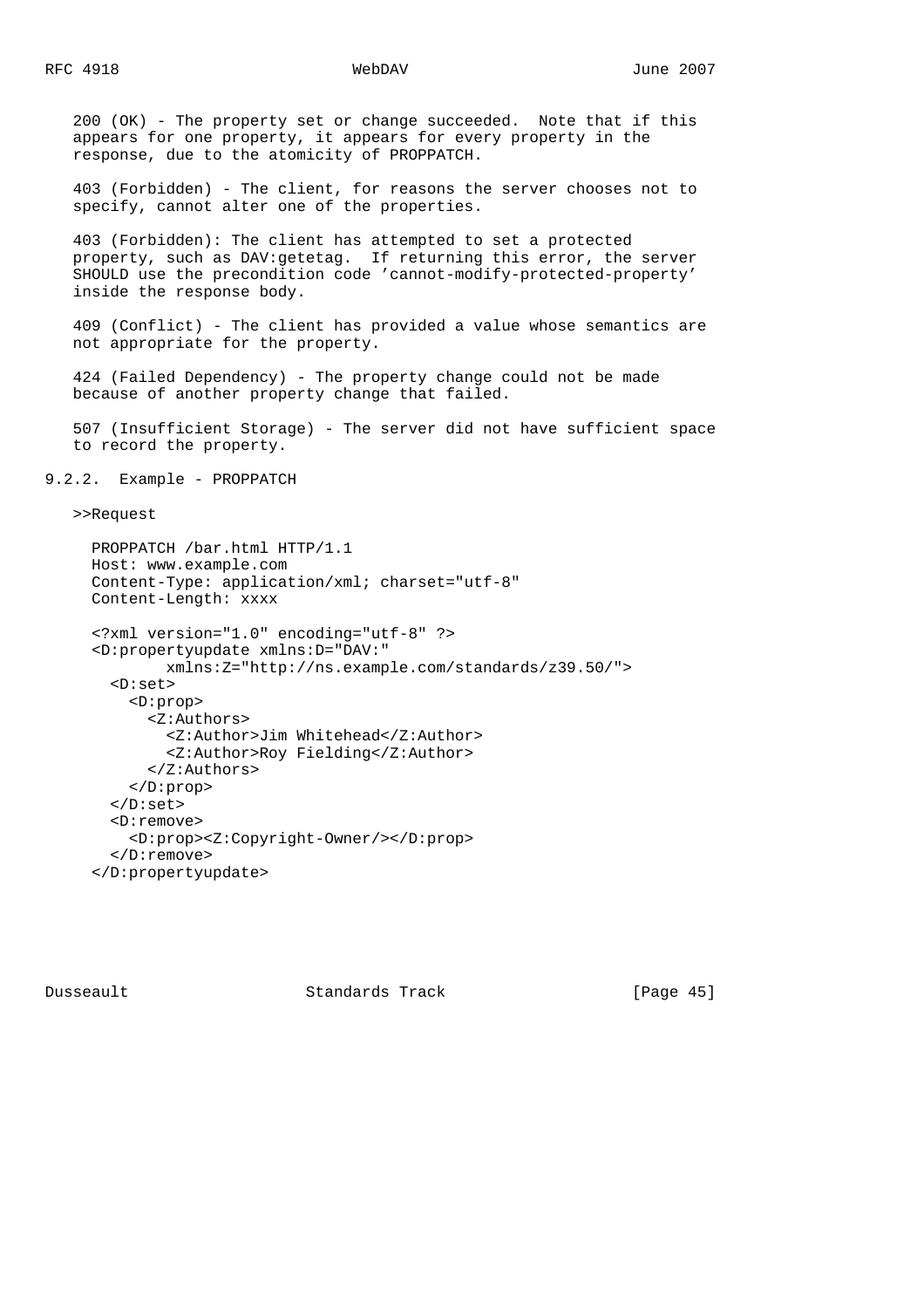200 (OK) - The property set or change succeeded. Note that if this appears for one property, it appears for every property in the response, due to the atomicity of PROPPATCH.

 403 (Forbidden) - The client, for reasons the server chooses not to specify, cannot alter one of the properties.

 403 (Forbidden): The client has attempted to set a protected property, such as DAV:getetag. If returning this error, the server SHOULD use the precondition code 'cannot-modify-protected-property' inside the response body.

 409 (Conflict) - The client has provided a value whose semantics are not appropriate for the property.

 424 (Failed Dependency) - The property change could not be made because of another property change that failed.

 507 (Insufficient Storage) - The server did not have sufficient space to record the property.

9.2.2. Example - PROPPATCH

>>Request

```
 PROPPATCH /bar.html HTTP/1.1
 Host: www.example.com
 Content-Type: application/xml; charset="utf-8"
 Content-Length: xxxx
 <?xml version="1.0" encoding="utf-8" ?>
 <D:propertyupdate xmlns:D="DAV:"
         xmlns:Z="http://ns.example.com/standards/z39.50/">
   <D:set>
     <D:prop>
       <Z:Authors>
         <Z:Author>Jim Whitehead</Z:Author>
         <Z:Author>Roy Fielding</Z:Author>
       </Z:Authors>
     </D:prop>
   </D:set>
   <D:remove>
     <D:prop><Z:Copyright-Owner/></D:prop>
   </D:remove>
 </D:propertyupdate>
```
Dusseault Standards Track [Page 45]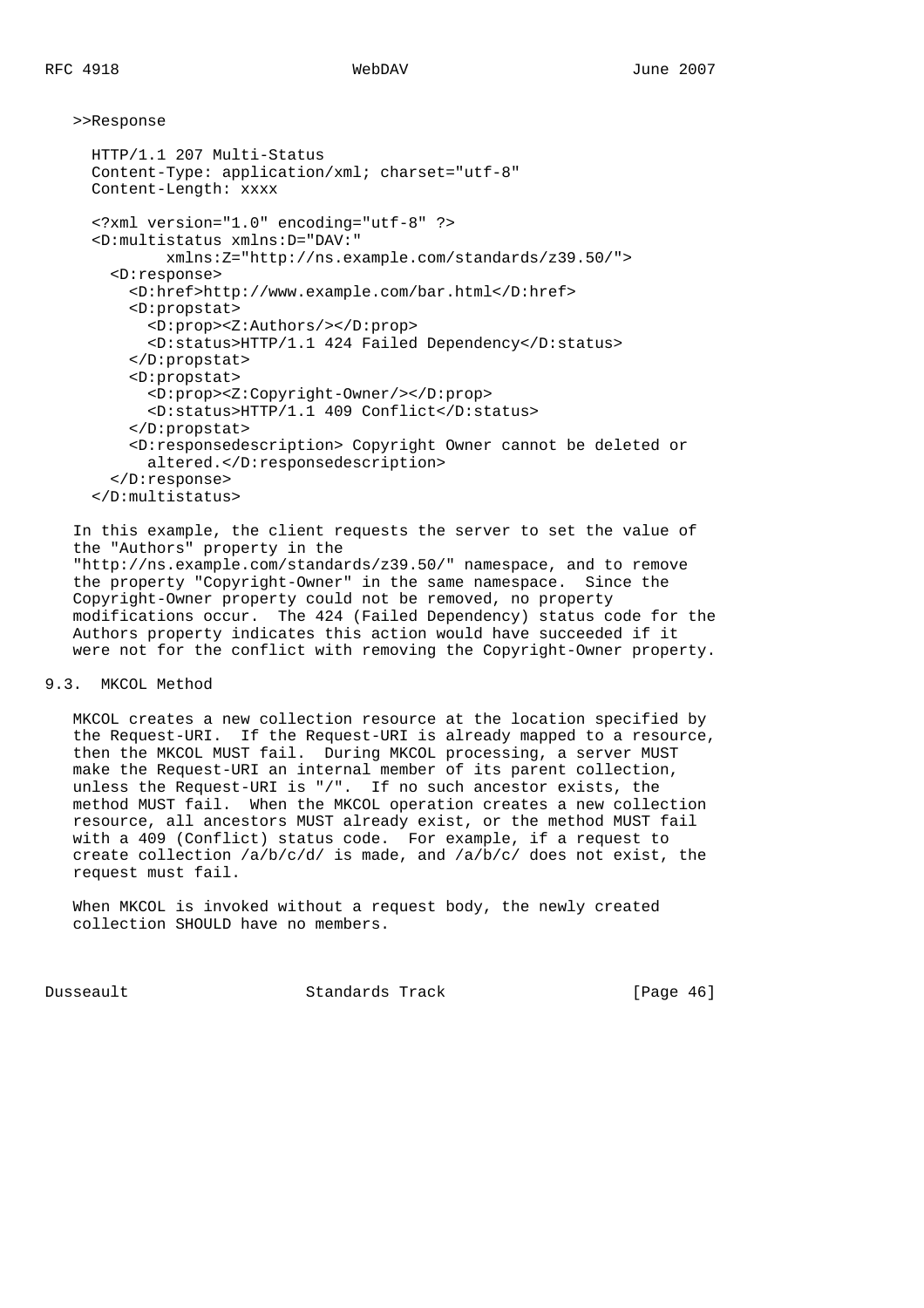>>Response

```
 HTTP/1.1 207 Multi-Status
 Content-Type: application/xml; charset="utf-8"
 Content-Length: xxxx
 <?xml version="1.0" encoding="utf-8" ?>
 <D:multistatus xmlns:D="DAV:"
         xmlns:Z="http://ns.example.com/standards/z39.50/">
   <D:response>
     <D:href>http://www.example.com/bar.html</D:href>
     <D:propstat>
       <D:prop><Z:Authors/></D:prop>
       <D:status>HTTP/1.1 424 Failed Dependency</D:status>
     </D:propstat>
     <D:propstat>
       <D:prop><Z:Copyright-Owner/></D:prop>
       <D:status>HTTP/1.1 409 Conflict</D:status>
     </D:propstat>
     <D:responsedescription> Copyright Owner cannot be deleted or
       altered.</D:responsedescription>
   </D:response>
 </D:multistatus>
```

```
 In this example, the client requests the server to set the value of
 the "Authors" property in the
 "http://ns.example.com/standards/z39.50/" namespace, and to remove
 the property "Copyright-Owner" in the same namespace. Since the
 Copyright-Owner property could not be removed, no property
 modifications occur. The 424 (Failed Dependency) status code for the
 Authors property indicates this action would have succeeded if it
 were not for the conflict with removing the Copyright-Owner property.
```
## 9.3. MKCOL Method

 MKCOL creates a new collection resource at the location specified by the Request-URI. If the Request-URI is already mapped to a resource, then the MKCOL MUST fail. During MKCOL processing, a server MUST make the Request-URI an internal member of its parent collection, unless the Request-URI is "/". If no such ancestor exists, the method MUST fail. When the MKCOL operation creates a new collection resource, all ancestors MUST already exist, or the method MUST fail with a 409 (Conflict) status code. For example, if a request to create collection /a/b/c/d/ is made, and /a/b/c/ does not exist, the request must fail.

```
 When MKCOL is invoked without a request body, the newly created
 collection SHOULD have no members.
```
Dusseault Standards Track [Page 46]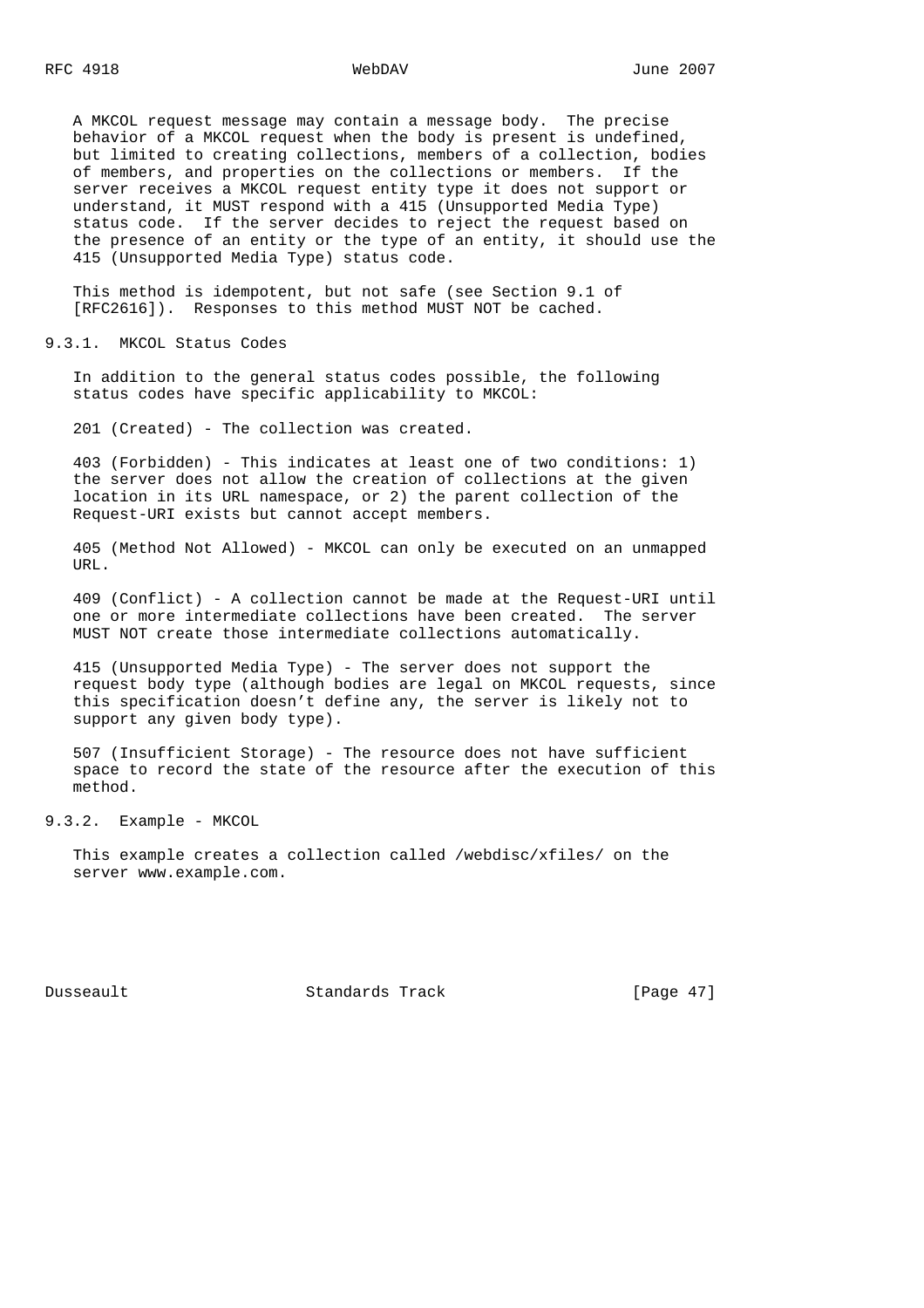A MKCOL request message may contain a message body. The precise behavior of a MKCOL request when the body is present is undefined, but limited to creating collections, members of a collection, bodies of members, and properties on the collections or members. If the server receives a MKCOL request entity type it does not support or understand, it MUST respond with a 415 (Unsupported Media Type) status code. If the server decides to reject the request based on the presence of an entity or the type of an entity, it should use the 415 (Unsupported Media Type) status code.

 This method is idempotent, but not safe (see Section 9.1 of [RFC2616]). Responses to this method MUST NOT be cached.

9.3.1. MKCOL Status Codes

 In addition to the general status codes possible, the following status codes have specific applicability to MKCOL:

201 (Created) - The collection was created.

 403 (Forbidden) - This indicates at least one of two conditions: 1) the server does not allow the creation of collections at the given location in its URL namespace, or 2) the parent collection of the Request-URI exists but cannot accept members.

 405 (Method Not Allowed) - MKCOL can only be executed on an unmapped URL.

 409 (Conflict) - A collection cannot be made at the Request-URI until one or more intermediate collections have been created. The server MUST NOT create those intermediate collections automatically.

 415 (Unsupported Media Type) - The server does not support the request body type (although bodies are legal on MKCOL requests, since this specification doesn't define any, the server is likely not to support any given body type).

 507 (Insufficient Storage) - The resource does not have sufficient space to record the state of the resource after the execution of this method.

9.3.2. Example - MKCOL

 This example creates a collection called /webdisc/xfiles/ on the server www.example.com.

Dusseault Standards Track [Page 47]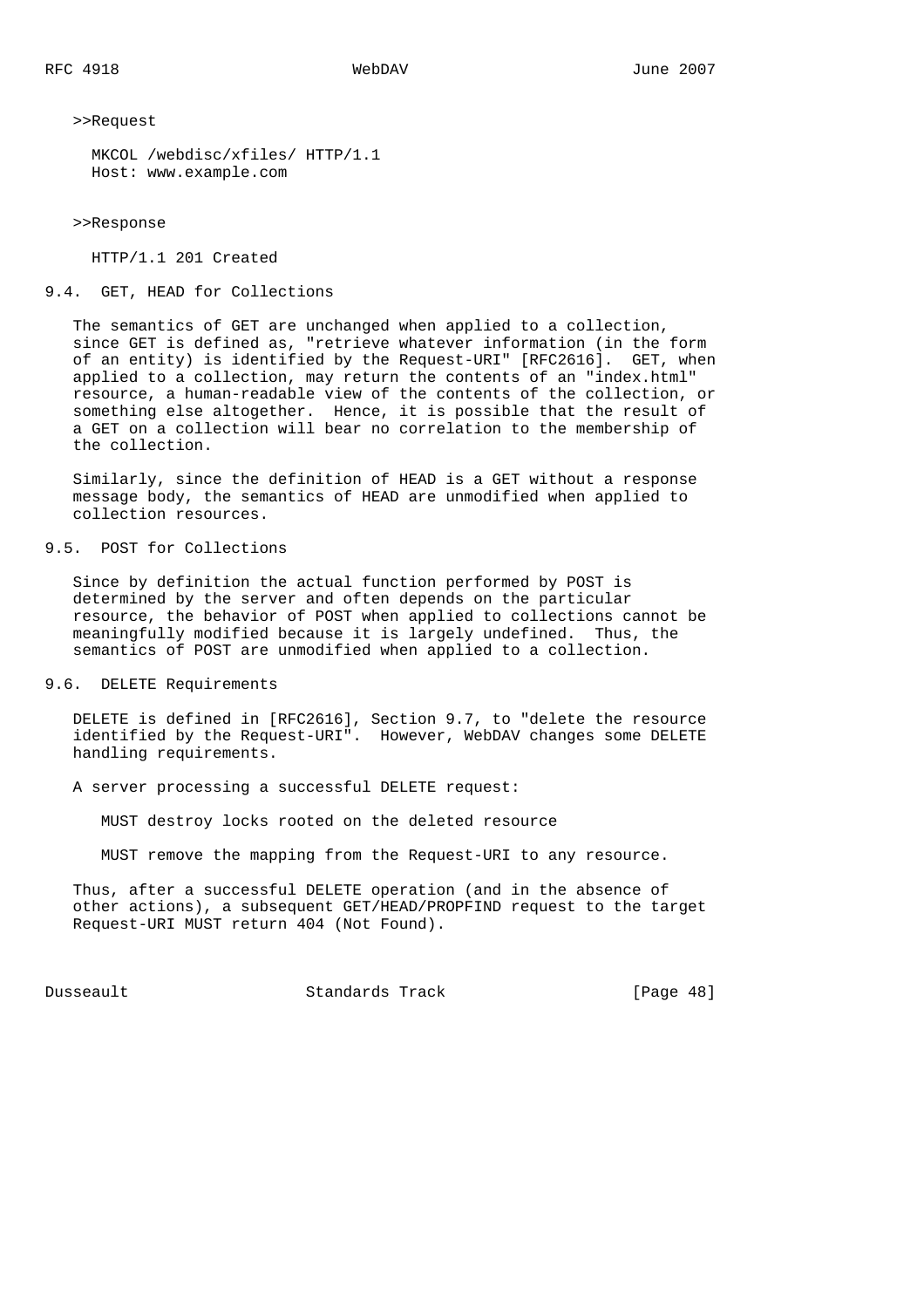>>Request

```
 MKCOL /webdisc/xfiles/ HTTP/1.1
 Host: www.example.com
```
>>Response

HTTP/1.1 201 Created

## 9.4. GET, HEAD for Collections

 The semantics of GET are unchanged when applied to a collection, since GET is defined as, "retrieve whatever information (in the form of an entity) is identified by the Request-URI" [RFC2616]. GET, when applied to a collection, may return the contents of an "index.html" resource, a human-readable view of the contents of the collection, or something else altogether. Hence, it is possible that the result of a GET on a collection will bear no correlation to the membership of the collection.

 Similarly, since the definition of HEAD is a GET without a response message body, the semantics of HEAD are unmodified when applied to collection resources.

# 9.5. POST for Collections

 Since by definition the actual function performed by POST is determined by the server and often depends on the particular resource, the behavior of POST when applied to collections cannot be meaningfully modified because it is largely undefined. Thus, the semantics of POST are unmodified when applied to a collection.

### 9.6. DELETE Requirements

 DELETE is defined in [RFC2616], Section 9.7, to "delete the resource identified by the Request-URI". However, WebDAV changes some DELETE handling requirements.

A server processing a successful DELETE request:

MUST destroy locks rooted on the deleted resource

MUST remove the mapping from the Request-URI to any resource.

 Thus, after a successful DELETE operation (and in the absence of other actions), a subsequent GET/HEAD/PROPFIND request to the target Request-URI MUST return 404 (Not Found).

Dusseault Standards Track [Page 48]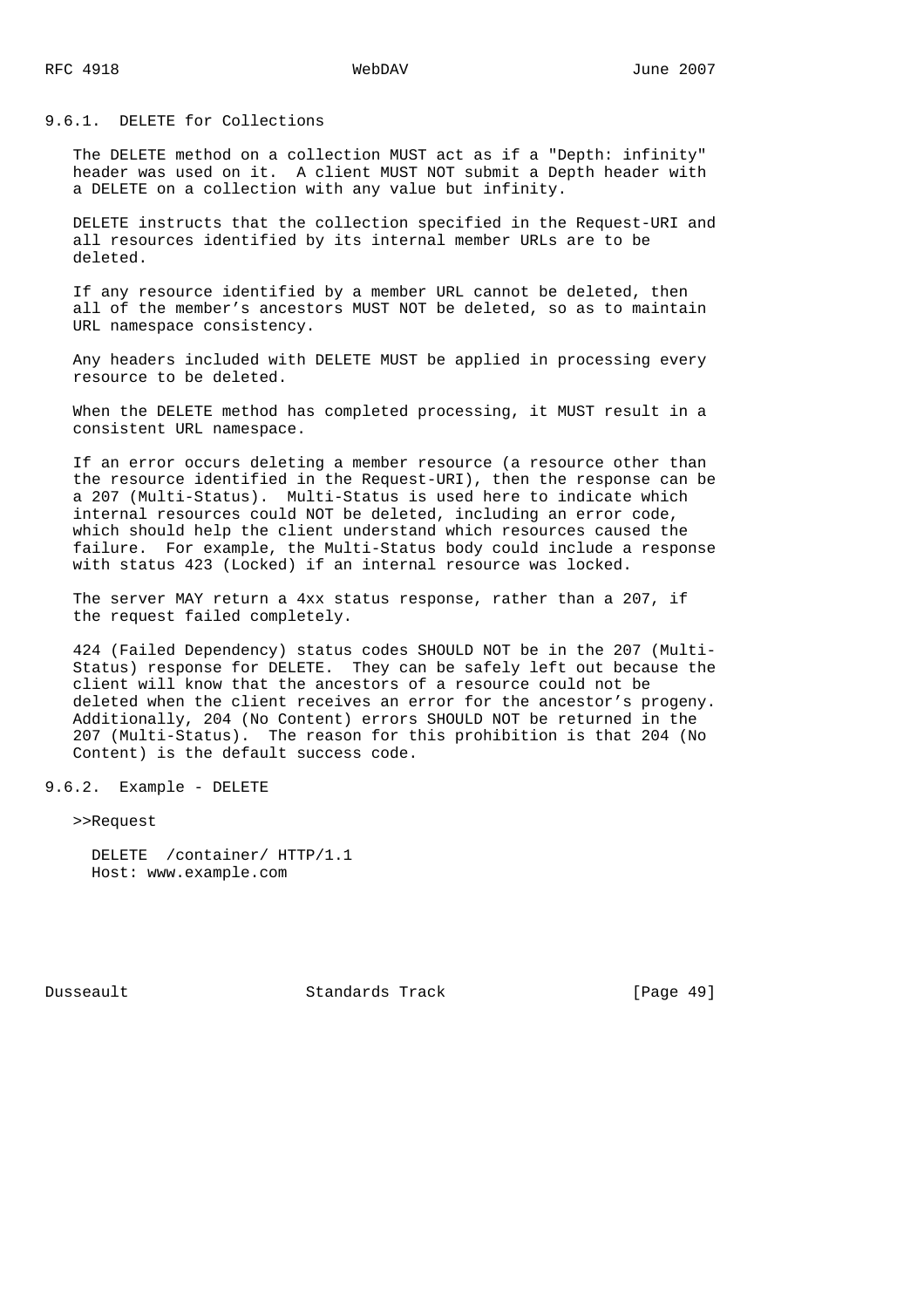## 9.6.1. DELETE for Collections

 The DELETE method on a collection MUST act as if a "Depth: infinity" header was used on it. A client MUST NOT submit a Depth header with a DELETE on a collection with any value but infinity.

 DELETE instructs that the collection specified in the Request-URI and all resources identified by its internal member URLs are to be deleted.

 If any resource identified by a member URL cannot be deleted, then all of the member's ancestors MUST NOT be deleted, so as to maintain URL namespace consistency.

 Any headers included with DELETE MUST be applied in processing every resource to be deleted.

 When the DELETE method has completed processing, it MUST result in a consistent URL namespace.

 If an error occurs deleting a member resource (a resource other than the resource identified in the Request-URI), then the response can be a 207 (Multi-Status). Multi-Status is used here to indicate which internal resources could NOT be deleted, including an error code, which should help the client understand which resources caused the failure. For example, the Multi-Status body could include a response with status 423 (Locked) if an internal resource was locked.

 The server MAY return a 4xx status response, rather than a 207, if the request failed completely.

 424 (Failed Dependency) status codes SHOULD NOT be in the 207 (Multi- Status) response for DELETE. They can be safely left out because the client will know that the ancestors of a resource could not be deleted when the client receives an error for the ancestor's progeny. Additionally, 204 (No Content) errors SHOULD NOT be returned in the 207 (Multi-Status). The reason for this prohibition is that 204 (No Content) is the default success code.

## 9.6.2. Example - DELETE

>>Request

 DELETE /container/ HTTP/1.1 Host: www.example.com

Dusseault Standards Track [Page 49]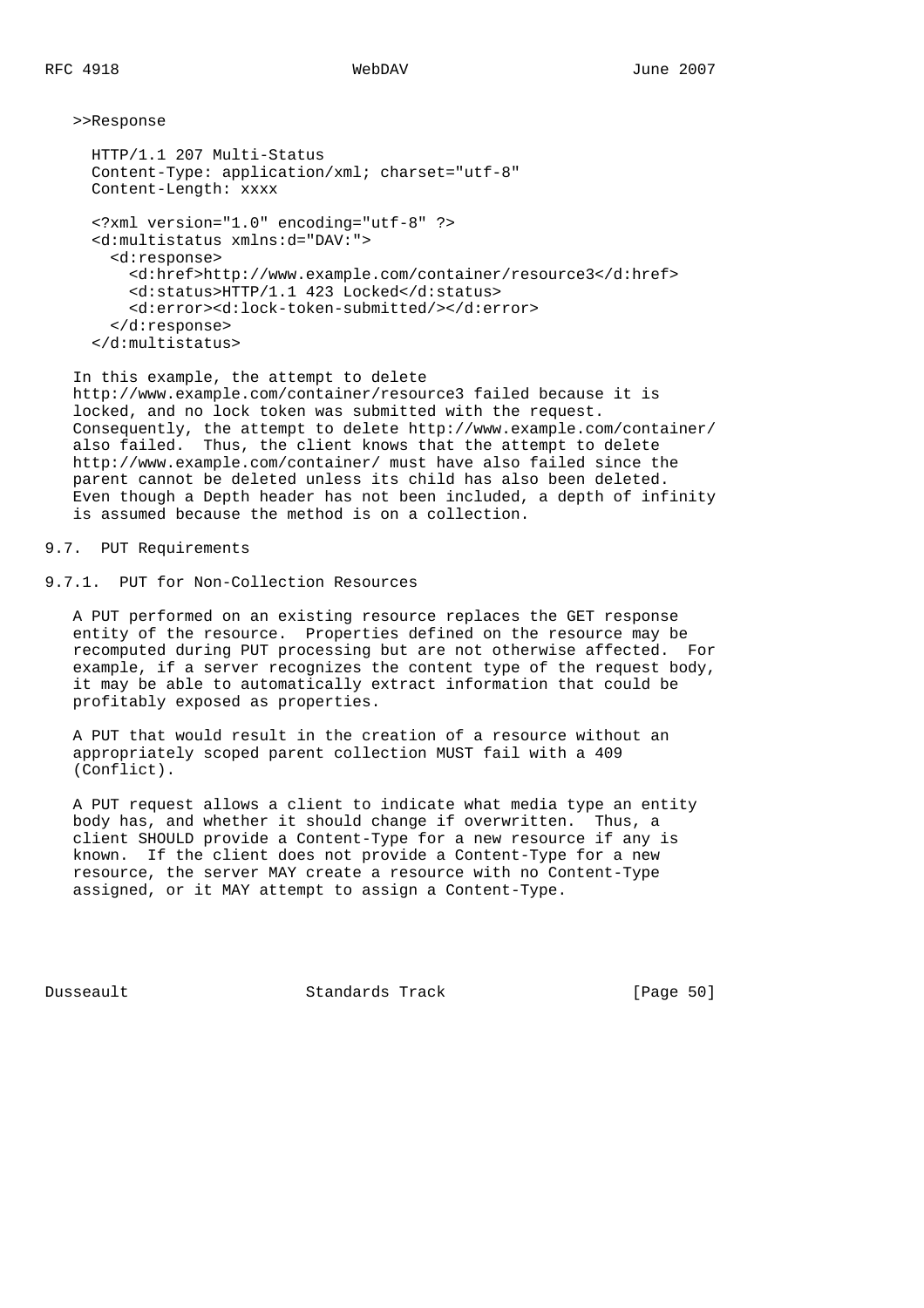>>Response

```
 HTTP/1.1 207 Multi-Status
 Content-Type: application/xml; charset="utf-8"
 Content-Length: xxxx
 <?xml version="1.0" encoding="utf-8" ?>
 <d:multistatus xmlns:d="DAV:">
   <d:response>
     <d:href>http://www.example.com/container/resource3</d:href>
     <d:status>HTTP/1.1 423 Locked</d:status>
     <d:error><d:lock-token-submitted/></d:error>
   </d:response>
 </d:multistatus>
```
 In this example, the attempt to delete http://www.example.com/container/resource3 failed because it is locked, and no lock token was submitted with the request. Consequently, the attempt to delete http://www.example.com/container/ also failed. Thus, the client knows that the attempt to delete http://www.example.com/container/ must have also failed since the parent cannot be deleted unless its child has also been deleted. Even though a Depth header has not been included, a depth of infinity is assumed because the method is on a collection.

# 9.7. PUT Requirements

9.7.1. PUT for Non-Collection Resources

 A PUT performed on an existing resource replaces the GET response entity of the resource. Properties defined on the resource may be recomputed during PUT processing but are not otherwise affected. For example, if a server recognizes the content type of the request body, it may be able to automatically extract information that could be profitably exposed as properties.

 A PUT that would result in the creation of a resource without an appropriately scoped parent collection MUST fail with a 409 (Conflict).

 A PUT request allows a client to indicate what media type an entity body has, and whether it should change if overwritten. Thus, a client SHOULD provide a Content-Type for a new resource if any is known. If the client does not provide a Content-Type for a new resource, the server MAY create a resource with no Content-Type assigned, or it MAY attempt to assign a Content-Type.

Dusseault Standards Track [Page 50]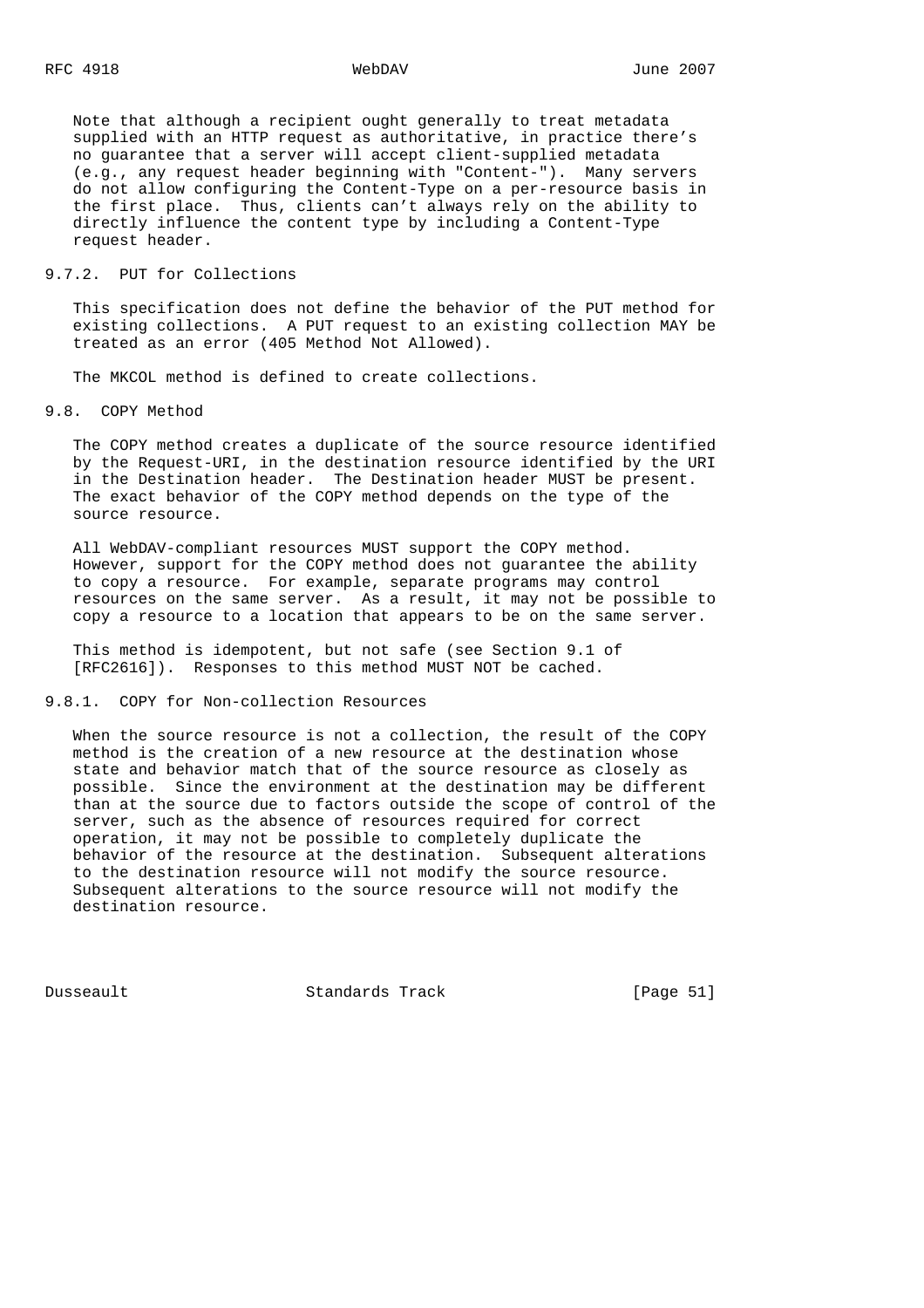Note that although a recipient ought generally to treat metadata supplied with an HTTP request as authoritative, in practice there's no guarantee that a server will accept client-supplied metadata (e.g., any request header beginning with "Content-"). Many servers do not allow configuring the Content-Type on a per-resource basis in the first place. Thus, clients can't always rely on the ability to directly influence the content type by including a Content-Type request header.

## 9.7.2. PUT for Collections

 This specification does not define the behavior of the PUT method for existing collections. A PUT request to an existing collection MAY be treated as an error (405 Method Not Allowed).

The MKCOL method is defined to create collections.

## 9.8. COPY Method

 The COPY method creates a duplicate of the source resource identified by the Request-URI, in the destination resource identified by the URI in the Destination header. The Destination header MUST be present. The exact behavior of the COPY method depends on the type of the source resource.

 All WebDAV-compliant resources MUST support the COPY method. However, support for the COPY method does not guarantee the ability to copy a resource. For example, separate programs may control resources on the same server. As a result, it may not be possible to copy a resource to a location that appears to be on the same server.

 This method is idempotent, but not safe (see Section 9.1 of [RFC2616]). Responses to this method MUST NOT be cached.

## 9.8.1. COPY for Non-collection Resources

When the source resource is not a collection, the result of the COPY method is the creation of a new resource at the destination whose state and behavior match that of the source resource as closely as possible. Since the environment at the destination may be different than at the source due to factors outside the scope of control of the server, such as the absence of resources required for correct operation, it may not be possible to completely duplicate the behavior of the resource at the destination. Subsequent alterations to the destination resource will not modify the source resource. Subsequent alterations to the source resource will not modify the destination resource.

Dusseault Standards Track [Page 51]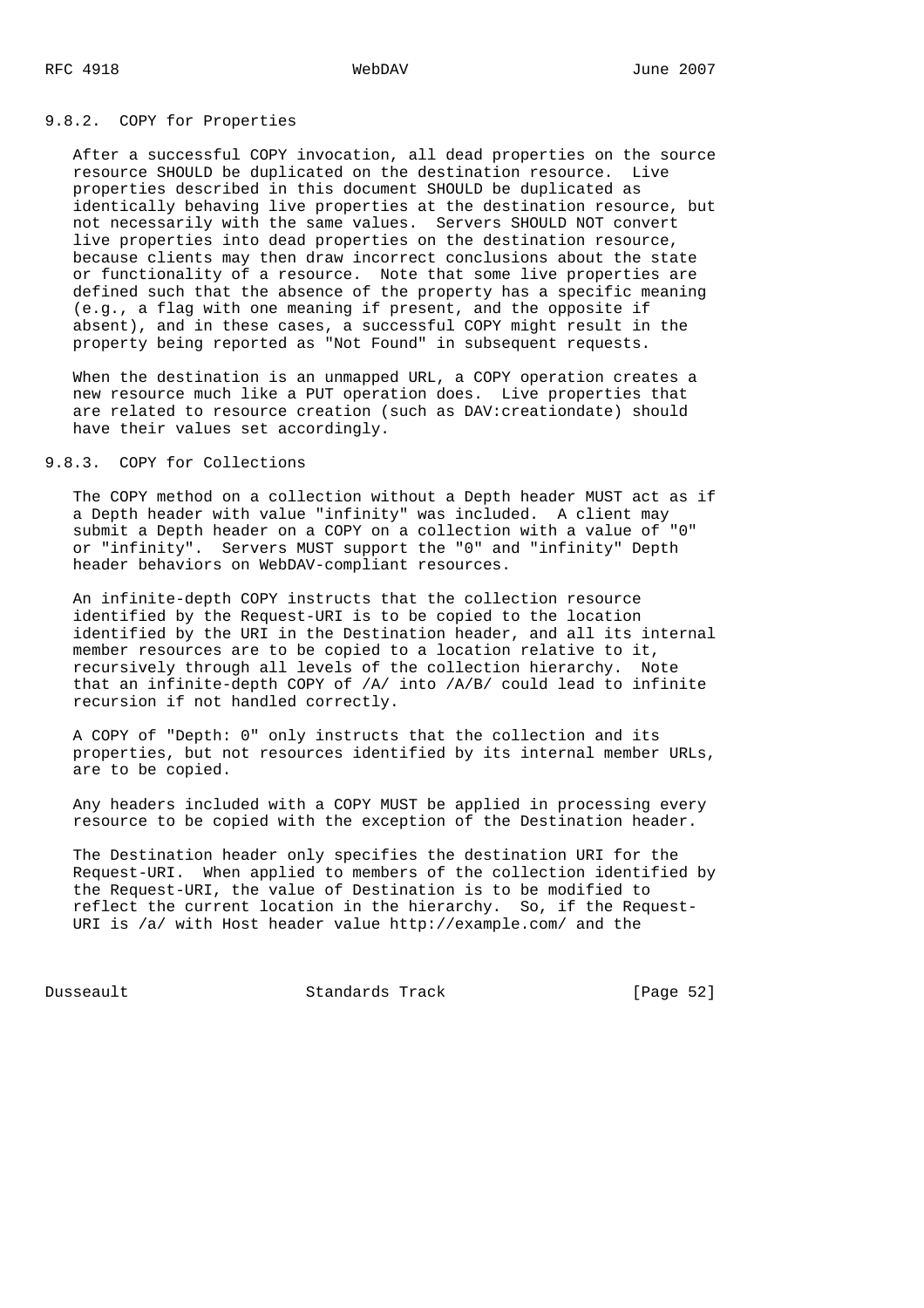### 9.8.2. COPY for Properties

 After a successful COPY invocation, all dead properties on the source resource SHOULD be duplicated on the destination resource. Live properties described in this document SHOULD be duplicated as identically behaving live properties at the destination resource, but not necessarily with the same values. Servers SHOULD NOT convert live properties into dead properties on the destination resource, because clients may then draw incorrect conclusions about the state or functionality of a resource. Note that some live properties are defined such that the absence of the property has a specific meaning (e.g., a flag with one meaning if present, and the opposite if absent), and in these cases, a successful COPY might result in the property being reported as "Not Found" in subsequent requests.

 When the destination is an unmapped URL, a COPY operation creates a new resource much like a PUT operation does. Live properties that are related to resource creation (such as DAV:creationdate) should have their values set accordingly.

# 9.8.3. COPY for Collections

 The COPY method on a collection without a Depth header MUST act as if a Depth header with value "infinity" was included. A client may submit a Depth header on a COPY on a collection with a value of "0" or "infinity". Servers MUST support the "0" and "infinity" Depth header behaviors on WebDAV-compliant resources.

 An infinite-depth COPY instructs that the collection resource identified by the Request-URI is to be copied to the location identified by the URI in the Destination header, and all its internal member resources are to be copied to a location relative to it, recursively through all levels of the collection hierarchy. Note that an infinite-depth COPY of /A/ into /A/B/ could lead to infinite recursion if not handled correctly.

 A COPY of "Depth: 0" only instructs that the collection and its properties, but not resources identified by its internal member URLs, are to be copied.

 Any headers included with a COPY MUST be applied in processing every resource to be copied with the exception of the Destination header.

 The Destination header only specifies the destination URI for the Request-URI. When applied to members of the collection identified by the Request-URI, the value of Destination is to be modified to reflect the current location in the hierarchy. So, if the Request- URI is /a/ with Host header value http://example.com/ and the

Dusseault Standards Track [Page 52]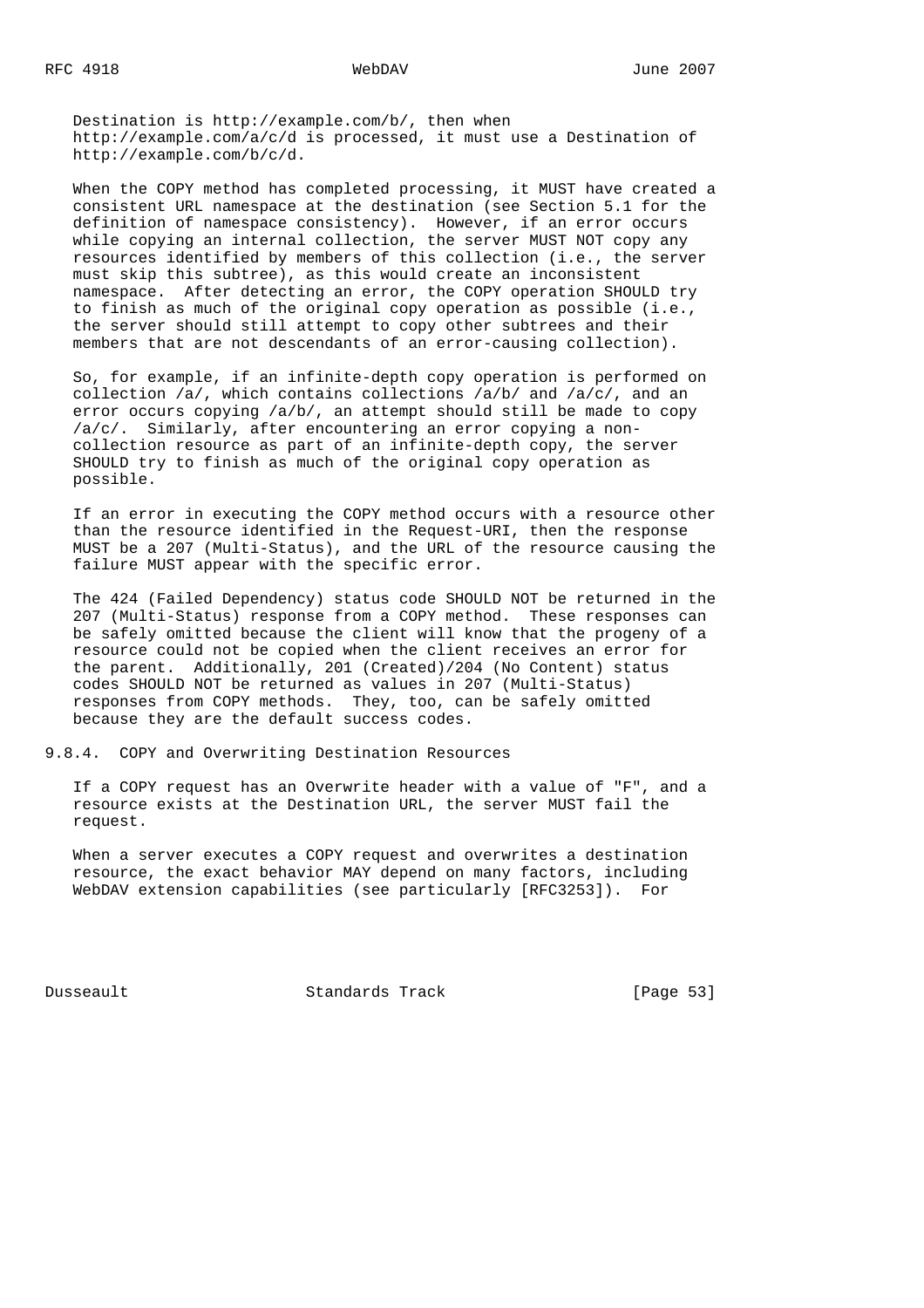Destination is http://example.com/b/, then when http://example.com/a/c/d is processed, it must use a Destination of http://example.com/b/c/d.

 When the COPY method has completed processing, it MUST have created a consistent URL namespace at the destination (see Section 5.1 for the definition of namespace consistency). However, if an error occurs while copying an internal collection, the server MUST NOT copy any resources identified by members of this collection (i.e., the server must skip this subtree), as this would create an inconsistent namespace. After detecting an error, the COPY operation SHOULD try to finish as much of the original copy operation as possible (i.e., the server should still attempt to copy other subtrees and their members that are not descendants of an error-causing collection).

 So, for example, if an infinite-depth copy operation is performed on collection  $/a/$ , which contains collections  $/a/b/$  and  $/a/c/$ , and an error occurs copying /a/b/, an attempt should still be made to copy /a/c/. Similarly, after encountering an error copying a non collection resource as part of an infinite-depth copy, the server SHOULD try to finish as much of the original copy operation as possible.

 If an error in executing the COPY method occurs with a resource other than the resource identified in the Request-URI, then the response MUST be a 207 (Multi-Status), and the URL of the resource causing the failure MUST appear with the specific error.

 The 424 (Failed Dependency) status code SHOULD NOT be returned in the 207 (Multi-Status) response from a COPY method. These responses can be safely omitted because the client will know that the progeny of a resource could not be copied when the client receives an error for the parent. Additionally, 201 (Created)/204 (No Content) status codes SHOULD NOT be returned as values in 207 (Multi-Status) responses from COPY methods. They, too, can be safely omitted because they are the default success codes.

9.8.4. COPY and Overwriting Destination Resources

 If a COPY request has an Overwrite header with a value of "F", and a resource exists at the Destination URL, the server MUST fail the request.

 When a server executes a COPY request and overwrites a destination resource, the exact behavior MAY depend on many factors, including WebDAV extension capabilities (see particularly [RFC3253]). For

Dusseault Standards Track [Page 53]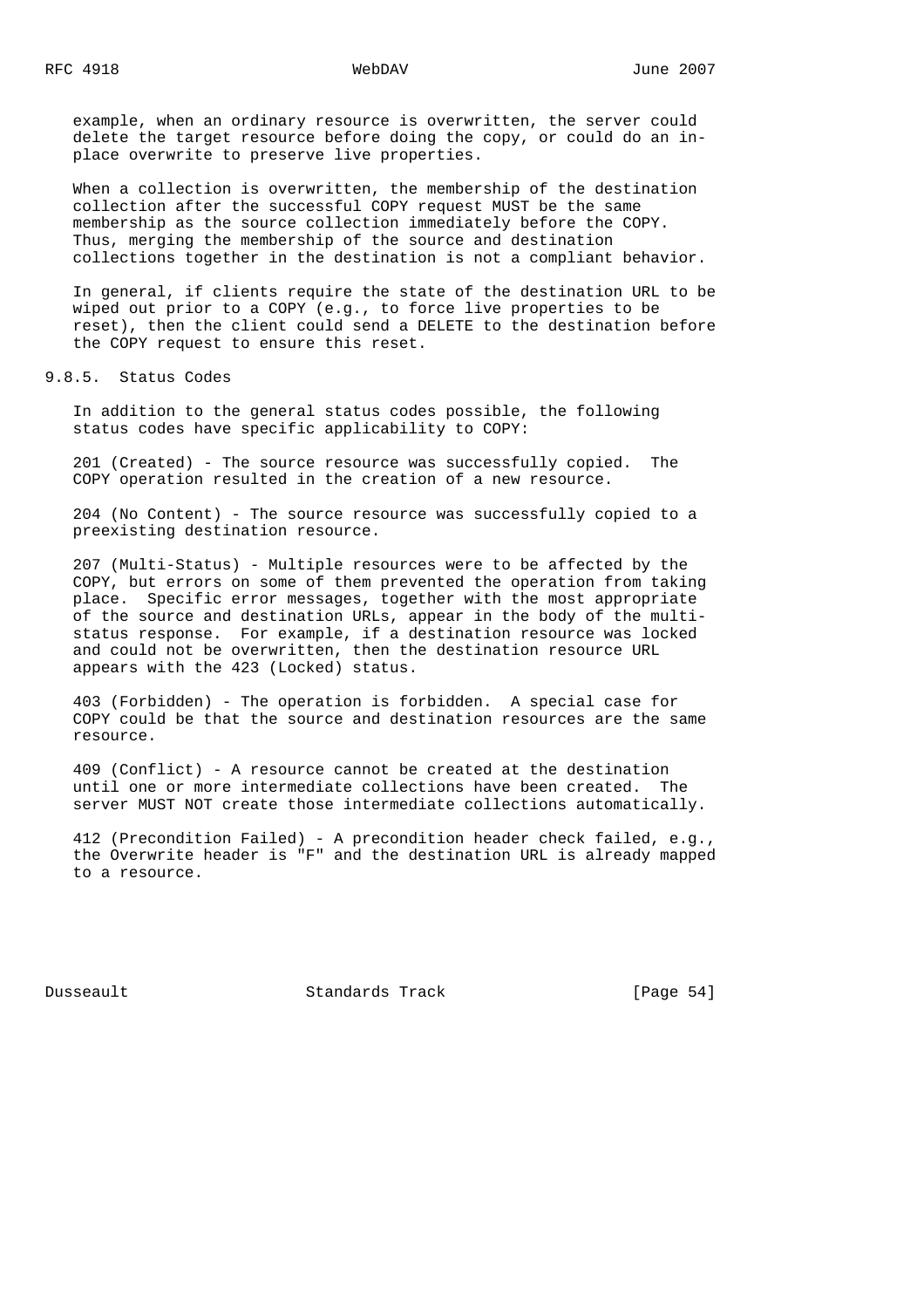example, when an ordinary resource is overwritten, the server could delete the target resource before doing the copy, or could do an in place overwrite to preserve live properties.

 When a collection is overwritten, the membership of the destination collection after the successful COPY request MUST be the same membership as the source collection immediately before the COPY. Thus, merging the membership of the source and destination collections together in the destination is not a compliant behavior.

 In general, if clients require the state of the destination URL to be wiped out prior to a COPY (e.g., to force live properties to be reset), then the client could send a DELETE to the destination before the COPY request to ensure this reset.

9.8.5. Status Codes

 In addition to the general status codes possible, the following status codes have specific applicability to COPY:

 201 (Created) - The source resource was successfully copied. The COPY operation resulted in the creation of a new resource.

 204 (No Content) - The source resource was successfully copied to a preexisting destination resource.

 207 (Multi-Status) - Multiple resources were to be affected by the COPY, but errors on some of them prevented the operation from taking place. Specific error messages, together with the most appropriate of the source and destination URLs, appear in the body of the multi status response. For example, if a destination resource was locked and could not be overwritten, then the destination resource URL appears with the 423 (Locked) status.

 403 (Forbidden) - The operation is forbidden. A special case for COPY could be that the source and destination resources are the same resource.

 409 (Conflict) - A resource cannot be created at the destination until one or more intermediate collections have been created. The server MUST NOT create those intermediate collections automatically.

 412 (Precondition Failed) - A precondition header check failed, e.g., the Overwrite header is "F" and the destination URL is already mapped to a resource.

Dusseault Standards Track [Page 54]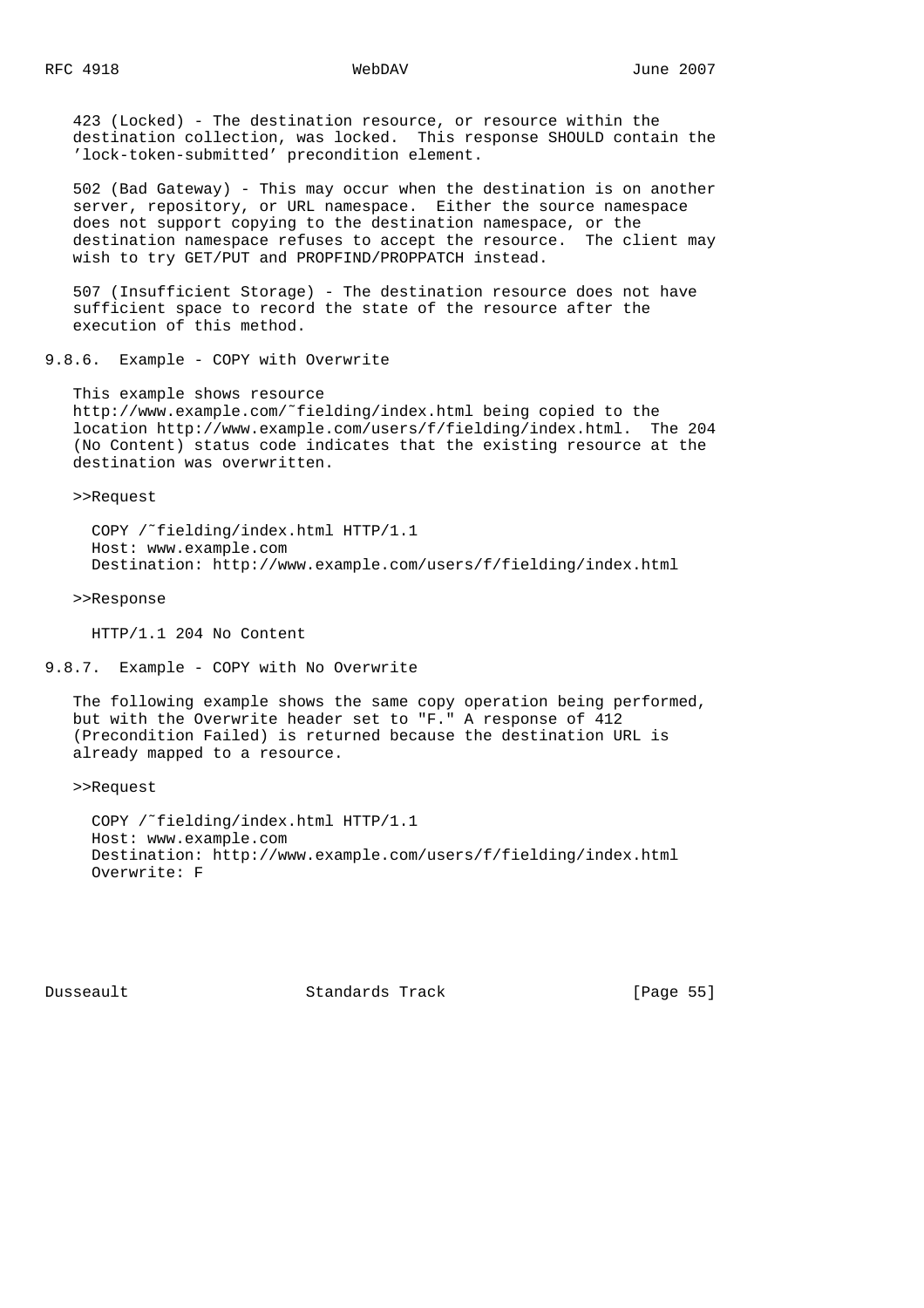423 (Locked) - The destination resource, or resource within the destination collection, was locked. This response SHOULD contain the 'lock-token-submitted' precondition element.

 502 (Bad Gateway) - This may occur when the destination is on another server, repository, or URL namespace. Either the source namespace does not support copying to the destination namespace, or the destination namespace refuses to accept the resource. The client may wish to try GET/PUT and PROPFIND/PROPPATCH instead.

 507 (Insufficient Storage) - The destination resource does not have sufficient space to record the state of the resource after the execution of this method.

9.8.6. Example - COPY with Overwrite

 This example shows resource http://www.example.com/˜fielding/index.html being copied to the location http://www.example.com/users/f/fielding/index.html. The 204 (No Content) status code indicates that the existing resource at the destination was overwritten.

>>Request

 COPY /˜fielding/index.html HTTP/1.1 Host: www.example.com Destination: http://www.example.com/users/f/fielding/index.html

>>Response

HTTP/1.1 204 No Content

9.8.7. Example - COPY with No Overwrite

 The following example shows the same copy operation being performed, but with the Overwrite header set to "F." A response of 412 (Precondition Failed) is returned because the destination URL is already mapped to a resource.

>>Request

 COPY /˜fielding/index.html HTTP/1.1 Host: www.example.com Destination: http://www.example.com/users/f/fielding/index.html Overwrite: F

Dusseault Standards Track [Page 55]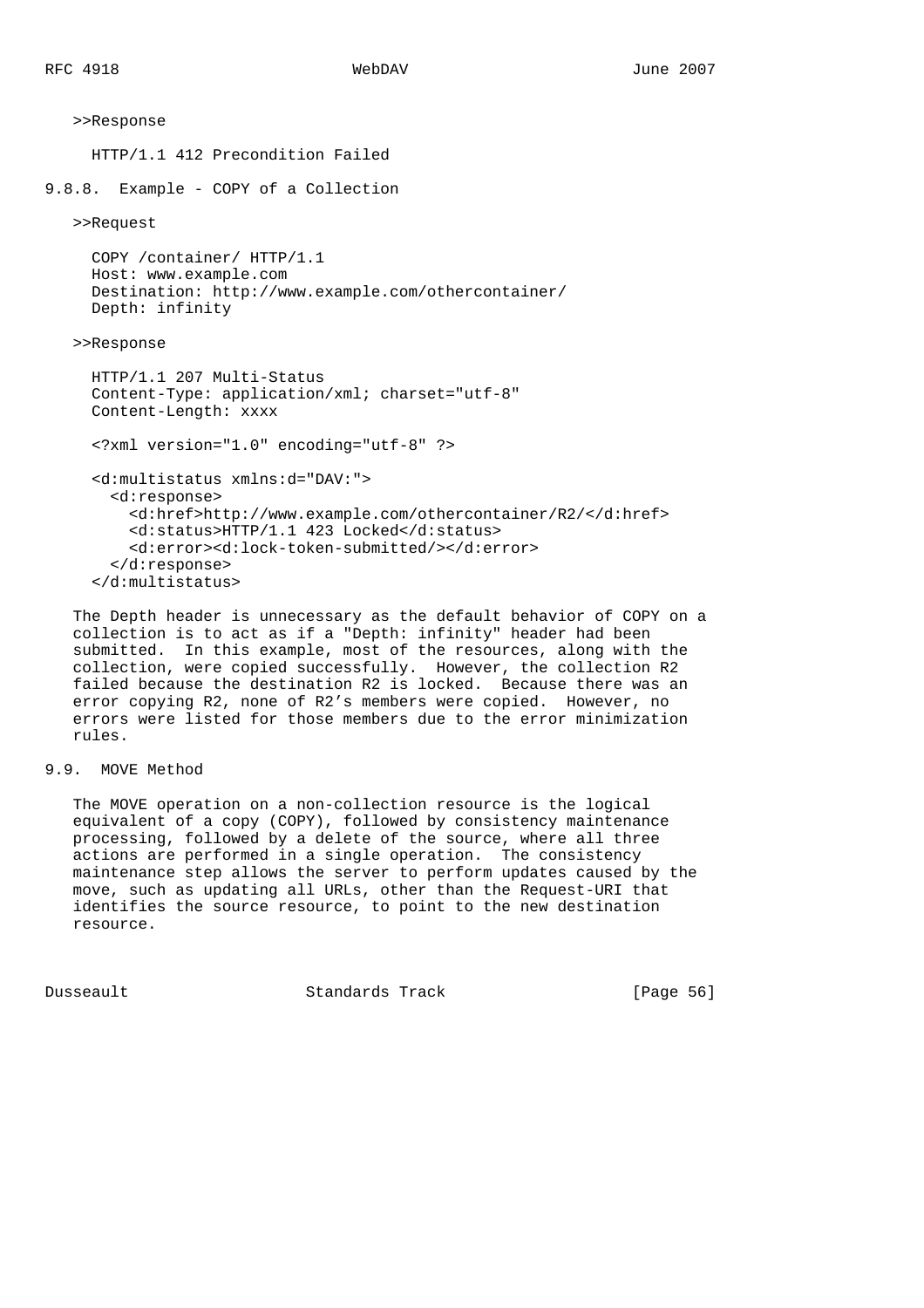```
 >>Response
      HTTP/1.1 412 Precondition Failed
9.8.8. Example - COPY of a Collection
    >>Request
      COPY /container/ HTTP/1.1
      Host: www.example.com
      Destination: http://www.example.com/othercontainer/
      Depth: infinity
    >>Response
      HTTP/1.1 207 Multi-Status
      Content-Type: application/xml; charset="utf-8"
      Content-Length: xxxx
      <?xml version="1.0" encoding="utf-8" ?>
      <d:multistatus xmlns:d="DAV:">
        <d:response>
          <d:href>http://www.example.com/othercontainer/R2/</d:href>
          <d:status>HTTP/1.1 423 Locked</d:status>
          <d:error><d:lock-token-submitted/></d:error>
        </d:response>
      </d:multistatus>
```
 The Depth header is unnecessary as the default behavior of COPY on a collection is to act as if a "Depth: infinity" header had been submitted. In this example, most of the resources, along with the collection, were copied successfully. However, the collection R2 failed because the destination R2 is locked. Because there was an error copying R2, none of R2's members were copied. However, no errors were listed for those members due to the error minimization rules.

## 9.9. MOVE Method

 The MOVE operation on a non-collection resource is the logical equivalent of a copy (COPY), followed by consistency maintenance processing, followed by a delete of the source, where all three actions are performed in a single operation. The consistency maintenance step allows the server to perform updates caused by the move, such as updating all URLs, other than the Request-URI that identifies the source resource, to point to the new destination resource.

Dusseault Standards Track [Page 56]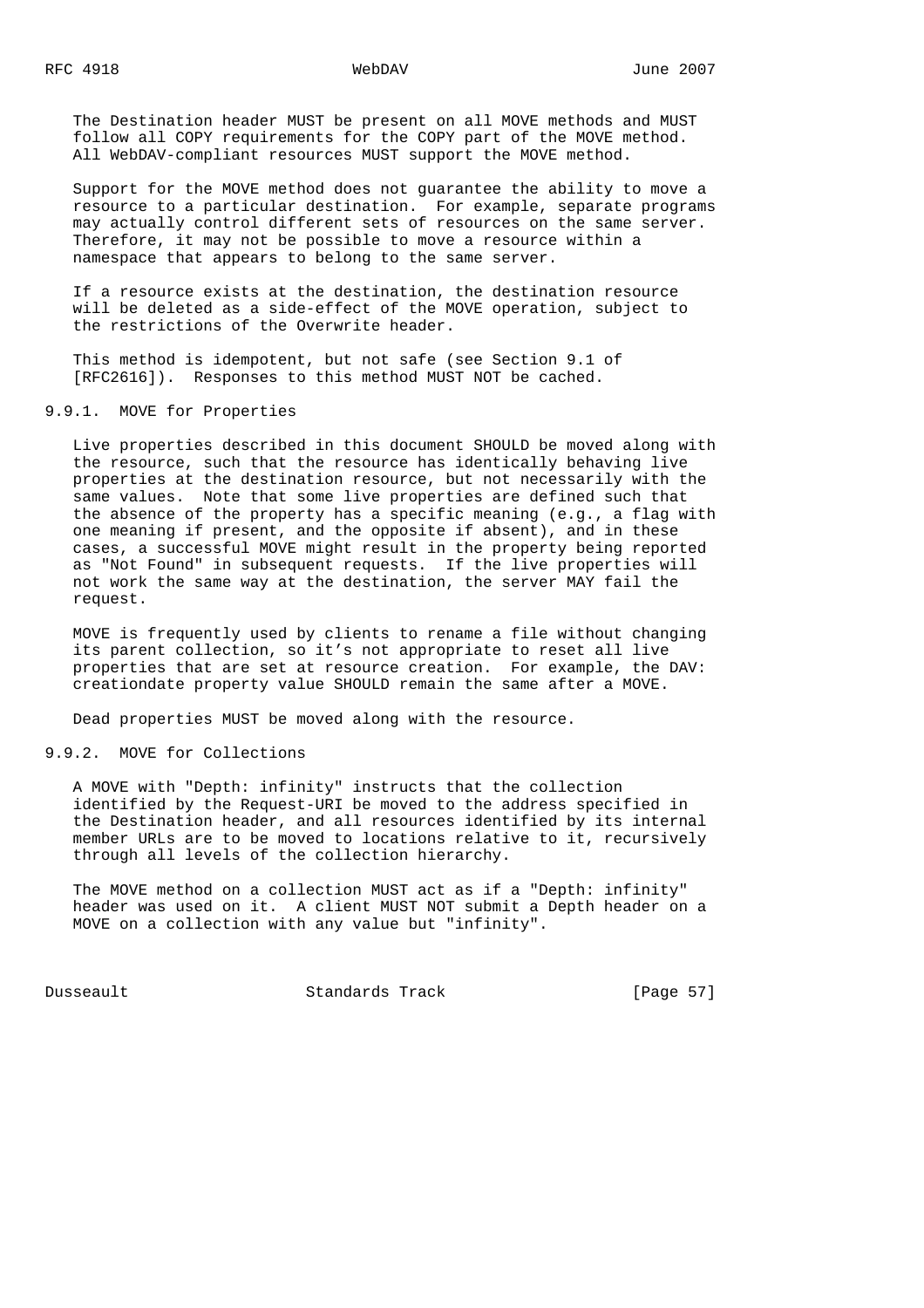The Destination header MUST be present on all MOVE methods and MUST follow all COPY requirements for the COPY part of the MOVE method. All WebDAV-compliant resources MUST support the MOVE method.

 Support for the MOVE method does not guarantee the ability to move a resource to a particular destination. For example, separate programs may actually control different sets of resources on the same server. Therefore, it may not be possible to move a resource within a namespace that appears to belong to the same server.

 If a resource exists at the destination, the destination resource will be deleted as a side-effect of the MOVE operation, subject to the restrictions of the Overwrite header.

 This method is idempotent, but not safe (see Section 9.1 of [RFC2616]). Responses to this method MUST NOT be cached.

## 9.9.1. MOVE for Properties

 Live properties described in this document SHOULD be moved along with the resource, such that the resource has identically behaving live properties at the destination resource, but not necessarily with the same values. Note that some live properties are defined such that the absence of the property has a specific meaning (e.g., a flag with one meaning if present, and the opposite if absent), and in these cases, a successful MOVE might result in the property being reported as "Not Found" in subsequent requests. If the live properties will not work the same way at the destination, the server MAY fail the request.

 MOVE is frequently used by clients to rename a file without changing its parent collection, so it's not appropriate to reset all live properties that are set at resource creation. For example, the DAV: creationdate property value SHOULD remain the same after a MOVE.

Dead properties MUST be moved along with the resource.

## 9.9.2. MOVE for Collections

 A MOVE with "Depth: infinity" instructs that the collection identified by the Request-URI be moved to the address specified in the Destination header, and all resources identified by its internal member URLs are to be moved to locations relative to it, recursively through all levels of the collection hierarchy.

 The MOVE method on a collection MUST act as if a "Depth: infinity" header was used on it. A client MUST NOT submit a Depth header on a MOVE on a collection with any value but "infinity".

Dusseault Standards Track [Page 57]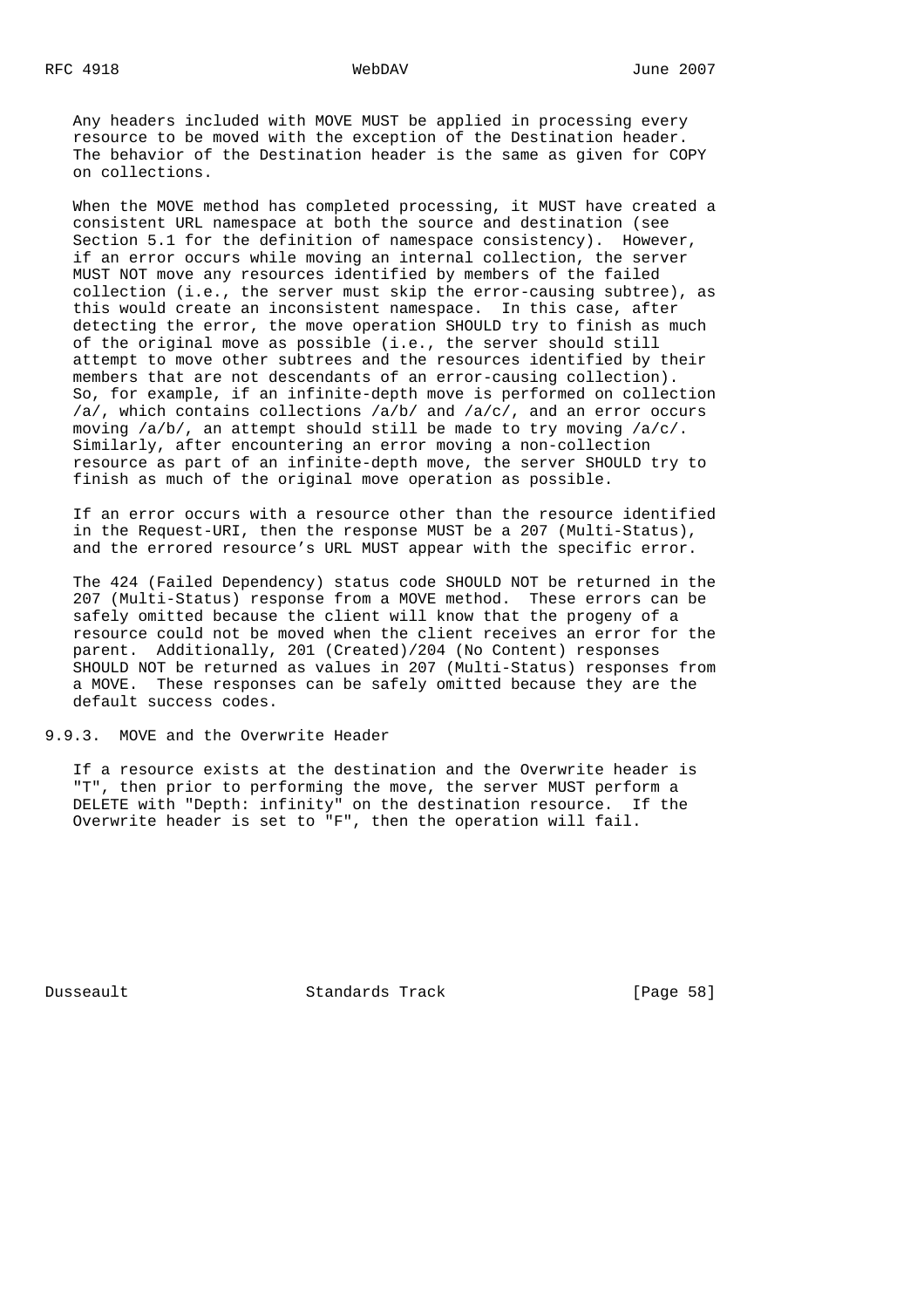Any headers included with MOVE MUST be applied in processing every resource to be moved with the exception of the Destination header. The behavior of the Destination header is the same as given for COPY on collections.

 When the MOVE method has completed processing, it MUST have created a consistent URL namespace at both the source and destination (see Section 5.1 for the definition of namespace consistency). However, if an error occurs while moving an internal collection, the server MUST NOT move any resources identified by members of the failed collection (i.e., the server must skip the error-causing subtree), as this would create an inconsistent namespace. In this case, after detecting the error, the move operation SHOULD try to finish as much of the original move as possible (i.e., the server should still attempt to move other subtrees and the resources identified by their members that are not descendants of an error-causing collection). So, for example, if an infinite-depth move is performed on collection /a/, which contains collections /a/b/ and /a/c/, and an error occurs moving /a/b/, an attempt should still be made to try moving /a/c/. Similarly, after encountering an error moving a non-collection resource as part of an infinite-depth move, the server SHOULD try to finish as much of the original move operation as possible.

 If an error occurs with a resource other than the resource identified in the Request-URI, then the response MUST be a 207 (Multi-Status), and the errored resource's URL MUST appear with the specific error.

 The 424 (Failed Dependency) status code SHOULD NOT be returned in the 207 (Multi-Status) response from a MOVE method. These errors can be safely omitted because the client will know that the progeny of a resource could not be moved when the client receives an error for the parent. Additionally, 201 (Created)/204 (No Content) responses SHOULD NOT be returned as values in 207 (Multi-Status) responses from a MOVE. These responses can be safely omitted because they are the default success codes.

9.9.3. MOVE and the Overwrite Header

 If a resource exists at the destination and the Overwrite header is "T", then prior to performing the move, the server MUST perform a DELETE with "Depth: infinity" on the destination resource. If the Overwrite header is set to "F", then the operation will fail.

Dusseault Standards Track [Page 58]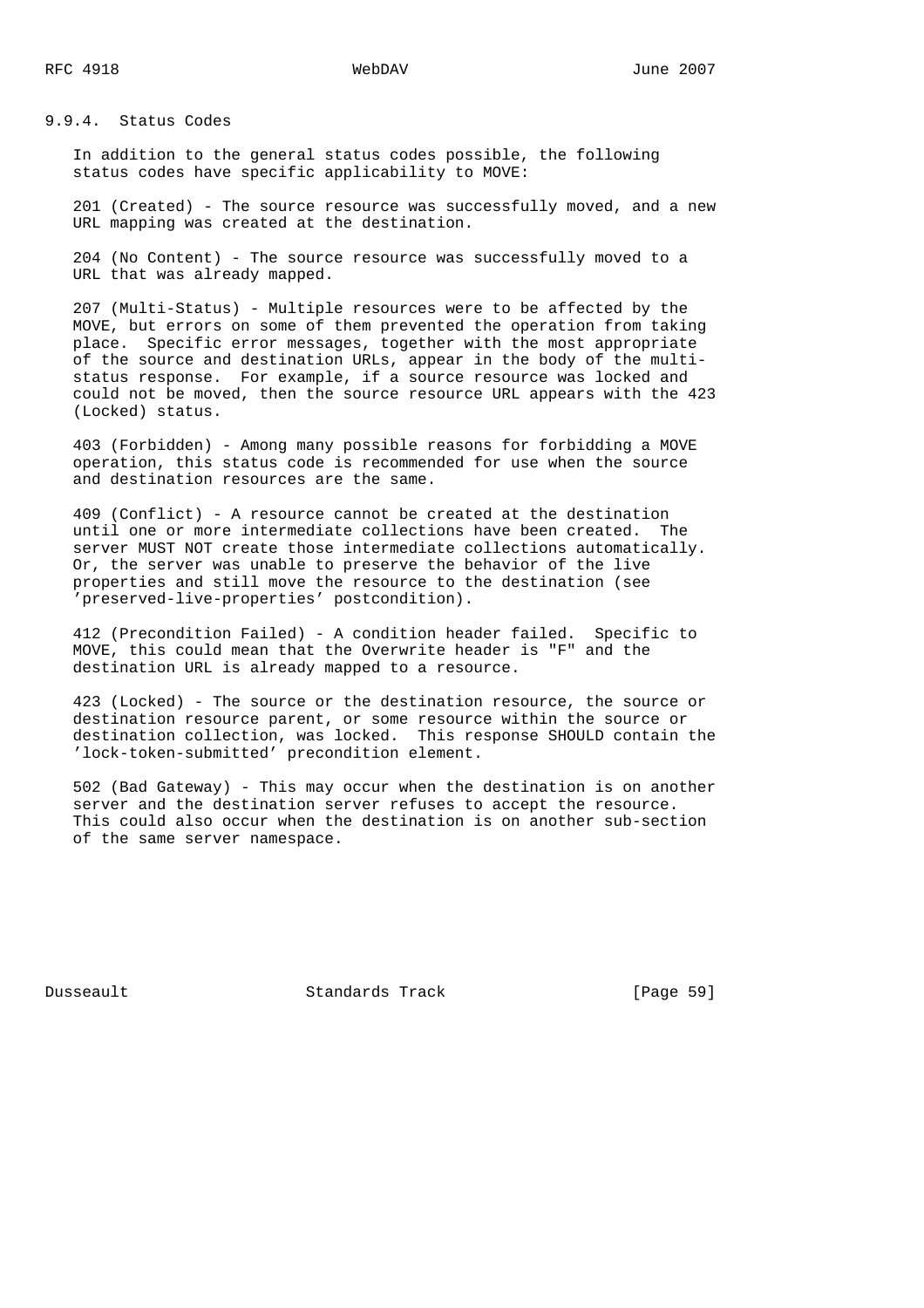9.9.4. Status Codes

 In addition to the general status codes possible, the following status codes have specific applicability to MOVE:

 201 (Created) - The source resource was successfully moved, and a new URL mapping was created at the destination.

 204 (No Content) - The source resource was successfully moved to a URL that was already mapped.

 207 (Multi-Status) - Multiple resources were to be affected by the MOVE, but errors on some of them prevented the operation from taking place. Specific error messages, together with the most appropriate of the source and destination URLs, appear in the body of the multi status response. For example, if a source resource was locked and could not be moved, then the source resource URL appears with the 423 (Locked) status.

 403 (Forbidden) - Among many possible reasons for forbidding a MOVE operation, this status code is recommended for use when the source and destination resources are the same.

 409 (Conflict) - A resource cannot be created at the destination until one or more intermediate collections have been created. The server MUST NOT create those intermediate collections automatically. Or, the server was unable to preserve the behavior of the live properties and still move the resource to the destination (see 'preserved-live-properties' postcondition).

 412 (Precondition Failed) - A condition header failed. Specific to MOVE, this could mean that the Overwrite header is "F" and the destination URL is already mapped to a resource.

 423 (Locked) - The source or the destination resource, the source or destination resource parent, or some resource within the source or destination collection, was locked. This response SHOULD contain the 'lock-token-submitted' precondition element.

 502 (Bad Gateway) - This may occur when the destination is on another server and the destination server refuses to accept the resource. This could also occur when the destination is on another sub-section of the same server namespace.

Dusseault Standards Track [Page 59]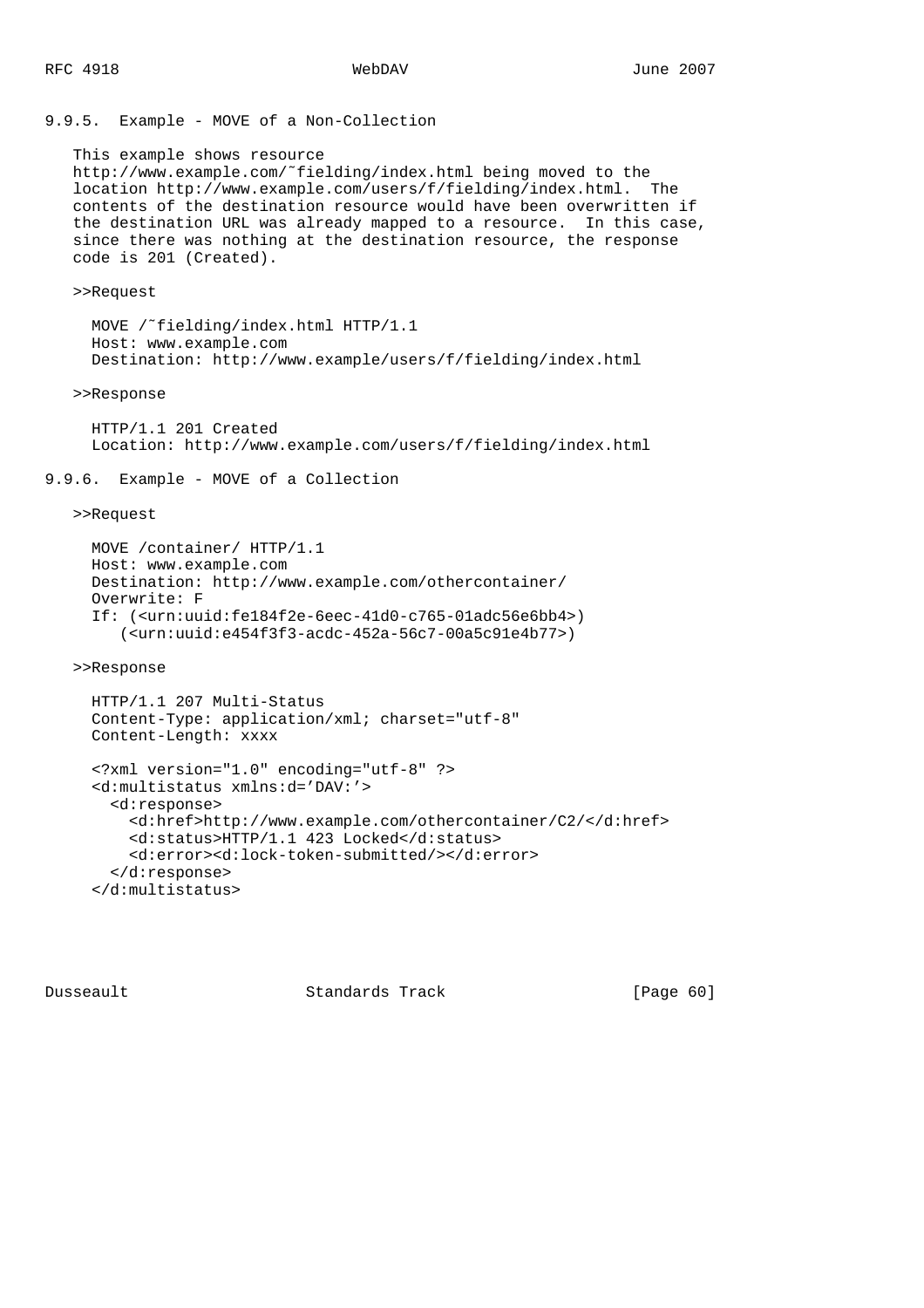9.9.5. Example - MOVE of a Non-Collection

 This example shows resource http://www.example.com/˜fielding/index.html being moved to the location http://www.example.com/users/f/fielding/index.html. The contents of the destination resource would have been overwritten if the destination URL was already mapped to a resource. In this case, since there was nothing at the destination resource, the response code is 201 (Created).

### >>Request

 MOVE /˜fielding/index.html HTTP/1.1 Host: www.example.com Destination: http://www.example/users/f/fielding/index.html

### >>Response

 HTTP/1.1 201 Created Location: http://www.example.com/users/f/fielding/index.html

## 9.9.6. Example - MOVE of a Collection

## >>Request

 MOVE /container/ HTTP/1.1 Host: www.example.com Destination: http://www.example.com/othercontainer/ Overwrite: F If: (<urn:uuid:fe184f2e-6eec-41d0-c765-01adc56e6bb4>) (<urn:uuid:e454f3f3-acdc-452a-56c7-00a5c91e4b77>)

## >>Response

```
 HTTP/1.1 207 Multi-Status
 Content-Type: application/xml; charset="utf-8"
 Content-Length: xxxx
```

```
 <?xml version="1.0" encoding="utf-8" ?>
 <d:multistatus xmlns:d='DAV:'>
   <d:response>
     <d:href>http://www.example.com/othercontainer/C2/</d:href>
     <d:status>HTTP/1.1 423 Locked</d:status>
     <d:error><d:lock-token-submitted/></d:error>
   </d:response>
 </d:multistatus>
```
Dusseault Standards Track [Page 60]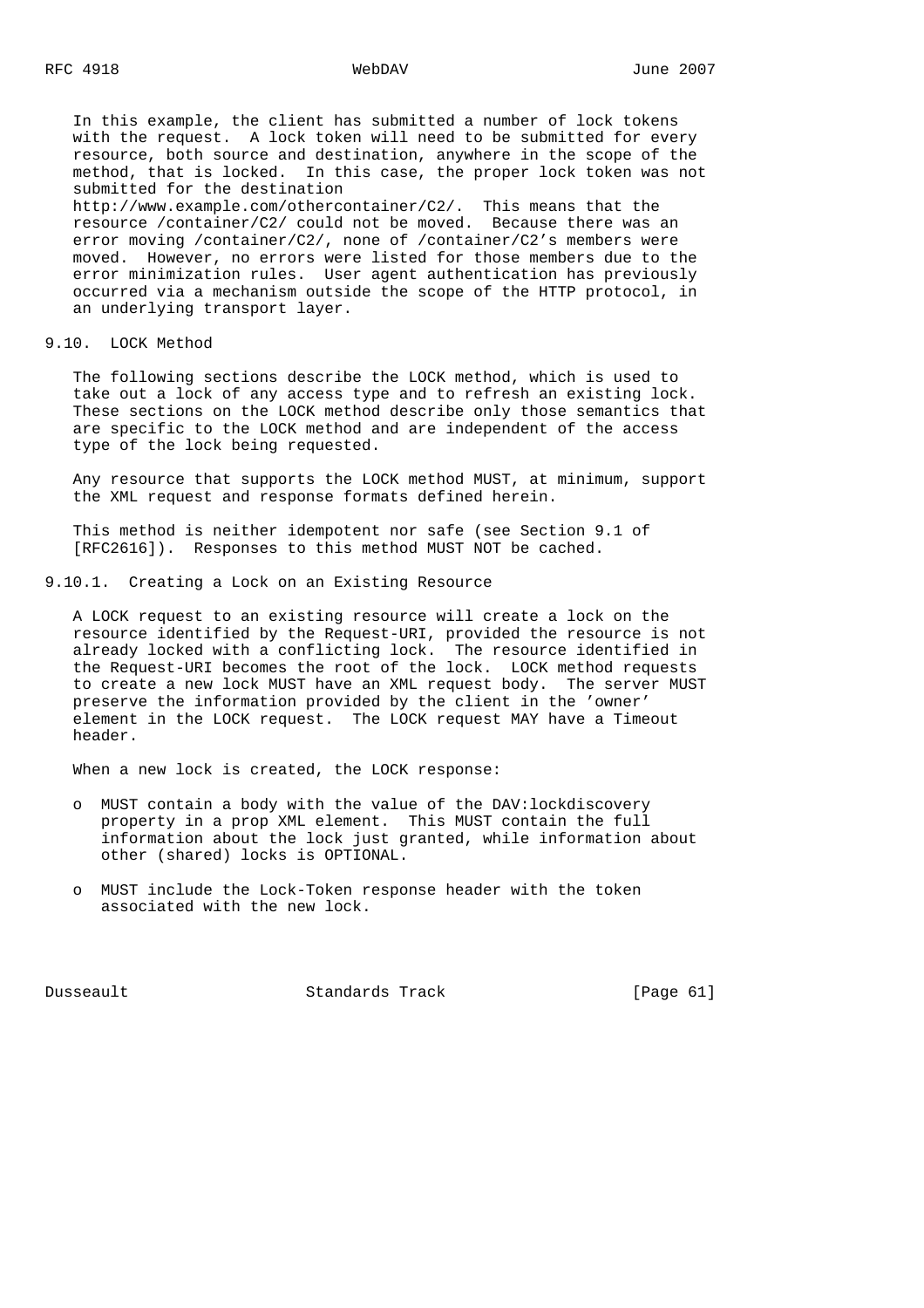In this example, the client has submitted a number of lock tokens with the request. A lock token will need to be submitted for every resource, both source and destination, anywhere in the scope of the method, that is locked. In this case, the proper lock token was not submitted for the destination

 http://www.example.com/othercontainer/C2/. This means that the resource /container/C2/ could not be moved. Because there was an error moving /container/C2/, none of /container/C2's members were moved. However, no errors were listed for those members due to the error minimization rules. User agent authentication has previously occurred via a mechanism outside the scope of the HTTP protocol, in an underlying transport layer.

9.10. LOCK Method

 The following sections describe the LOCK method, which is used to take out a lock of any access type and to refresh an existing lock. These sections on the LOCK method describe only those semantics that are specific to the LOCK method and are independent of the access type of the lock being requested.

 Any resource that supports the LOCK method MUST, at minimum, support the XML request and response formats defined herein.

 This method is neither idempotent nor safe (see Section 9.1 of [RFC2616]). Responses to this method MUST NOT be cached.

9.10.1. Creating a Lock on an Existing Resource

 A LOCK request to an existing resource will create a lock on the resource identified by the Request-URI, provided the resource is not already locked with a conflicting lock. The resource identified in the Request-URI becomes the root of the lock. LOCK method requests to create a new lock MUST have an XML request body. The server MUST preserve the information provided by the client in the 'owner' element in the LOCK request. The LOCK request MAY have a Timeout header.

When a new lock is created, the LOCK response:

- o MUST contain a body with the value of the DAV:lockdiscovery property in a prop XML element. This MUST contain the full information about the lock just granted, while information about other (shared) locks is OPTIONAL.
- o MUST include the Lock-Token response header with the token associated with the new lock.

Dusseault Standards Track [Page 61]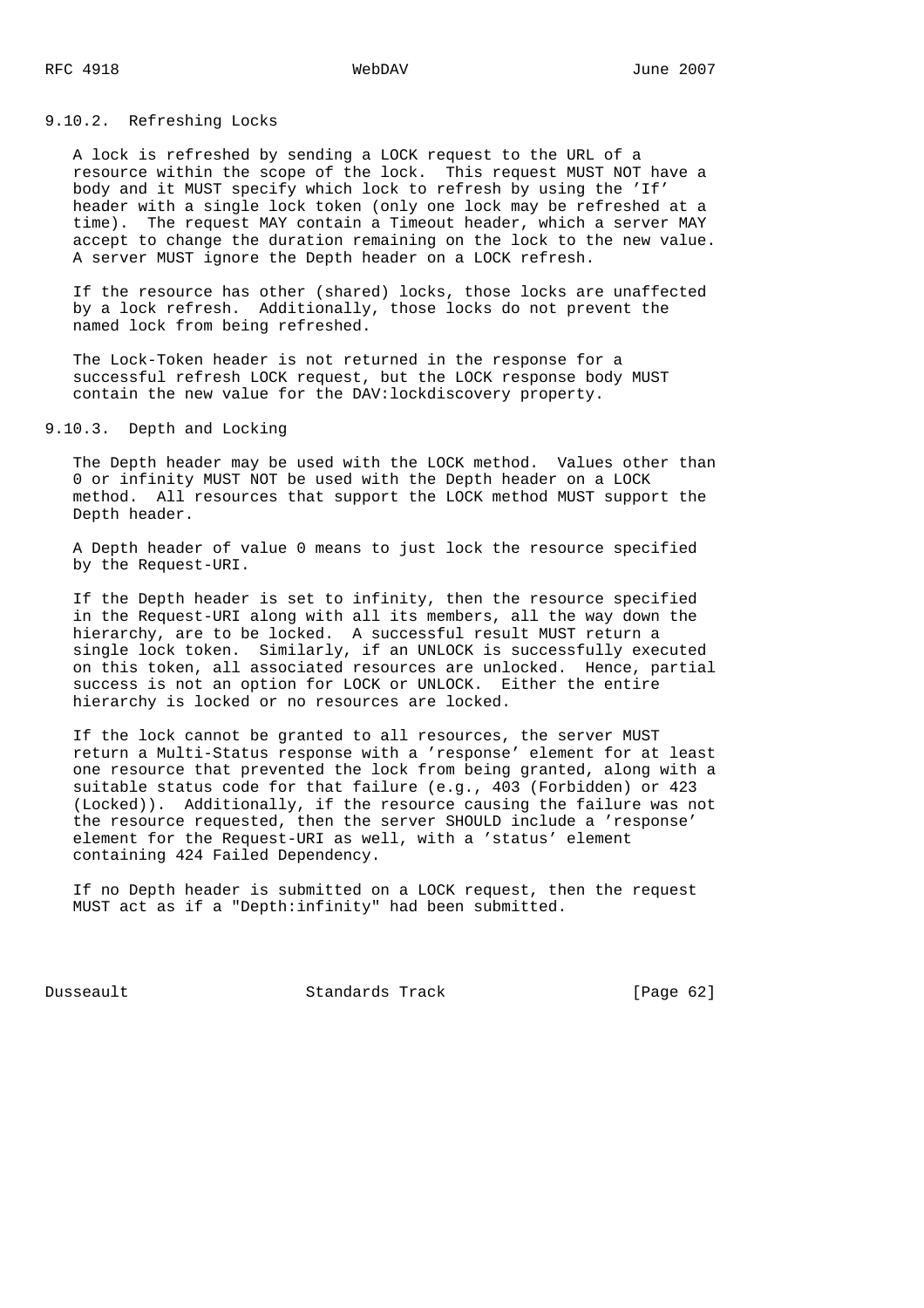# 9.10.2. Refreshing Locks

 A lock is refreshed by sending a LOCK request to the URL of a resource within the scope of the lock. This request MUST NOT have a body and it MUST specify which lock to refresh by using the 'If' header with a single lock token (only one lock may be refreshed at a time). The request MAY contain a Timeout header, which a server MAY accept to change the duration remaining on the lock to the new value. A server MUST ignore the Depth header on a LOCK refresh.

 If the resource has other (shared) locks, those locks are unaffected by a lock refresh. Additionally, those locks do not prevent the named lock from being refreshed.

 The Lock-Token header is not returned in the response for a successful refresh LOCK request, but the LOCK response body MUST contain the new value for the DAV:lockdiscovery property.

## 9.10.3. Depth and Locking

 The Depth header may be used with the LOCK method. Values other than 0 or infinity MUST NOT be used with the Depth header on a LOCK method. All resources that support the LOCK method MUST support the Depth header.

 A Depth header of value 0 means to just lock the resource specified by the Request-URI.

 If the Depth header is set to infinity, then the resource specified in the Request-URI along with all its members, all the way down the hierarchy, are to be locked. A successful result MUST return a single lock token. Similarly, if an UNLOCK is successfully executed on this token, all associated resources are unlocked. Hence, partial success is not an option for LOCK or UNLOCK. Either the entire hierarchy is locked or no resources are locked.

 If the lock cannot be granted to all resources, the server MUST return a Multi-Status response with a 'response' element for at least one resource that prevented the lock from being granted, along with a suitable status code for that failure (e.g., 403 (Forbidden) or 423 (Locked)). Additionally, if the resource causing the failure was not the resource requested, then the server SHOULD include a 'response' element for the Request-URI as well, with a 'status' element containing 424 Failed Dependency.

 If no Depth header is submitted on a LOCK request, then the request MUST act as if a "Depth:infinity" had been submitted.

Dusseault Standards Track [Page 62]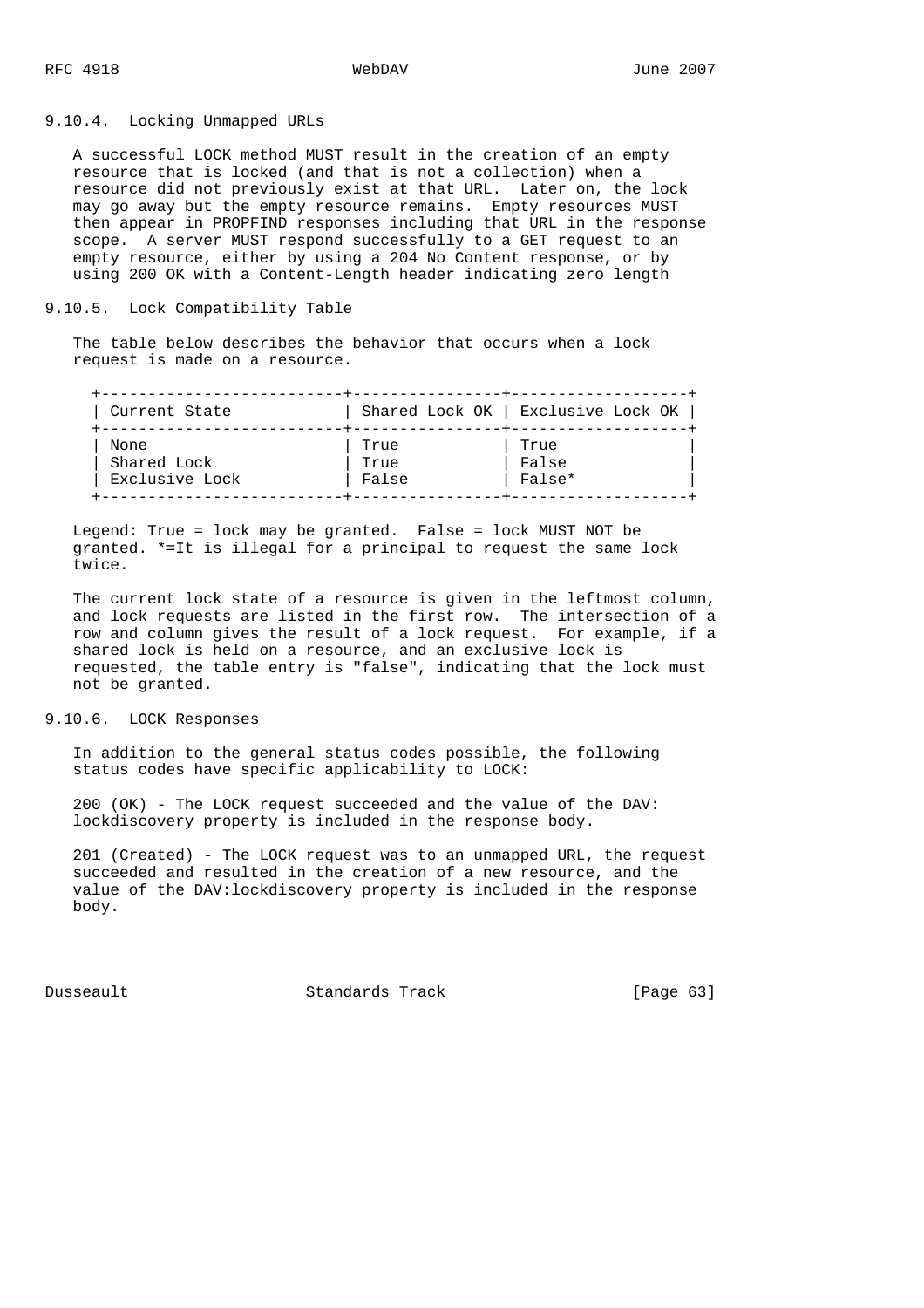9.10.4. Locking Unmapped URLs

 A successful LOCK method MUST result in the creation of an empty resource that is locked (and that is not a collection) when a resource did not previously exist at that URL. Later on, the lock may go away but the empty resource remains. Empty resources MUST then appear in PROPFIND responses including that URL in the response scope. A server MUST respond successfully to a GET request to an empty resource, either by using a 204 No Content response, or by using 200 OK with a Content-Length header indicating zero length

## 9.10.5. Lock Compatibility Table

 The table below describes the behavior that occurs when a lock request is made on a resource.

| Current State  |       | Shared Lock OK   Exclusive Lock OK |
|----------------|-------|------------------------------------|
| None           | True  | True                               |
| Shared Lock    | True  | False                              |
| Exclusive Lock | False | False*                             |

 Legend: True = lock may be granted. False = lock MUST NOT be granted. \*=It is illegal for a principal to request the same lock twice.

 The current lock state of a resource is given in the leftmost column, and lock requests are listed in the first row. The intersection of a row and column gives the result of a lock request. For example, if a shared lock is held on a resource, and an exclusive lock is requested, the table entry is "false", indicating that the lock must not be granted.

## 9.10.6. LOCK Responses

 In addition to the general status codes possible, the following status codes have specific applicability to LOCK:

 200 (OK) - The LOCK request succeeded and the value of the DAV: lockdiscovery property is included in the response body.

 201 (Created) - The LOCK request was to an unmapped URL, the request succeeded and resulted in the creation of a new resource, and the value of the DAV:lockdiscovery property is included in the response body.

Dusseault Standards Track [Page 63]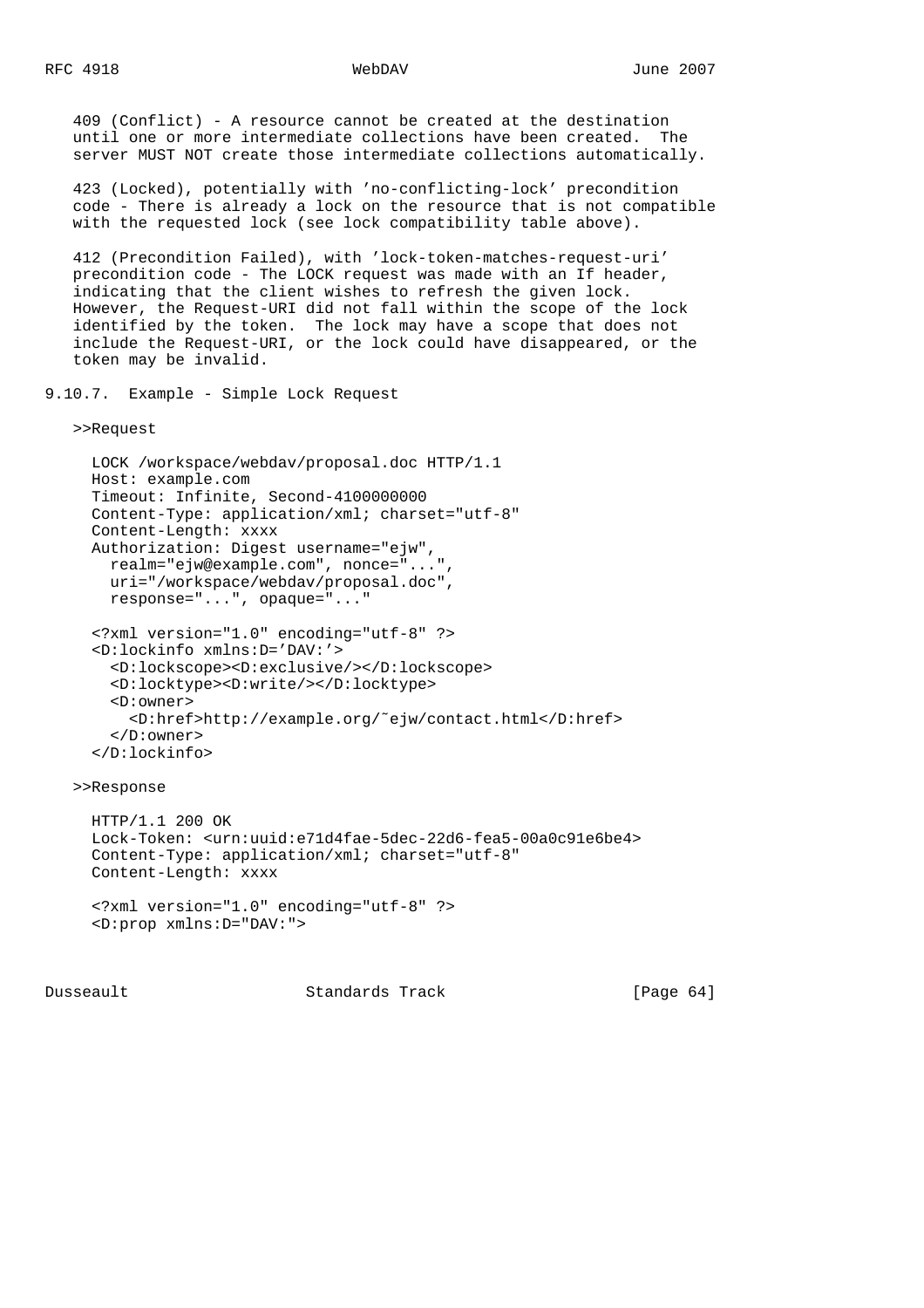409 (Conflict) - A resource cannot be created at the destination until one or more intermediate collections have been created. The server MUST NOT create those intermediate collections automatically.

 423 (Locked), potentially with 'no-conflicting-lock' precondition code - There is already a lock on the resource that is not compatible with the requested lock (see lock compatibility table above).

 412 (Precondition Failed), with 'lock-token-matches-request-uri' precondition code - The LOCK request was made with an If header, indicating that the client wishes to refresh the given lock. However, the Request-URI did not fall within the scope of the lock identified by the token. The lock may have a scope that does not include the Request-URI, or the lock could have disappeared, or the token may be invalid.

9.10.7. Example - Simple Lock Request

>>Request

```
 LOCK /workspace/webdav/proposal.doc HTTP/1.1
 Host: example.com
 Timeout: Infinite, Second-4100000000
 Content-Type: application/xml; charset="utf-8"
 Content-Length: xxxx
 Authorization: Digest username="ejw",
  realm="ejw@example.com", nonce="...",
  uri="/workspace/webdav/proposal.doc",
  response="...", opaque="..."
 <?xml version="1.0" encoding="utf-8" ?>
 <D:lockinfo xmlns:D='DAV:'>
   <D:lockscope><D:exclusive/></D:lockscope>
   <D:locktype><D:write/></D:locktype>
   <D:owner>
     <D:href>http://example.org/˜ejw/contact.html</D:href>
   </D:owner>
 </D:lockinfo>
```
>>Response

```
 HTTP/1.1 200 OK
 Lock-Token: <urn:uuid:e71d4fae-5dec-22d6-fea5-00a0c91e6be4>
 Content-Type: application/xml; charset="utf-8"
 Content-Length: xxxx
 <?xml version="1.0" encoding="utf-8" ?>
```

```
 <D:prop xmlns:D="DAV:">
```
Dusseault Standards Track [Page 64]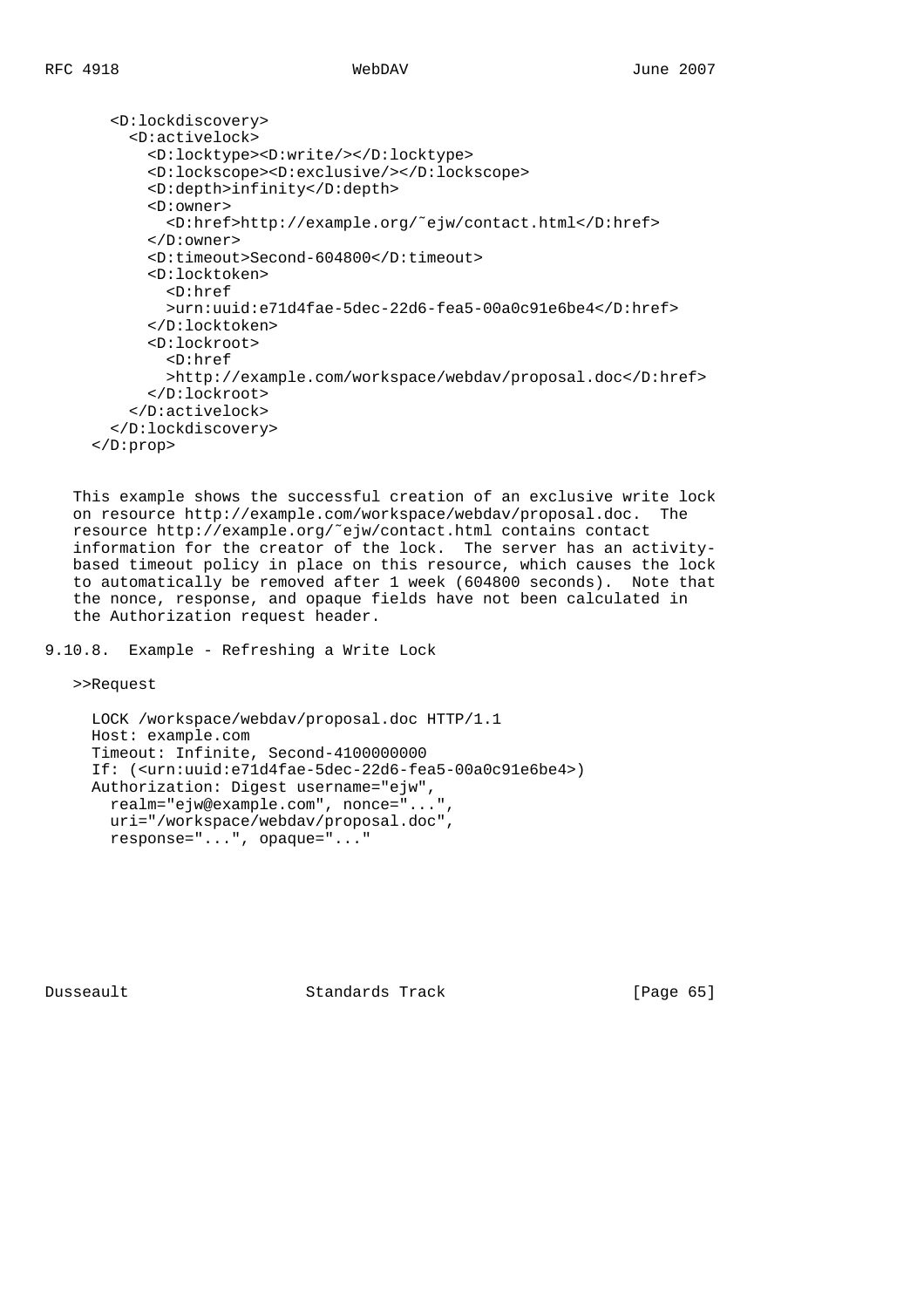```
 <D:lockdiscovery>
     <D:activelock>
       <D:locktype><D:write/></D:locktype>
       <D:lockscope><D:exclusive/></D:lockscope>
       <D:depth>infinity</D:depth>
       <D:owner>
         <D:href>http://example.org/˜ejw/contact.html</D:href>
       </D:owner>
       <D:timeout>Second-604800</D:timeout>
       <D:locktoken>
         <D:href
         >urn:uuid:e71d4fae-5dec-22d6-fea5-00a0c91e6be4</D:href>
       </D:locktoken>
       <D:lockroot>
         <D:href
         >http://example.com/workspace/webdav/proposal.doc</D:href>
       </D:lockroot>
     </D:activelock>
   </D:lockdiscovery>
 </D:prop>
```
 This example shows the successful creation of an exclusive write lock on resource http://example.com/workspace/webdav/proposal.doc. The resource http://example.org/˜ejw/contact.html contains contact information for the creator of the lock. The server has an activity based timeout policy in place on this resource, which causes the lock to automatically be removed after 1 week (604800 seconds). Note that the nonce, response, and opaque fields have not been calculated in the Authorization request header.

9.10.8. Example - Refreshing a Write Lock

>>Request

```
 LOCK /workspace/webdav/proposal.doc HTTP/1.1
 Host: example.com
 Timeout: Infinite, Second-4100000000
 If: (<urn:uuid:e71d4fae-5dec-22d6-fea5-00a0c91e6be4>)
 Authorization: Digest username="ejw",
  realm="ejw@example.com", nonce="...",
  uri="/workspace/webdav/proposal.doc",
  response="...", opaque="..."
```
Dusseault Standards Track [Page 65]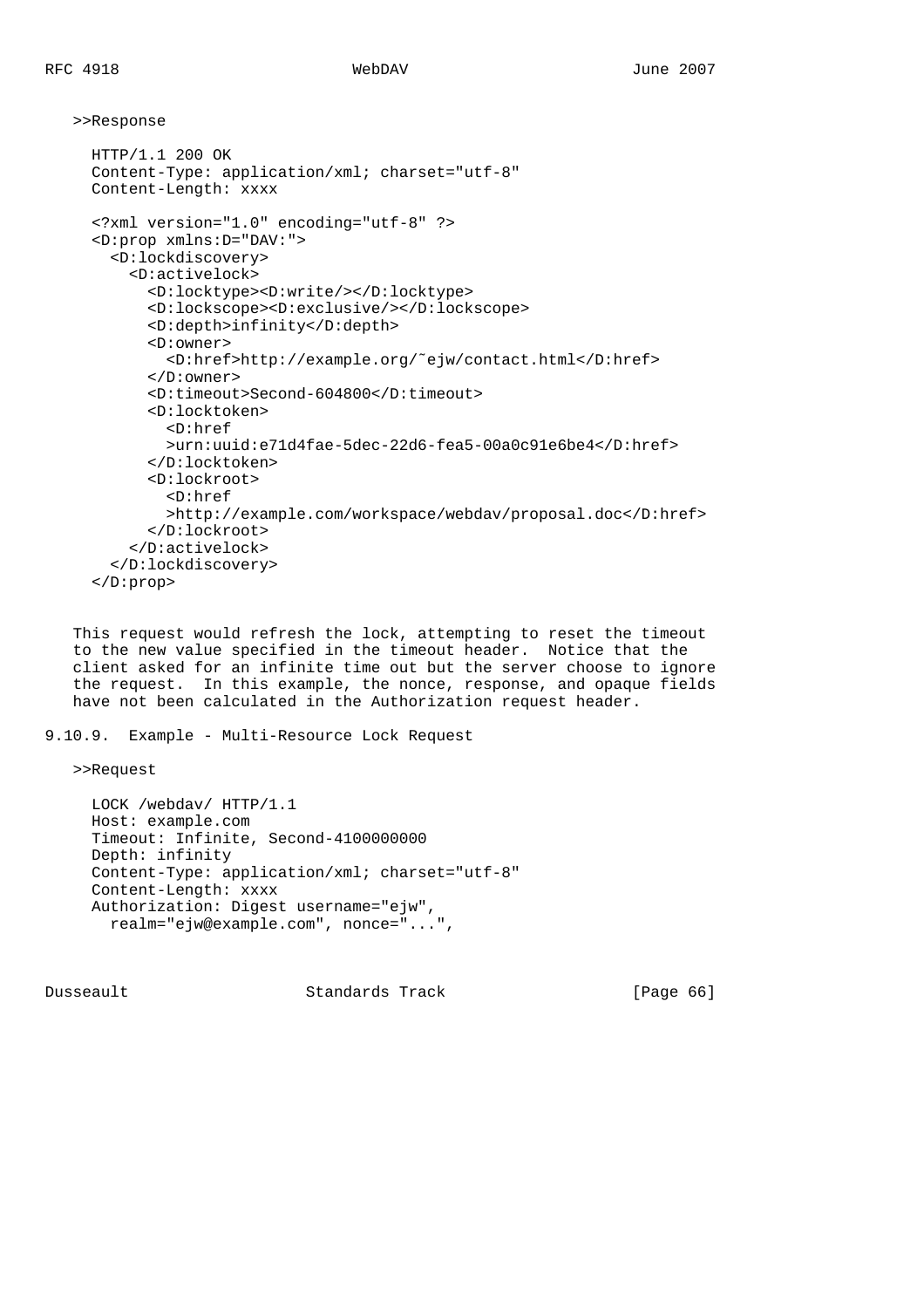>>Response

```
 HTTP/1.1 200 OK
 Content-Type: application/xml; charset="utf-8"
 Content-Length: xxxx
 <?xml version="1.0" encoding="utf-8" ?>
 <D:prop xmlns:D="DAV:">
   <D:lockdiscovery>
     <D:activelock>
       <D:locktype><D:write/></D:locktype>
       <D:lockscope><D:exclusive/></D:lockscope>
       <D:depth>infinity</D:depth>
       <D:owner>
         <D:href>http://example.org/˜ejw/contact.html</D:href>
       </D:owner>
       <D:timeout>Second-604800</D:timeout>
       <D:locktoken>
         <D:href
         >urn:uuid:e71d4fae-5dec-22d6-fea5-00a0c91e6be4</D:href>
       </D:locktoken>
       <D:lockroot>
         <D:href
         >http://example.com/workspace/webdav/proposal.doc</D:href>
       </D:lockroot>
     </D:activelock>
   </D:lockdiscovery>
 </D:prop>
```
 This request would refresh the lock, attempting to reset the timeout to the new value specified in the timeout header. Notice that the client asked for an infinite time out but the server choose to ignore the request. In this example, the nonce, response, and opaque fields have not been calculated in the Authorization request header.

```
9.10.9. Example - Multi-Resource Lock Request
```

```
 >>Request
```

```
 LOCK /webdav/ HTTP/1.1
 Host: example.com
 Timeout: Infinite, Second-4100000000
 Depth: infinity
 Content-Type: application/xml; charset="utf-8"
 Content-Length: xxxx
 Authorization: Digest username="ejw",
   realm="ejw@example.com", nonce="...",
```
Dusseault Standards Track [Page 66]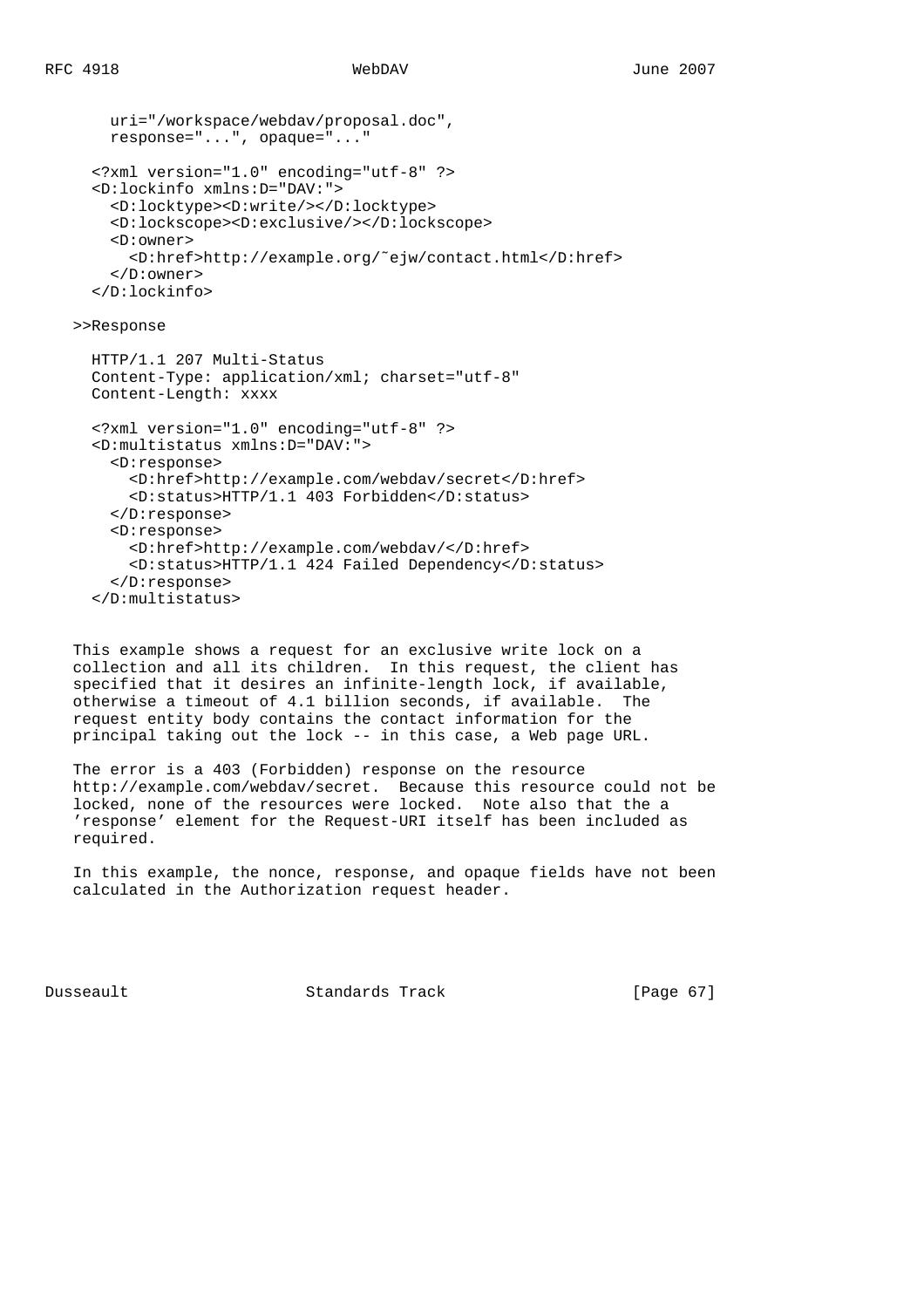```
 uri="/workspace/webdav/proposal.doc",
  response="...", opaque="..."
 <?xml version="1.0" encoding="utf-8" ?>
 <D:lockinfo xmlns:D="DAV:">
  <D:locktype><D:write/></D:locktype>
  <D:lockscope><D:exclusive/></D:lockscope>
  <D:owner>
     <D:href>http://example.org/˜ejw/contact.html</D:href>
  </D:owner>
 </D:lockinfo>
```
>>Response

```
 HTTP/1.1 207 Multi-Status
 Content-Type: application/xml; charset="utf-8"
 Content-Length: xxxx
 <?xml version="1.0" encoding="utf-8" ?>
 <D:multistatus xmlns:D="DAV:">
   <D:response>
     <D:href>http://example.com/webdav/secret</D:href>
     <D:status>HTTP/1.1 403 Forbidden</D:status>
   </D:response>
   <D:response>
     <D:href>http://example.com/webdav/</D:href>
     <D:status>HTTP/1.1 424 Failed Dependency</D:status>
   </D:response>
 </D:multistatus>
```
 This example shows a request for an exclusive write lock on a collection and all its children. In this request, the client has specified that it desires an infinite-length lock, if available, otherwise a timeout of 4.1 billion seconds, if available. The request entity body contains the contact information for the principal taking out the lock -- in this case, a Web page URL.

 The error is a 403 (Forbidden) response on the resource http://example.com/webdav/secret. Because this resource could not be locked, none of the resources were locked. Note also that the a 'response' element for the Request-URI itself has been included as required.

 In this example, the nonce, response, and opaque fields have not been calculated in the Authorization request header.

Dusseault Standards Track [Page 67]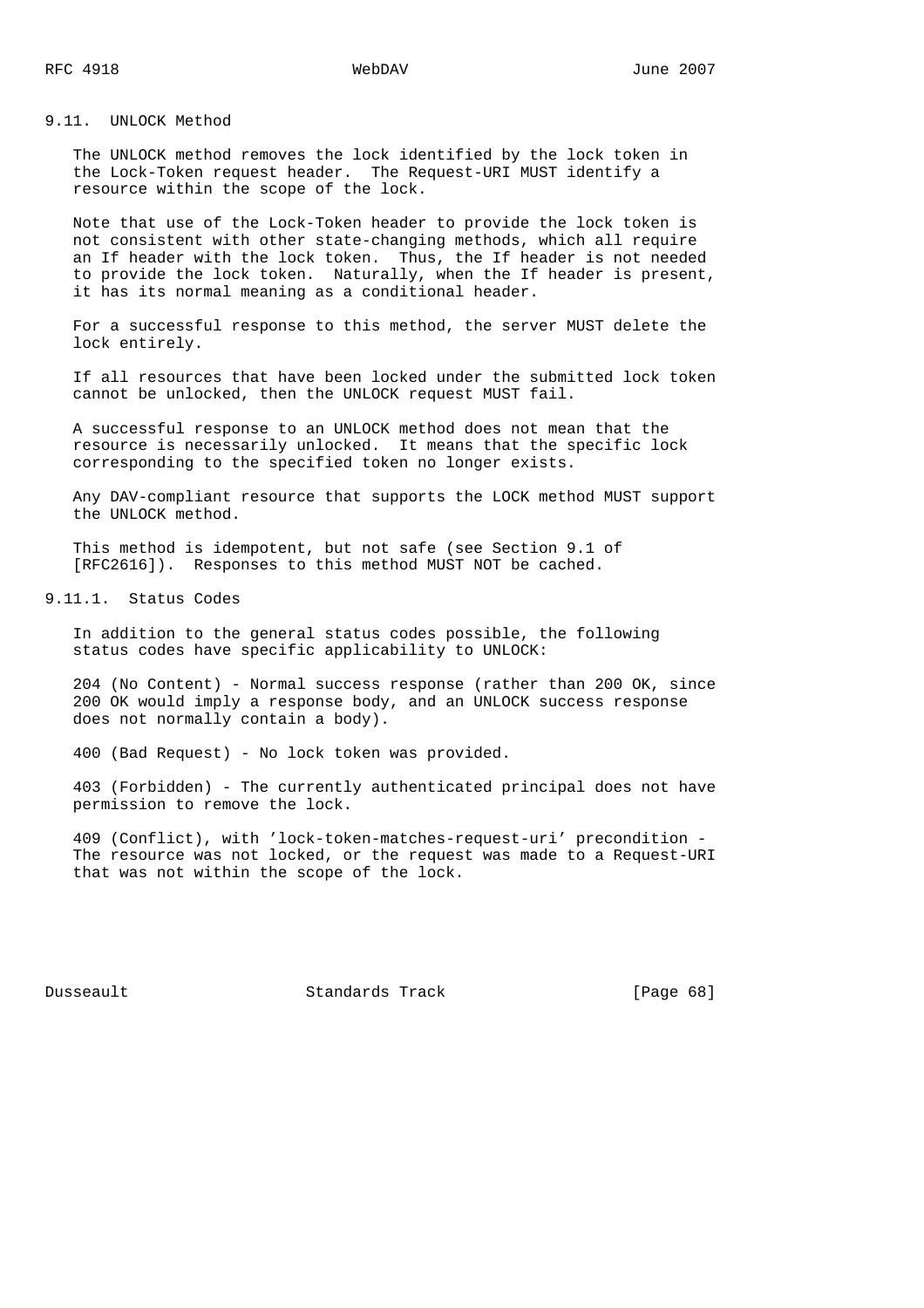9.11. UNLOCK Method

 The UNLOCK method removes the lock identified by the lock token in the Lock-Token request header. The Request-URI MUST identify a resource within the scope of the lock.

 Note that use of the Lock-Token header to provide the lock token is not consistent with other state-changing methods, which all require an If header with the lock token. Thus, the If header is not needed to provide the lock token. Naturally, when the If header is present, it has its normal meaning as a conditional header.

 For a successful response to this method, the server MUST delete the lock entirely.

 If all resources that have been locked under the submitted lock token cannot be unlocked, then the UNLOCK request MUST fail.

 A successful response to an UNLOCK method does not mean that the resource is necessarily unlocked. It means that the specific lock corresponding to the specified token no longer exists.

 Any DAV-compliant resource that supports the LOCK method MUST support the UNLOCK method.

 This method is idempotent, but not safe (see Section 9.1 of [RFC2616]). Responses to this method MUST NOT be cached.

9.11.1. Status Codes

 In addition to the general status codes possible, the following status codes have specific applicability to UNLOCK:

 204 (No Content) - Normal success response (rather than 200 OK, since 200 OK would imply a response body, and an UNLOCK success response does not normally contain a body).

400 (Bad Request) - No lock token was provided.

 403 (Forbidden) - The currently authenticated principal does not have permission to remove the lock.

 409 (Conflict), with 'lock-token-matches-request-uri' precondition - The resource was not locked, or the request was made to a Request-URI that was not within the scope of the lock.

Dusseault Standards Track [Page 68]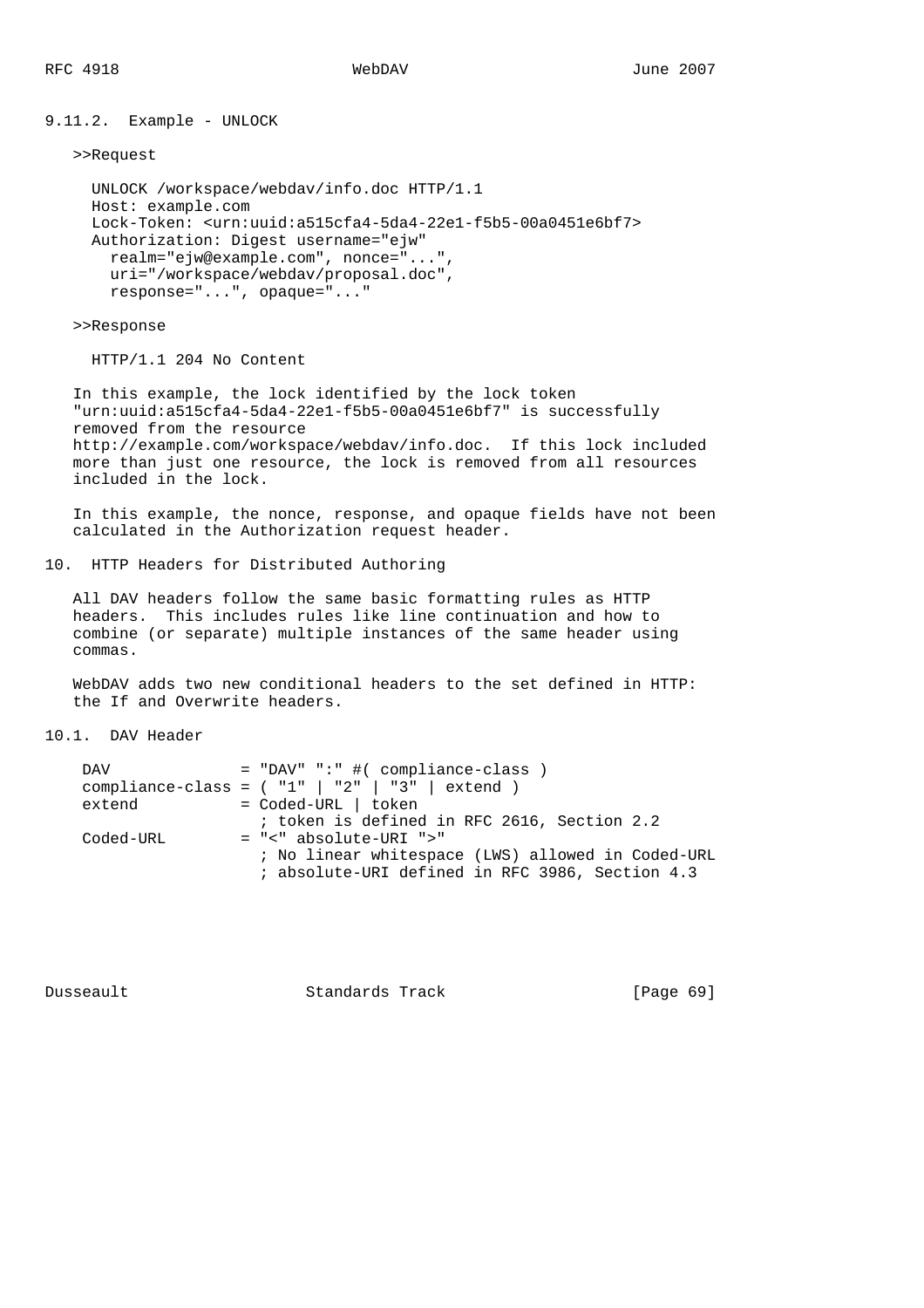9.11.2. Example - UNLOCK

```
 >>Request
```

```
 UNLOCK /workspace/webdav/info.doc HTTP/1.1
 Host: example.com
 Lock-Token: <urn:uuid:a515cfa4-5da4-22e1-f5b5-00a0451e6bf7>
 Authorization: Digest username="ejw"
  realm="ejw@example.com", nonce="...",
  uri="/workspace/webdav/proposal.doc",
  response="...", opaque="..."
```
>>Response

HTTP/1.1 204 No Content

 In this example, the lock identified by the lock token "urn:uuid:a515cfa4-5da4-22e1-f5b5-00a0451e6bf7" is successfully removed from the resource http://example.com/workspace/webdav/info.doc. If this lock included more than just one resource, the lock is removed from all resources included in the lock.

 In this example, the nonce, response, and opaque fields have not been calculated in the Authorization request header.

10. HTTP Headers for Distributed Authoring

 All DAV headers follow the same basic formatting rules as HTTP headers. This includes rules like line continuation and how to combine (or separate) multiple instances of the same header using commas.

 WebDAV adds two new conditional headers to the set defined in HTTP: the If and Overwrite headers.

10.1. DAV Header

| DAV       | $=$ "DAV" ":" #( compliance-class )<br>compliance-class = $( "1"   "2"   "3"   extend )$ |
|-----------|------------------------------------------------------------------------------------------|
| extend    | = Coded-URL   token                                                                      |
|           | ; token is defined in RFC 2616, Section 2.2                                              |
| Coded-URL | $= "<-a$ absolute-URI $">'$                                                              |
|           | ; No linear whitespace (LWS) allowed in Coded-URL                                        |
|           | ; absolute-URI defined in RFC 3986, Section 4.3                                          |

Dusseault Standards Track [Page 69]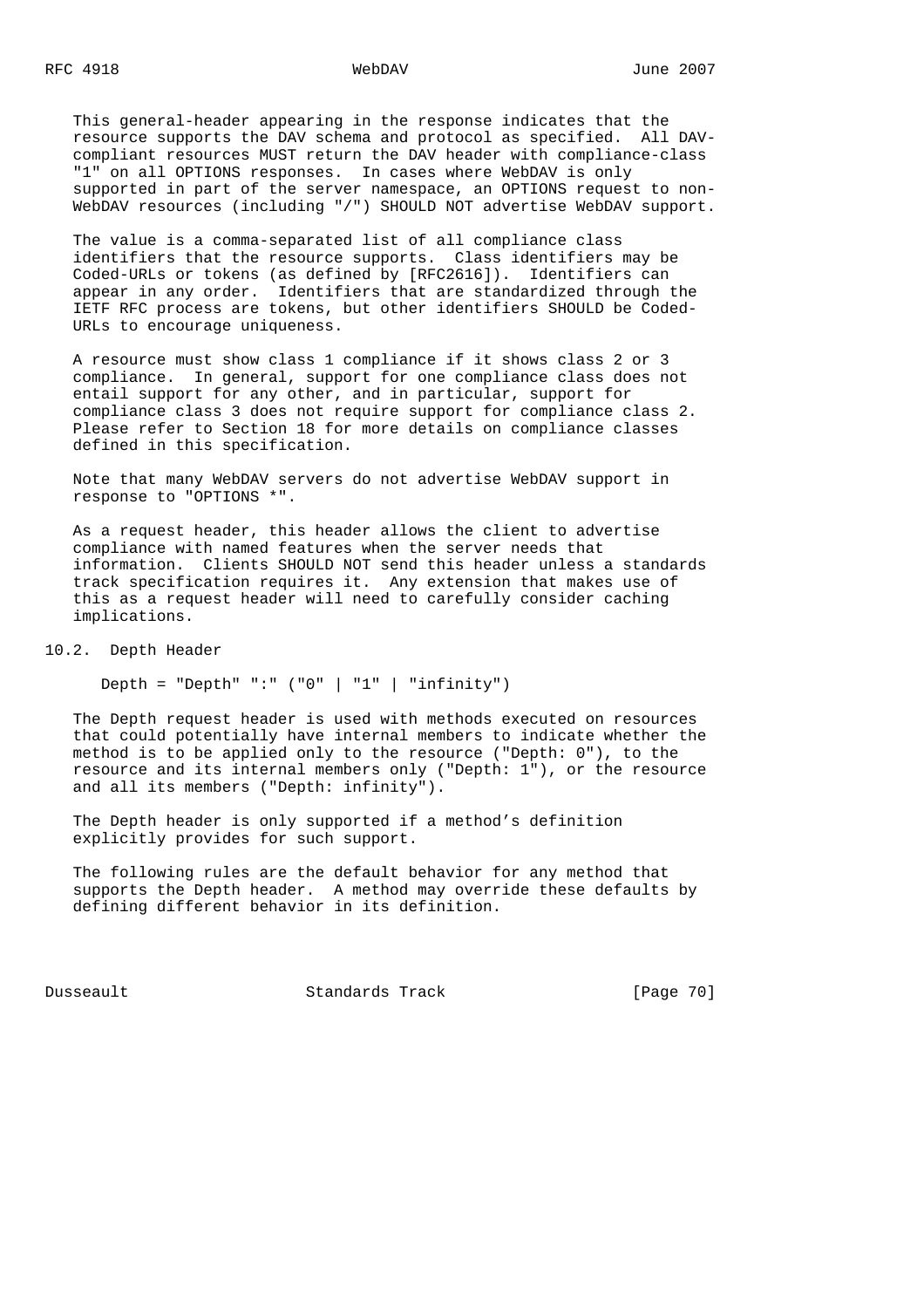This general-header appearing in the response indicates that the resource supports the DAV schema and protocol as specified. All DAV compliant resources MUST return the DAV header with compliance-class "1" on all OPTIONS responses. In cases where WebDAV is only supported in part of the server namespace, an OPTIONS request to non- WebDAV resources (including "/") SHOULD NOT advertise WebDAV support.

 The value is a comma-separated list of all compliance class identifiers that the resource supports. Class identifiers may be Coded-URLs or tokens (as defined by [RFC2616]). Identifiers can appear in any order. Identifiers that are standardized through the IETF RFC process are tokens, but other identifiers SHOULD be Coded- URLs to encourage uniqueness.

 A resource must show class 1 compliance if it shows class 2 or 3 compliance. In general, support for one compliance class does not entail support for any other, and in particular, support for compliance class 3 does not require support for compliance class 2. Please refer to Section 18 for more details on compliance classes defined in this specification.

 Note that many WebDAV servers do not advertise WebDAV support in response to "OPTIONS \*".

 As a request header, this header allows the client to advertise compliance with named features when the server needs that information. Clients SHOULD NOT send this header unless a standards track specification requires it. Any extension that makes use of this as a request header will need to carefully consider caching implications.

10.2. Depth Header

Depth = "Depth" ":"  $( "0" | "1" | "infinity" )$ 

 The Depth request header is used with methods executed on resources that could potentially have internal members to indicate whether the method is to be applied only to the resource ("Depth: 0"), to the resource and its internal members only ("Depth: 1"), or the resource and all its members ("Depth: infinity").

 The Depth header is only supported if a method's definition explicitly provides for such support.

 The following rules are the default behavior for any method that supports the Depth header. A method may override these defaults by defining different behavior in its definition.

Dusseault Standards Track [Page 70]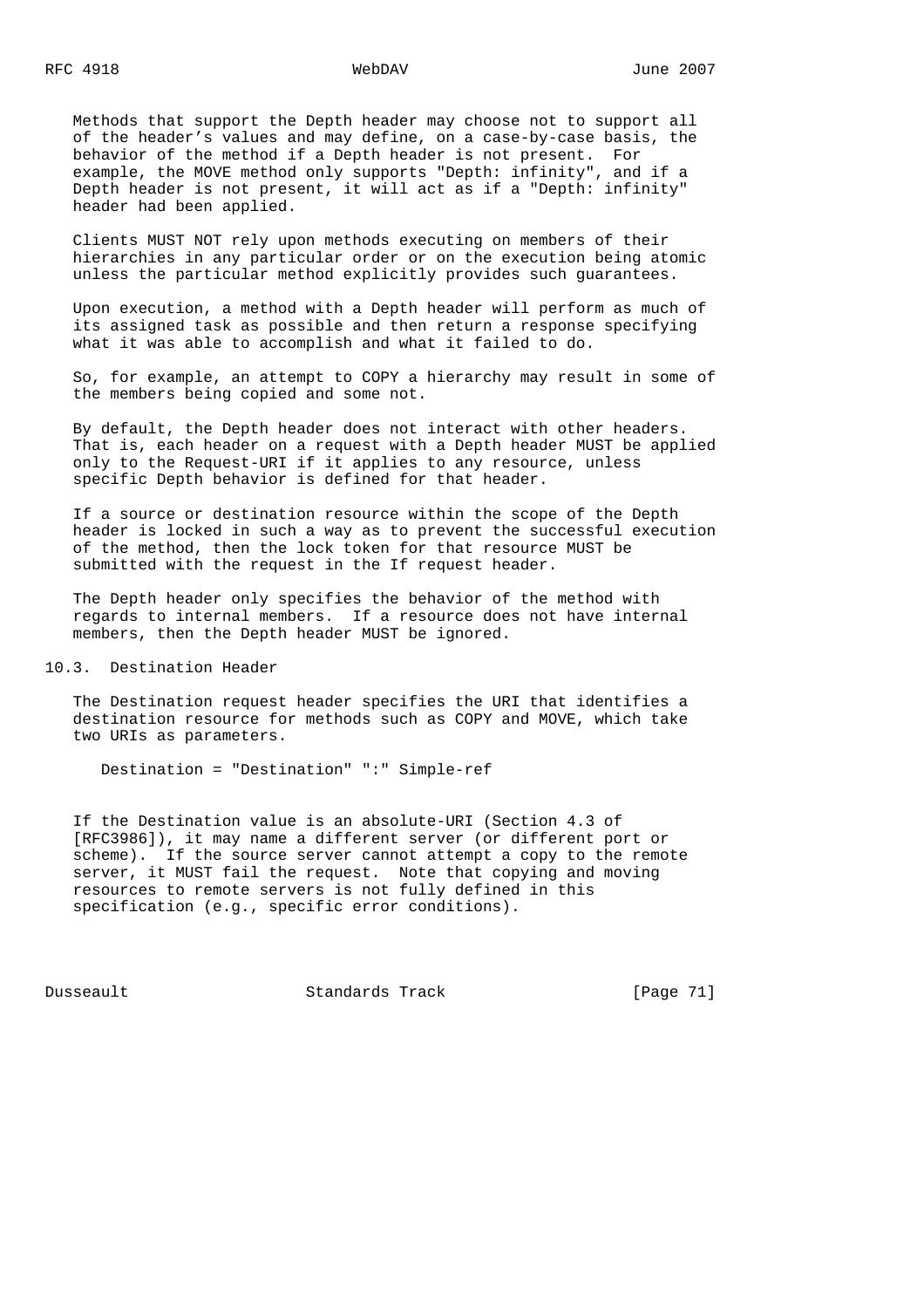Methods that support the Depth header may choose not to support all of the header's values and may define, on a case-by-case basis, the behavior of the method if a Depth header is not present. For example, the MOVE method only supports "Depth: infinity", and if a Depth header is not present, it will act as if a "Depth: infinity" header had been applied.

 Clients MUST NOT rely upon methods executing on members of their hierarchies in any particular order or on the execution being atomic unless the particular method explicitly provides such guarantees.

 Upon execution, a method with a Depth header will perform as much of its assigned task as possible and then return a response specifying what it was able to accomplish and what it failed to do.

 So, for example, an attempt to COPY a hierarchy may result in some of the members being copied and some not.

 By default, the Depth header does not interact with other headers. That is, each header on a request with a Depth header MUST be applied only to the Request-URI if it applies to any resource, unless specific Depth behavior is defined for that header.

 If a source or destination resource within the scope of the Depth header is locked in such a way as to prevent the successful execution of the method, then the lock token for that resource MUST be submitted with the request in the If request header.

 The Depth header only specifies the behavior of the method with regards to internal members. If a resource does not have internal members, then the Depth header MUST be ignored.

10.3. Destination Header

 The Destination request header specifies the URI that identifies a destination resource for methods such as COPY and MOVE, which take two URIs as parameters.

Destination = "Destination" ":" Simple-ref

 If the Destination value is an absolute-URI (Section 4.3 of [RFC3986]), it may name a different server (or different port or scheme). If the source server cannot attempt a copy to the remote server, it MUST fail the request. Note that copying and moving resources to remote servers is not fully defined in this specification (e.g., specific error conditions).

Dusseault Standards Track [Page 71]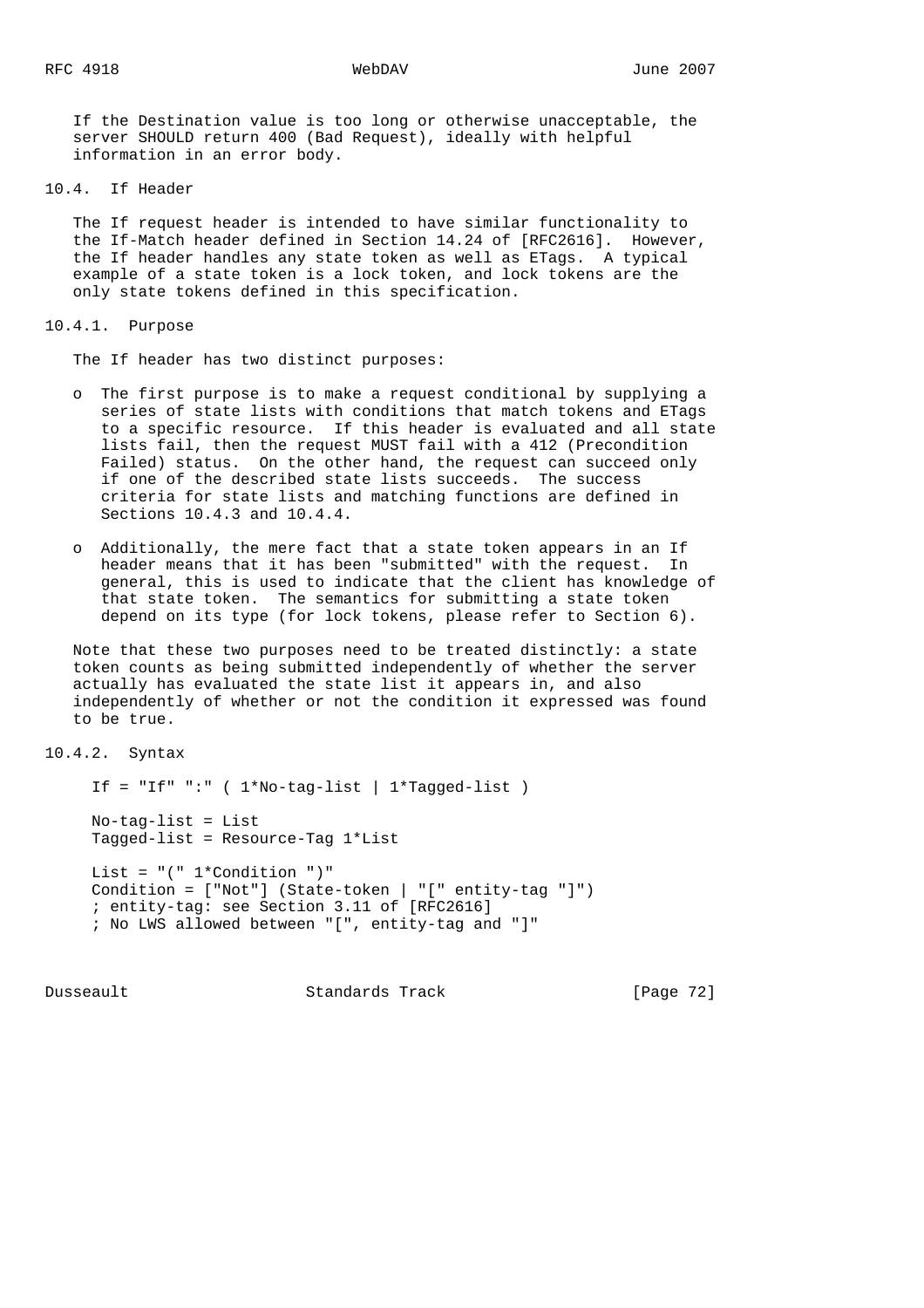If the Destination value is too long or otherwise unacceptable, the server SHOULD return 400 (Bad Request), ideally with helpful information in an error body.

10.4. If Header

 The If request header is intended to have similar functionality to the If-Match header defined in Section 14.24 of [RFC2616]. However, the If header handles any state token as well as ETags. A typical example of a state token is a lock token, and lock tokens are the only state tokens defined in this specification.

10.4.1. Purpose

The If header has two distinct purposes:

- o The first purpose is to make a request conditional by supplying a series of state lists with conditions that match tokens and ETags to a specific resource. If this header is evaluated and all state lists fail, then the request MUST fail with a 412 (Precondition Failed) status. On the other hand, the request can succeed only if one of the described state lists succeeds. The success criteria for state lists and matching functions are defined in Sections 10.4.3 and 10.4.4.
- o Additionally, the mere fact that a state token appears in an If header means that it has been "submitted" with the request. In general, this is used to indicate that the client has knowledge of that state token. The semantics for submitting a state token depend on its type (for lock tokens, please refer to Section 6).

 Note that these two purposes need to be treated distinctly: a state token counts as being submitted independently of whether the server actually has evaluated the state list it appears in, and also independently of whether or not the condition it expressed was found to be true.

```
10.4.2. Syntax
```
If = "If" ":"  $(1*No-tag-list \mid 1*Tagged-list)$  No-tag-list = List Tagged-list = Resource-Tag 1\*List List = "(" 1\*Condition ")" Condition = ["Not"] (State-token | "[" entity-tag "]") ; entity-tag: see Section 3.11 of [RFC2616] ; No LWS allowed between "[", entity-tag and "]"

Dusseault Standards Track [Page 72]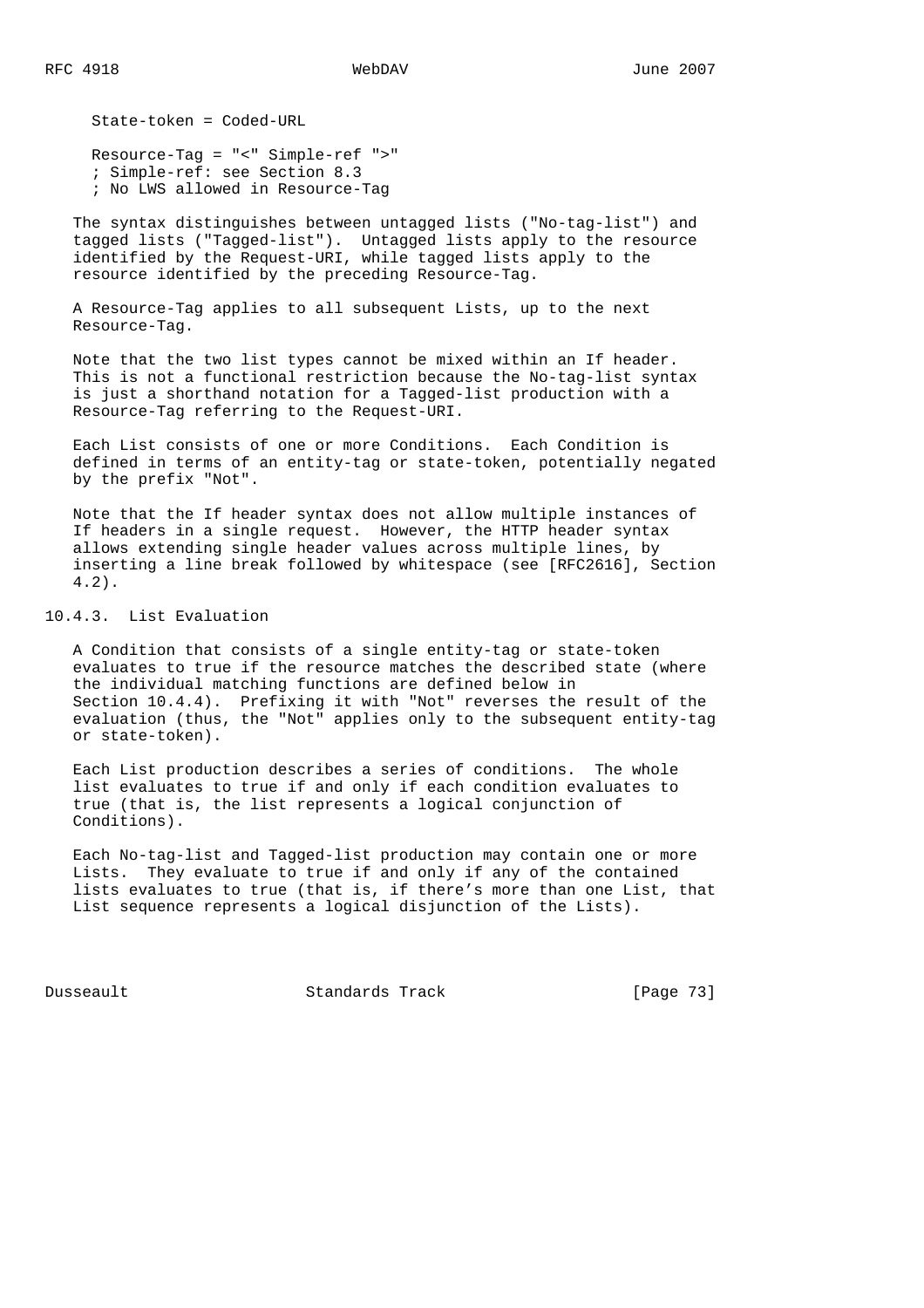State-token = Coded-URL

 Resource-Tag = "<" Simple-ref ">" ; Simple-ref: see Section 8.3 ; No LWS allowed in Resource-Tag

 The syntax distinguishes between untagged lists ("No-tag-list") and tagged lists ("Tagged-list"). Untagged lists apply to the resource identified by the Request-URI, while tagged lists apply to the resource identified by the preceding Resource-Tag.

 A Resource-Tag applies to all subsequent Lists, up to the next Resource-Tag.

 Note that the two list types cannot be mixed within an If header. This is not a functional restriction because the No-tag-list syntax is just a shorthand notation for a Tagged-list production with a Resource-Tag referring to the Request-URI.

 Each List consists of one or more Conditions. Each Condition is defined in terms of an entity-tag or state-token, potentially negated by the prefix "Not".

 Note that the If header syntax does not allow multiple instances of If headers in a single request. However, the HTTP header syntax allows extending single header values across multiple lines, by inserting a line break followed by whitespace (see [RFC2616], Section 4.2).

10.4.3. List Evaluation

 A Condition that consists of a single entity-tag or state-token evaluates to true if the resource matches the described state (where the individual matching functions are defined below in Section 10.4.4). Prefixing it with "Not" reverses the result of the evaluation (thus, the "Not" applies only to the subsequent entity-tag or state-token).

 Each List production describes a series of conditions. The whole list evaluates to true if and only if each condition evaluates to true (that is, the list represents a logical conjunction of Conditions).

 Each No-tag-list and Tagged-list production may contain one or more Lists. They evaluate to true if and only if any of the contained lists evaluates to true (that is, if there's more than one List, that List sequence represents a logical disjunction of the Lists).

Dusseault Standards Track [Page 73]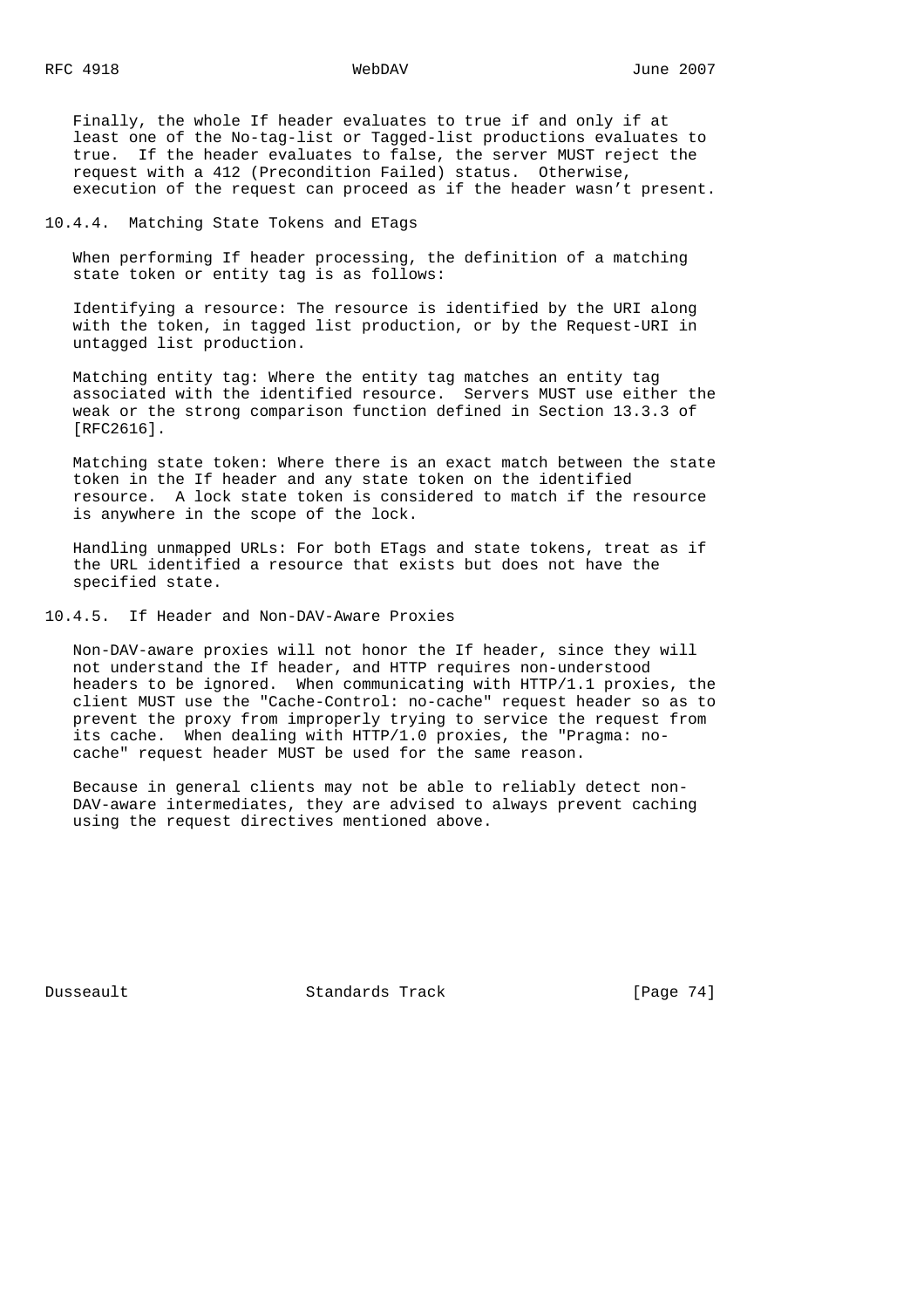Finally, the whole If header evaluates to true if and only if at least one of the No-tag-list or Tagged-list productions evaluates to true. If the header evaluates to false, the server MUST reject the request with a 412 (Precondition Failed) status. Otherwise, execution of the request can proceed as if the header wasn't present.

10.4.4. Matching State Tokens and ETags

 When performing If header processing, the definition of a matching state token or entity tag is as follows:

 Identifying a resource: The resource is identified by the URI along with the token, in tagged list production, or by the Request-URI in untagged list production.

 Matching entity tag: Where the entity tag matches an entity tag associated with the identified resource. Servers MUST use either the weak or the strong comparison function defined in Section 13.3.3 of [RFC2616].

 Matching state token: Where there is an exact match between the state token in the If header and any state token on the identified resource. A lock state token is considered to match if the resource is anywhere in the scope of the lock.

 Handling unmapped URLs: For both ETags and state tokens, treat as if the URL identified a resource that exists but does not have the specified state.

10.4.5. If Header and Non-DAV-Aware Proxies

 Non-DAV-aware proxies will not honor the If header, since they will not understand the If header, and HTTP requires non-understood headers to be ignored. When communicating with HTTP/1.1 proxies, the client MUST use the "Cache-Control: no-cache" request header so as to prevent the proxy from improperly trying to service the request from its cache. When dealing with HTTP/1.0 proxies, the "Pragma: no cache" request header MUST be used for the same reason.

 Because in general clients may not be able to reliably detect non- DAV-aware intermediates, they are advised to always prevent caching using the request directives mentioned above.

Dusseault Standards Track [Page 74]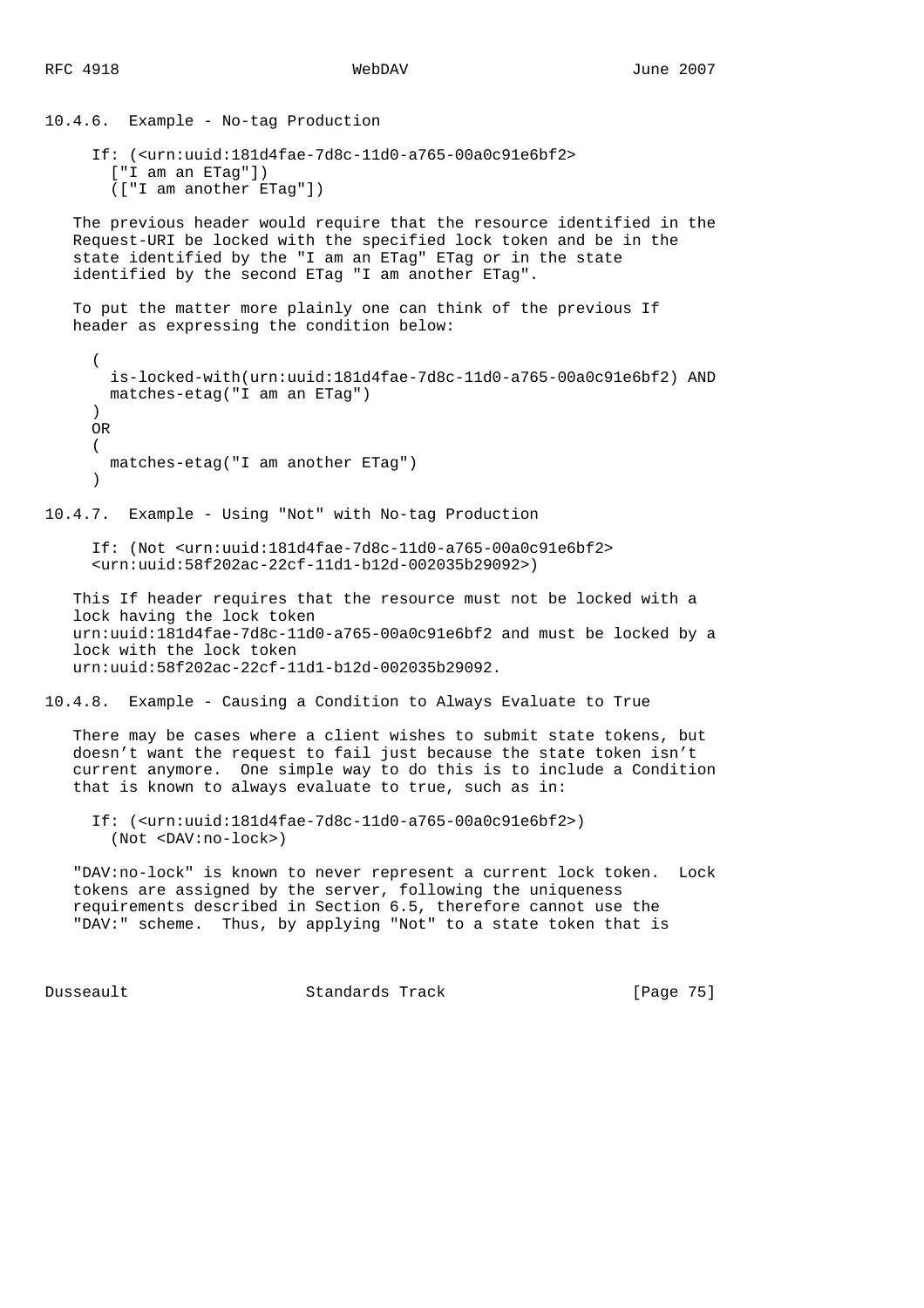```
10.4.6. Example - No-tag Production
      If: (<urn:uuid:181d4fae-7d8c-11d0-a765-00a0c91e6bf2>
        ["I am an ETag"])
        (["I am another ETag"])
    The previous header would require that the resource identified in the
    Request-URI be locked with the specified lock token and be in the
    state identified by the "I am an ETag" ETag or in the state
    identified by the second ETag "I am another ETag".
    To put the matter more plainly one can think of the previous If
    header as expressing the condition below:
      (
        is-locked-with(urn:uuid:181d4fae-7d8c-11d0-a765-00a0c91e6bf2) AND
       matches-etag("I am an ETag")
\overline{\phantom{a}} OR
      (
       matches-etag("I am another ETag")
\overline{\phantom{a}}10.4.7. Example - Using "Not" with No-tag Production
      If: (Not <urn:uuid:181d4fae-7d8c-11d0-a765-00a0c91e6bf2>
      <urn:uuid:58f202ac-22cf-11d1-b12d-002035b29092>)
    This If header requires that the resource must not be locked with a
    lock having the lock token
    urn:uuid:181d4fae-7d8c-11d0-a765-00a0c91e6bf2 and must be locked by a
    lock with the lock token
    urn:uuid:58f202ac-22cf-11d1-b12d-002035b29092.
10.4.8. Example - Causing a Condition to Always Evaluate to True
    There may be cases where a client wishes to submit state tokens, but
    doesn't want the request to fail just because the state token isn't
    current anymore. One simple way to do this is to include a Condition
    that is known to always evaluate to true, such as in:
      If: (<urn:uuid:181d4fae-7d8c-11d0-a765-00a0c91e6bf2>)
        (Not <DAV:no-lock>)
    "DAV:no-lock" is known to never represent a current lock token. Lock
    tokens are assigned by the server, following the uniqueness
    requirements described in Section 6.5, therefore cannot use the
    "DAV:" scheme. Thus, by applying "Not" to a state token that is
```
Dusseault Standards Track [Page 75]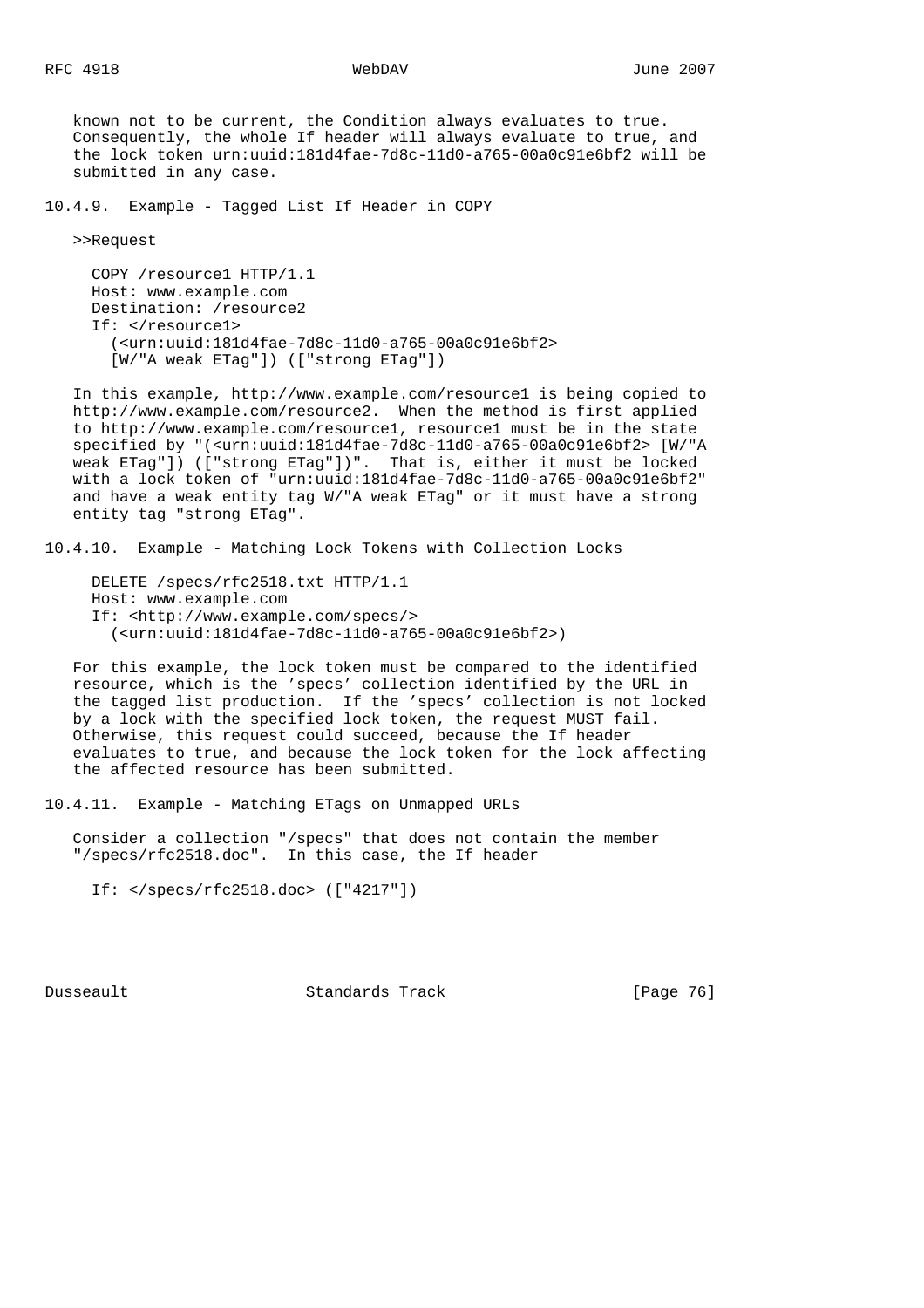known not to be current, the Condition always evaluates to true. Consequently, the whole If header will always evaluate to true, and the lock token urn:uuid:181d4fae-7d8c-11d0-a765-00a0c91e6bf2 will be submitted in any case.

10.4.9. Example - Tagged List If Header in COPY

>>Request

 COPY /resource1 HTTP/1.1 Host: www.example.com Destination: /resource2 If: </resource1> (<urn:uuid:181d4fae-7d8c-11d0-a765-00a0c91e6bf2> [W/"A weak ETag"]) (["strong ETag"])

 In this example, http://www.example.com/resource1 is being copied to http://www.example.com/resource2. When the method is first applied to http://www.example.com/resource1, resource1 must be in the state specified by "(<urn:uuid:181d4fae-7d8c-11d0-a765-00a0c91e6bf2> [W/"A weak ETag"]) (["strong ETag"])". That is, either it must be locked with a lock token of "urn:uuid:181d4fae-7d8c-11d0-a765-00a0c91e6bf2" and have a weak entity tag W/"A weak ETag" or it must have a strong entity tag "strong ETag".

10.4.10. Example - Matching Lock Tokens with Collection Locks

 DELETE /specs/rfc2518.txt HTTP/1.1 Host: www.example.com If: <http://www.example.com/specs/> (<urn:uuid:181d4fae-7d8c-11d0-a765-00a0c91e6bf2>)

 For this example, the lock token must be compared to the identified resource, which is the 'specs' collection identified by the URL in the tagged list production. If the 'specs' collection is not locked by a lock with the specified lock token, the request MUST fail. Otherwise, this request could succeed, because the If header evaluates to true, and because the lock token for the lock affecting the affected resource has been submitted.

10.4.11. Example - Matching ETags on Unmapped URLs

 Consider a collection "/specs" that does not contain the member "/specs/rfc2518.doc". In this case, the If header

If: </specs/rfc2518.doc> (["4217"])

Dusseault Standards Track [Page 76]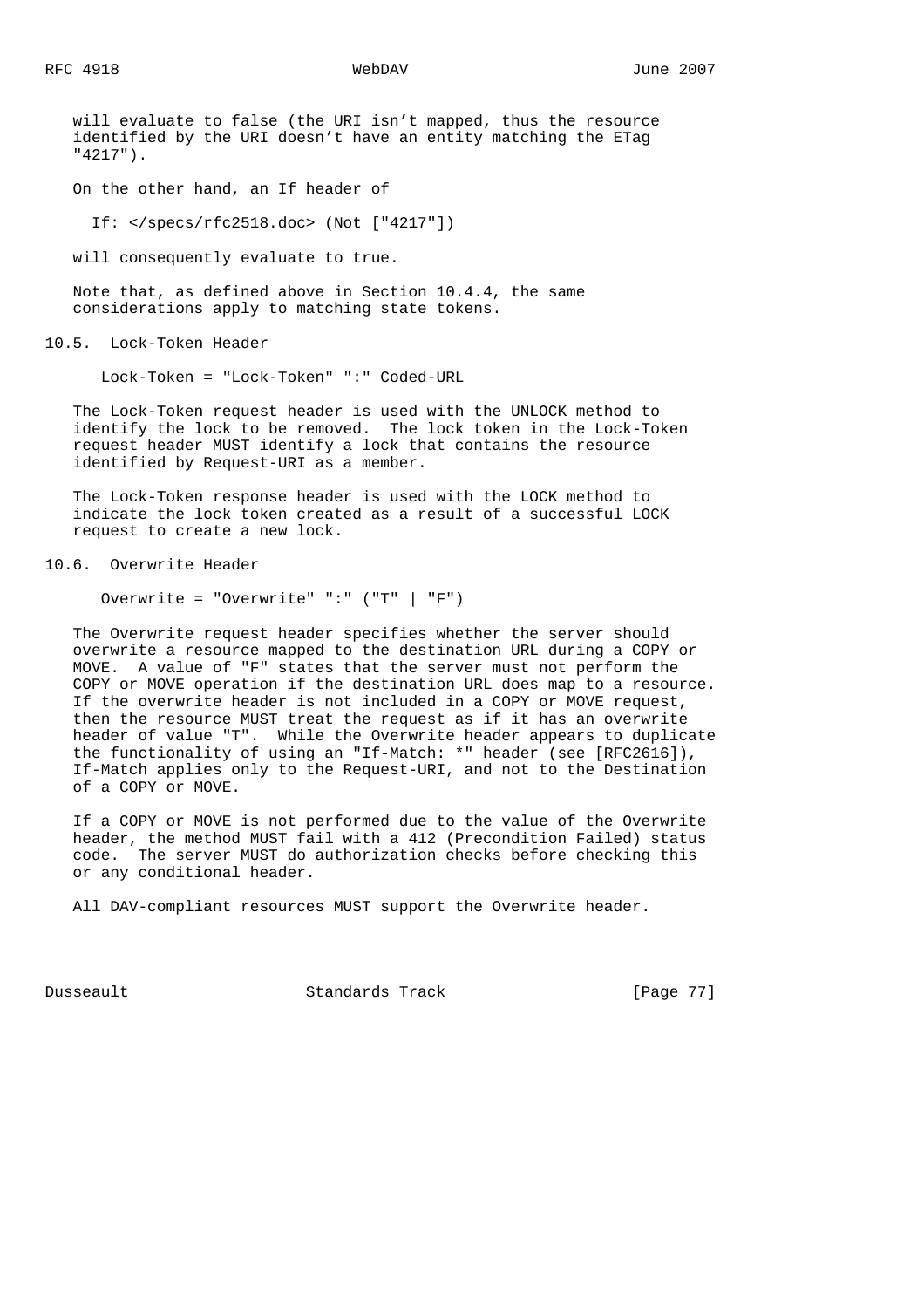will evaluate to false (the URI isn't mapped, thus the resource identified by the URI doesn't have an entity matching the ETag "4217").

On the other hand, an If header of

If: </specs/rfc2518.doc> (Not ["4217"])

will consequently evaluate to true.

 Note that, as defined above in Section 10.4.4, the same considerations apply to matching state tokens.

10.5. Lock-Token Header

Lock-Token = "Lock-Token" ":" Coded-URL

 The Lock-Token request header is used with the UNLOCK method to identify the lock to be removed. The lock token in the Lock-Token request header MUST identify a lock that contains the resource identified by Request-URI as a member.

 The Lock-Token response header is used with the LOCK method to indicate the lock token created as a result of a successful LOCK request to create a new lock.

10.6. Overwrite Header

Overwrite = "Overwrite" ":" ("T" | "F")

 The Overwrite request header specifies whether the server should overwrite a resource mapped to the destination URL during a COPY or MOVE. A value of "F" states that the server must not perform the COPY or MOVE operation if the destination URL does map to a resource. If the overwrite header is not included in a COPY or MOVE request, then the resource MUST treat the request as if it has an overwrite header of value "T". While the Overwrite header appears to duplicate the functionality of using an "If-Match: \*" header (see [RFC2616]), If-Match applies only to the Request-URI, and not to the Destination of a COPY or MOVE.

 If a COPY or MOVE is not performed due to the value of the Overwrite header, the method MUST fail with a 412 (Precondition Failed) status code. The server MUST do authorization checks before checking this or any conditional header.

All DAV-compliant resources MUST support the Overwrite header.

Dusseault Standards Track [Page 77]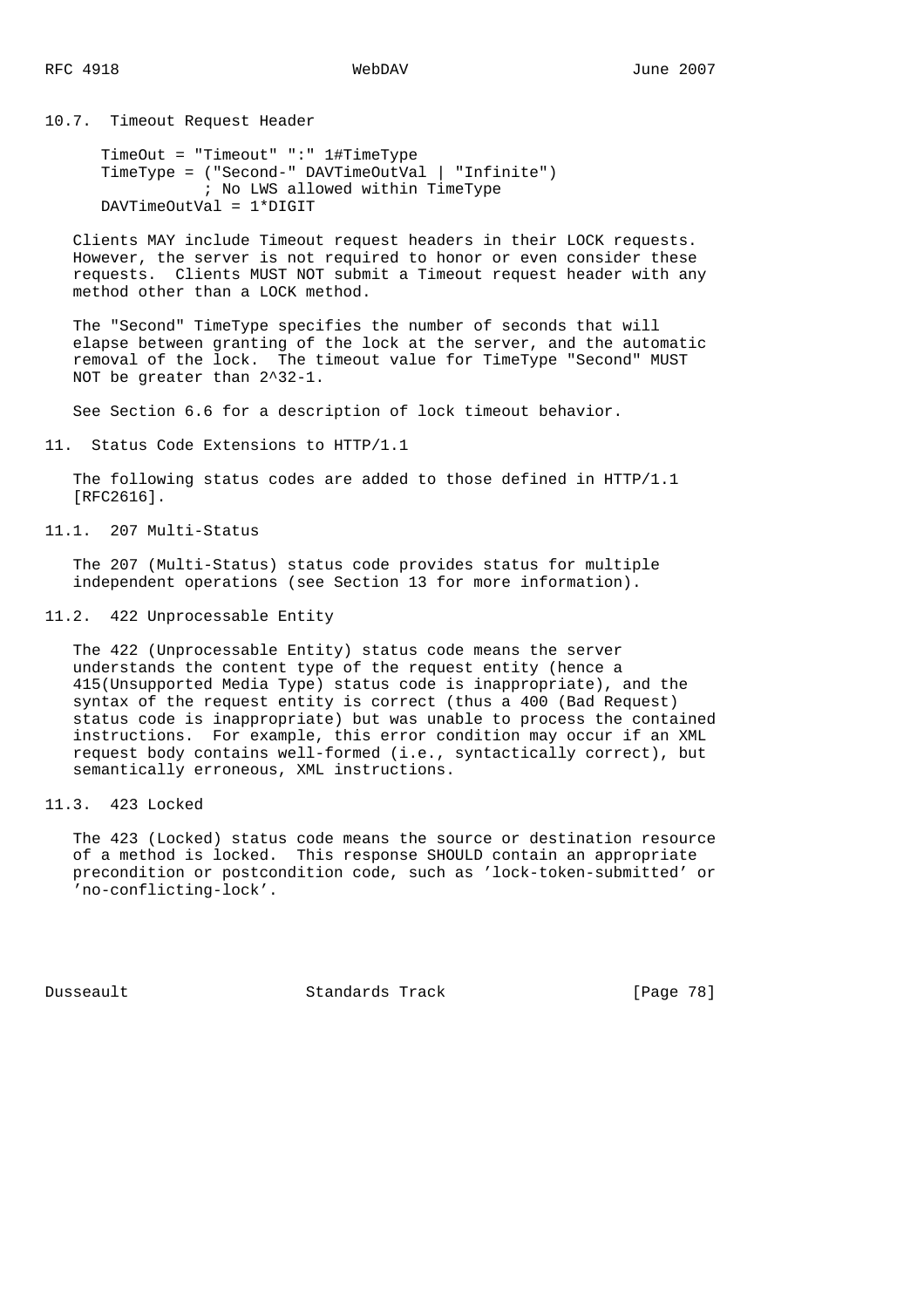10.7. Timeout Request Header

```
 TimeOut = "Timeout" ":" 1#TimeType
 TimeType = ("Second-" DAVTimeOutVal | "Infinite")
      ; No LWS allowed within TimeType
 DAVTimeOutVal = 1*DIGIT
```
 Clients MAY include Timeout request headers in their LOCK requests. However, the server is not required to honor or even consider these requests. Clients MUST NOT submit a Timeout request header with any method other than a LOCK method.

 The "Second" TimeType specifies the number of seconds that will elapse between granting of the lock at the server, and the automatic removal of the lock. The timeout value for TimeType "Second" MUST NOT be greater than 2^32-1.

See Section 6.6 for a description of lock timeout behavior.

11. Status Code Extensions to HTTP/1.1

 The following status codes are added to those defined in HTTP/1.1 [RFC2616].

11.1. 207 Multi-Status

 The 207 (Multi-Status) status code provides status for multiple independent operations (see Section 13 for more information).

11.2. 422 Unprocessable Entity

 The 422 (Unprocessable Entity) status code means the server understands the content type of the request entity (hence a 415(Unsupported Media Type) status code is inappropriate), and the syntax of the request entity is correct (thus a 400 (Bad Request) status code is inappropriate) but was unable to process the contained instructions. For example, this error condition may occur if an XML request body contains well-formed (i.e., syntactically correct), but semantically erroneous, XML instructions.

11.3. 423 Locked

 The 423 (Locked) status code means the source or destination resource of a method is locked. This response SHOULD contain an appropriate precondition or postcondition code, such as 'lock-token-submitted' or 'no-conflicting-lock'.

Dusseault Standards Track [Page 78]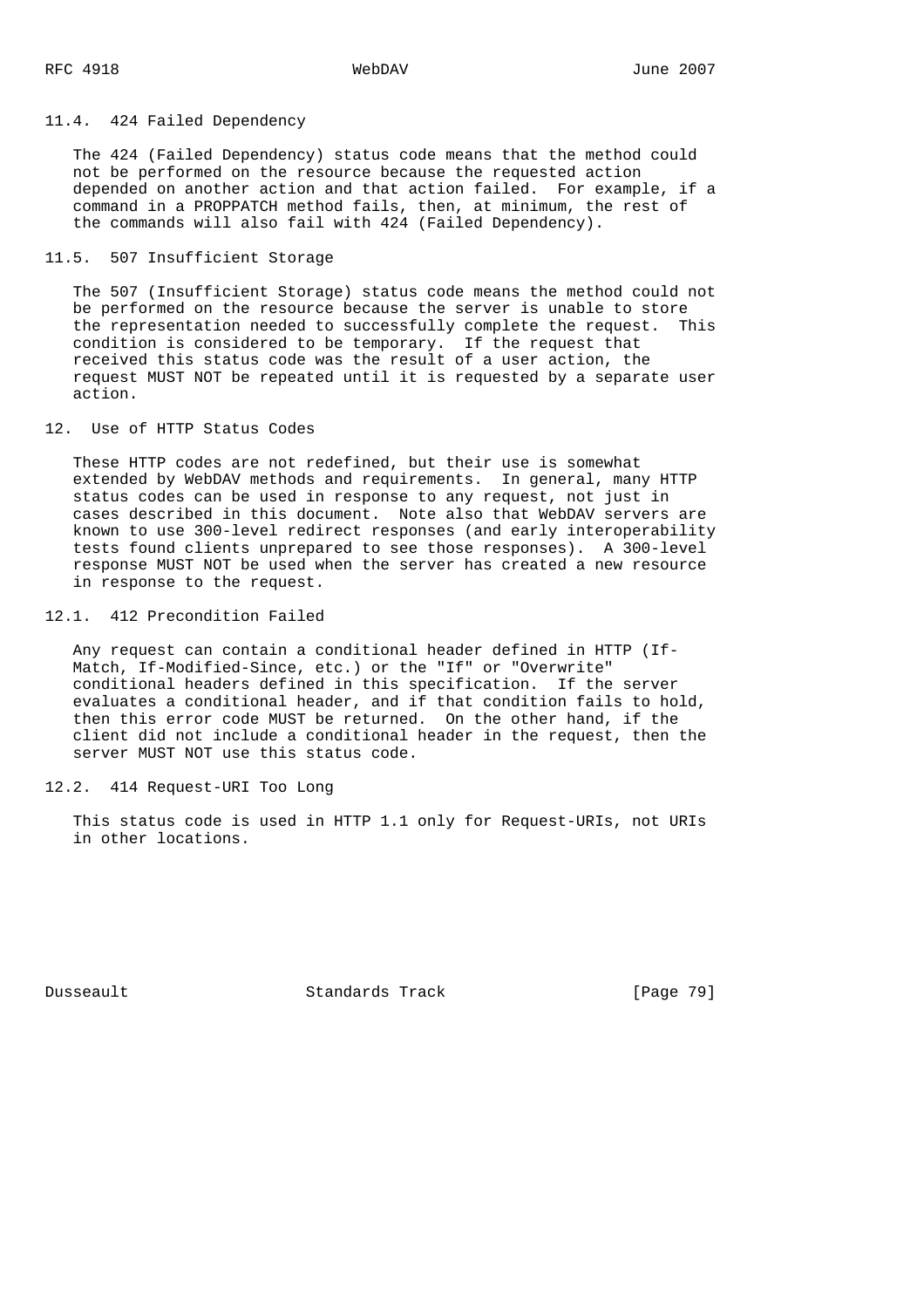### 11.4. 424 Failed Dependency

 The 424 (Failed Dependency) status code means that the method could not be performed on the resource because the requested action depended on another action and that action failed. For example, if a command in a PROPPATCH method fails, then, at minimum, the rest of the commands will also fail with 424 (Failed Dependency).

# 11.5. 507 Insufficient Storage

 The 507 (Insufficient Storage) status code means the method could not be performed on the resource because the server is unable to store the representation needed to successfully complete the request. This condition is considered to be temporary. If the request that received this status code was the result of a user action, the request MUST NOT be repeated until it is requested by a separate user action.

# 12. Use of HTTP Status Codes

 These HTTP codes are not redefined, but their use is somewhat extended by WebDAV methods and requirements. In general, many HTTP status codes can be used in response to any request, not just in cases described in this document. Note also that WebDAV servers are known to use 300-level redirect responses (and early interoperability tests found clients unprepared to see those responses). A 300-level response MUST NOT be used when the server has created a new resource in response to the request.

### 12.1. 412 Precondition Failed

 Any request can contain a conditional header defined in HTTP (If- Match, If-Modified-Since, etc.) or the "If" or "Overwrite" conditional headers defined in this specification. If the server evaluates a conditional header, and if that condition fails to hold, then this error code MUST be returned. On the other hand, if the client did not include a conditional header in the request, then the server MUST NOT use this status code.

## 12.2. 414 Request-URI Too Long

 This status code is used in HTTP 1.1 only for Request-URIs, not URIs in other locations.

Dusseault Standards Track [Page 79]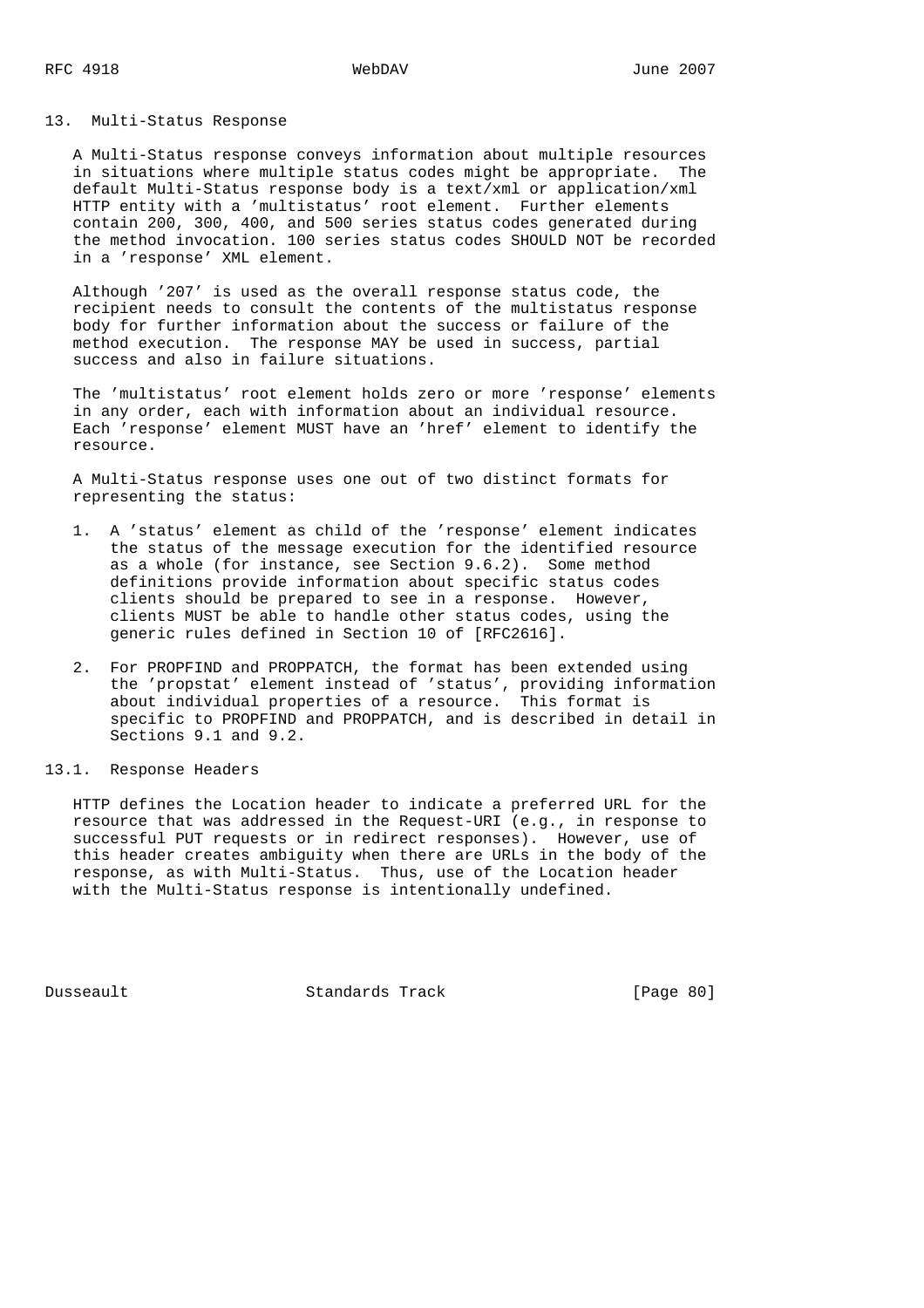### 13. Multi-Status Response

 A Multi-Status response conveys information about multiple resources in situations where multiple status codes might be appropriate. The default Multi-Status response body is a text/xml or application/xml HTTP entity with a 'multistatus' root element. Further elements contain 200, 300, 400, and 500 series status codes generated during the method invocation. 100 series status codes SHOULD NOT be recorded in a 'response' XML element.

 Although '207' is used as the overall response status code, the recipient needs to consult the contents of the multistatus response body for further information about the success or failure of the method execution. The response MAY be used in success, partial success and also in failure situations.

 The 'multistatus' root element holds zero or more 'response' elements in any order, each with information about an individual resource. Each 'response' element MUST have an 'href' element to identify the resource.

 A Multi-Status response uses one out of two distinct formats for representing the status:

- 1. A 'status' element as child of the 'response' element indicates the status of the message execution for the identified resource as a whole (for instance, see Section 9.6.2). Some method definitions provide information about specific status codes clients should be prepared to see in a response. However, clients MUST be able to handle other status codes, using the generic rules defined in Section 10 of [RFC2616].
- 2. For PROPFIND and PROPPATCH, the format has been extended using the 'propstat' element instead of 'status', providing information about individual properties of a resource. This format is specific to PROPFIND and PROPPATCH, and is described in detail in Sections 9.1 and 9.2.
- 13.1. Response Headers

 HTTP defines the Location header to indicate a preferred URL for the resource that was addressed in the Request-URI (e.g., in response to successful PUT requests or in redirect responses). However, use of this header creates ambiguity when there are URLs in the body of the response, as with Multi-Status. Thus, use of the Location header with the Multi-Status response is intentionally undefined.

Dusseault Standards Track [Page 80]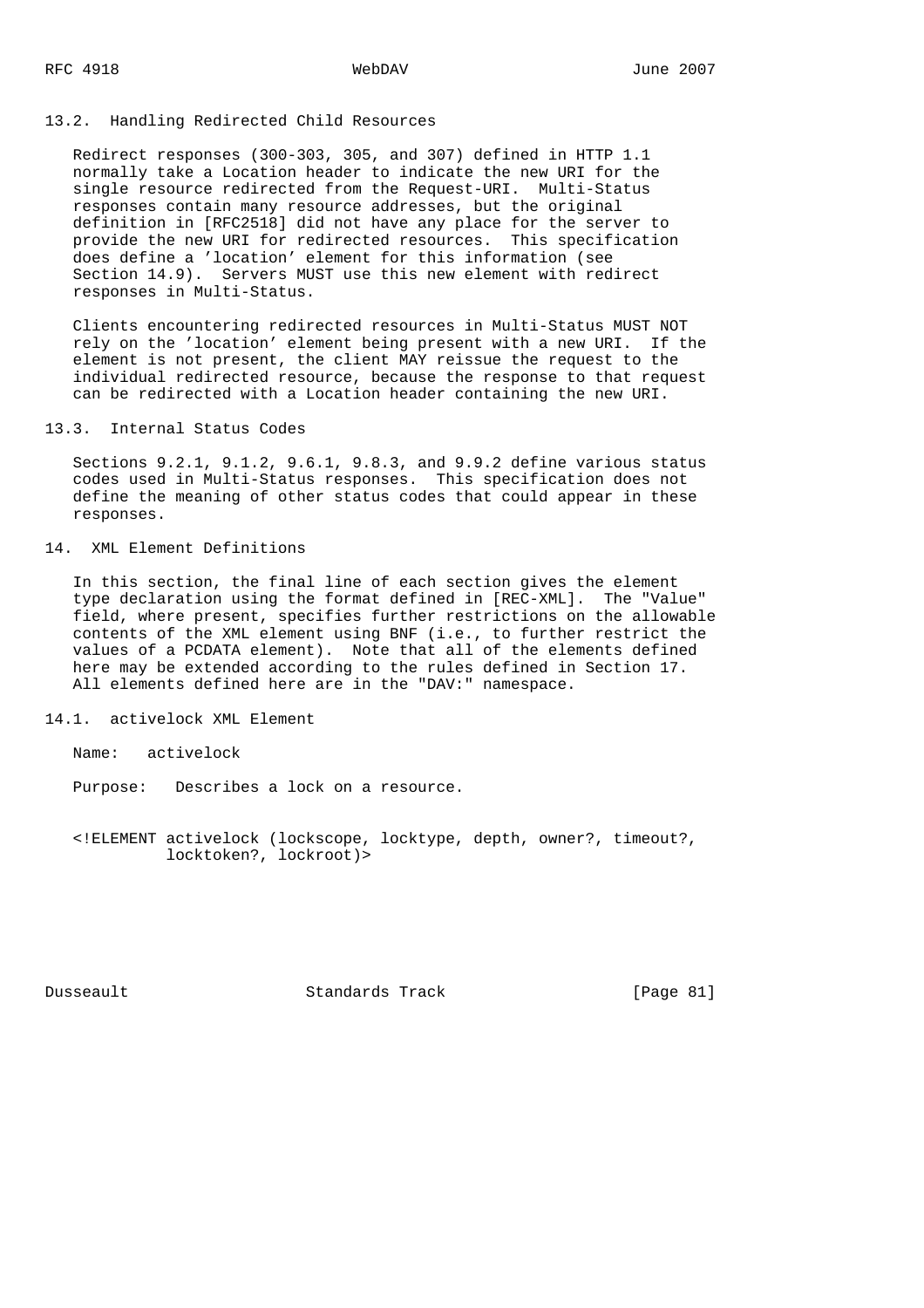### 13.2. Handling Redirected Child Resources

 Redirect responses (300-303, 305, and 307) defined in HTTP 1.1 normally take a Location header to indicate the new URI for the single resource redirected from the Request-URI. Multi-Status responses contain many resource addresses, but the original definition in [RFC2518] did not have any place for the server to provide the new URI for redirected resources. This specification does define a 'location' element for this information (see Section 14.9). Servers MUST use this new element with redirect responses in Multi-Status.

 Clients encountering redirected resources in Multi-Status MUST NOT rely on the 'location' element being present with a new URI. If the element is not present, the client MAY reissue the request to the individual redirected resource, because the response to that request can be redirected with a Location header containing the new URI.

### 13.3. Internal Status Codes

 Sections 9.2.1, 9.1.2, 9.6.1, 9.8.3, and 9.9.2 define various status codes used in Multi-Status responses. This specification does not define the meaning of other status codes that could appear in these responses.

# 14. XML Element Definitions

 In this section, the final line of each section gives the element type declaration using the format defined in [REC-XML]. The "Value" field, where present, specifies further restrictions on the allowable contents of the XML element using BNF (i.e., to further restrict the values of a PCDATA element). Note that all of the elements defined here may be extended according to the rules defined in Section 17. All elements defined here are in the "DAV:" namespace.

14.1. activelock XML Element

Name: activelock

Purpose: Describes a lock on a resource.

 <!ELEMENT activelock (lockscope, locktype, depth, owner?, timeout?, locktoken?, lockroot)>

Dusseault Standards Track [Page 81]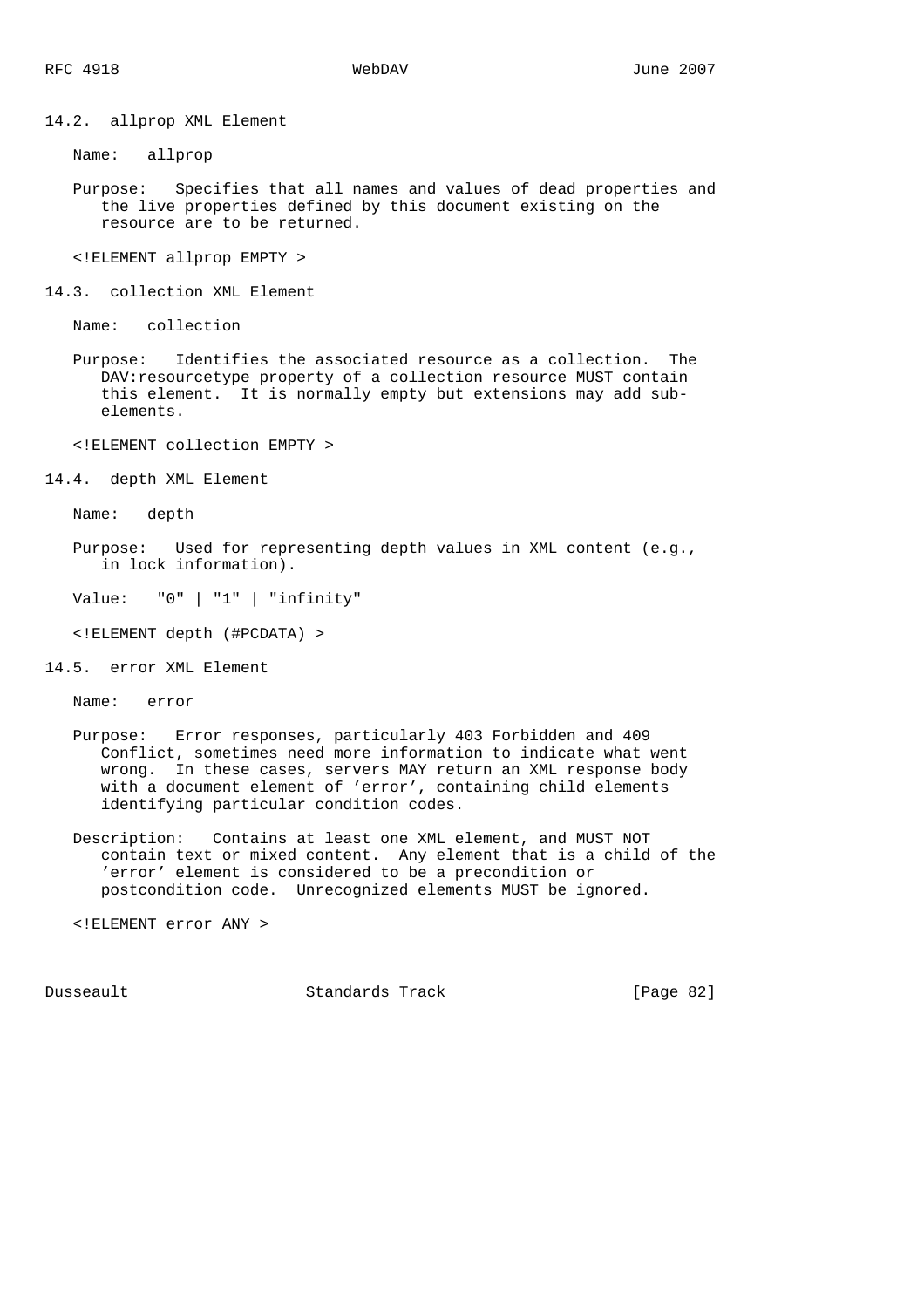14.2. allprop XML Element

Name: allprop

 Purpose: Specifies that all names and values of dead properties and the live properties defined by this document existing on the resource are to be returned.

<!ELEMENT allprop EMPTY >

14.3. collection XML Element

Name: collection

 Purpose: Identifies the associated resource as a collection. The DAV: resourcetype property of a collection resource MUST contain this element. It is normally empty but extensions may add sub elements.

<!ELEMENT collection EMPTY >

14.4. depth XML Element

Name: depth

 Purpose: Used for representing depth values in XML content (e.g., in lock information).

Value: "0" | "1" | "infinity"

<!ELEMENT depth (#PCDATA) >

14.5. error XML Element

Name: error

- Purpose: Error responses, particularly 403 Forbidden and 409 Conflict, sometimes need more information to indicate what went wrong. In these cases, servers MAY return an XML response body with a document element of 'error', containing child elements identifying particular condition codes.
- Description: Contains at least one XML element, and MUST NOT contain text or mixed content. Any element that is a child of the 'error' element is considered to be a precondition or postcondition code. Unrecognized elements MUST be ignored.

<!ELEMENT error ANY >

Dusseault Standards Track [Page 82]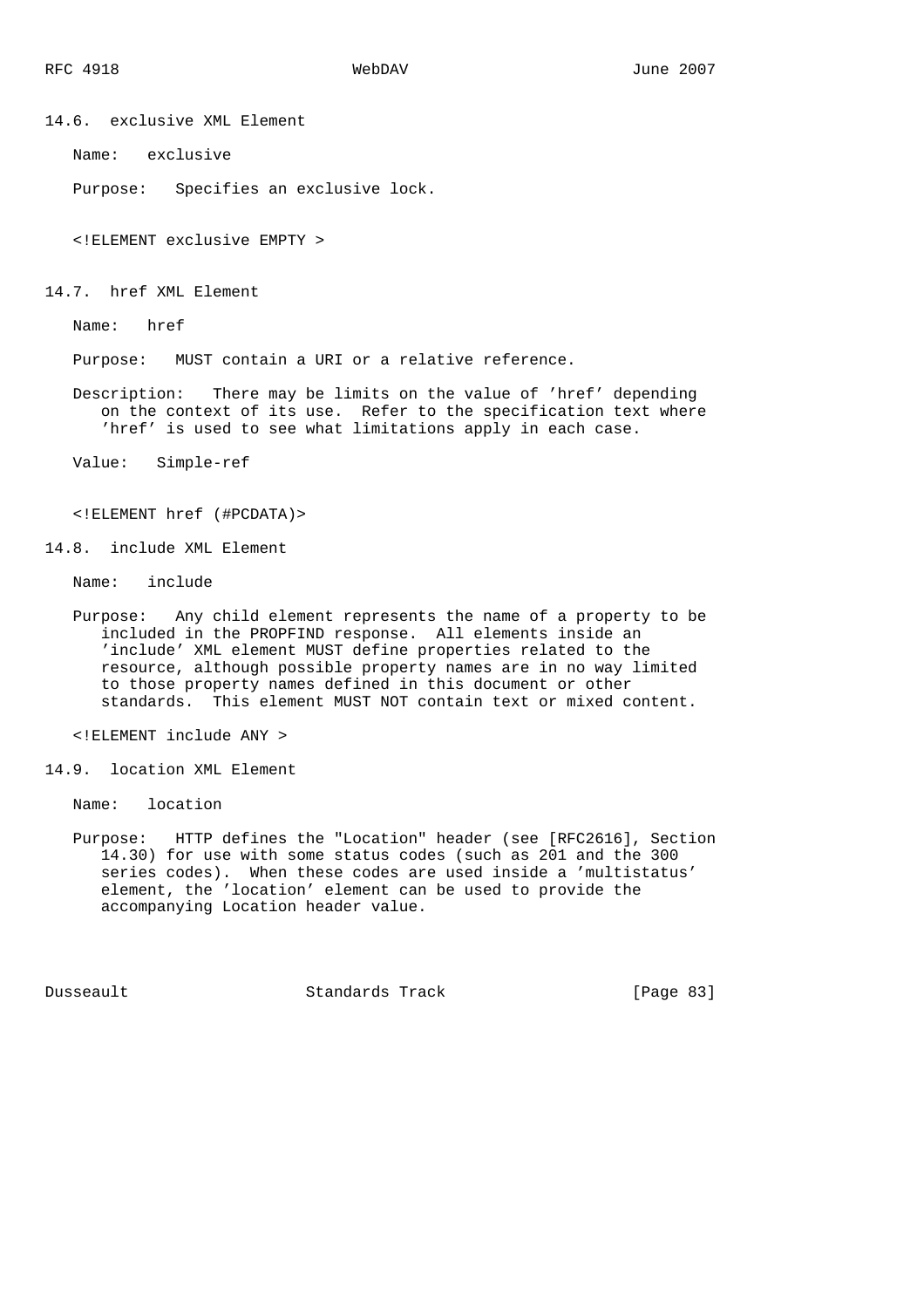14.6. exclusive XML Element

Name: exclusive

Purpose: Specifies an exclusive lock.

<!ELEMENT exclusive EMPTY >

14.7. href XML Element

Name: href

Purpose: MUST contain a URI or a relative reference.

 Description: There may be limits on the value of 'href' depending on the context of its use. Refer to the specification text where 'href' is used to see what limitations apply in each case.

Value: Simple-ref

<!ELEMENT href (#PCDATA)>

14.8. include XML Element

Name: include

 Purpose: Any child element represents the name of a property to be included in the PROPFIND response. All elements inside an 'include' XML element MUST define properties related to the resource, although possible property names are in no way limited to those property names defined in this document or other standards. This element MUST NOT contain text or mixed content.

<!ELEMENT include ANY >

14.9. location XML Element

Name: location

 Purpose: HTTP defines the "Location" header (see [RFC2616], Section 14.30) for use with some status codes (such as 201 and the 300 series codes). When these codes are used inside a 'multistatus' element, the 'location' element can be used to provide the accompanying Location header value.

Dusseault Standards Track [Page 83]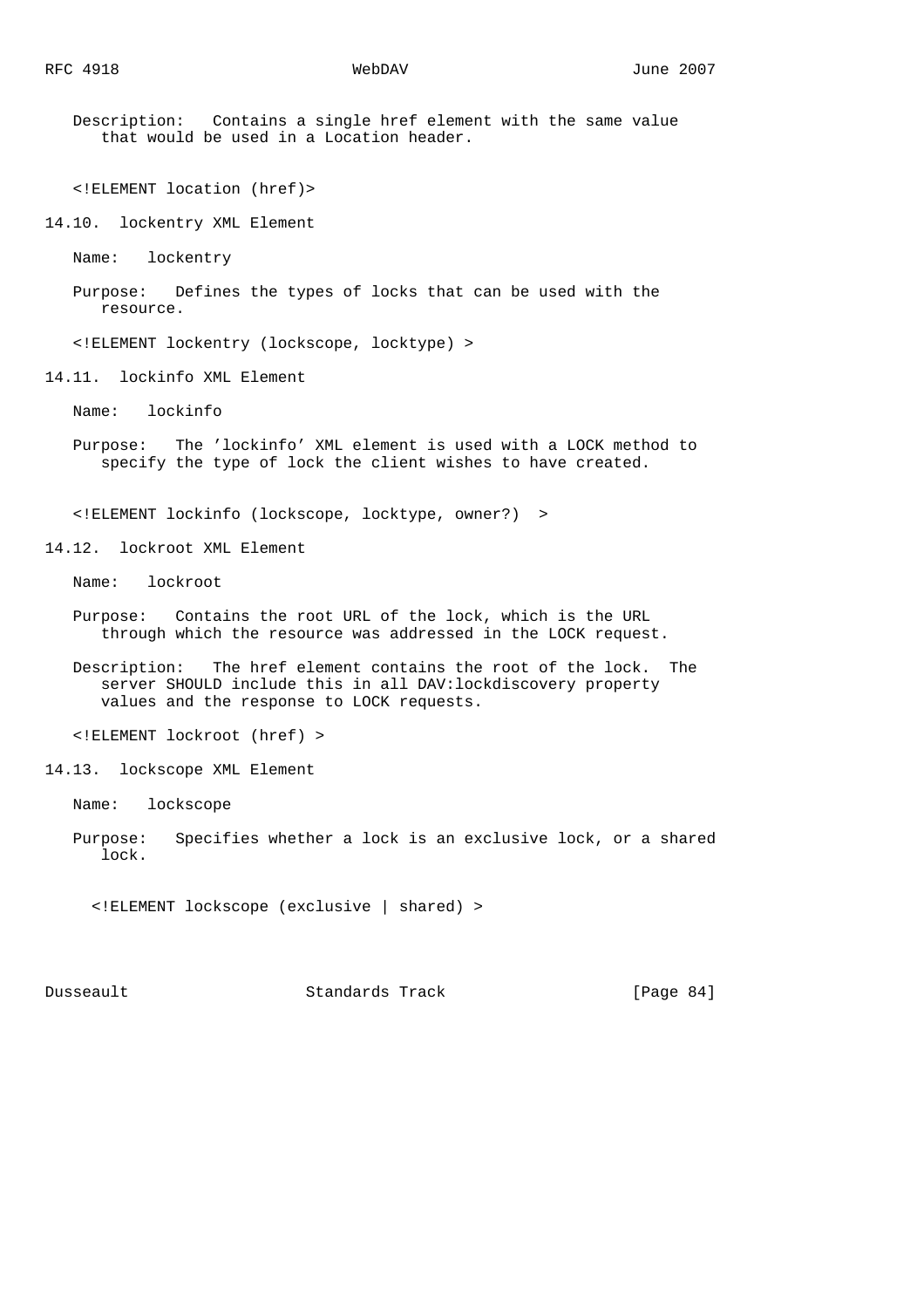Description: Contains a single href element with the same value that would be used in a Location header.

<!ELEMENT location (href)>

14.10. lockentry XML Element

Name: lockentry

 Purpose: Defines the types of locks that can be used with the resource.

<!ELEMENT lockentry (lockscope, locktype) >

14.11. lockinfo XML Element

Name: lockinfo

 Purpose: The 'lockinfo' XML element is used with a LOCK method to specify the type of lock the client wishes to have created.

<!ELEMENT lockinfo (lockscope, locktype, owner?) >

14.12. lockroot XML Element

Name: lockroot

- Purpose: Contains the root URL of the lock, which is the URL through which the resource was addressed in the LOCK request.
- Description: The href element contains the root of the lock. The server SHOULD include this in all DAV:lockdiscovery property values and the response to LOCK requests.

<!ELEMENT lockroot (href) >

14.13. lockscope XML Element

Name: lockscope

 Purpose: Specifies whether a lock is an exclusive lock, or a shared lock.

<!ELEMENT lockscope (exclusive | shared) >

Dusseault Standards Track [Page 84]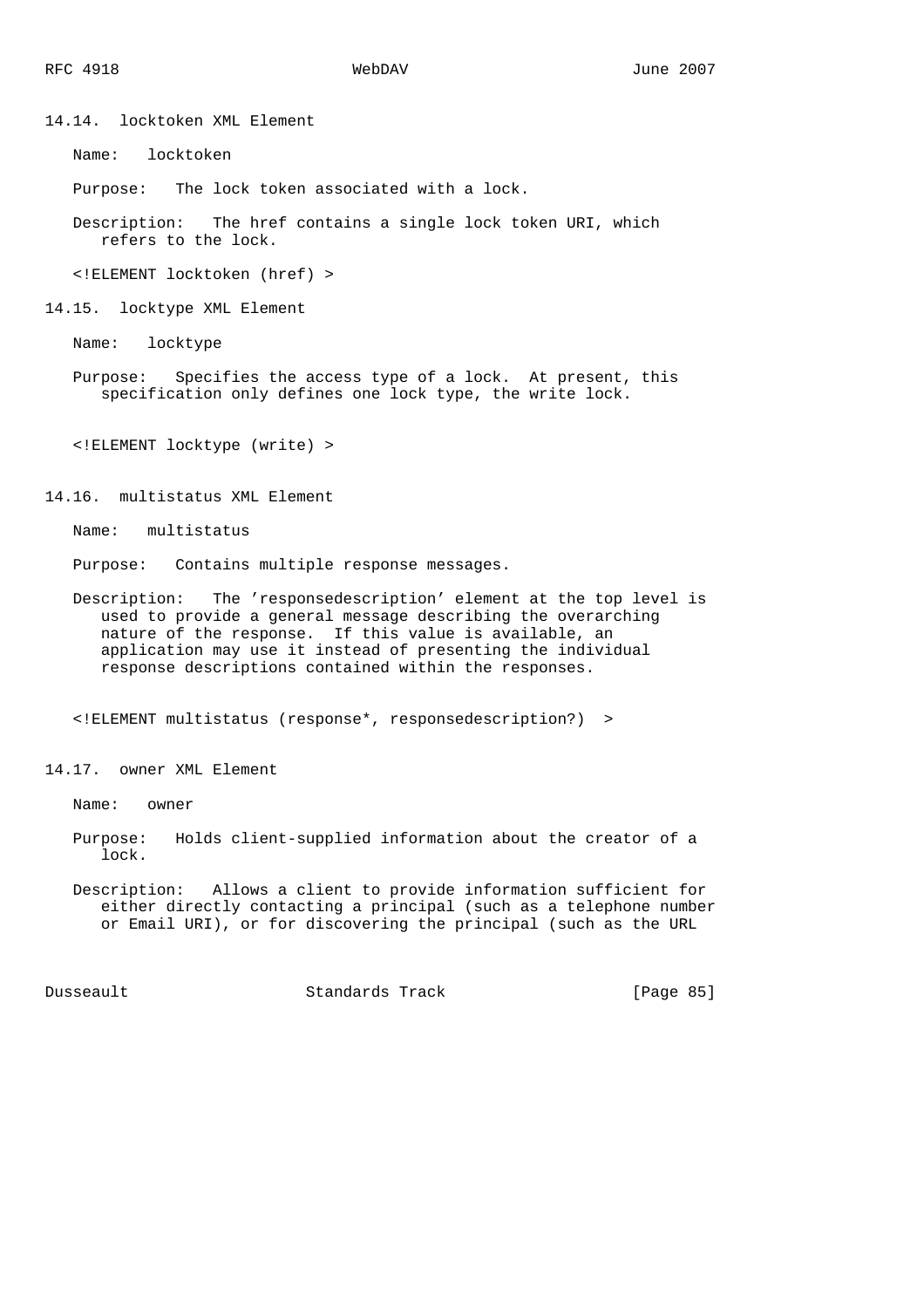14.14. locktoken XML Element

Name: locktoken

Purpose: The lock token associated with a lock.

 Description: The href contains a single lock token URI, which refers to the lock.

<!ELEMENT locktoken (href) >

14.15. locktype XML Element

Name: locktype

 Purpose: Specifies the access type of a lock. At present, this specification only defines one lock type, the write lock.

<!ELEMENT locktype (write) >

14.16. multistatus XML Element

Name: multistatus

Purpose: Contains multiple response messages.

 Description: The 'responsedescription' element at the top level is used to provide a general message describing the overarching nature of the response. If this value is available, an application may use it instead of presenting the individual response descriptions contained within the responses.

<!ELEMENT multistatus (response\*, responsedescription?) >

14.17. owner XML Element

Name: owner

- Purpose: Holds client-supplied information about the creator of a lock.
- Description: Allows a client to provide information sufficient for either directly contacting a principal (such as a telephone number or Email URI), or for discovering the principal (such as the URL

Dusseault Standards Track [Page 85]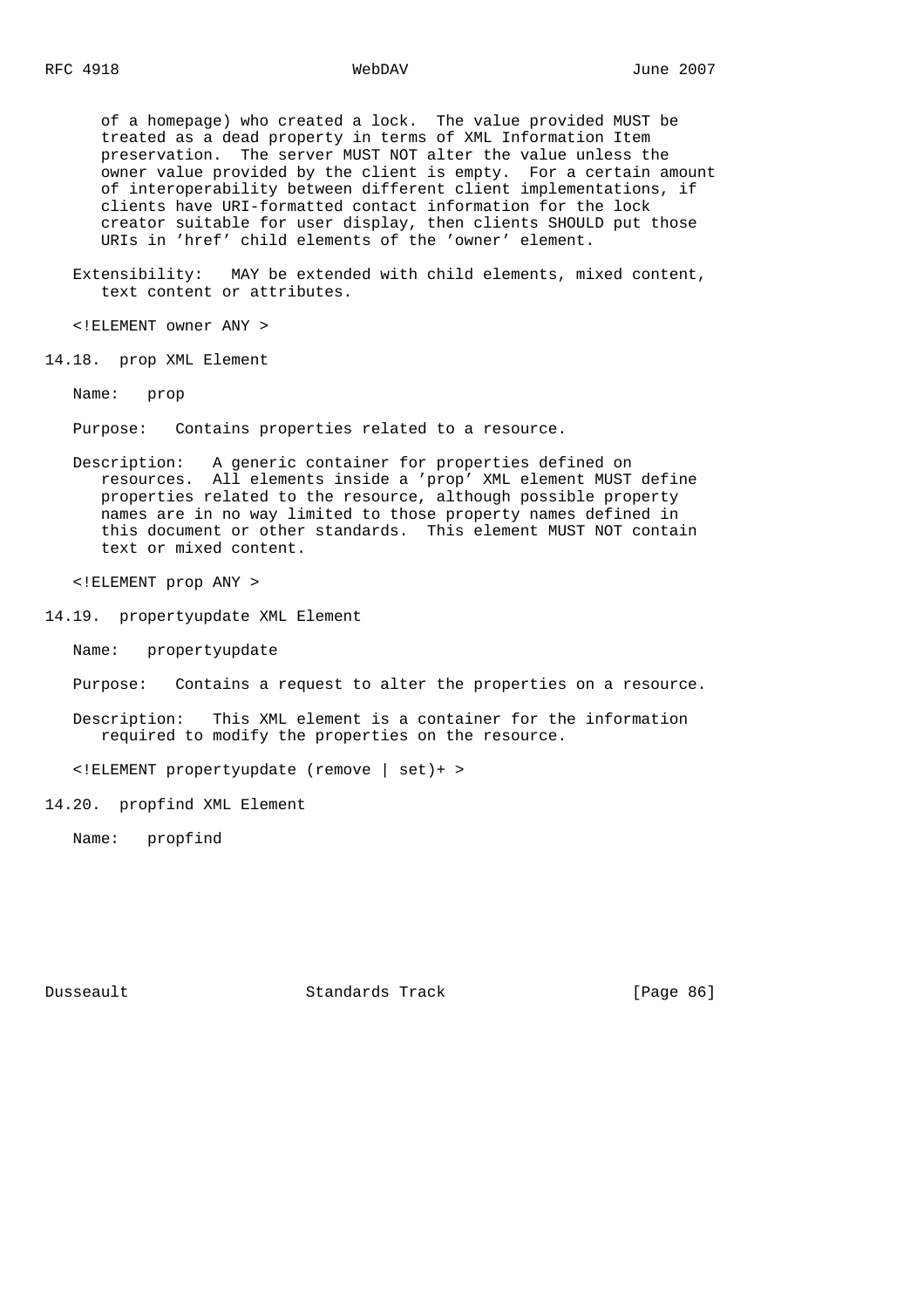of a homepage) who created a lock. The value provided MUST be treated as a dead property in terms of XML Information Item preservation. The server MUST NOT alter the value unless the owner value provided by the client is empty. For a certain amount of interoperability between different client implementations, if clients have URI-formatted contact information for the lock creator suitable for user display, then clients SHOULD put those URIs in 'href' child elements of the 'owner' element.

 Extensibility: MAY be extended with child elements, mixed content, text content or attributes.

<!ELEMENT owner ANY >

14.18. prop XML Element

Name: prop

Purpose: Contains properties related to a resource.

 Description: A generic container for properties defined on resources. All elements inside a 'prop' XML element MUST define properties related to the resource, although possible property names are in no way limited to those property names defined in this document or other standards. This element MUST NOT contain text or mixed content.

<!ELEMENT prop ANY >

14.19. propertyupdate XML Element

Name: propertyupdate

Purpose: Contains a request to alter the properties on a resource.

 Description: This XML element is a container for the information required to modify the properties on the resource.

<!ELEMENT propertyupdate (remove | set)+ >

14.20. propfind XML Element

Name: propfind

Dusseault Standards Track [Page 86]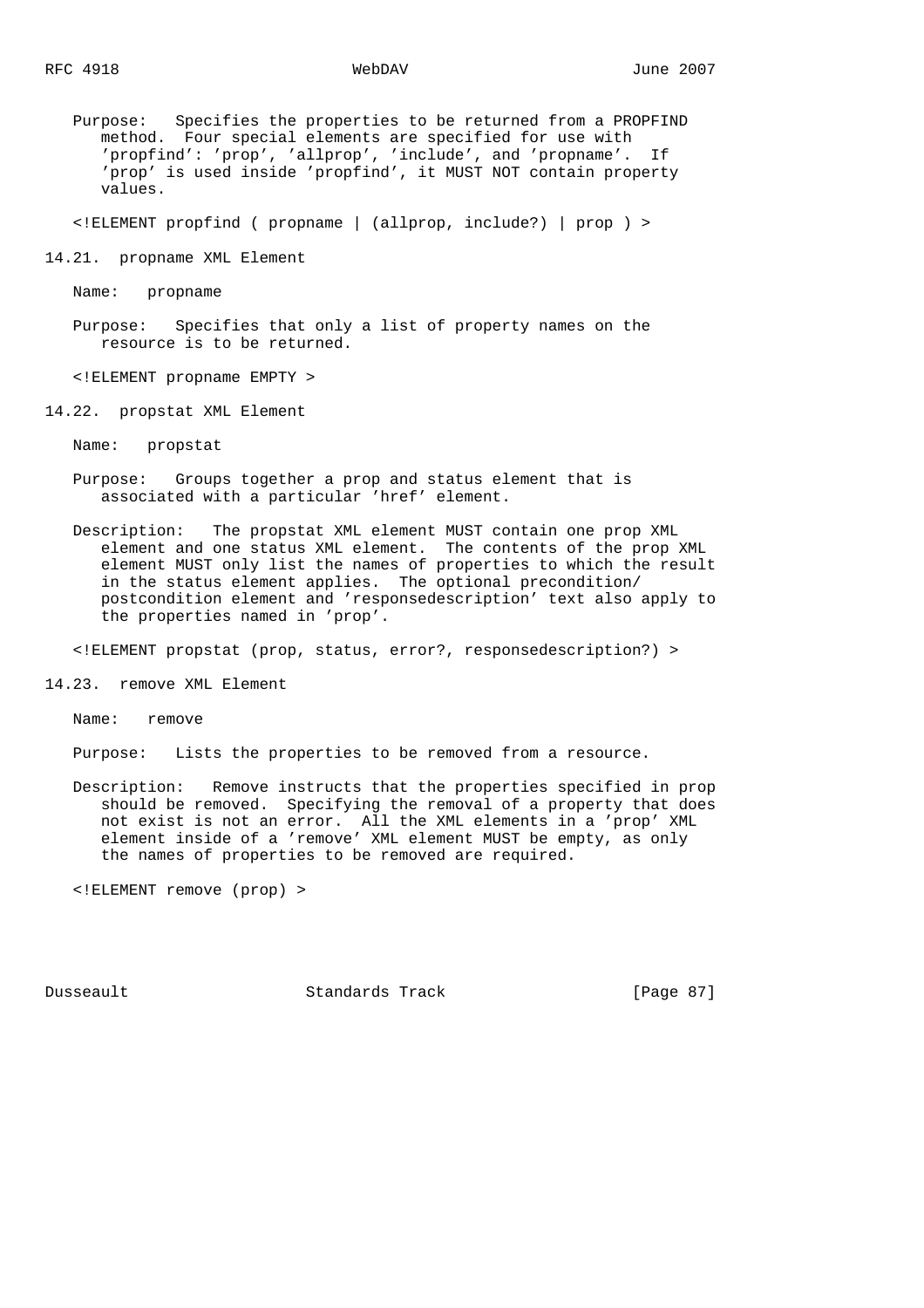Purpose: Specifies the properties to be returned from a PROPFIND method. Four special elements are specified for use with 'propfind': 'prop', 'allprop', 'include', and 'propname'. If 'prop' is used inside 'propfind', it MUST NOT contain property values.

<!ELEMENT propfind ( propname | (allprop, include?) | prop ) >

14.21. propname XML Element

Name: propname

 Purpose: Specifies that only a list of property names on the resource is to be returned.

<!ELEMENT propname EMPTY >

14.22. propstat XML Element

Name: propstat

- Purpose: Groups together a prop and status element that is associated with a particular 'href' element.
- Description: The propstat XML element MUST contain one prop XML element and one status XML element. The contents of the prop XML element MUST only list the names of properties to which the result in the status element applies. The optional precondition/ postcondition element and 'responsedescription' text also apply to the properties named in 'prop'.

<!ELEMENT propstat (prop, status, error?, responsedescription?) >

14.23. remove XML Element

Name: remove

Purpose: Lists the properties to be removed from a resource.

 Description: Remove instructs that the properties specified in prop should be removed. Specifying the removal of a property that does not exist is not an error. All the XML elements in a 'prop' XML element inside of a 'remove' XML element MUST be empty, as only the names of properties to be removed are required.

<!ELEMENT remove (prop) >

Dusseault Standards Track [Page 87]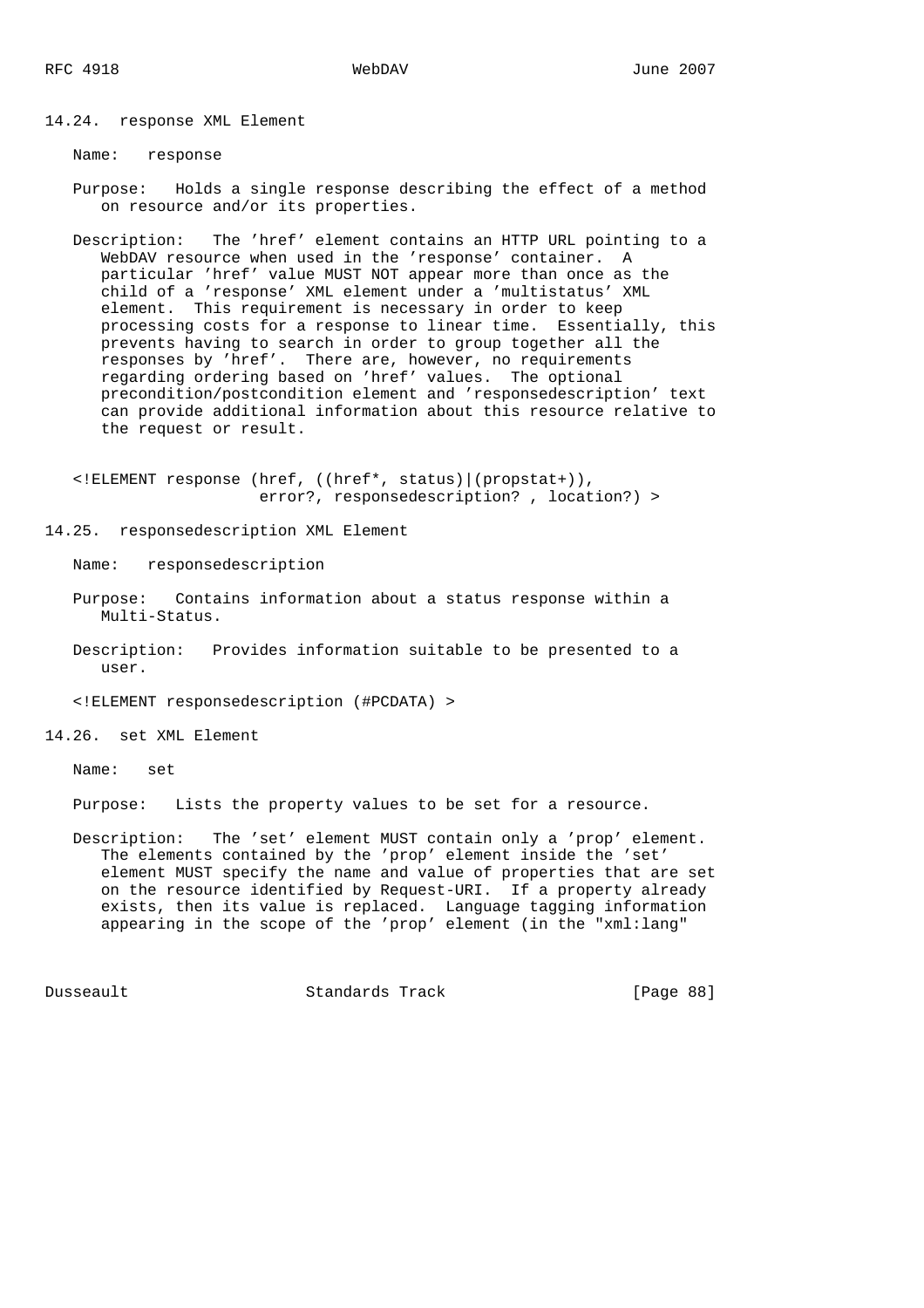14.24. response XML Element

Name: response

 Purpose: Holds a single response describing the effect of a method on resource and/or its properties.

 Description: The 'href' element contains an HTTP URL pointing to a WebDAV resource when used in the 'response' container. A particular 'href' value MUST NOT appear more than once as the child of a 'response' XML element under a 'multistatus' XML element. This requirement is necessary in order to keep processing costs for a response to linear time. Essentially, this prevents having to search in order to group together all the responses by 'href'. There are, however, no requirements regarding ordering based on 'href' values. The optional precondition/postcondition element and 'responsedescription' text can provide additional information about this resource relative to the request or result.

 <!ELEMENT response (href, ((href\*, status)|(propstat+)), error?, responsedescription? , location?) >

14.25. responsedescription XML Element

Name: responsedescription

- Purpose: Contains information about a status response within a Multi-Status.
- Description: Provides information suitable to be presented to a user.

<!ELEMENT responsedescription (#PCDATA) >

14.26. set XML Element

Name: set

Purpose: Lists the property values to be set for a resource.

 Description: The 'set' element MUST contain only a 'prop' element. The elements contained by the 'prop' element inside the 'set' element MUST specify the name and value of properties that are set on the resource identified by Request-URI. If a property already exists, then its value is replaced. Language tagging information appearing in the scope of the 'prop' element (in the "xml:lang"

Dusseault Standards Track [Page 88]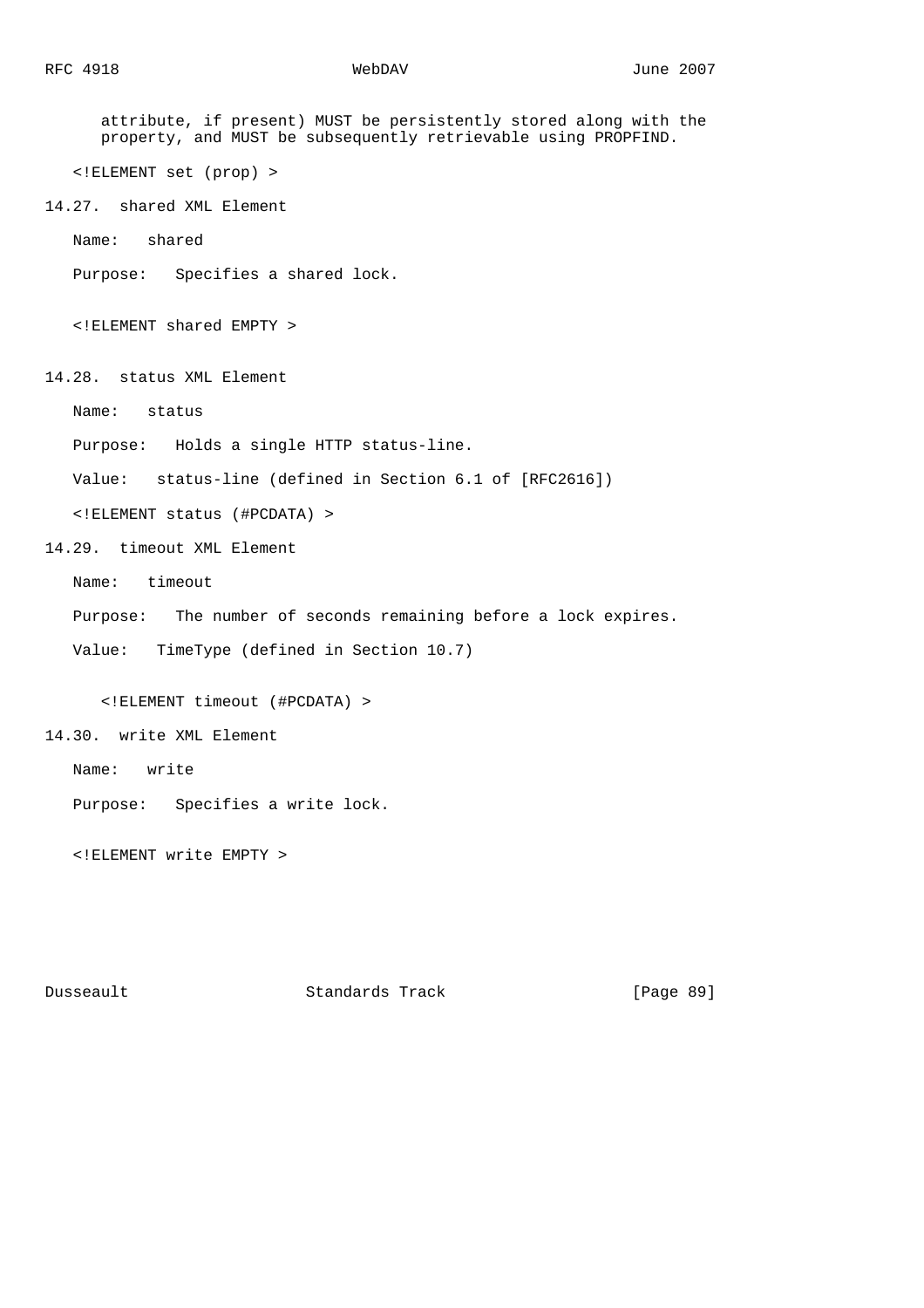attribute, if present) MUST be persistently stored along with the property, and MUST be subsequently retrievable using PROPFIND. <!ELEMENT set (prop) > 14.27. shared XML Element Name: shared Purpose: Specifies a shared lock. <!ELEMENT shared EMPTY > 14.28. status XML Element Name: status Purpose: Holds a single HTTP status-line. Value: status-line (defined in Section 6.1 of [RFC2616]) <!ELEMENT status (#PCDATA) > 14.29. timeout XML Element Name: timeout Purpose: The number of seconds remaining before a lock expires. Value: TimeType (defined in Section 10.7) <!ELEMENT timeout (#PCDATA) > 14.30. write XML Element Name: write Purpose: Specifies a write lock.

<!ELEMENT write EMPTY >

Dusseault Standards Track [Page 89]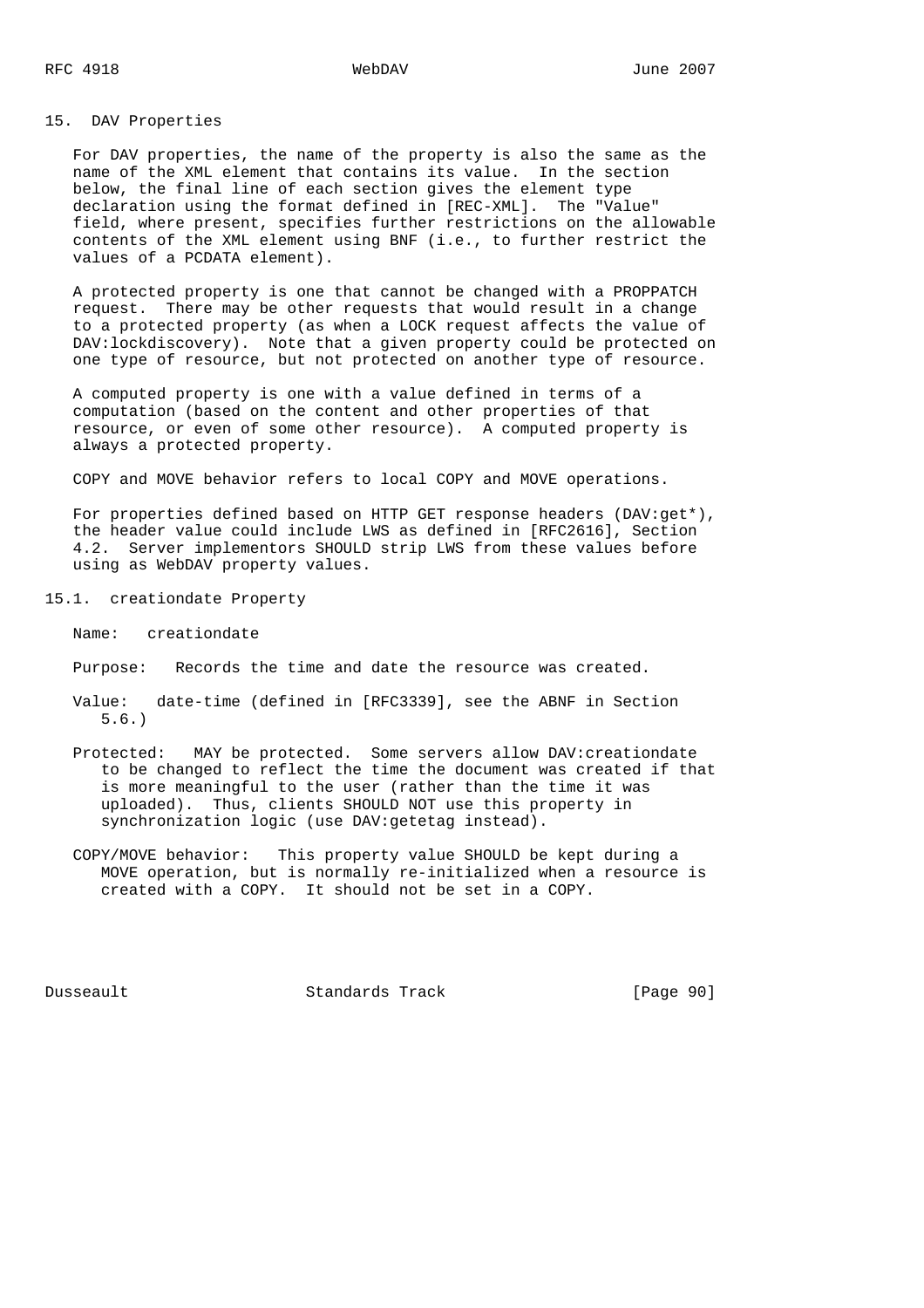# 15. DAV Properties

 For DAV properties, the name of the property is also the same as the name of the XML element that contains its value. In the section below, the final line of each section gives the element type declaration using the format defined in [REC-XML]. The "Value" field, where present, specifies further restrictions on the allowable contents of the XML element using BNF (i.e., to further restrict the values of a PCDATA element).

 A protected property is one that cannot be changed with a PROPPATCH request. There may be other requests that would result in a change to a protected property (as when a LOCK request affects the value of DAV:lockdiscovery). Note that a given property could be protected on one type of resource, but not protected on another type of resource.

 A computed property is one with a value defined in terms of a computation (based on the content and other properties of that resource, or even of some other resource). A computed property is always a protected property.

COPY and MOVE behavior refers to local COPY and MOVE operations.

 For properties defined based on HTTP GET response headers (DAV:get\*), the header value could include LWS as defined in [RFC2616], Section 4.2. Server implementors SHOULD strip LWS from these values before using as WebDAV property values.

- 15.1. creationdate Property
	- Name: creationdate
	- Purpose: Records the time and date the resource was created.
	- Value: date-time (defined in [RFC3339], see the ABNF in Section 5.6.)
	- Protected: MAY be protected. Some servers allow DAV:creationdate to be changed to reflect the time the document was created if that is more meaningful to the user (rather than the time it was uploaded). Thus, clients SHOULD NOT use this property in synchronization logic (use DAV:getetag instead).
	- COPY/MOVE behavior: This property value SHOULD be kept during a MOVE operation, but is normally re-initialized when a resource is created with a COPY. It should not be set in a COPY.

Dusseault Standards Track [Page 90]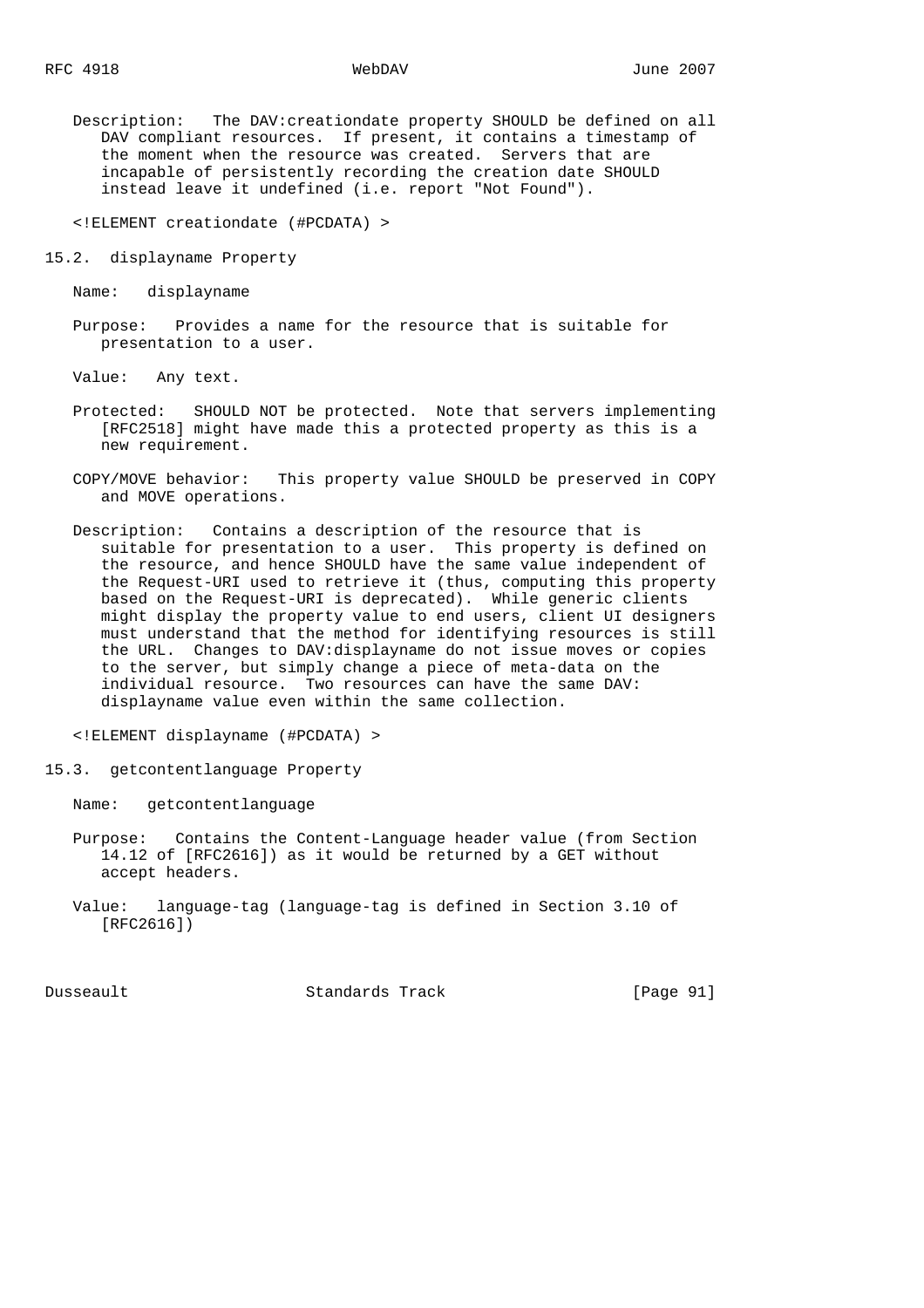Description: The DAV:creationdate property SHOULD be defined on all DAV compliant resources. If present, it contains a timestamp of the moment when the resource was created. Servers that are incapable of persistently recording the creation date SHOULD instead leave it undefined (i.e. report "Not Found").

<!ELEMENT creationdate (#PCDATA) >

15.2. displayname Property

Name: displayname

 Purpose: Provides a name for the resource that is suitable for presentation to a user.

Value: Any text.

- Protected: SHOULD NOT be protected. Note that servers implementing [RFC2518] might have made this a protected property as this is a new requirement.
- COPY/MOVE behavior: This property value SHOULD be preserved in COPY and MOVE operations.
- Description: Contains a description of the resource that is suitable for presentation to a user. This property is defined on the resource, and hence SHOULD have the same value independent of the Request-URI used to retrieve it (thus, computing this property based on the Request-URI is deprecated). While generic clients might display the property value to end users, client UI designers must understand that the method for identifying resources is still the URL. Changes to DAV:displayname do not issue moves or copies to the server, but simply change a piece of meta-data on the individual resource. Two resources can have the same DAV: displayname value even within the same collection.

<!ELEMENT displayname (#PCDATA) >

15.3. getcontentlanguage Property

Name: getcontentlanguage

- Purpose: Contains the Content-Language header value (from Section 14.12 of [RFC2616]) as it would be returned by a GET without accept headers.
- Value: language-tag (language-tag is defined in Section 3.10 of [RFC2616])

Dusseault Standards Track [Page 91]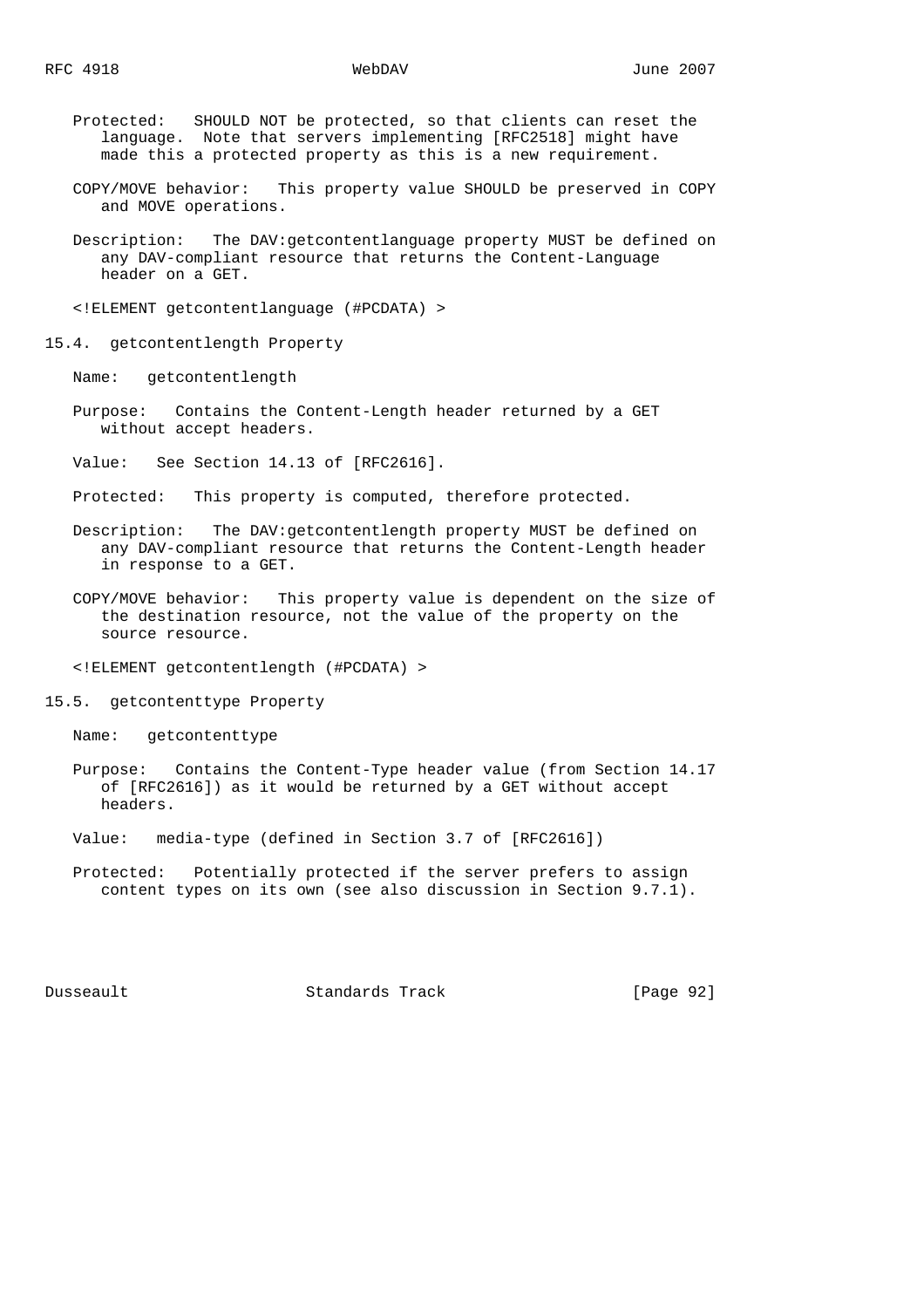- Protected: SHOULD NOT be protected, so that clients can reset the language. Note that servers implementing [RFC2518] might have made this a protected property as this is a new requirement.
- COPY/MOVE behavior: This property value SHOULD be preserved in COPY and MOVE operations.
- Description: The DAV:getcontentlanguage property MUST be defined on any DAV-compliant resource that returns the Content-Language header on a GET.

<!ELEMENT getcontentlanguage (#PCDATA) >

15.4. getcontentlength Property

Name: getcontentlength

- Purpose: Contains the Content-Length header returned by a GET without accept headers.
- Value: See Section 14.13 of [RFC2616].
- Protected: This property is computed, therefore protected.
- Description: The DAV:getcontentlength property MUST be defined on any DAV-compliant resource that returns the Content-Length header in response to a GET.
- COPY/MOVE behavior: This property value is dependent on the size of the destination resource, not the value of the property on the source resource.

<!ELEMENT getcontentlength (#PCDATA) >

15.5. getcontenttype Property

Name: getcontenttype

- Purpose: Contains the Content-Type header value (from Section 14.17 of [RFC2616]) as it would be returned by a GET without accept headers.
- Value: media-type (defined in Section 3.7 of [RFC2616])
- Protected: Potentially protected if the server prefers to assign content types on its own (see also discussion in Section 9.7.1).

Dusseault Standards Track [Page 92]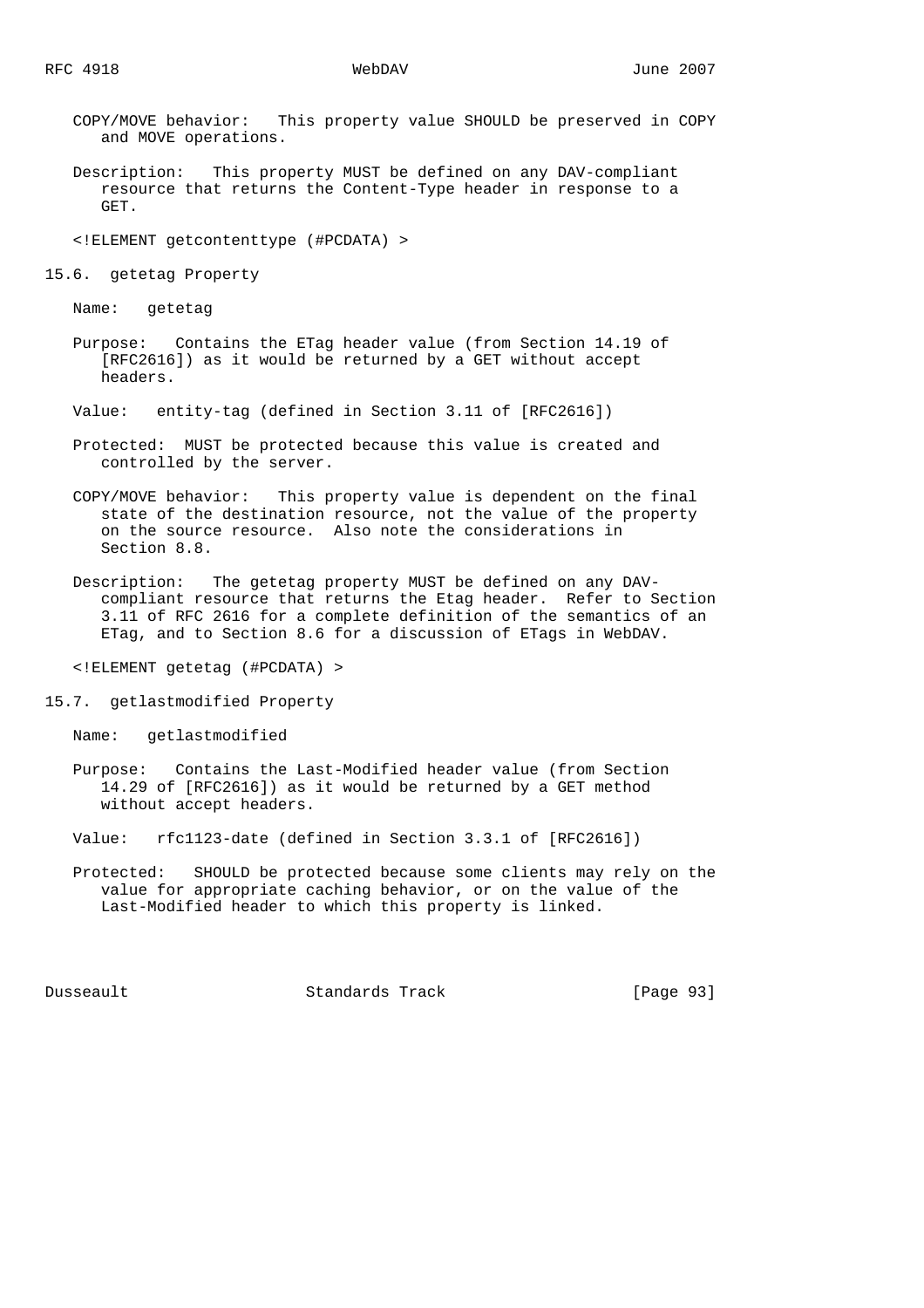- COPY/MOVE behavior: This property value SHOULD be preserved in COPY and MOVE operations.
- Description: This property MUST be defined on any DAV-compliant resource that returns the Content-Type header in response to a GET.

<!ELEMENT getcontenttype (#PCDATA) >

15.6. getetag Property

Name: getetag

 Purpose: Contains the ETag header value (from Section 14.19 of [RFC2616]) as it would be returned by a GET without accept headers.

Value: entity-tag (defined in Section 3.11 of [RFC2616])

- Protected: MUST be protected because this value is created and controlled by the server.
- COPY/MOVE behavior: This property value is dependent on the final state of the destination resource, not the value of the property on the source resource. Also note the considerations in Section 8.8.
- Description: The getetag property MUST be defined on any DAV compliant resource that returns the Etag header. Refer to Section 3.11 of RFC 2616 for a complete definition of the semantics of an ETag, and to Section 8.6 for a discussion of ETags in WebDAV.

<!ELEMENT getetag (#PCDATA) >

15.7. getlastmodified Property

Name: getlastmodified

- Purpose: Contains the Last-Modified header value (from Section 14.29 of [RFC2616]) as it would be returned by a GET method without accept headers.
- Value: rfc1123-date (defined in Section 3.3.1 of [RFC2616])
- Protected: SHOULD be protected because some clients may rely on the value for appropriate caching behavior, or on the value of the Last-Modified header to which this property is linked.

Dusseault Standards Track [Page 93]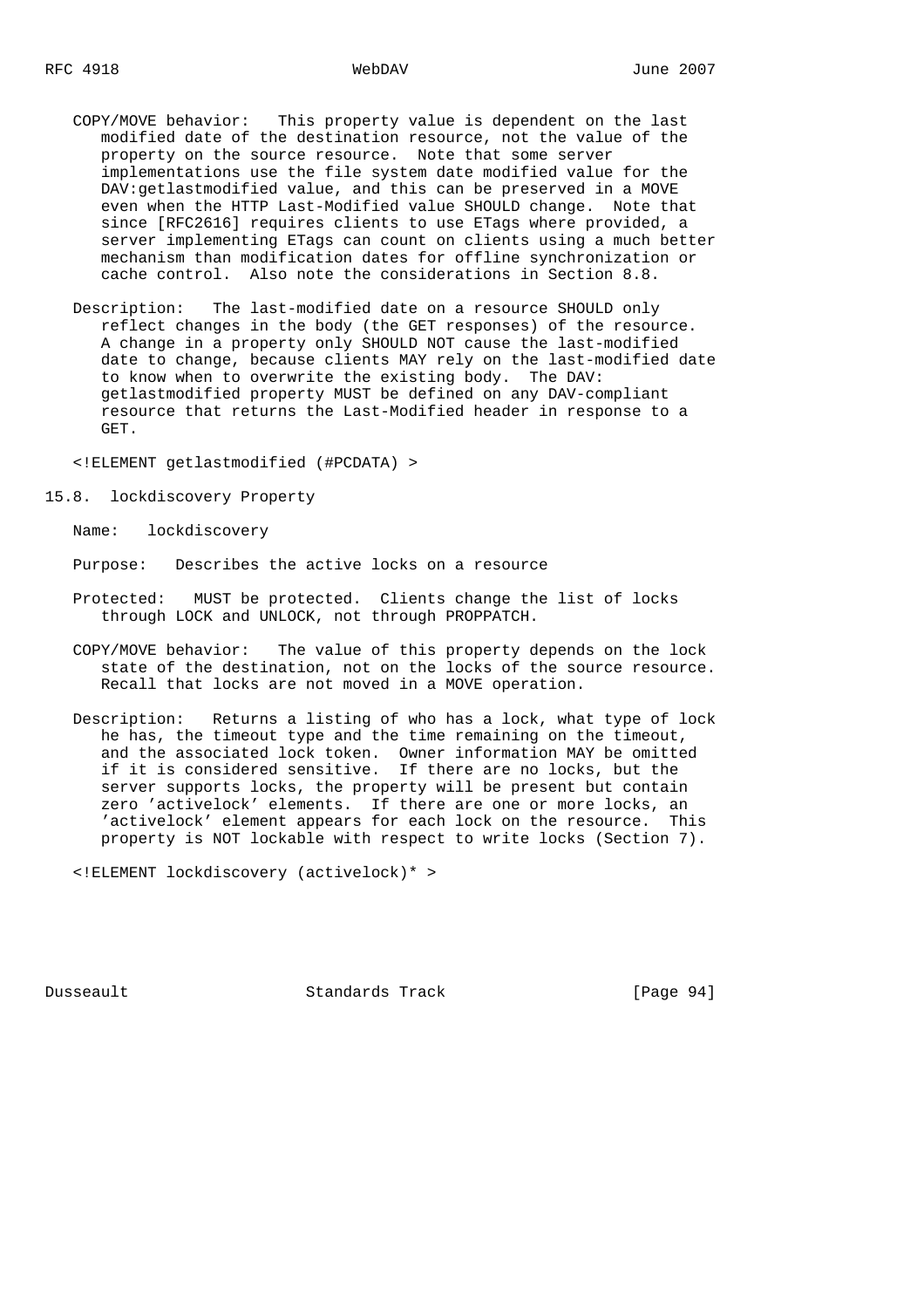- COPY/MOVE behavior: This property value is dependent on the last modified date of the destination resource, not the value of the property on the source resource. Note that some server implementations use the file system date modified value for the DAV:getlastmodified value, and this can be preserved in a MOVE even when the HTTP Last-Modified value SHOULD change. Note that since [RFC2616] requires clients to use ETags where provided, a server implementing ETags can count on clients using a much better mechanism than modification dates for offline synchronization or cache control. Also note the considerations in Section 8.8.
- Description: The last-modified date on a resource SHOULD only reflect changes in the body (the GET responses) of the resource. A change in a property only SHOULD NOT cause the last-modified date to change, because clients MAY rely on the last-modified date to know when to overwrite the existing body. The DAV: getlastmodified property MUST be defined on any DAV-compliant resource that returns the Last-Modified header in response to a GET.

<!ELEMENT getlastmodified (#PCDATA) >

15.8. lockdiscovery Property

Name: lockdiscovery

Purpose: Describes the active locks on a resource

- Protected: MUST be protected. Clients change the list of locks through LOCK and UNLOCK, not through PROPPATCH.
- COPY/MOVE behavior: The value of this property depends on the lock state of the destination, not on the locks of the source resource. Recall that locks are not moved in a MOVE operation.
- Description: Returns a listing of who has a lock, what type of lock he has, the timeout type and the time remaining on the timeout, and the associated lock token. Owner information MAY be omitted if it is considered sensitive. If there are no locks, but the server supports locks, the property will be present but contain zero 'activelock' elements. If there are one or more locks, an 'activelock' element appears for each lock on the resource. This property is NOT lockable with respect to write locks (Section 7).

<!ELEMENT lockdiscovery (activelock)\* >

Dusseault Standards Track [Page 94]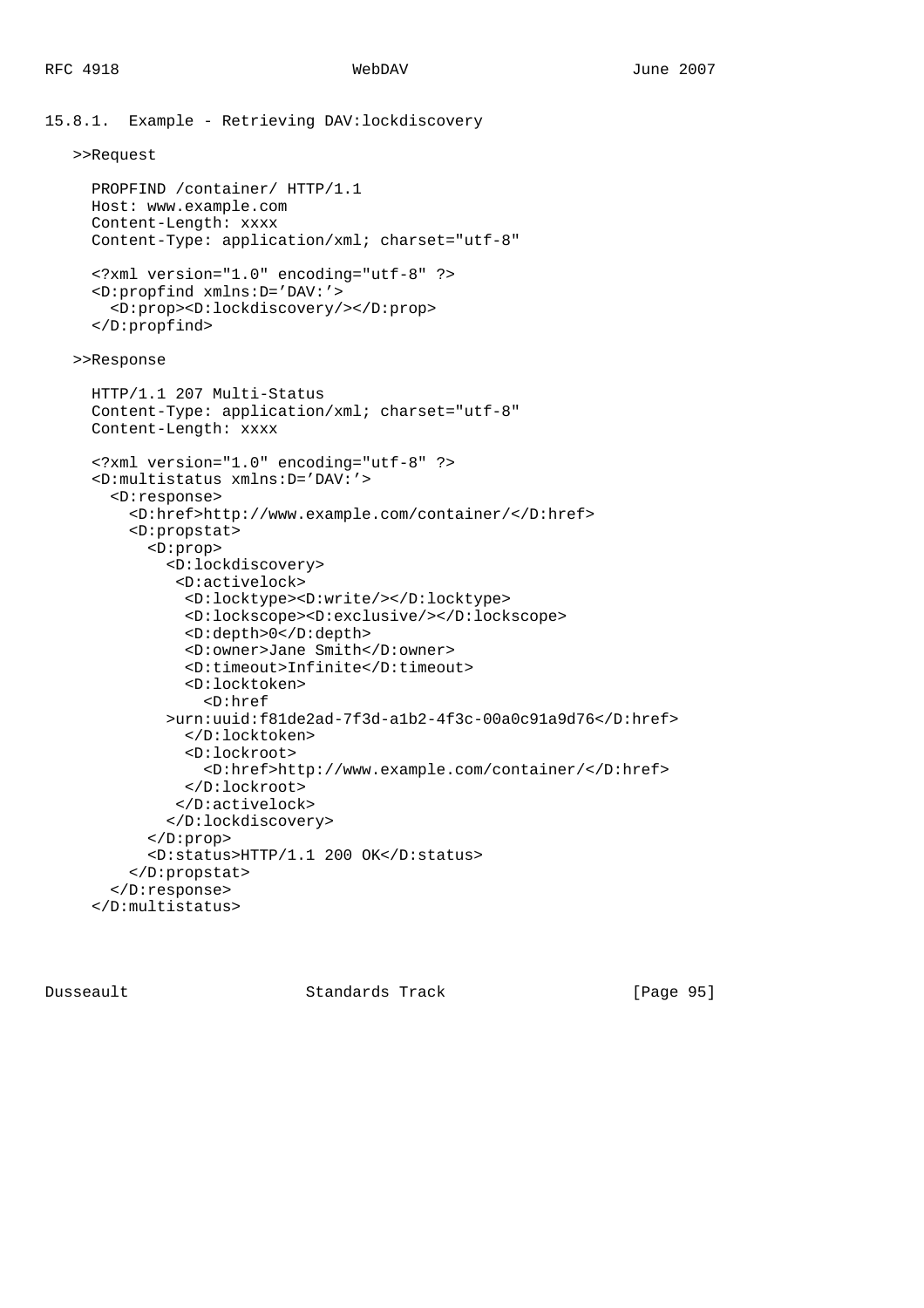```
15.8.1. Example - Retrieving DAV:lockdiscovery
    >>Request
      PROPFIND /container/ HTTP/1.1
      Host: www.example.com
      Content-Length: xxxx
      Content-Type: application/xml; charset="utf-8"
      <?xml version="1.0" encoding="utf-8" ?>
      <D:propfind xmlns:D='DAV:'>
        <D:prop><D:lockdiscovery/></D:prop>
      </D:propfind>
    >>Response
      HTTP/1.1 207 Multi-Status
      Content-Type: application/xml; charset="utf-8"
      Content-Length: xxxx
      <?xml version="1.0" encoding="utf-8" ?>
      <D:multistatus xmlns:D='DAV:'>
        <D:response>
          <D:href>http://www.example.com/container/</D:href>
          <D:propstat>
            <D:prop>
              <D:lockdiscovery>
                <D:activelock>
                <D:locktype><D:write/></D:locktype>
                <D:lockscope><D:exclusive/></D:lockscope>
                <D:depth>0</D:depth>
                <D:owner>Jane Smith</D:owner>
                <D:timeout>Infinite</D:timeout>
                <D:locktoken>
                   <D:href
              >urn:uuid:f81de2ad-7f3d-a1b2-4f3c-00a0c91a9d76</D:href>
                 </D:locktoken>
                 <D:lockroot>
                   <D:href>http://www.example.com/container/</D:href>
                </D:lockroot>
               </D:activelock>
              </D:lockdiscovery>
            </D:prop>
            <D:status>HTTP/1.1 200 OK</D:status>
          </D:propstat>
        </D:response>
      </D:multistatus>
```
Dusseault Standards Track [Page 95]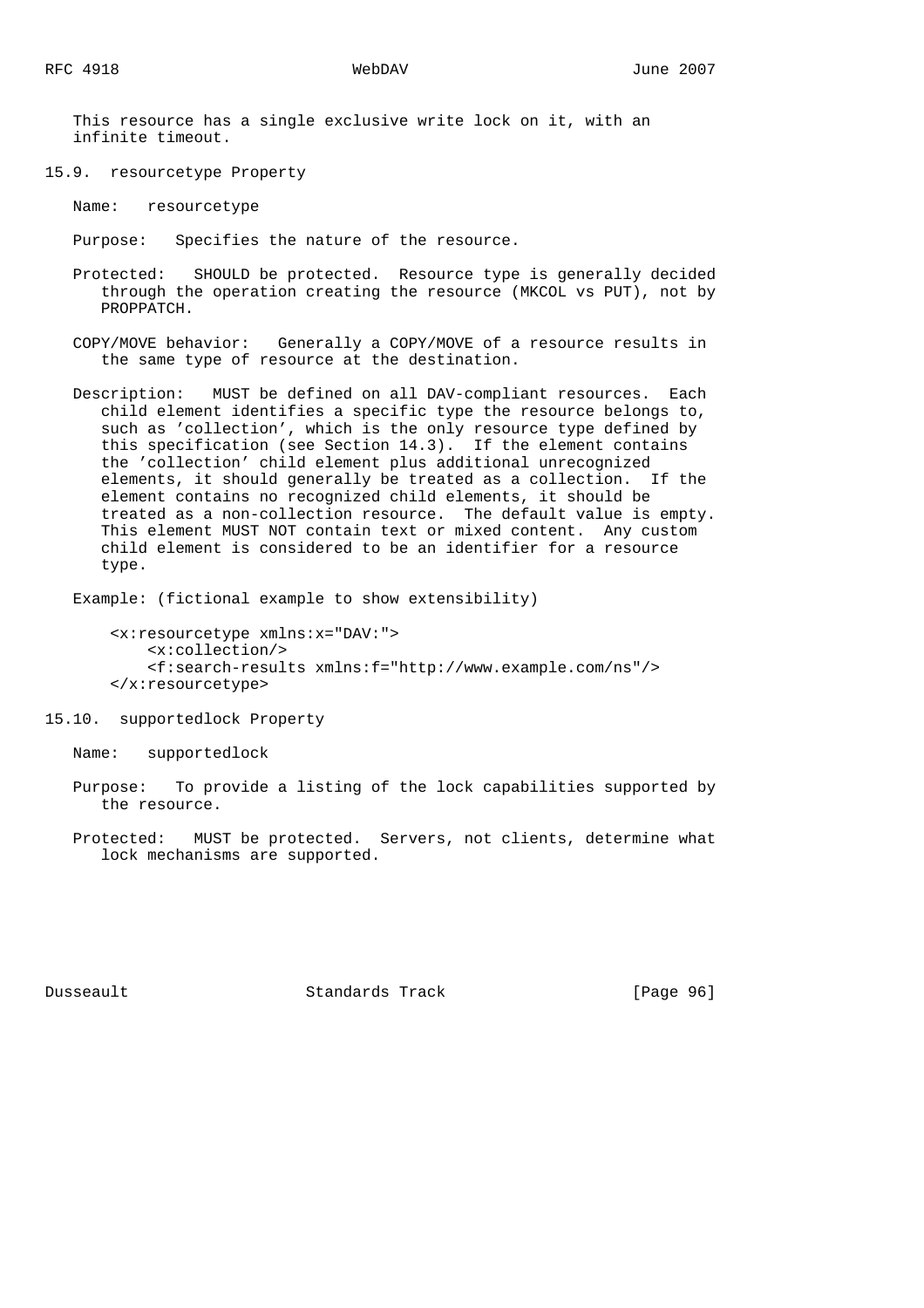This resource has a single exclusive write lock on it, with an infinite timeout.

15.9. resourcetype Property

Name: resourcetype

Purpose: Specifies the nature of the resource.

- Protected: SHOULD be protected. Resource type is generally decided through the operation creating the resource (MKCOL vs PUT), not by PROPPATCH.
- COPY/MOVE behavior: Generally a COPY/MOVE of a resource results in the same type of resource at the destination.
- Description: MUST be defined on all DAV-compliant resources. Each child element identifies a specific type the resource belongs to, such as 'collection', which is the only resource type defined by this specification (see Section 14.3). If the element contains the 'collection' child element plus additional unrecognized elements, it should generally be treated as a collection. If the element contains no recognized child elements, it should be treated as a non-collection resource. The default value is empty. This element MUST NOT contain text or mixed content. Any custom child element is considered to be an identifier for a resource type.

Example: (fictional example to show extensibility)

```
 <x:resourcetype xmlns:x="DAV:">
     <x:collection/>
     <f:search-results xmlns:f="http://www.example.com/ns"/>
 </x:resourcetype>
```
15.10. supportedlock Property

Name: supportedlock

 Purpose: To provide a listing of the lock capabilities supported by the resource.

 Protected: MUST be protected. Servers, not clients, determine what lock mechanisms are supported.

Dusseault Standards Track [Page 96]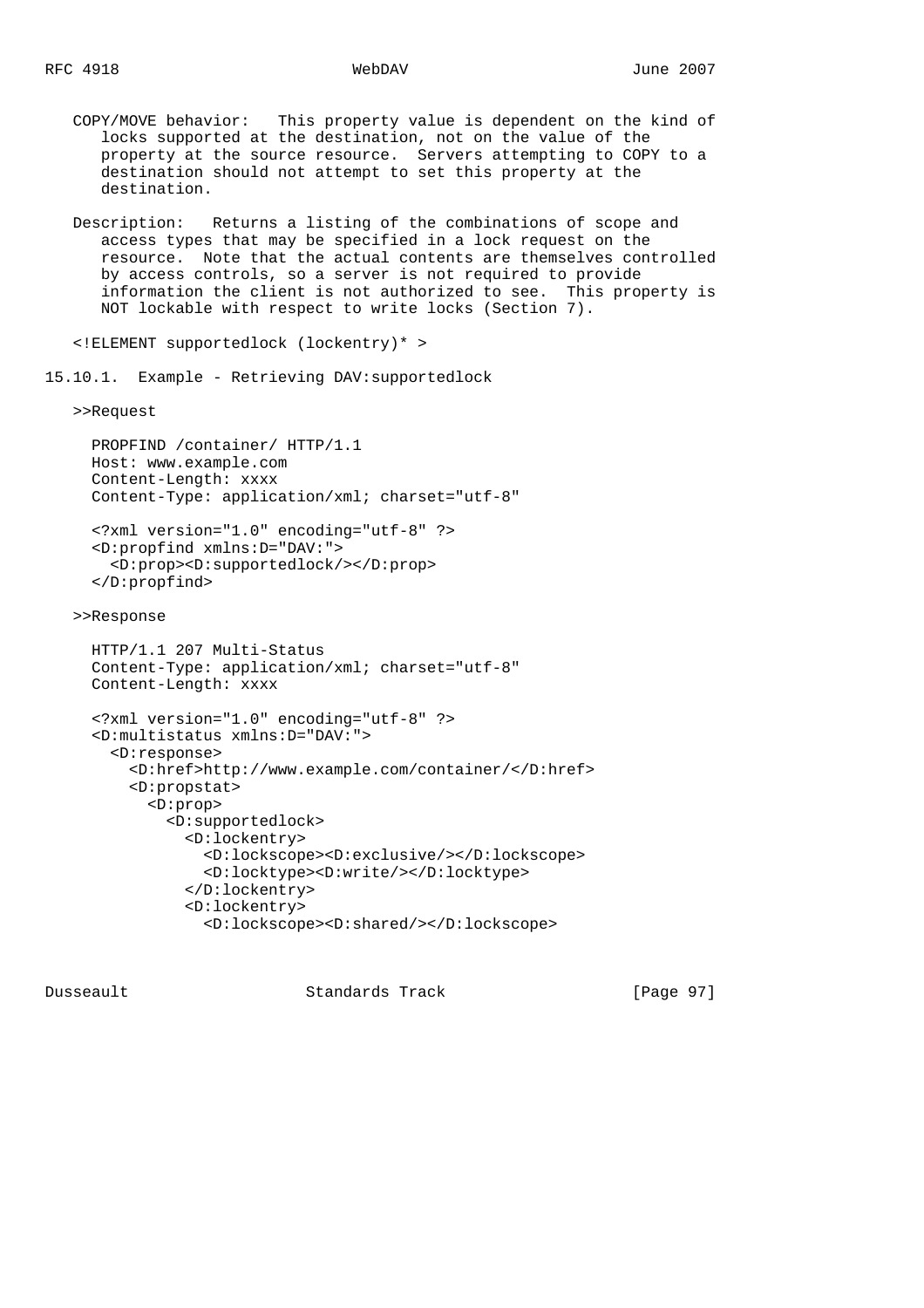- COPY/MOVE behavior: This property value is dependent on the kind of locks supported at the destination, not on the value of the property at the source resource. Servers attempting to COPY to a destination should not attempt to set this property at the destination.
- Description: Returns a listing of the combinations of scope and access types that may be specified in a lock request on the resource. Note that the actual contents are themselves controlled by access controls, so a server is not required to provide information the client is not authorized to see. This property is NOT lockable with respect to write locks (Section 7).

<!ELEMENT supportedlock (lockentry)\* >

15.10.1. Example - Retrieving DAV:supportedlock

>>Request

```
 PROPFIND /container/ HTTP/1.1
 Host: www.example.com
 Content-Length: xxxx
 Content-Type: application/xml; charset="utf-8"
```

```
 <?xml version="1.0" encoding="utf-8" ?>
 <D:propfind xmlns:D="DAV:">
   <D:prop><D:supportedlock/></D:prop>
 </D:propfind>
```
>>Response

```
 HTTP/1.1 207 Multi-Status
 Content-Type: application/xml; charset="utf-8"
 Content-Length: xxxx
```

```
 <?xml version="1.0" encoding="utf-8" ?>
 <D:multistatus xmlns:D="DAV:">
   <D:response>
     <D:href>http://www.example.com/container/</D:href>
     <D:propstat>
       <D:prop>
         <D:supportedlock>
           <D:lockentry>
             <D:lockscope><D:exclusive/></D:lockscope>
             <D:locktype><D:write/></D:locktype>
           </D:lockentry>
           <D:lockentry>
             <D:lockscope><D:shared/></D:lockscope>
```
Dusseault Standards Track [Page 97]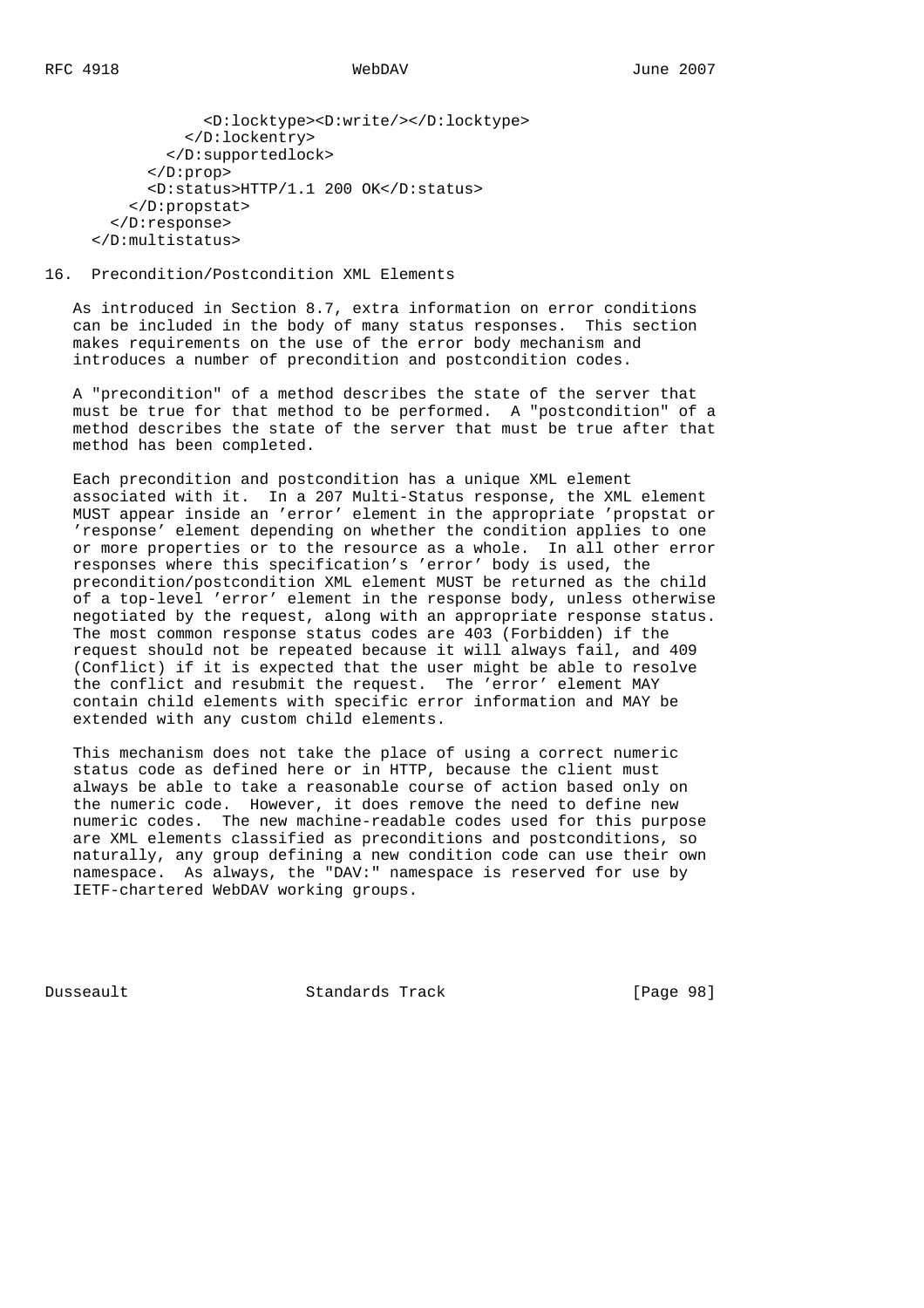<D:locktype><D:write/></D:locktype> </D:lockentry> </D:supportedlock> </D:prop> <D:status>HTTP/1.1 200 OK</D:status> </D:propstat> </D:response> </D:multistatus>

### 16. Precondition/Postcondition XML Elements

 As introduced in Section 8.7, extra information on error conditions can be included in the body of many status responses. This section makes requirements on the use of the error body mechanism and introduces a number of precondition and postcondition codes.

 A "precondition" of a method describes the state of the server that must be true for that method to be performed. A "postcondition" of a method describes the state of the server that must be true after that method has been completed.

 Each precondition and postcondition has a unique XML element associated with it. In a 207 Multi-Status response, the XML element MUST appear inside an 'error' element in the appropriate 'propstat or 'response' element depending on whether the condition applies to one or more properties or to the resource as a whole. In all other error responses where this specification's 'error' body is used, the precondition/postcondition XML element MUST be returned as the child of a top-level 'error' element in the response body, unless otherwise negotiated by the request, along with an appropriate response status. The most common response status codes are 403 (Forbidden) if the request should not be repeated because it will always fail, and 409 (Conflict) if it is expected that the user might be able to resolve the conflict and resubmit the request. The 'error' element MAY contain child elements with specific error information and MAY be extended with any custom child elements.

 This mechanism does not take the place of using a correct numeric status code as defined here or in HTTP, because the client must always be able to take a reasonable course of action based only on the numeric code. However, it does remove the need to define new numeric codes. The new machine-readable codes used for this purpose are XML elements classified as preconditions and postconditions, so naturally, any group defining a new condition code can use their own namespace. As always, the "DAV:" namespace is reserved for use by IETF-chartered WebDAV working groups.

Dusseault Standards Track [Page 98]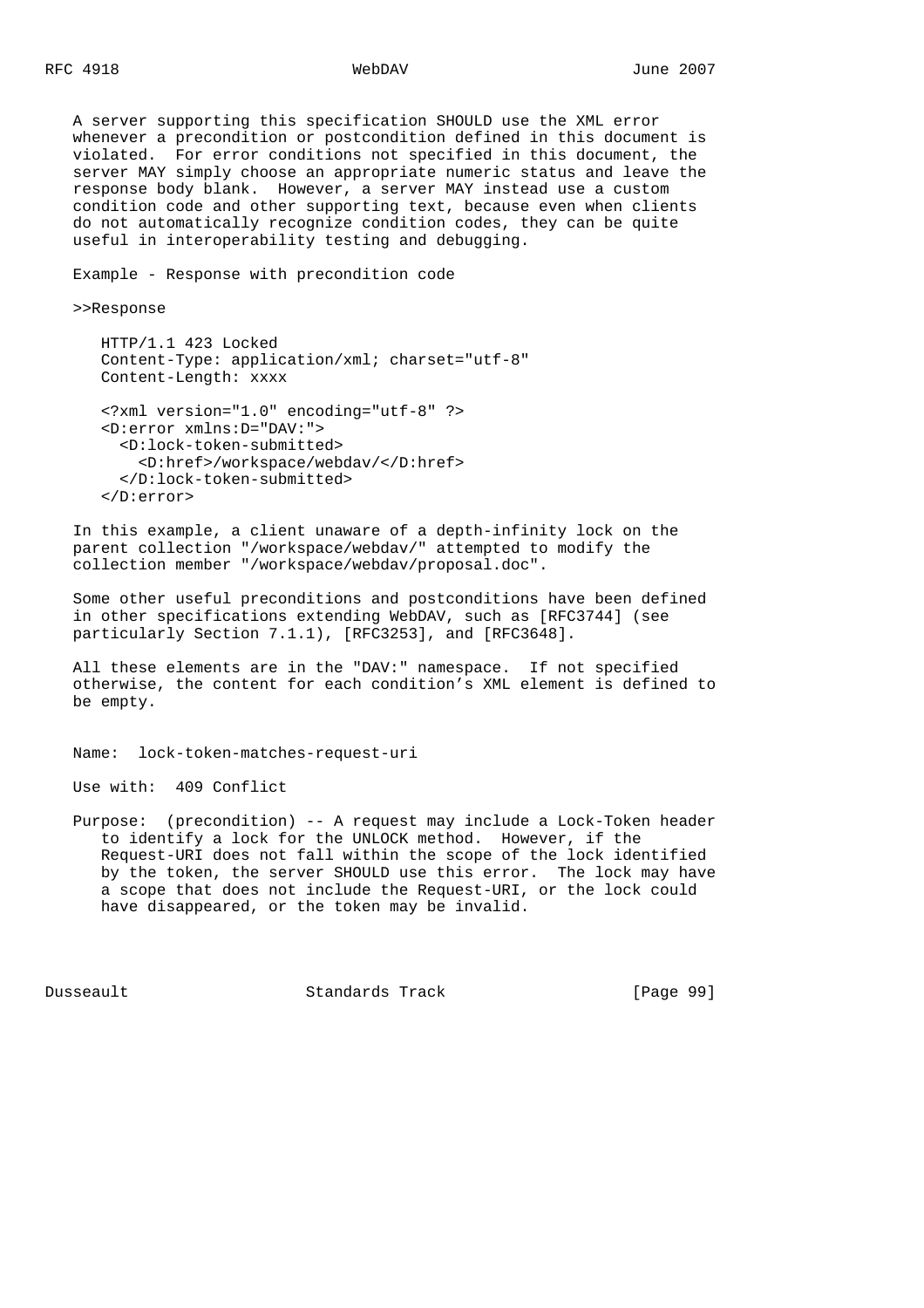A server supporting this specification SHOULD use the XML error whenever a precondition or postcondition defined in this document is violated. For error conditions not specified in this document, the server MAY simply choose an appropriate numeric status and leave the response body blank. However, a server MAY instead use a custom condition code and other supporting text, because even when clients do not automatically recognize condition codes, they can be quite useful in interoperability testing and debugging.

Example - Response with precondition code

>>Response

```
 HTTP/1.1 423 Locked
 Content-Type: application/xml; charset="utf-8"
 Content-Length: xxxx
```

```
 <?xml version="1.0" encoding="utf-8" ?>
 <D:error xmlns:D="DAV:">
   <D:lock-token-submitted>
     <D:href>/workspace/webdav/</D:href>
   </D:lock-token-submitted>
 </D:error>
```
 In this example, a client unaware of a depth-infinity lock on the parent collection "/workspace/webdav/" attempted to modify the collection member "/workspace/webdav/proposal.doc".

 Some other useful preconditions and postconditions have been defined in other specifications extending WebDAV, such as [RFC3744] (see particularly Section 7.1.1), [RFC3253], and [RFC3648].

 All these elements are in the "DAV:" namespace. If not specified otherwise, the content for each condition's XML element is defined to be empty.

Name: lock-token-matches-request-uri

Use with: 409 Conflict

 Purpose: (precondition) -- A request may include a Lock-Token header to identify a lock for the UNLOCK method. However, if the Request-URI does not fall within the scope of the lock identified by the token, the server SHOULD use this error. The lock may have a scope that does not include the Request-URI, or the lock could have disappeared, or the token may be invalid.

Dusseault Standards Track [Page 99]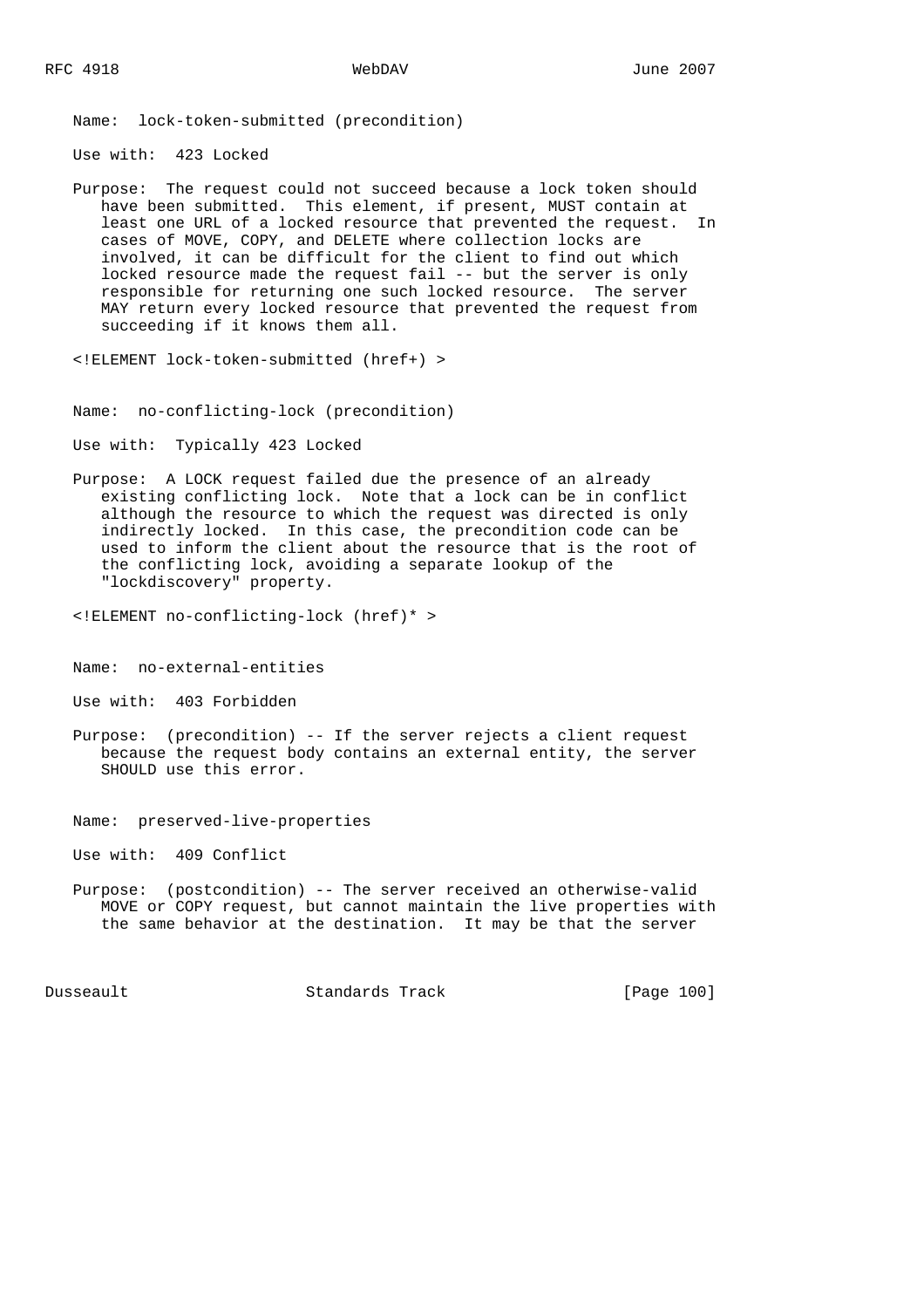Name: lock-token-submitted (precondition)

Use with: 423 Locked

 Purpose: The request could not succeed because a lock token should have been submitted. This element, if present, MUST contain at least one URL of a locked resource that prevented the request. In cases of MOVE, COPY, and DELETE where collection locks are involved, it can be difficult for the client to find out which locked resource made the request fail -- but the server is only responsible for returning one such locked resource. The server MAY return every locked resource that prevented the request from succeeding if it knows them all.

Use with: Typically 423 Locked

 Purpose: A LOCK request failed due the presence of an already existing conflicting lock. Note that a lock can be in conflict although the resource to which the request was directed is only indirectly locked. In this case, the precondition code can be used to inform the client about the resource that is the root of the conflicting lock, avoiding a separate lookup of the "lockdiscovery" property.

<!ELEMENT no-conflicting-lock (href)\* >

Name: no-external-entities

Use with: 403 Forbidden

 Purpose: (precondition) -- If the server rejects a client request because the request body contains an external entity, the server SHOULD use this error.

Name: preserved-live-properties

Use with: 409 Conflict

 Purpose: (postcondition) -- The server received an otherwise-valid MOVE or COPY request, but cannot maintain the live properties with the same behavior at the destination. It may be that the server

Dusseault Standards Track [Page 100]

 <sup>&</sup>lt;!ELEMENT lock-token-submitted (href+) >

Name: no-conflicting-lock (precondition)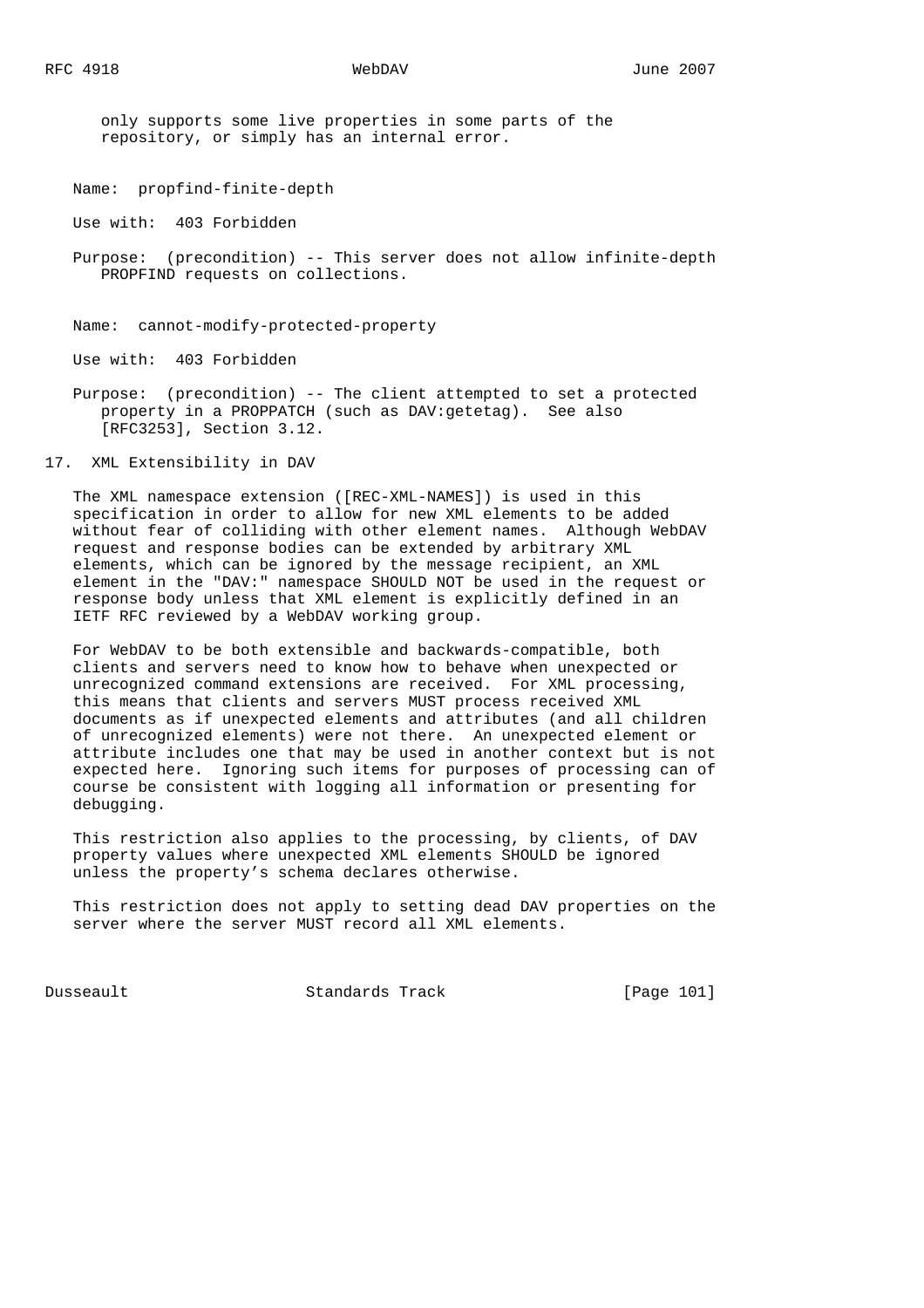only supports some live properties in some parts of the repository, or simply has an internal error.

Name: propfind-finite-depth

Use with: 403 Forbidden

 Purpose: (precondition) -- This server does not allow infinite-depth PROPFIND requests on collections.

Name: cannot-modify-protected-property

Use with: 403 Forbidden

 Purpose: (precondition) -- The client attempted to set a protected property in a PROPPATCH (such as DAV:getetag). See also [RFC3253], Section 3.12.

17. XML Extensibility in DAV

 The XML namespace extension ([REC-XML-NAMES]) is used in this specification in order to allow for new XML elements to be added without fear of colliding with other element names. Although WebDAV request and response bodies can be extended by arbitrary XML elements, which can be ignored by the message recipient, an XML element in the "DAV:" namespace SHOULD NOT be used in the request or response body unless that XML element is explicitly defined in an IETF RFC reviewed by a WebDAV working group.

 For WebDAV to be both extensible and backwards-compatible, both clients and servers need to know how to behave when unexpected or unrecognized command extensions are received. For XML processing, this means that clients and servers MUST process received XML documents as if unexpected elements and attributes (and all children of unrecognized elements) were not there. An unexpected element or attribute includes one that may be used in another context but is not expected here. Ignoring such items for purposes of processing can of course be consistent with logging all information or presenting for debugging.

 This restriction also applies to the processing, by clients, of DAV property values where unexpected XML elements SHOULD be ignored unless the property's schema declares otherwise.

 This restriction does not apply to setting dead DAV properties on the server where the server MUST record all XML elements.

Dusseault Standards Track [Page 101]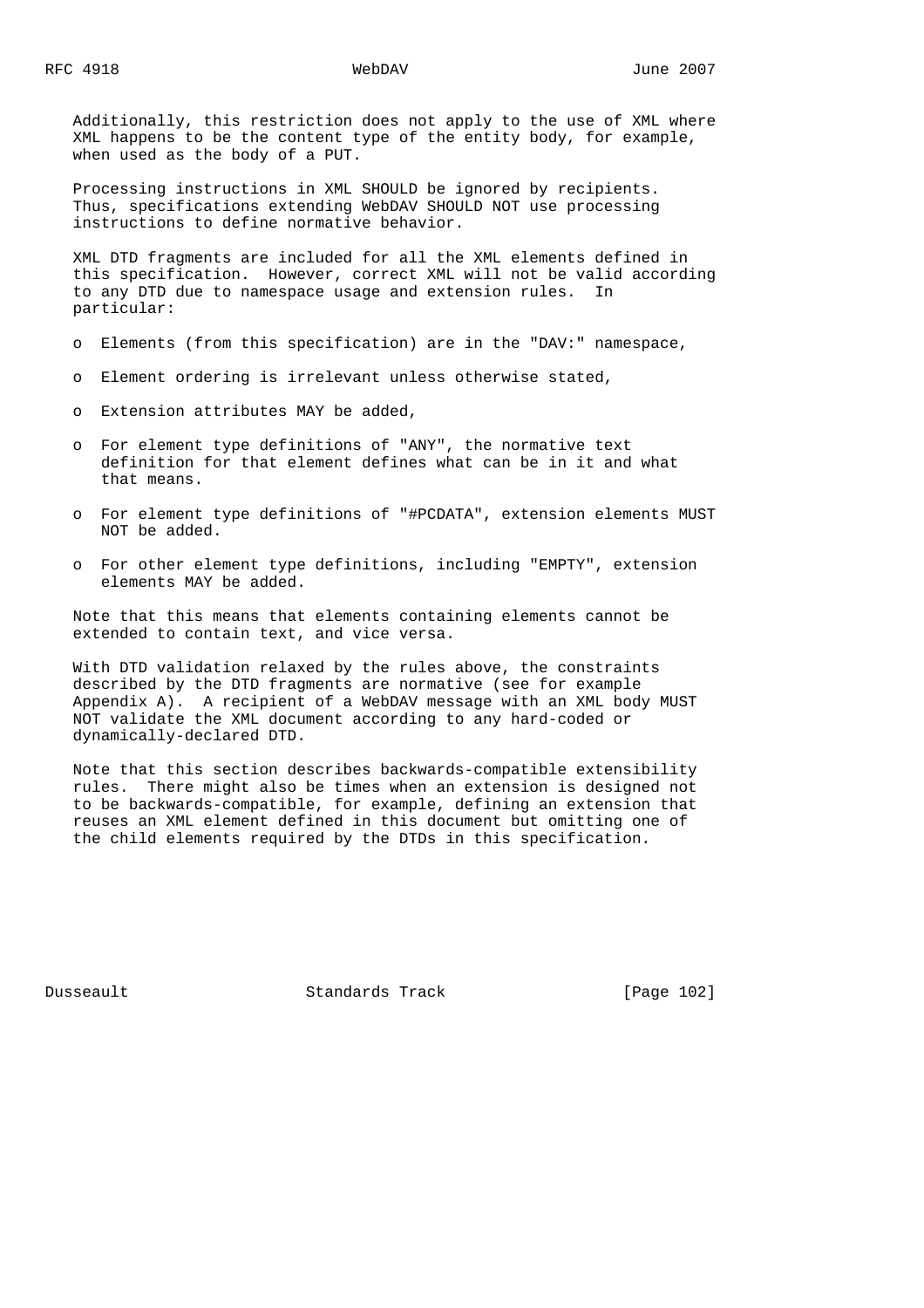Additionally, this restriction does not apply to the use of XML where XML happens to be the content type of the entity body, for example, when used as the body of a PUT.

 Processing instructions in XML SHOULD be ignored by recipients. Thus, specifications extending WebDAV SHOULD NOT use processing instructions to define normative behavior.

 XML DTD fragments are included for all the XML elements defined in this specification. However, correct XML will not be valid according to any DTD due to namespace usage and extension rules. In particular:

- o Elements (from this specification) are in the "DAV:" namespace,
- o Element ordering is irrelevant unless otherwise stated,
- o Extension attributes MAY be added,
- o For element type definitions of "ANY", the normative text definition for that element defines what can be in it and what that means.
- o For element type definitions of "#PCDATA", extension elements MUST NOT be added.
- o For other element type definitions, including "EMPTY", extension elements MAY be added.

 Note that this means that elements containing elements cannot be extended to contain text, and vice versa.

 With DTD validation relaxed by the rules above, the constraints described by the DTD fragments are normative (see for example Appendix A). A recipient of a WebDAV message with an XML body MUST NOT validate the XML document according to any hard-coded or dynamically-declared DTD.

 Note that this section describes backwards-compatible extensibility rules. There might also be times when an extension is designed not to be backwards-compatible, for example, defining an extension that reuses an XML element defined in this document but omitting one of the child elements required by the DTDs in this specification.

Dusseault Standards Track [Page 102]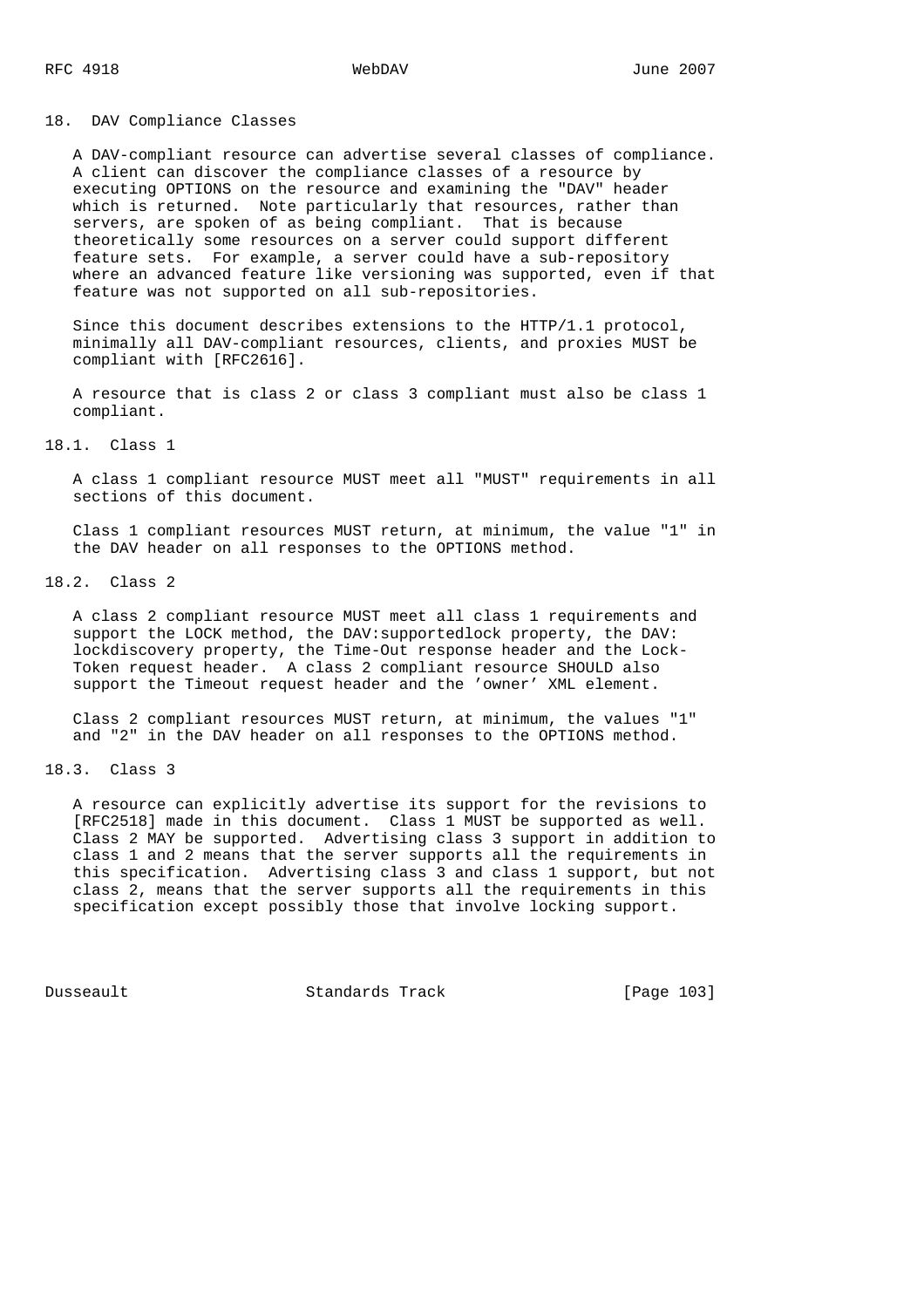# 18. DAV Compliance Classes

 A DAV-compliant resource can advertise several classes of compliance. A client can discover the compliance classes of a resource by executing OPTIONS on the resource and examining the "DAV" header which is returned. Note particularly that resources, rather than servers, are spoken of as being compliant. That is because theoretically some resources on a server could support different feature sets. For example, a server could have a sub-repository where an advanced feature like versioning was supported, even if that feature was not supported on all sub-repositories.

 Since this document describes extensions to the HTTP/1.1 protocol, minimally all DAV-compliant resources, clients, and proxies MUST be compliant with [RFC2616].

 A resource that is class 2 or class 3 compliant must also be class 1 compliant.

## 18.1. Class 1

 A class 1 compliant resource MUST meet all "MUST" requirements in all sections of this document.

 Class 1 compliant resources MUST return, at minimum, the value "1" in the DAV header on all responses to the OPTIONS method.

18.2. Class 2

 A class 2 compliant resource MUST meet all class 1 requirements and support the LOCK method, the DAV:supportedlock property, the DAV: lockdiscovery property, the Time-Out response header and the Lock- Token request header. A class 2 compliant resource SHOULD also support the Timeout request header and the 'owner' XML element.

 Class 2 compliant resources MUST return, at minimum, the values "1" and "2" in the DAV header on all responses to the OPTIONS method.

### 18.3. Class 3

 A resource can explicitly advertise its support for the revisions to [RFC2518] made in this document. Class 1 MUST be supported as well. Class 2 MAY be supported. Advertising class 3 support in addition to class 1 and 2 means that the server supports all the requirements in this specification. Advertising class 3 and class 1 support, but not class 2, means that the server supports all the requirements in this specification except possibly those that involve locking support.

Dusseault Standards Track [Page 103]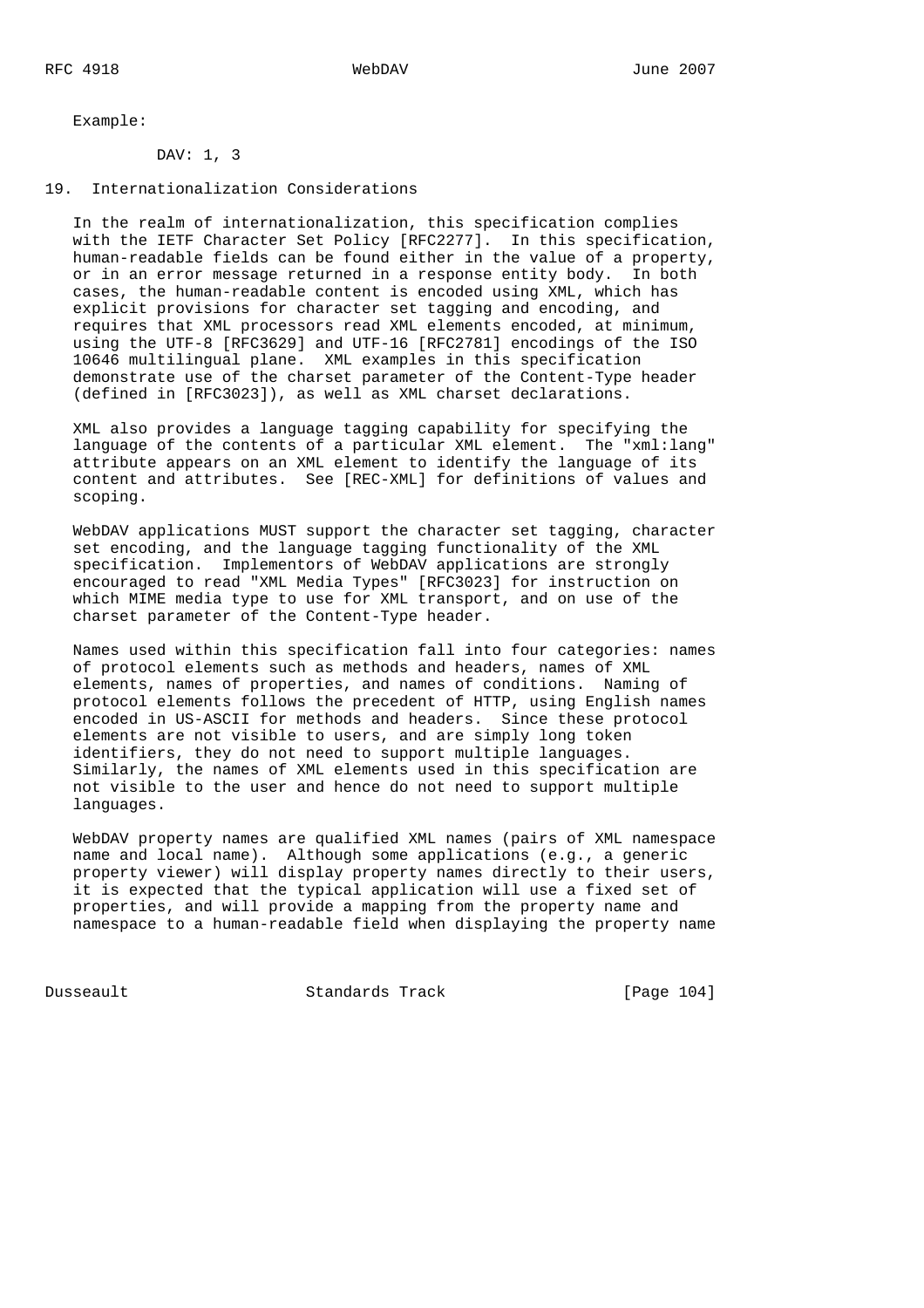Example:

# DAV: 1, 3

### 19. Internationalization Considerations

 In the realm of internationalization, this specification complies with the IETF Character Set Policy [RFC2277]. In this specification, human-readable fields can be found either in the value of a property, or in an error message returned in a response entity body. In both cases, the human-readable content is encoded using XML, which has explicit provisions for character set tagging and encoding, and requires that XML processors read XML elements encoded, at minimum, using the UTF-8 [RFC3629] and UTF-16 [RFC2781] encodings of the ISO 10646 multilingual plane. XML examples in this specification demonstrate use of the charset parameter of the Content-Type header (defined in [RFC3023]), as well as XML charset declarations.

 XML also provides a language tagging capability for specifying the language of the contents of a particular XML element. The "xml:lang" attribute appears on an XML element to identify the language of its content and attributes. See [REC-XML] for definitions of values and scoping.

 WebDAV applications MUST support the character set tagging, character set encoding, and the language tagging functionality of the XML specification. Implementors of WebDAV applications are strongly encouraged to read "XML Media Types" [RFC3023] for instruction on which MIME media type to use for XML transport, and on use of the charset parameter of the Content-Type header.

 Names used within this specification fall into four categories: names of protocol elements such as methods and headers, names of XML elements, names of properties, and names of conditions. Naming of protocol elements follows the precedent of HTTP, using English names encoded in US-ASCII for methods and headers. Since these protocol elements are not visible to users, and are simply long token identifiers, they do not need to support multiple languages. Similarly, the names of XML elements used in this specification are not visible to the user and hence do not need to support multiple languages.

 WebDAV property names are qualified XML names (pairs of XML namespace name and local name). Although some applications (e.g., a generic property viewer) will display property names directly to their users, it is expected that the typical application will use a fixed set of properties, and will provide a mapping from the property name and namespace to a human-readable field when displaying the property name

Dusseault Standards Track [Page 104]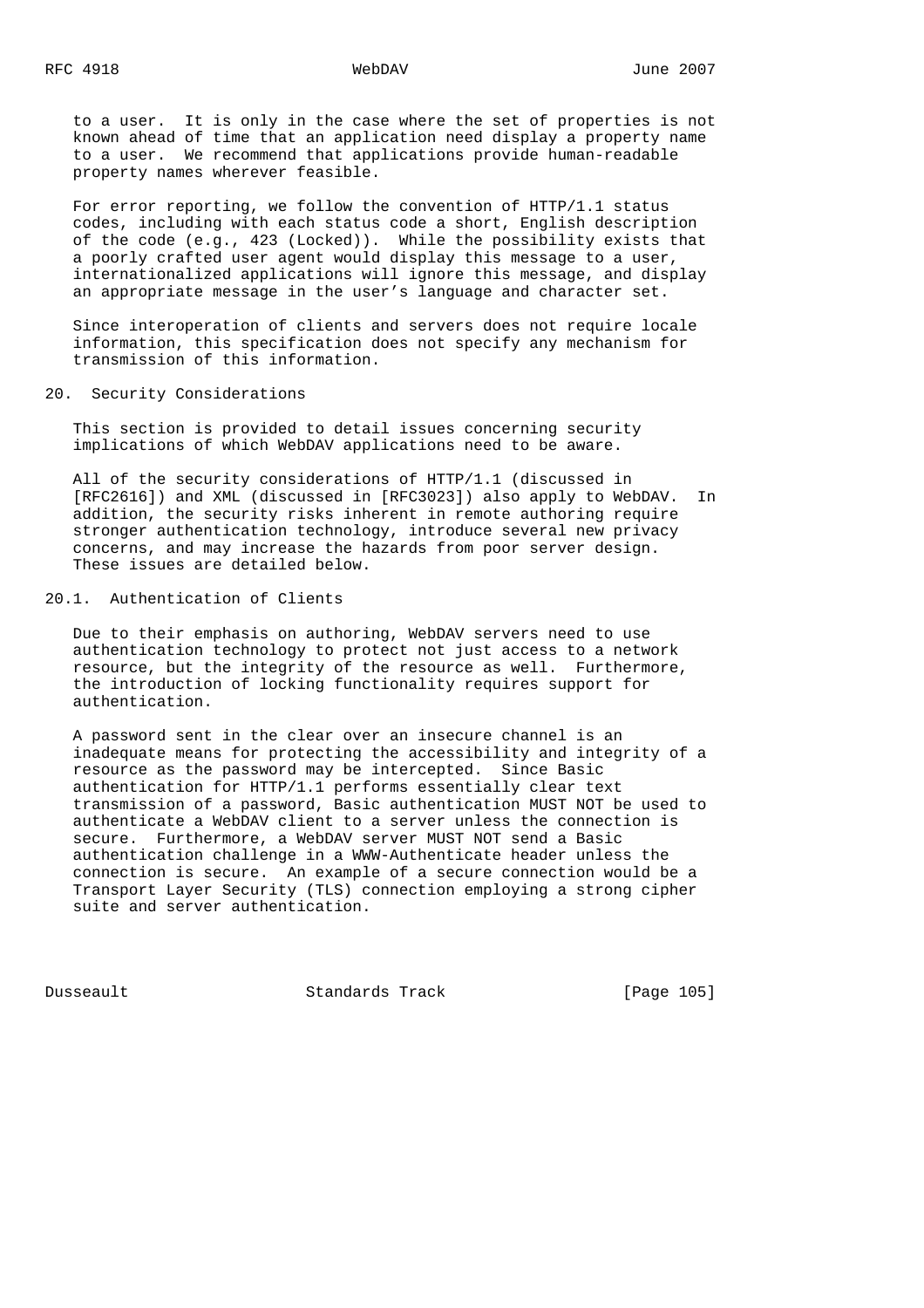to a user. It is only in the case where the set of properties is not known ahead of time that an application need display a property name to a user. We recommend that applications provide human-readable property names wherever feasible.

 For error reporting, we follow the convention of HTTP/1.1 status codes, including with each status code a short, English description of the code (e.g., 423 (Locked)). While the possibility exists that a poorly crafted user agent would display this message to a user, internationalized applications will ignore this message, and display an appropriate message in the user's language and character set.

 Since interoperation of clients and servers does not require locale information, this specification does not specify any mechanism for transmission of this information.

### 20. Security Considerations

 This section is provided to detail issues concerning security implications of which WebDAV applications need to be aware.

 All of the security considerations of HTTP/1.1 (discussed in [RFC2616]) and XML (discussed in [RFC3023]) also apply to WebDAV. In addition, the security risks inherent in remote authoring require stronger authentication technology, introduce several new privacy concerns, and may increase the hazards from poor server design. These issues are detailed below.

# 20.1. Authentication of Clients

 Due to their emphasis on authoring, WebDAV servers need to use authentication technology to protect not just access to a network resource, but the integrity of the resource as well. Furthermore, the introduction of locking functionality requires support for authentication.

 A password sent in the clear over an insecure channel is an inadequate means for protecting the accessibility and integrity of a resource as the password may be intercepted. Since Basic authentication for HTTP/1.1 performs essentially clear text transmission of a password, Basic authentication MUST NOT be used to authenticate a WebDAV client to a server unless the connection is secure. Furthermore, a WebDAV server MUST NOT send a Basic authentication challenge in a WWW-Authenticate header unless the connection is secure. An example of a secure connection would be a Transport Layer Security (TLS) connection employing a strong cipher suite and server authentication.

Dusseault Standards Track [Page 105]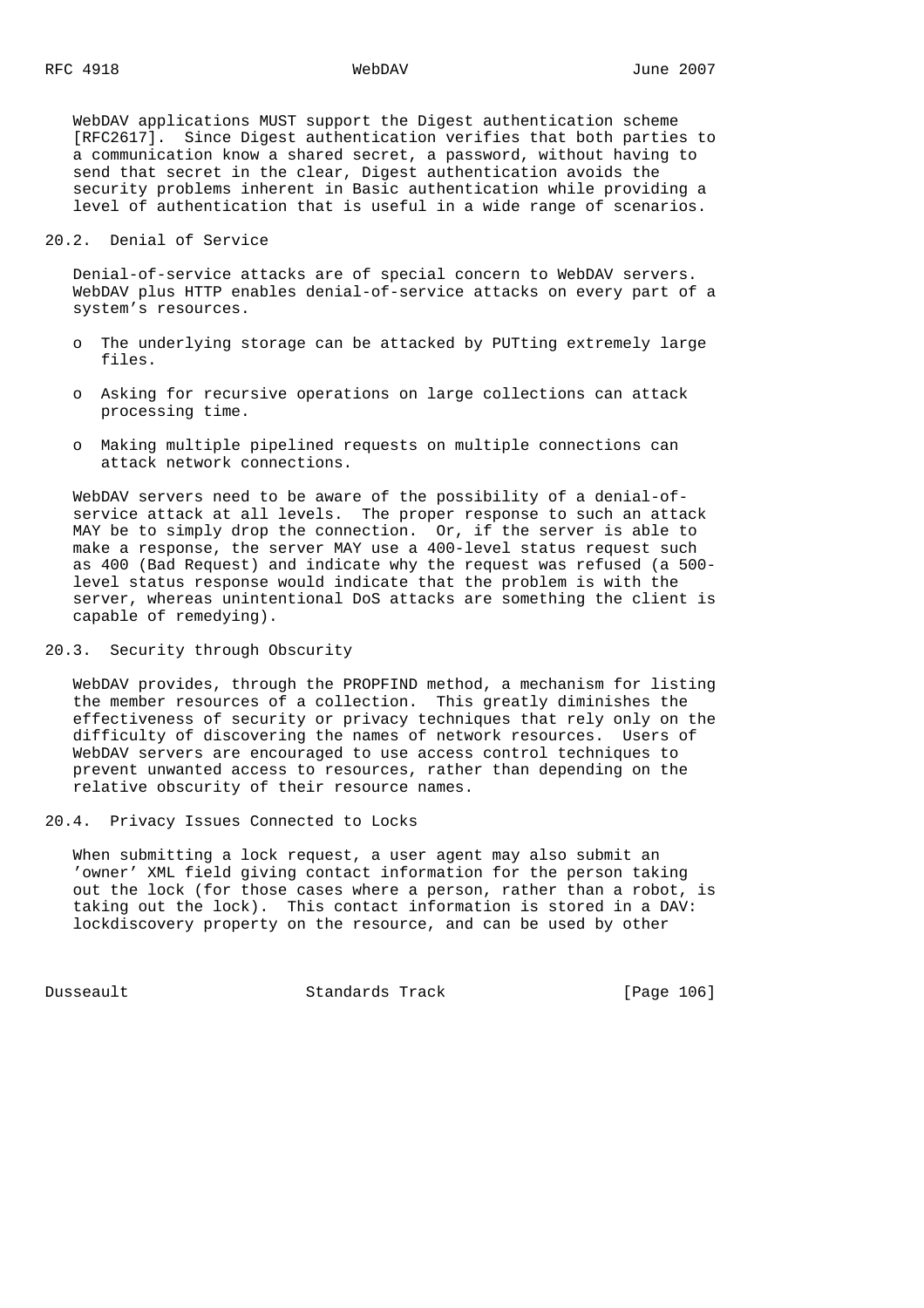WebDAV applications MUST support the Digest authentication scheme [RFC2617]. Since Digest authentication verifies that both parties to a communication know a shared secret, a password, without having to send that secret in the clear, Digest authentication avoids the security problems inherent in Basic authentication while providing a level of authentication that is useful in a wide range of scenarios.

### 20.2. Denial of Service

 Denial-of-service attacks are of special concern to WebDAV servers. WebDAV plus HTTP enables denial-of-service attacks on every part of a system's resources.

- o The underlying storage can be attacked by PUTting extremely large files.
- o Asking for recursive operations on large collections can attack processing time.
- o Making multiple pipelined requests on multiple connections can attack network connections.

 WebDAV servers need to be aware of the possibility of a denial-of service attack at all levels. The proper response to such an attack MAY be to simply drop the connection. Or, if the server is able to make a response, the server MAY use a 400-level status request such as 400 (Bad Request) and indicate why the request was refused (a 500 level status response would indicate that the problem is with the server, whereas unintentional DoS attacks are something the client is capable of remedying).

20.3. Security through Obscurity

 WebDAV provides, through the PROPFIND method, a mechanism for listing the member resources of a collection. This greatly diminishes the effectiveness of security or privacy techniques that rely only on the difficulty of discovering the names of network resources. Users of WebDAV servers are encouraged to use access control techniques to prevent unwanted access to resources, rather than depending on the relative obscurity of their resource names.

20.4. Privacy Issues Connected to Locks

 When submitting a lock request, a user agent may also submit an 'owner' XML field giving contact information for the person taking out the lock (for those cases where a person, rather than a robot, is taking out the lock). This contact information is stored in a DAV: lockdiscovery property on the resource, and can be used by other

Dusseault Standards Track [Page 106]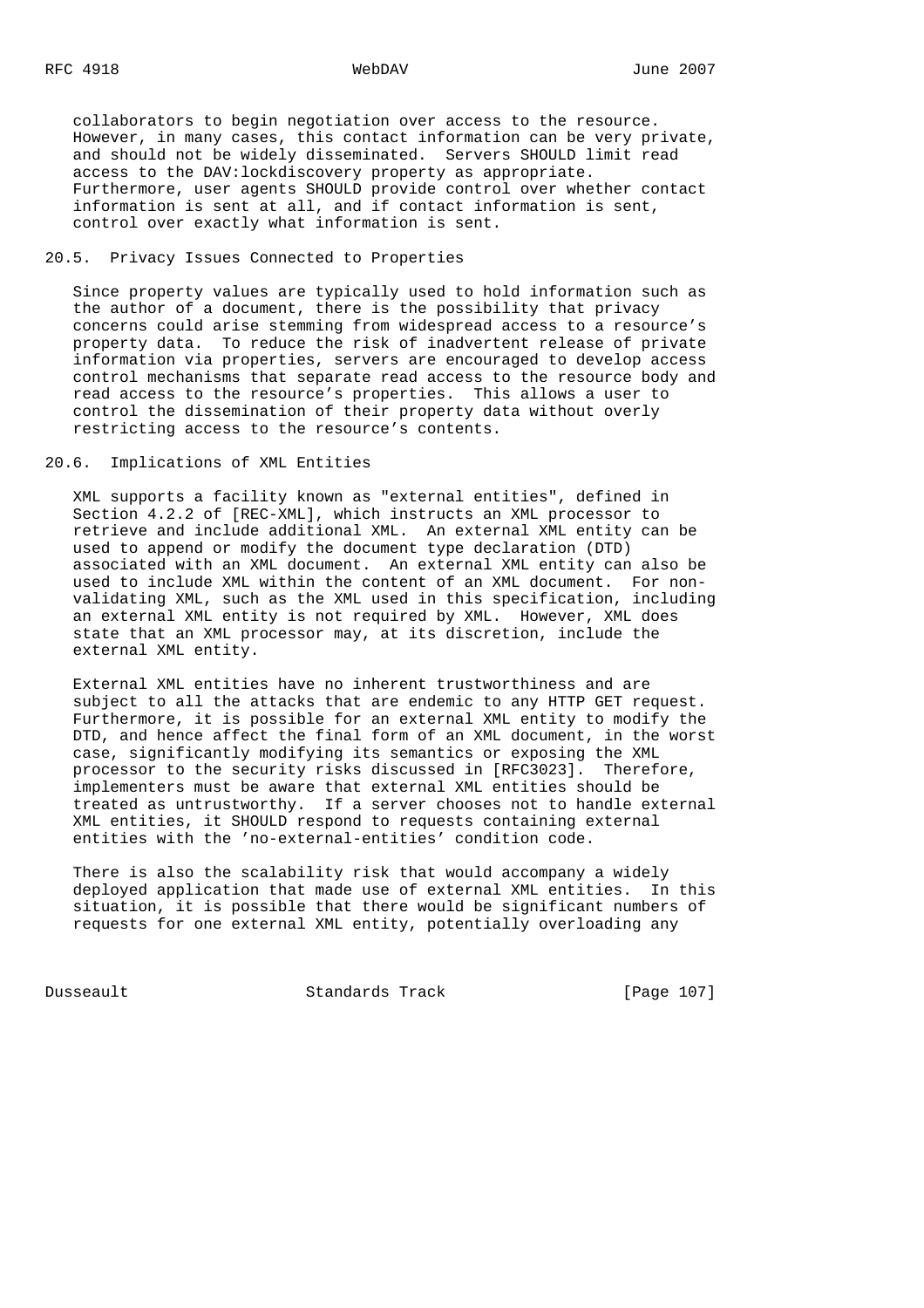collaborators to begin negotiation over access to the resource. However, in many cases, this contact information can be very private, and should not be widely disseminated. Servers SHOULD limit read access to the DAV:lockdiscovery property as appropriate. Furthermore, user agents SHOULD provide control over whether contact information is sent at all, and if contact information is sent, control over exactly what information is sent.

# 20.5. Privacy Issues Connected to Properties

 Since property values are typically used to hold information such as the author of a document, there is the possibility that privacy concerns could arise stemming from widespread access to a resource's property data. To reduce the risk of inadvertent release of private information via properties, servers are encouraged to develop access control mechanisms that separate read access to the resource body and read access to the resource's properties. This allows a user to control the dissemination of their property data without overly restricting access to the resource's contents.

20.6. Implications of XML Entities

 XML supports a facility known as "external entities", defined in Section 4.2.2 of [REC-XML], which instructs an XML processor to retrieve and include additional XML. An external XML entity can be used to append or modify the document type declaration (DTD) associated with an XML document. An external XML entity can also be used to include XML within the content of an XML document. For non validating XML, such as the XML used in this specification, including an external XML entity is not required by XML. However, XML does state that an XML processor may, at its discretion, include the external XML entity.

 External XML entities have no inherent trustworthiness and are subject to all the attacks that are endemic to any HTTP GET request. Furthermore, it is possible for an external XML entity to modify the DTD, and hence affect the final form of an XML document, in the worst case, significantly modifying its semantics or exposing the XML processor to the security risks discussed in [RFC3023]. Therefore, implementers must be aware that external XML entities should be treated as untrustworthy. If a server chooses not to handle external XML entities, it SHOULD respond to requests containing external entities with the 'no-external-entities' condition code.

 There is also the scalability risk that would accompany a widely deployed application that made use of external XML entities. In this situation, it is possible that there would be significant numbers of requests for one external XML entity, potentially overloading any

Dusseault Standards Track [Page 107]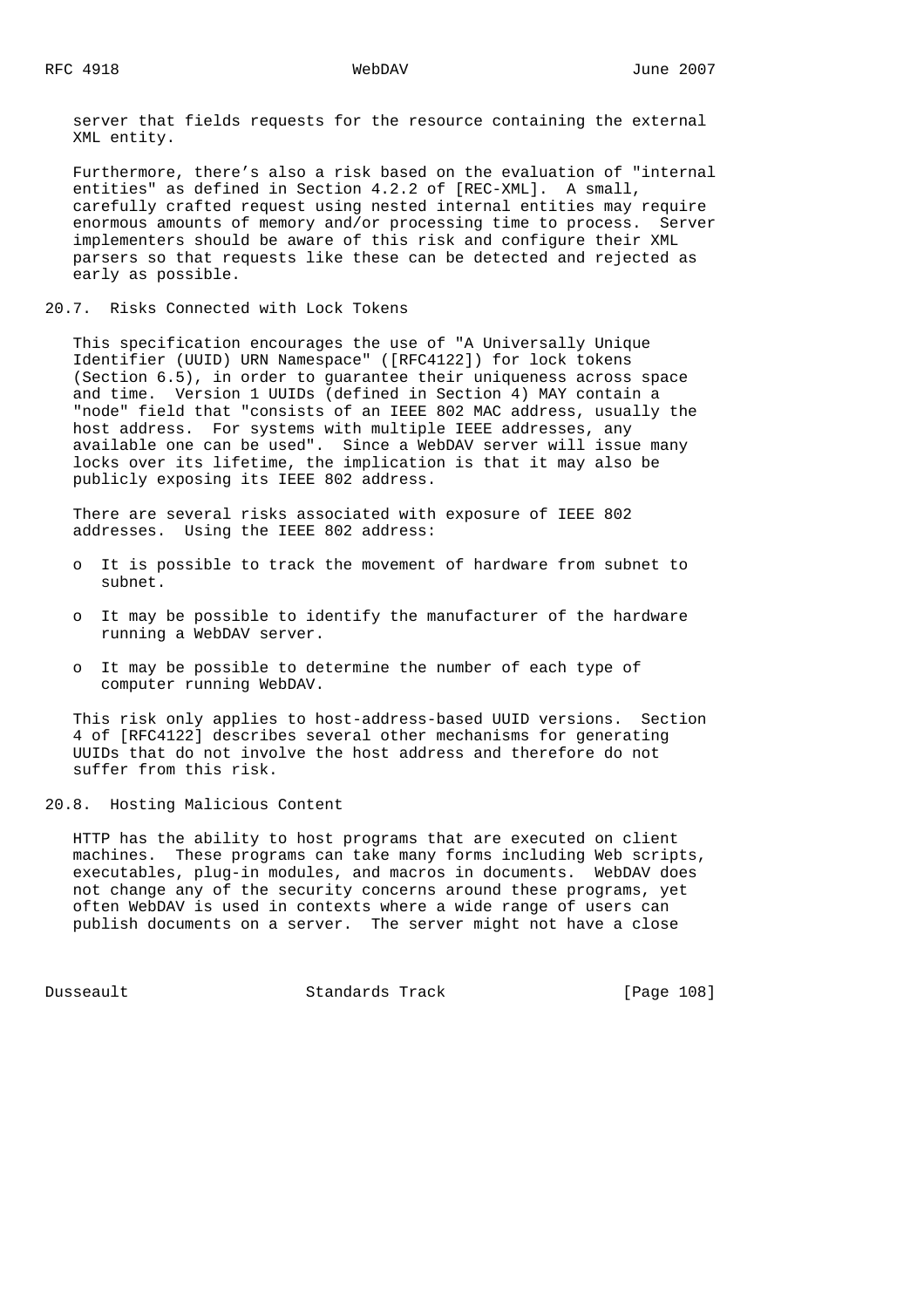server that fields requests for the resource containing the external XML entity.

 Furthermore, there's also a risk based on the evaluation of "internal entities" as defined in Section 4.2.2 of [REC-XML]. A small, carefully crafted request using nested internal entities may require enormous amounts of memory and/or processing time to process. Server implementers should be aware of this risk and configure their XML parsers so that requests like these can be detected and rejected as early as possible.

20.7. Risks Connected with Lock Tokens

 This specification encourages the use of "A Universally Unique Identifier (UUID) URN Namespace" ([RFC4122]) for lock tokens (Section 6.5), in order to guarantee their uniqueness across space and time. Version 1 UUIDs (defined in Section 4) MAY contain a "node" field that "consists of an IEEE 802 MAC address, usually the host address. For systems with multiple IEEE addresses, any available one can be used". Since a WebDAV server will issue many locks over its lifetime, the implication is that it may also be publicly exposing its IEEE 802 address.

 There are several risks associated with exposure of IEEE 802 addresses. Using the IEEE 802 address:

- o It is possible to track the movement of hardware from subnet to subnet.
- o It may be possible to identify the manufacturer of the hardware running a WebDAV server.
- o It may be possible to determine the number of each type of computer running WebDAV.

 This risk only applies to host-address-based UUID versions. Section 4 of [RFC4122] describes several other mechanisms for generating UUIDs that do not involve the host address and therefore do not suffer from this risk.

20.8. Hosting Malicious Content

 HTTP has the ability to host programs that are executed on client machines. These programs can take many forms including Web scripts, executables, plug-in modules, and macros in documents. WebDAV does not change any of the security concerns around these programs, yet often WebDAV is used in contexts where a wide range of users can publish documents on a server. The server might not have a close

Dusseault Standards Track [Page 108]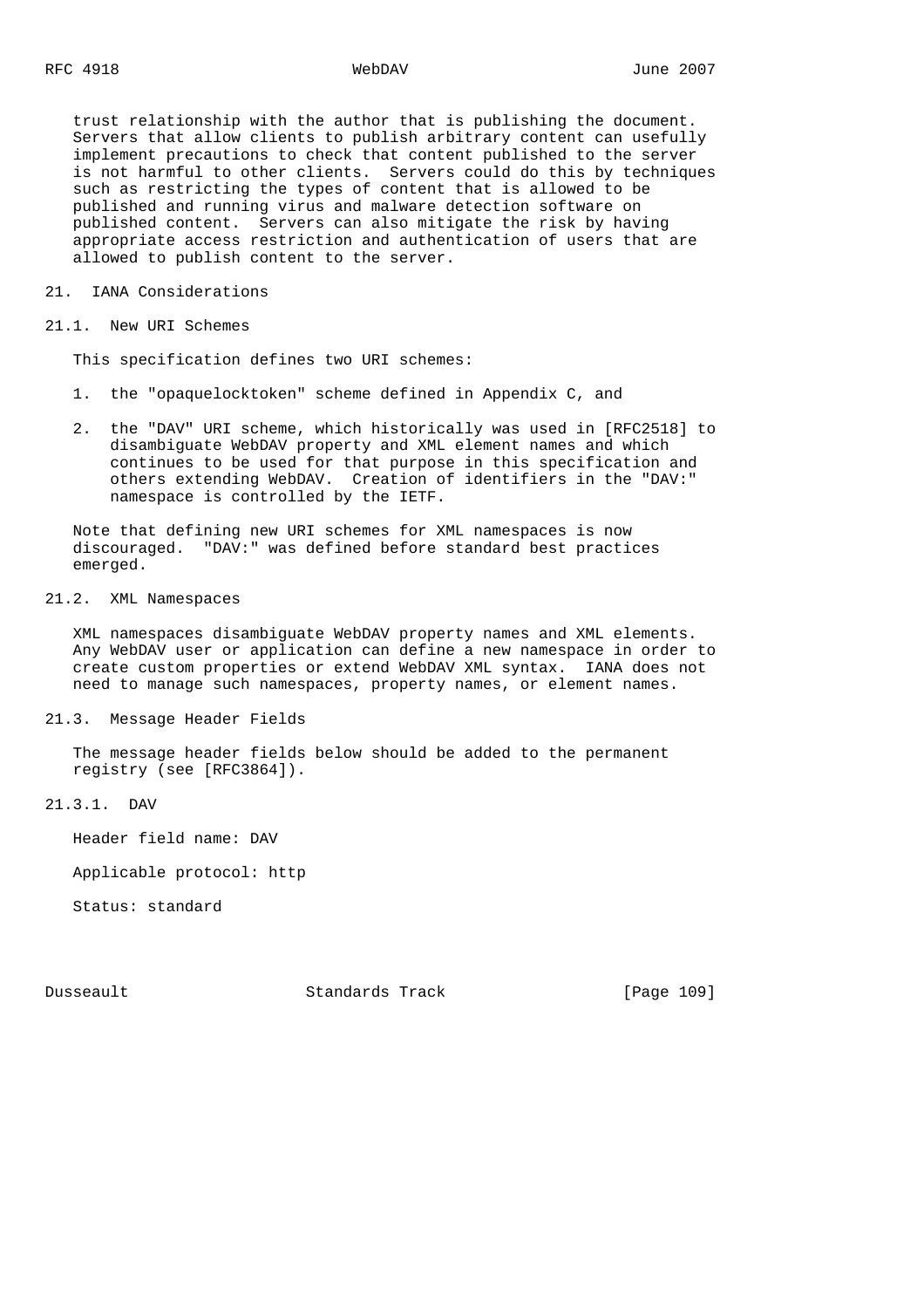trust relationship with the author that is publishing the document. Servers that allow clients to publish arbitrary content can usefully implement precautions to check that content published to the server is not harmful to other clients. Servers could do this by techniques such as restricting the types of content that is allowed to be published and running virus and malware detection software on published content. Servers can also mitigate the risk by having appropriate access restriction and authentication of users that are allowed to publish content to the server.

21. IANA Considerations

21.1. New URI Schemes

This specification defines two URI schemes:

- 1. the "opaquelocktoken" scheme defined in Appendix C, and
- 2. the "DAV" URI scheme, which historically was used in [RFC2518] to disambiguate WebDAV property and XML element names and which continues to be used for that purpose in this specification and others extending WebDAV. Creation of identifiers in the "DAV:" namespace is controlled by the IETF.

 Note that defining new URI schemes for XML namespaces is now discouraged. "DAV:" was defined before standard best practices emerged.

# 21.2. XML Namespaces

 XML namespaces disambiguate WebDAV property names and XML elements. Any WebDAV user or application can define a new namespace in order to create custom properties or extend WebDAV XML syntax. IANA does not need to manage such namespaces, property names, or element names.

21.3. Message Header Fields

 The message header fields below should be added to the permanent registry (see [RFC3864]).

21.3.1. DAV

Header field name: DAV

Applicable protocol: http

Status: standard

Dusseault Standards Track [Page 109]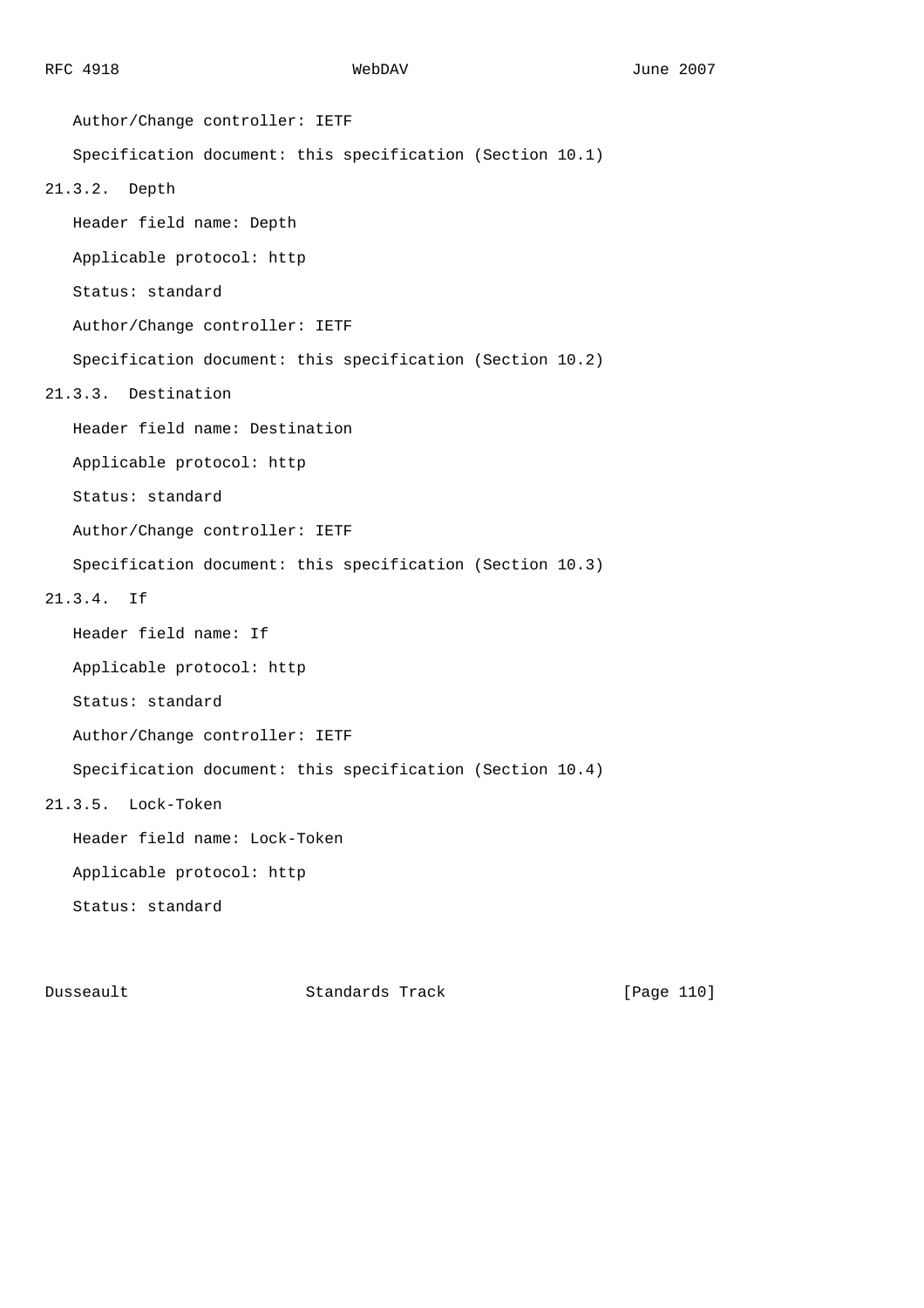Author/Change controller: IETF Specification document: this specification (Section 10.1) 21.3.2. Depth Header field name: Depth Applicable protocol: http Status: standard Author/Change controller: IETF Specification document: this specification (Section 10.2) 21.3.3. Destination Header field name: Destination Applicable protocol: http Status: standard Author/Change controller: IETF Specification document: this specification (Section 10.3) 21.3.4. If Header field name: If Applicable protocol: http Status: standard Author/Change controller: IETF Specification document: this specification (Section 10.4) 21.3.5. Lock-Token Header field name: Lock-Token Applicable protocol: http Status: standard

Dusseault Standards Track [Page 110]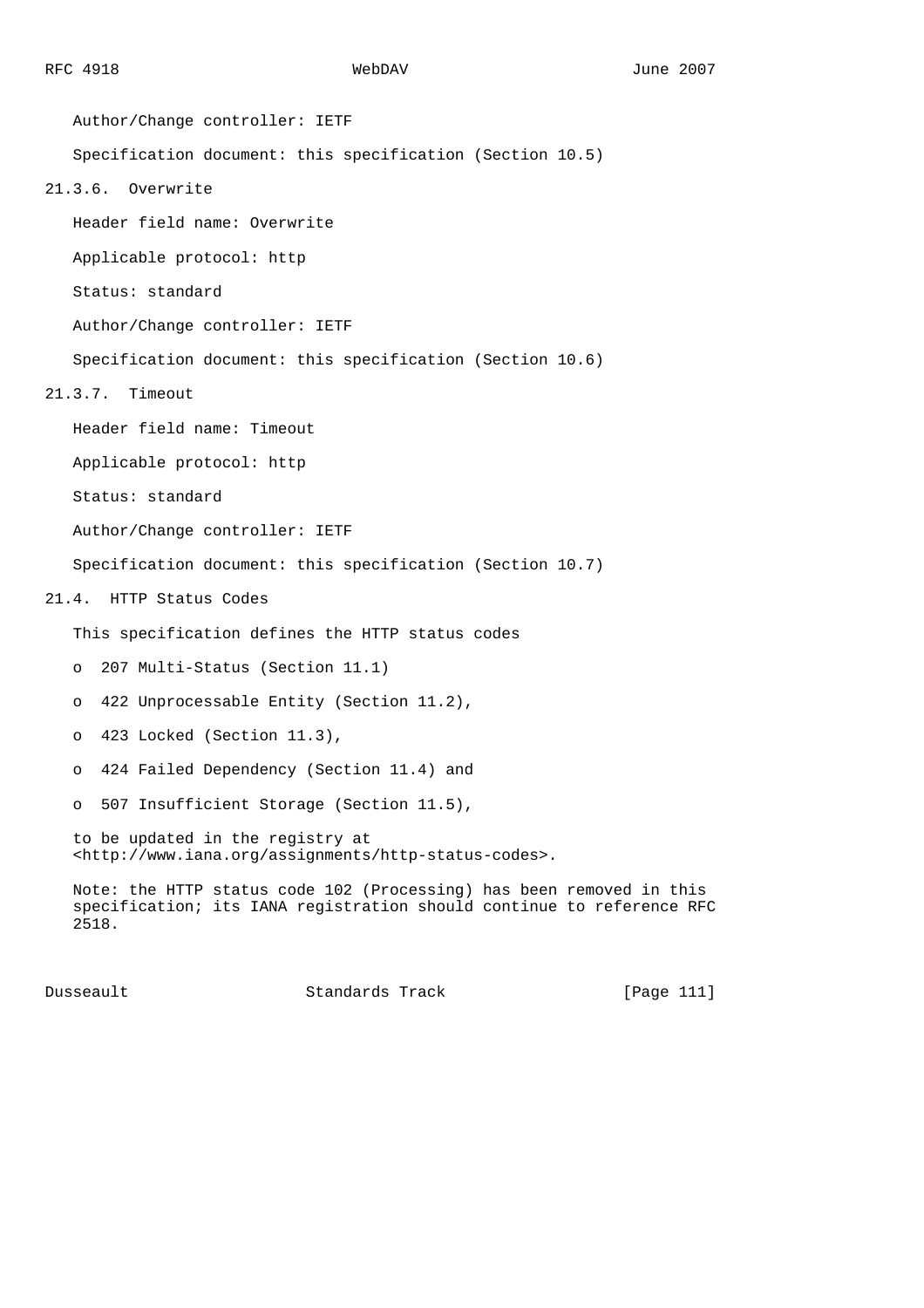Author/Change controller: IETF Specification document: this specification (Section 10.5) 21.3.6. Overwrite Header field name: Overwrite Applicable protocol: http Status: standard Author/Change controller: IETF Specification document: this specification (Section 10.6) 21.3.7. Timeout Header field name: Timeout Applicable protocol: http Status: standard Author/Change controller: IETF Specification document: this specification (Section 10.7) 21.4. HTTP Status Codes This specification defines the HTTP status codes o 207 Multi-Status (Section 11.1) o 422 Unprocessable Entity (Section 11.2), o 423 Locked (Section 11.3), o 424 Failed Dependency (Section 11.4) and o 507 Insufficient Storage (Section 11.5), to be updated in the registry at <http://www.iana.org/assignments/http-status-codes>. Note: the HTTP status code 102 (Processing) has been removed in this specification; its IANA registration should continue to reference RFC 2518.

Dusseault Standards Track [Page 111]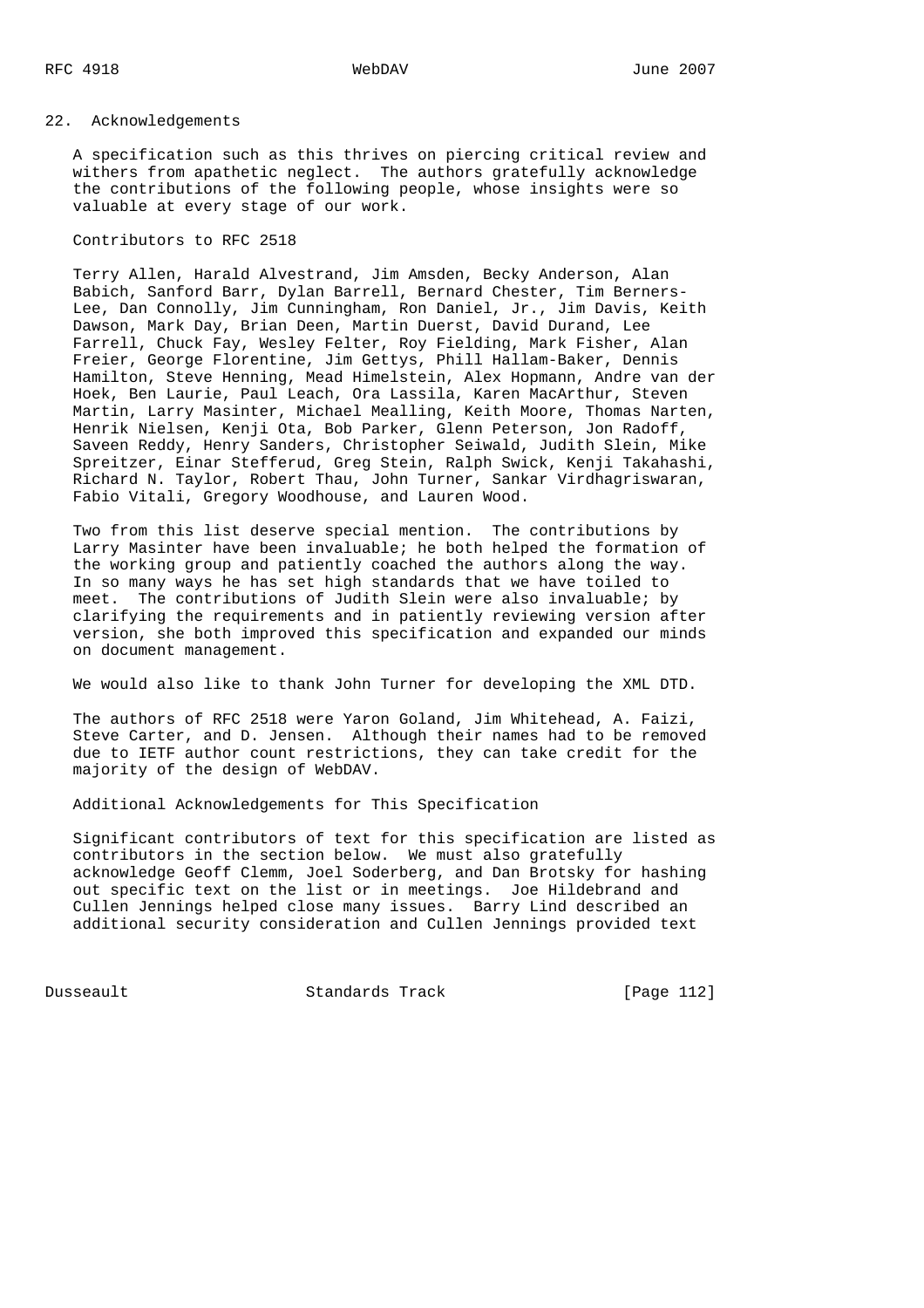# 22. Acknowledgements

 A specification such as this thrives on piercing critical review and withers from apathetic neglect. The authors gratefully acknowledge the contributions of the following people, whose insights were so valuable at every stage of our work.

Contributors to RFC 2518

 Terry Allen, Harald Alvestrand, Jim Amsden, Becky Anderson, Alan Babich, Sanford Barr, Dylan Barrell, Bernard Chester, Tim Berners- Lee, Dan Connolly, Jim Cunningham, Ron Daniel, Jr., Jim Davis, Keith Dawson, Mark Day, Brian Deen, Martin Duerst, David Durand, Lee Farrell, Chuck Fay, Wesley Felter, Roy Fielding, Mark Fisher, Alan Freier, George Florentine, Jim Gettys, Phill Hallam-Baker, Dennis Hamilton, Steve Henning, Mead Himelstein, Alex Hopmann, Andre van der Hoek, Ben Laurie, Paul Leach, Ora Lassila, Karen MacArthur, Steven Martin, Larry Masinter, Michael Mealling, Keith Moore, Thomas Narten, Henrik Nielsen, Kenji Ota, Bob Parker, Glenn Peterson, Jon Radoff, Saveen Reddy, Henry Sanders, Christopher Seiwald, Judith Slein, Mike Spreitzer, Einar Stefferud, Greg Stein, Ralph Swick, Kenji Takahashi, Richard N. Taylor, Robert Thau, John Turner, Sankar Virdhagriswaran, Fabio Vitali, Gregory Woodhouse, and Lauren Wood.

 Two from this list deserve special mention. The contributions by Larry Masinter have been invaluable; he both helped the formation of the working group and patiently coached the authors along the way. In so many ways he has set high standards that we have toiled to meet. The contributions of Judith Slein were also invaluable; by clarifying the requirements and in patiently reviewing version after version, she both improved this specification and expanded our minds on document management.

We would also like to thank John Turner for developing the XML DTD.

 The authors of RFC 2518 were Yaron Goland, Jim Whitehead, A. Faizi, Steve Carter, and D. Jensen. Although their names had to be removed due to IETF author count restrictions, they can take credit for the majority of the design of WebDAV.

Additional Acknowledgements for This Specification

 Significant contributors of text for this specification are listed as contributors in the section below. We must also gratefully acknowledge Geoff Clemm, Joel Soderberg, and Dan Brotsky for hashing out specific text on the list or in meetings. Joe Hildebrand and Cullen Jennings helped close many issues. Barry Lind described an additional security consideration and Cullen Jennings provided text

Dusseault Standards Track [Page 112]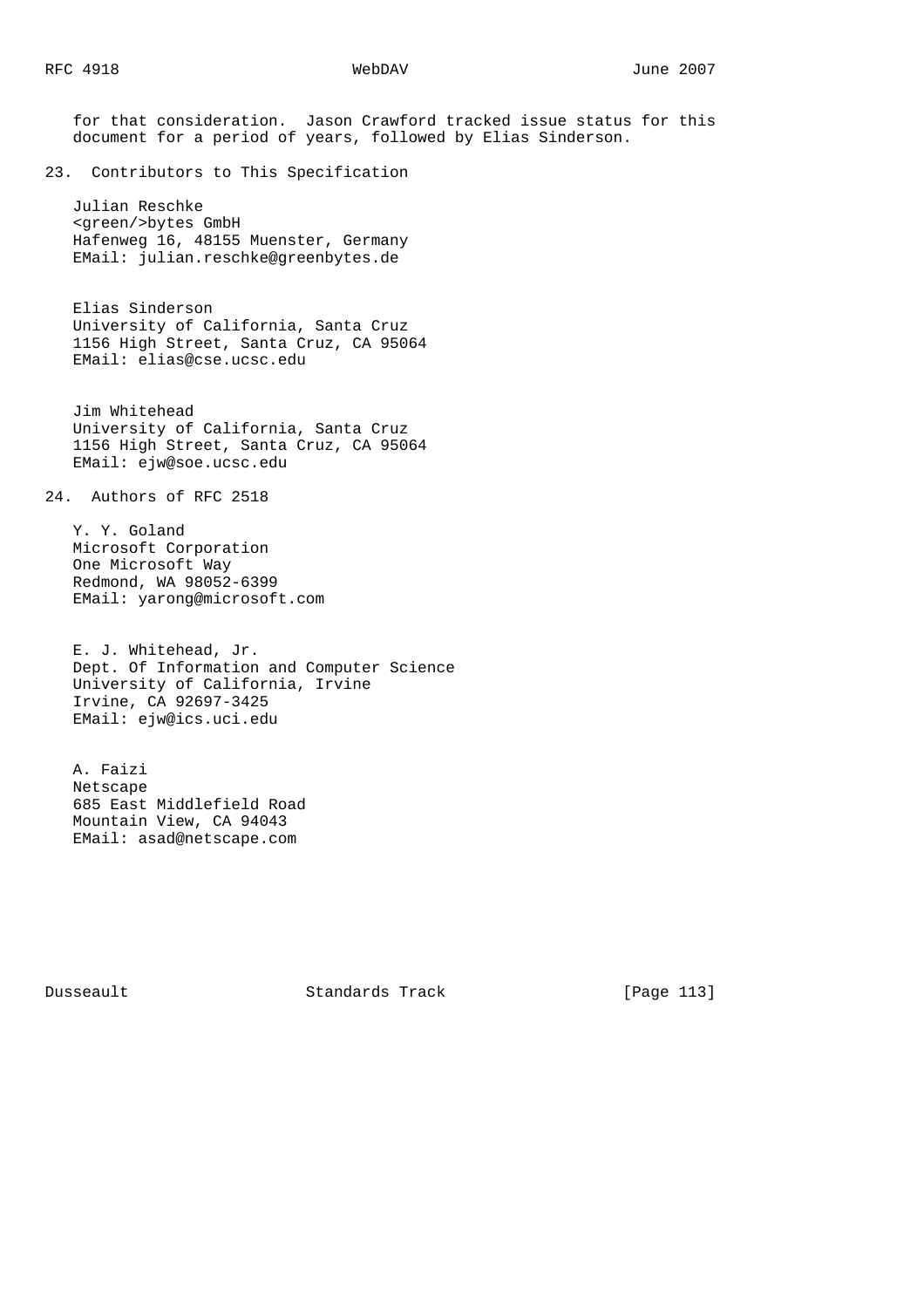for that consideration. Jason Crawford tracked issue status for this document for a period of years, followed by Elias Sinderson. 23. Contributors to This Specification Julian Reschke <green/>bytes GmbH Hafenweg 16, 48155 Muenster, Germany EMail: julian.reschke@greenbytes.de Elias Sinderson University of California, Santa Cruz 1156 High Street, Santa Cruz, CA 95064 EMail: elias@cse.ucsc.edu Jim Whitehead University of California, Santa Cruz 1156 High Street, Santa Cruz, CA 95064 EMail: ejw@soe.ucsc.edu 24. Authors of RFC 2518 Y. Y. Goland Microsoft Corporation One Microsoft Way Redmond, WA 98052-6399 EMail: yarong@microsoft.com E. J. Whitehead, Jr. Dept. Of Information and Computer Science University of California, Irvine Irvine, CA 92697-3425 EMail: ejw@ics.uci.edu A. Faizi Netscape 685 East Middlefield Road Mountain View, CA 94043 EMail: asad@netscape.com

Dusseault Standards Track [Page 113]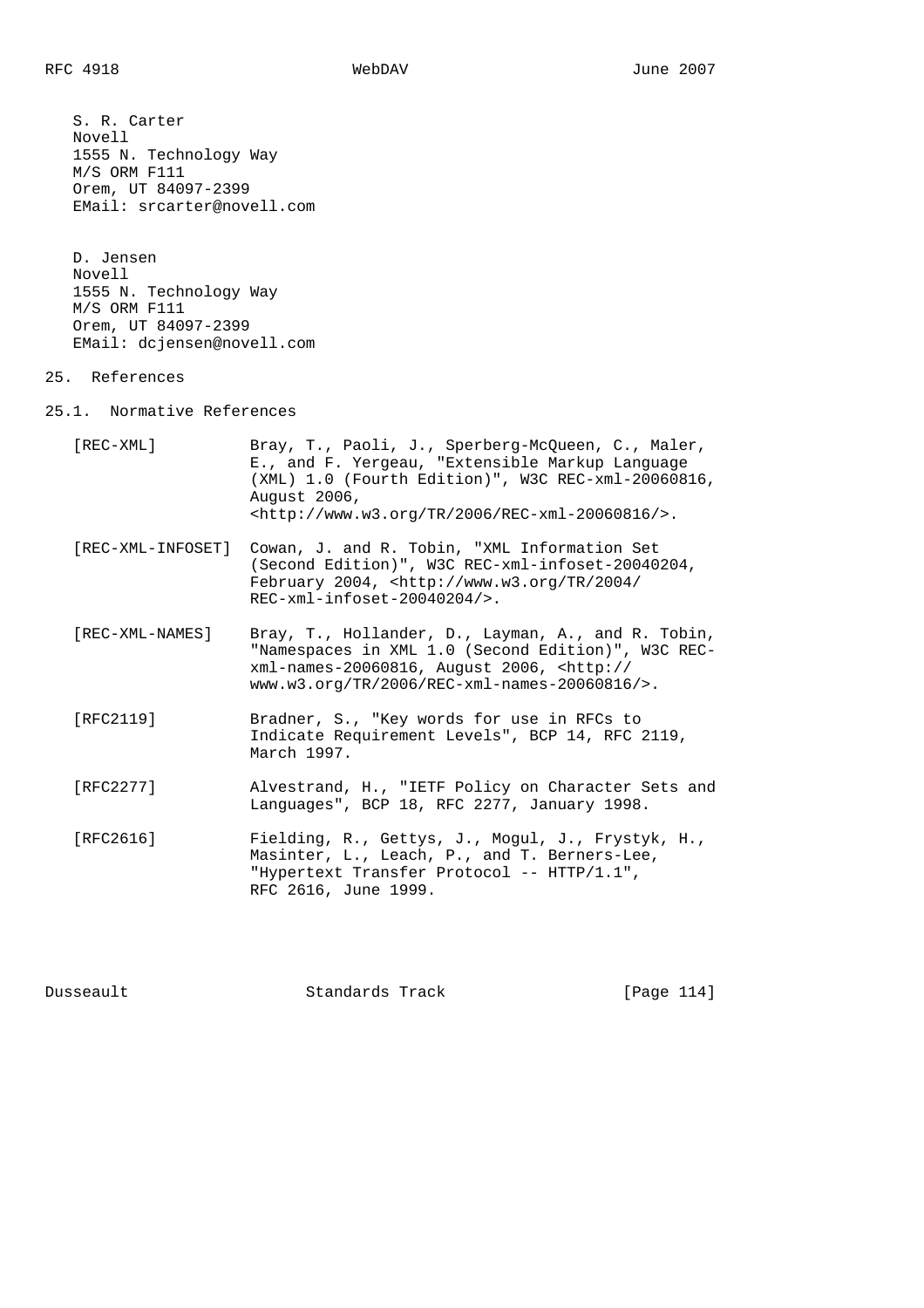S. R. Carter Novell 1555 N. Technology Way M/S ORM F111 Orem, UT 84097-2399 EMail: srcarter@novell.com

 D. Jensen Novell 1555 N. Technology Way M/S ORM F111 Orem, UT 84097-2399 EMail: dcjensen@novell.com

# 25. References

25.1. Normative References

| [REC-XML]         | Bray, T., Paoli, J., Sperberg-McQueen, C., Maler,<br>E., and F. Yergeau, "Extensible Markup Language<br>(XML) 1.0 (Fourth Edition)", W3C REC-xml-20060816,<br>August 2006,<br>${\text{chttp:}}$ //www.w3.org/TR/2006/REC-xml-20060816/>. |
|-------------------|------------------------------------------------------------------------------------------------------------------------------------------------------------------------------------------------------------------------------------------|
| [REC-XML-INFOSET] | Cowan, J. and R. Tobin, "XML Information Set<br>(Second Edition)", W3C REC-xml-infoset-20040204,<br>February 2004, $\text{thtp:} //$ www.w3.org/TR/2004/<br>$REC-xml-infoset-20040204/$ .                                                |
| [REC-XML-NAMES]   | Bray, T., Hollander, D., Layman, A., and R. Tobin,<br>"Namespaces in XML 1.0 (Second Edition)", W3C REC-<br>xml-names-20060816, August 2006, <http: <br=""><math>www.w3.0rq/TR/2006/REC-xml-names-20060816/&gt;.</math></http:>          |
| [RFC2119]         | Bradner, S., "Key words for use in RFCs to<br>Indicate Requirement Levels", BCP 14, RFC 2119,<br>March 1997.                                                                                                                             |
| [RFC2277]         | Alvestrand, H., "IETF Policy on Character Sets and<br>Languages", BCP 18, RFC 2277, January 1998.                                                                                                                                        |
| [RFC2616]         | Fielding, R., Gettys, J., Mogul, J., Frystyk, H.,<br>Masinter, L., Leach, P., and T. Berners-Lee,<br>"Hypertext Transfer Protocol -- HTTP/1.1",<br>RFC 2616, June 1999.                                                                  |

Dusseault Standards Track [Page 114]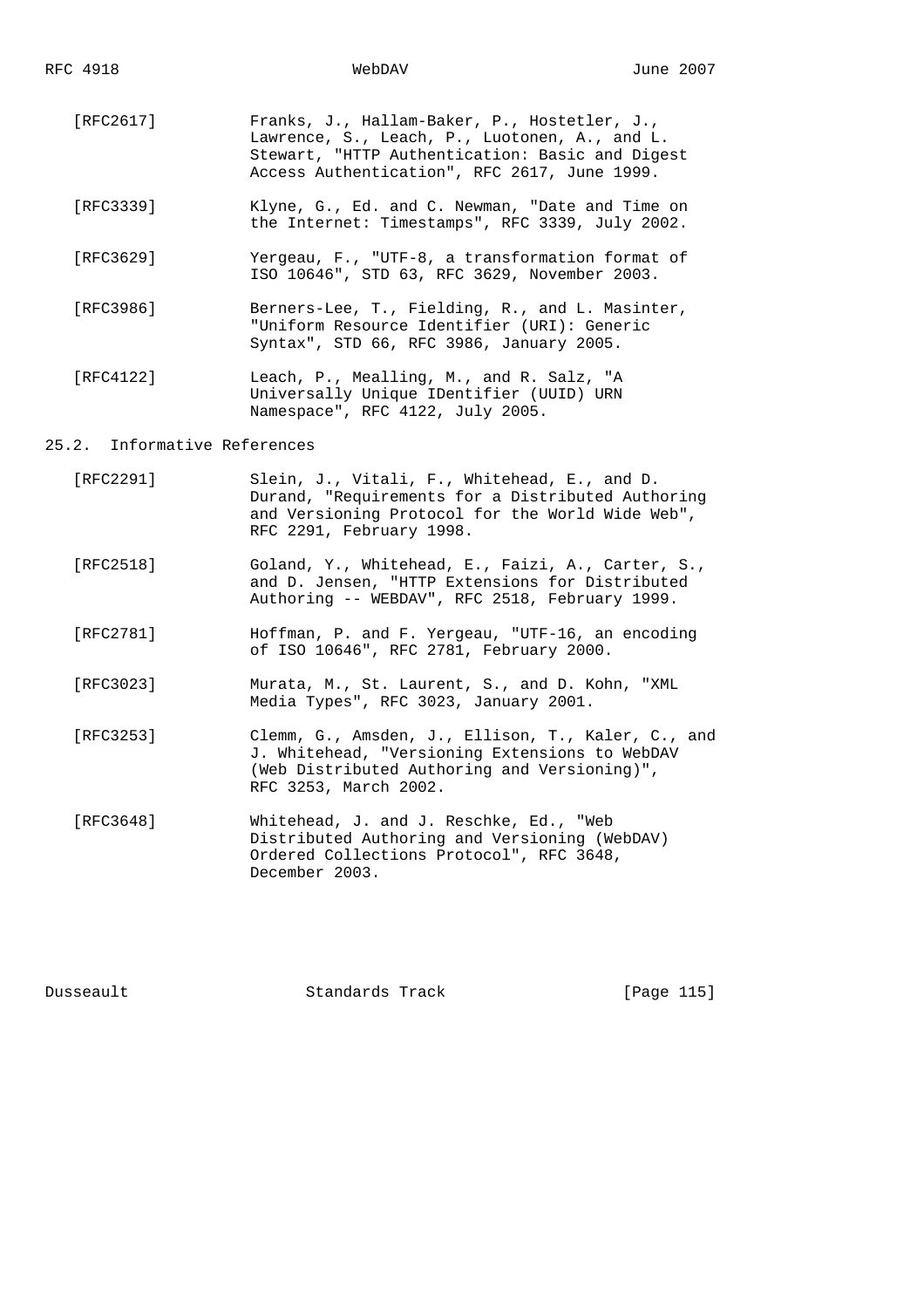- [RFC2617] Franks, J., Hallam-Baker, P., Hostetler, J., Lawrence, S., Leach, P., Luotonen, A., and L. Stewart, "HTTP Authentication: Basic and Digest Access Authentication", RFC 2617, June 1999.
- [RFC3339] Klyne, G., Ed. and C. Newman, "Date and Time on the Internet: Timestamps", RFC 3339, July 2002.
- [RFC3629] Yergeau, F., "UTF-8, a transformation format of ISO 10646", STD 63, RFC 3629, November 2003.
- [RFC3986] Berners-Lee, T., Fielding, R., and L. Masinter, "Uniform Resource Identifier (URI): Generic Syntax", STD 66, RFC 3986, January 2005.
- [RFC4122] Leach, P., Mealling, M., and R. Salz, "A Universally Unique IDentifier (UUID) URN Namespace", RFC 4122, July 2005.

## 25.2. Informative References

- [RFC2291] Slein, J., Vitali, F., Whitehead, E., and D. Durand, "Requirements for a Distributed Authoring and Versioning Protocol for the World Wide Web", RFC 2291, February 1998.
- [RFC2518] Goland, Y., Whitehead, E., Faizi, A., Carter, S., and D. Jensen, "HTTP Extensions for Distributed Authoring -- WEBDAV", RFC 2518, February 1999.
- [RFC2781] Hoffman, P. and F. Yergeau, "UTF-16, an encoding of ISO 10646", RFC 2781, February 2000.
- [RFC3023] Murata, M., St. Laurent, S., and D. Kohn, "XML Media Types", RFC 3023, January 2001.
- [RFC3253] Clemm, G., Amsden, J., Ellison, T., Kaler, C., and J. Whitehead, "Versioning Extensions to WebDAV (Web Distributed Authoring and Versioning)", RFC 3253, March 2002.
- [RFC3648] Whitehead, J. and J. Reschke, Ed., "Web Distributed Authoring and Versioning (WebDAV) Ordered Collections Protocol", RFC 3648, December 2003.

Dusseault Standards Track [Page 115]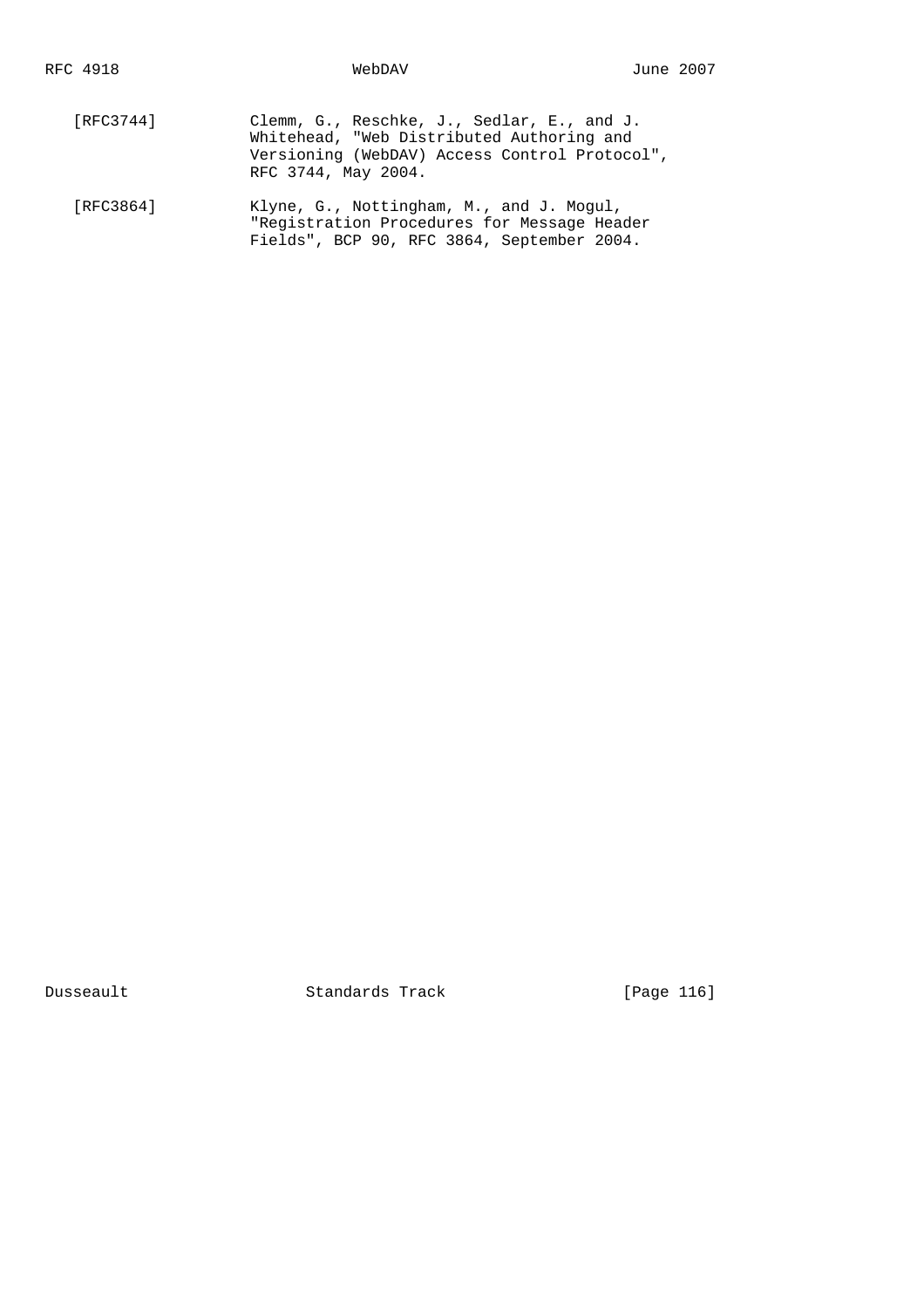- [RFC3744] Clemm, G., Reschke, J., Sedlar, E., and J. Whitehead, "Web Distributed Authoring and Versioning (WebDAV) Access Control Protocol", RFC 3744, May 2004. [RFC3864] Klyne, G., Nottingham, M., and J. Mogul,
	- "Registration Procedures for Message Header Fields", BCP 90, RFC 3864, September 2004.

Dusseault Standards Track [Page 116]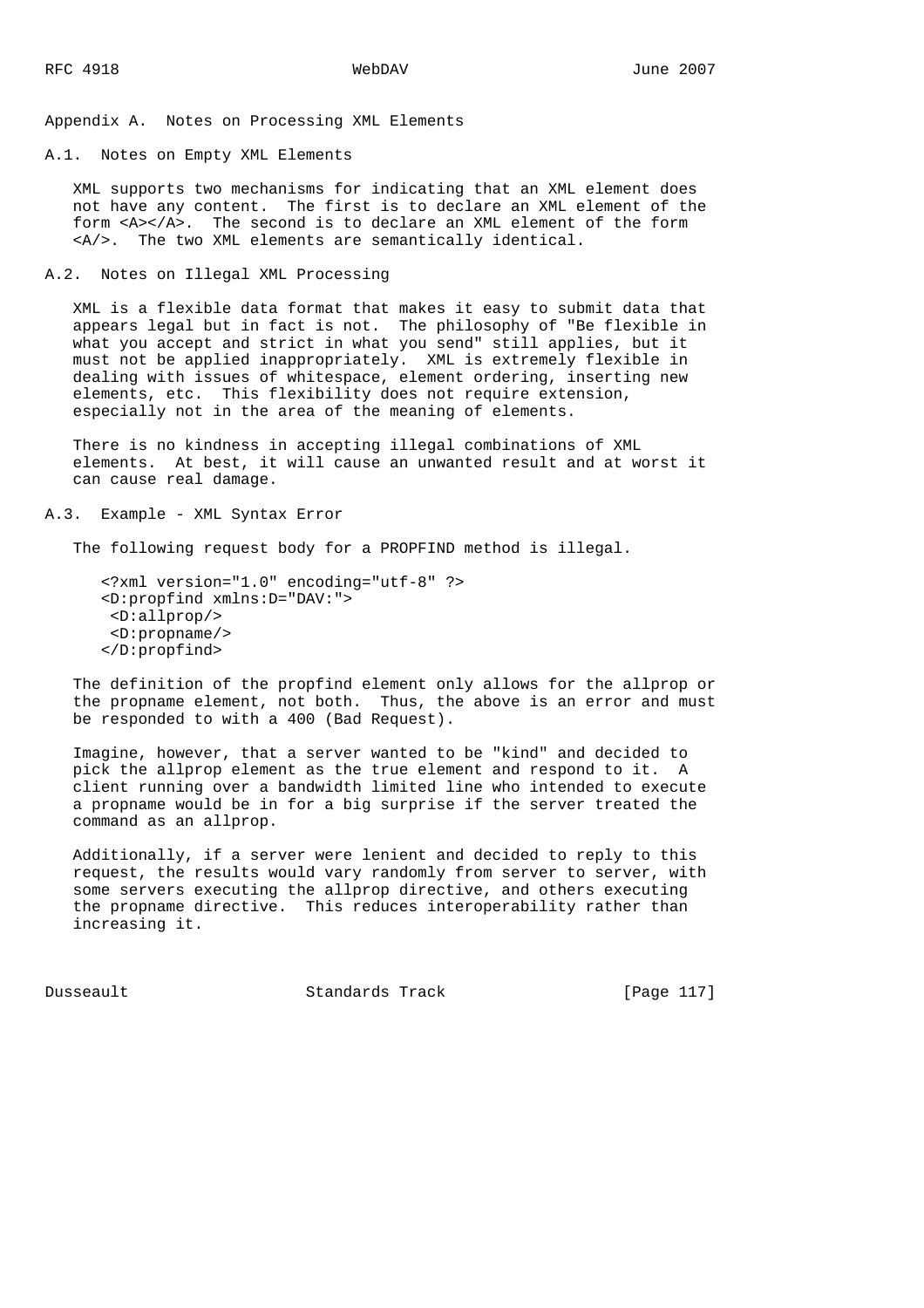Appendix A. Notes on Processing XML Elements

A.1. Notes on Empty XML Elements

 XML supports two mechanisms for indicating that an XML element does not have any content. The first is to declare an XML element of the form <A></A>. The second is to declare an XML element of the form <A/>. The two XML elements are semantically identical.

A.2. Notes on Illegal XML Processing

 XML is a flexible data format that makes it easy to submit data that appears legal but in fact is not. The philosophy of "Be flexible in what you accept and strict in what you send" still applies, but it must not be applied inappropriately. XML is extremely flexible in dealing with issues of whitespace, element ordering, inserting new elements, etc. This flexibility does not require extension, especially not in the area of the meaning of elements.

 There is no kindness in accepting illegal combinations of XML elements. At best, it will cause an unwanted result and at worst it can cause real damage.

### A.3. Example - XML Syntax Error

The following request body for a PROPFIND method is illegal.

 <?xml version="1.0" encoding="utf-8" ?> <D:propfind xmlns:D="DAV:"> <D:allprop/> <D:propname/> </D:propfind>

 The definition of the propfind element only allows for the allprop or the propname element, not both. Thus, the above is an error and must be responded to with a 400 (Bad Request).

 Imagine, however, that a server wanted to be "kind" and decided to pick the allprop element as the true element and respond to it. A client running over a bandwidth limited line who intended to execute a propname would be in for a big surprise if the server treated the command as an allprop.

 Additionally, if a server were lenient and decided to reply to this request, the results would vary randomly from server to server, with some servers executing the allprop directive, and others executing the propname directive. This reduces interoperability rather than increasing it.

Dusseault Standards Track [Page 117]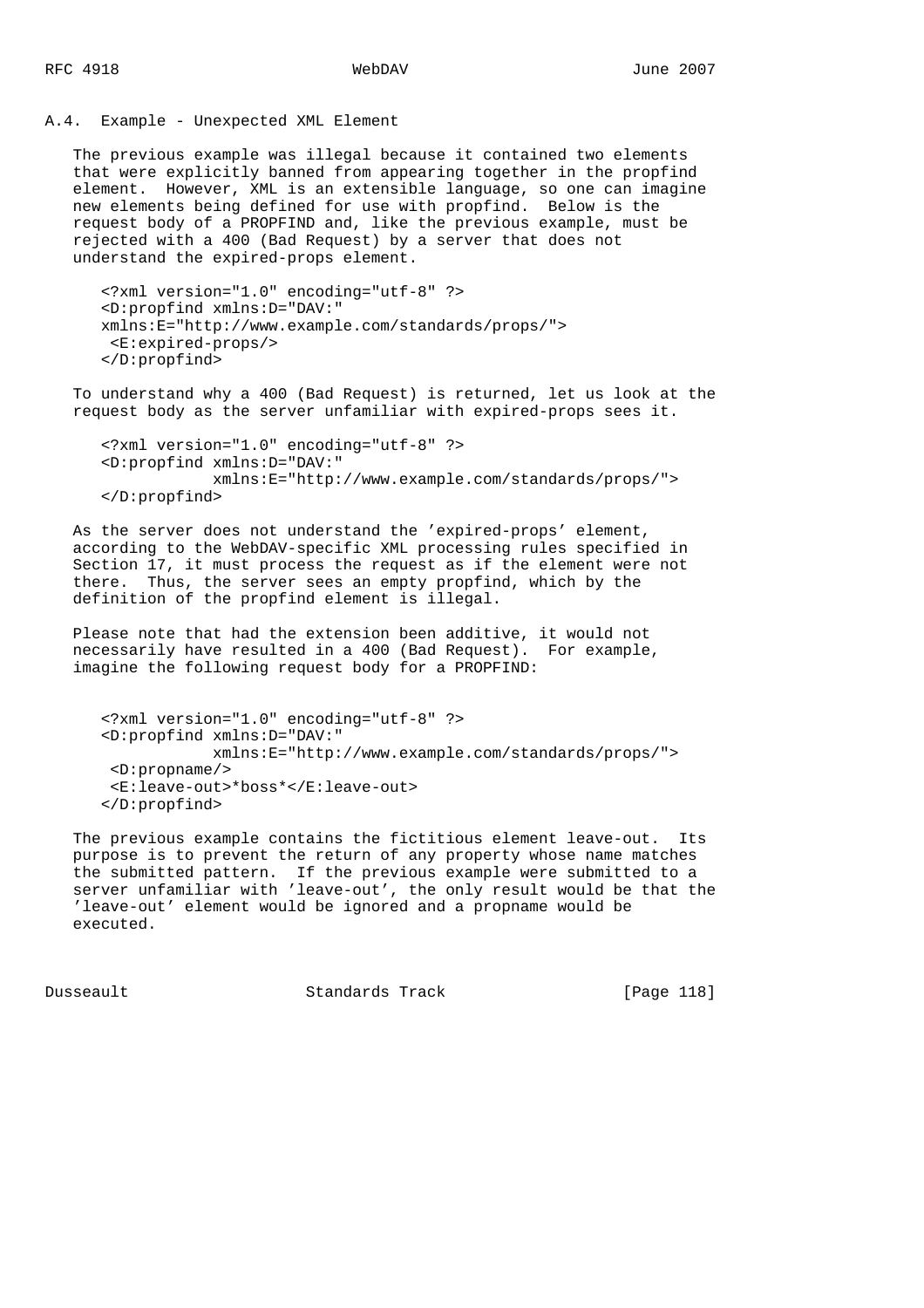A.4. Example - Unexpected XML Element

 The previous example was illegal because it contained two elements that were explicitly banned from appearing together in the propfind element. However, XML is an extensible language, so one can imagine new elements being defined for use with propfind. Below is the request body of a PROPFIND and, like the previous example, must be rejected with a 400 (Bad Request) by a server that does not understand the expired-props element.

```
 <?xml version="1.0" encoding="utf-8" ?>
<D:propfind xmlns:D="DAV:"
xmlns:E="http://www.example.com/standards/props/">
<E:expired-props/>
</D:propfind>
```
 To understand why a 400 (Bad Request) is returned, let us look at the request body as the server unfamiliar with expired-props sees it.

```
 <?xml version="1.0" encoding="utf-8" ?>
<D:propfind xmlns:D="DAV:"
            xmlns:E="http://www.example.com/standards/props/">
</D:propfind>
```
 As the server does not understand the 'expired-props' element, according to the WebDAV-specific XML processing rules specified in Section 17, it must process the request as if the element were not there. Thus, the server sees an empty propfind, which by the definition of the propfind element is illegal.

 Please note that had the extension been additive, it would not necessarily have resulted in a 400 (Bad Request). For example, imagine the following request body for a PROPFIND:

```
 <?xml version="1.0" encoding="utf-8" ?>
<D:propfind xmlns:D="DAV:"
            xmlns:E="http://www.example.com/standards/props/">
<D:propname/>
<E:leave-out>*boss*</E:leave-out>
</D:propfind>
```
 The previous example contains the fictitious element leave-out. Its purpose is to prevent the return of any property whose name matches the submitted pattern. If the previous example were submitted to a server unfamiliar with 'leave-out', the only result would be that the 'leave-out' element would be ignored and a propname would be executed.

Dusseault Standards Track [Page 118]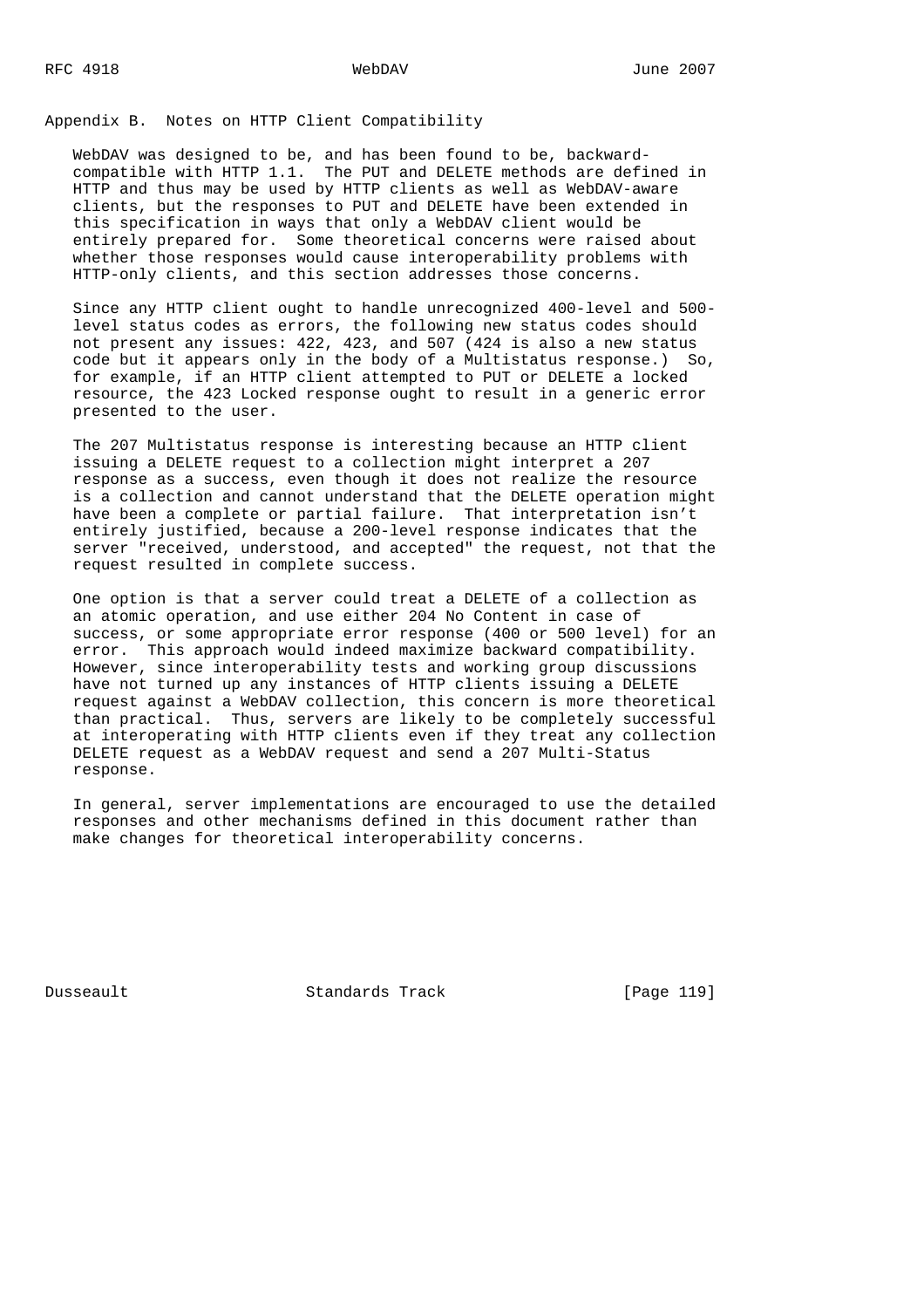Appendix B. Notes on HTTP Client Compatibility

 WebDAV was designed to be, and has been found to be, backward compatible with HTTP 1.1. The PUT and DELETE methods are defined in HTTP and thus may be used by HTTP clients as well as WebDAV-aware clients, but the responses to PUT and DELETE have been extended in this specification in ways that only a WebDAV client would be entirely prepared for. Some theoretical concerns were raised about whether those responses would cause interoperability problems with HTTP-only clients, and this section addresses those concerns.

 Since any HTTP client ought to handle unrecognized 400-level and 500 level status codes as errors, the following new status codes should not present any issues: 422, 423, and 507 (424 is also a new status code but it appears only in the body of a Multistatus response.) So, for example, if an HTTP client attempted to PUT or DELETE a locked resource, the 423 Locked response ought to result in a generic error presented to the user.

 The 207 Multistatus response is interesting because an HTTP client issuing a DELETE request to a collection might interpret a 207 response as a success, even though it does not realize the resource is a collection and cannot understand that the DELETE operation might have been a complete or partial failure. That interpretation isn't entirely justified, because a 200-level response indicates that the server "received, understood, and accepted" the request, not that the request resulted in complete success.

 One option is that a server could treat a DELETE of a collection as an atomic operation, and use either 204 No Content in case of success, or some appropriate error response (400 or 500 level) for an error. This approach would indeed maximize backward compatibility. However, since interoperability tests and working group discussions have not turned up any instances of HTTP clients issuing a DELETE request against a WebDAV collection, this concern is more theoretical than practical. Thus, servers are likely to be completely successful at interoperating with HTTP clients even if they treat any collection DELETE request as a WebDAV request and send a 207 Multi-Status response.

 In general, server implementations are encouraged to use the detailed responses and other mechanisms defined in this document rather than make changes for theoretical interoperability concerns.

Dusseault Standards Track [Page 119]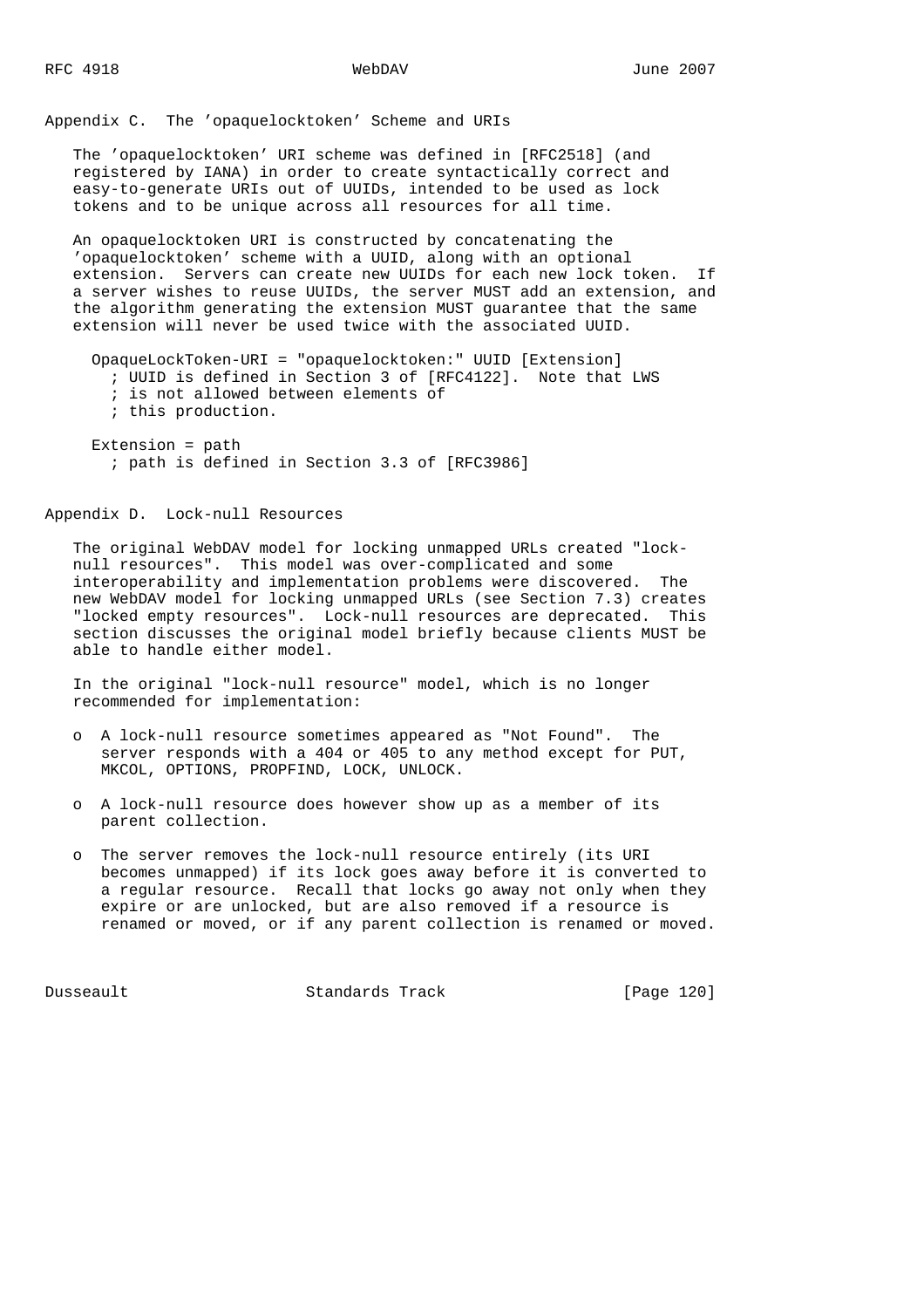Appendix C. The 'opaquelocktoken' Scheme and URIs

 The 'opaquelocktoken' URI scheme was defined in [RFC2518] (and registered by IANA) in order to create syntactically correct and easy-to-generate URIs out of UUIDs, intended to be used as lock tokens and to be unique across all resources for all time.

 An opaquelocktoken URI is constructed by concatenating the 'opaquelocktoken' scheme with a UUID, along with an optional extension. Servers can create new UUIDs for each new lock token. If a server wishes to reuse UUIDs, the server MUST add an extension, and the algorithm generating the extension MUST guarantee that the same extension will never be used twice with the associated UUID.

```
 OpaqueLockToken-URI = "opaquelocktoken:" UUID [Extension]
  ; UUID is defined in Section 3 of [RFC4122]. Note that LWS
  ; is not allowed between elements of
  ; this production.
Extension = path
```
; path is defined in Section 3.3 of [RFC3986]

Appendix D. Lock-null Resources

 The original WebDAV model for locking unmapped URLs created "lock null resources". This model was over-complicated and some interoperability and implementation problems were discovered. The new WebDAV model for locking unmapped URLs (see Section 7.3) creates "locked empty resources". Lock-null resources are deprecated. This section discusses the original model briefly because clients MUST be able to handle either model.

 In the original "lock-null resource" model, which is no longer recommended for implementation:

- o A lock-null resource sometimes appeared as "Not Found". The server responds with a 404 or 405 to any method except for PUT, MKCOL, OPTIONS, PROPFIND, LOCK, UNLOCK.
- o A lock-null resource does however show up as a member of its parent collection.
- o The server removes the lock-null resource entirely (its URI becomes unmapped) if its lock goes away before it is converted to a regular resource. Recall that locks go away not only when they expire or are unlocked, but are also removed if a resource is renamed or moved, or if any parent collection is renamed or moved.

Dusseault Standards Track [Page 120]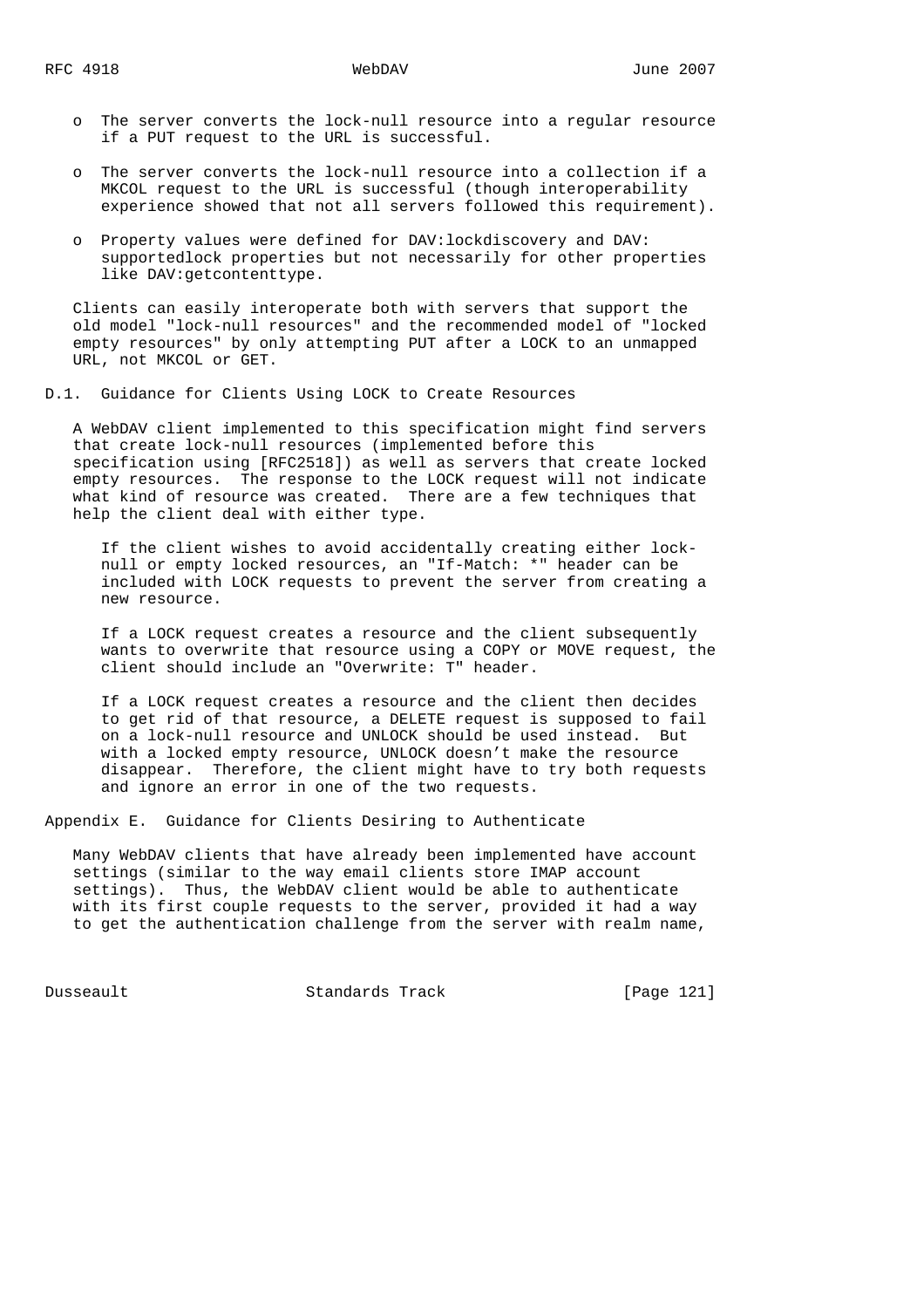- o The server converts the lock-null resource into a regular resource if a PUT request to the URL is successful.
- o The server converts the lock-null resource into a collection if a MKCOL request to the URL is successful (though interoperability experience showed that not all servers followed this requirement).
- o Property values were defined for DAV:lockdiscovery and DAV: supportedlock properties but not necessarily for other properties like DAV:getcontenttype.

 Clients can easily interoperate both with servers that support the old model "lock-null resources" and the recommended model of "locked empty resources" by only attempting PUT after a LOCK to an unmapped URL, not MKCOL or GET.

D.1. Guidance for Clients Using LOCK to Create Resources

 A WebDAV client implemented to this specification might find servers that create lock-null resources (implemented before this specification using [RFC2518]) as well as servers that create locked empty resources. The response to the LOCK request will not indicate what kind of resource was created. There are a few techniques that help the client deal with either type.

 If the client wishes to avoid accidentally creating either lock null or empty locked resources, an "If-Match: \*" header can be included with LOCK requests to prevent the server from creating a new resource.

 If a LOCK request creates a resource and the client subsequently wants to overwrite that resource using a COPY or MOVE request, the client should include an "Overwrite: T" header.

 If a LOCK request creates a resource and the client then decides to get rid of that resource, a DELETE request is supposed to fail on a lock-null resource and UNLOCK should be used instead. But with a locked empty resource, UNLOCK doesn't make the resource disappear. Therefore, the client might have to try both requests and ignore an error in one of the two requests.

Appendix E. Guidance for Clients Desiring to Authenticate

 Many WebDAV clients that have already been implemented have account settings (similar to the way email clients store IMAP account settings). Thus, the WebDAV client would be able to authenticate with its first couple requests to the server, provided it had a way to get the authentication challenge from the server with realm name,

Dusseault Standards Track [Page 121]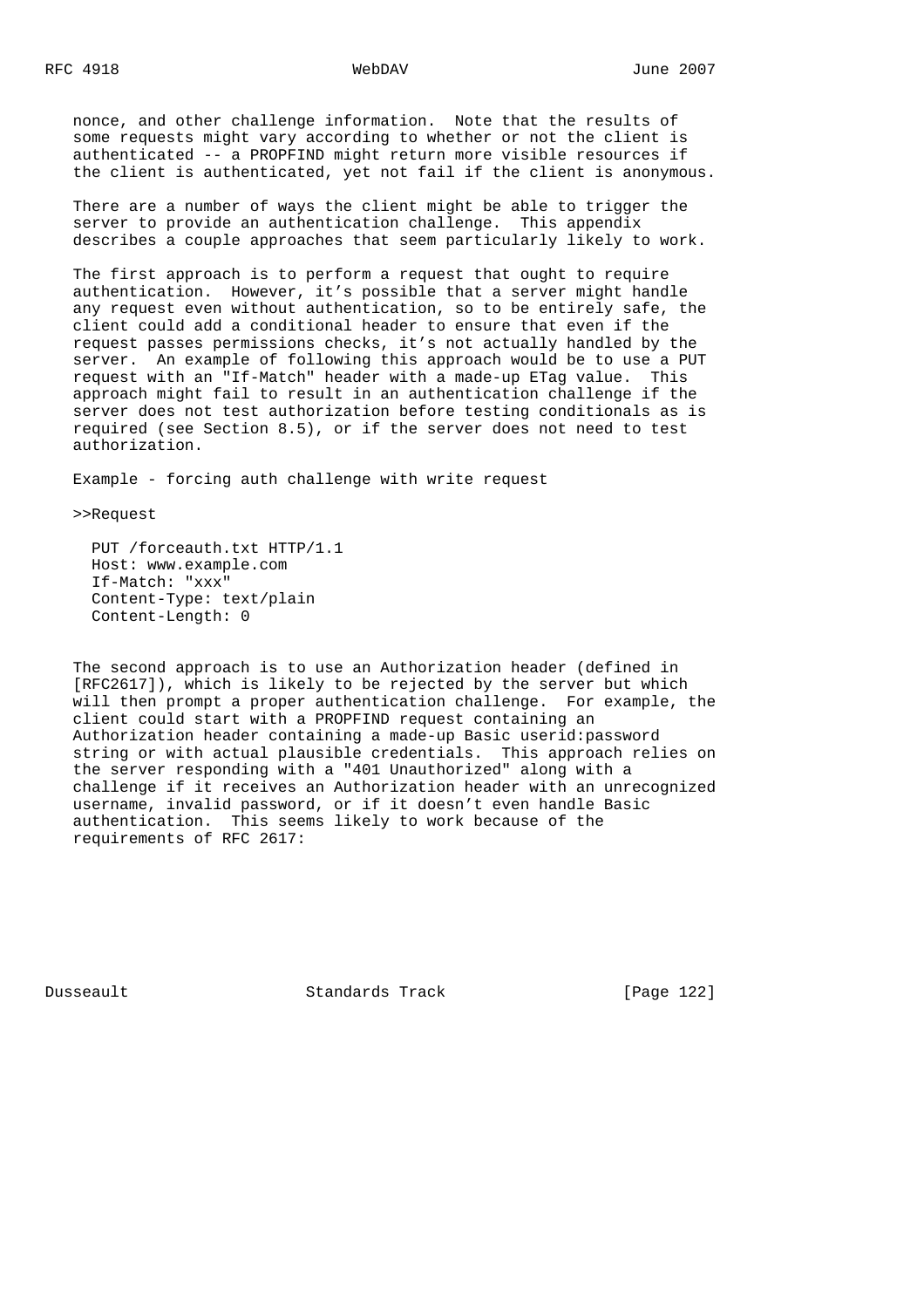nonce, and other challenge information. Note that the results of some requests might vary according to whether or not the client is authenticated -- a PROPFIND might return more visible resources if the client is authenticated, yet not fail if the client is anonymous.

 There are a number of ways the client might be able to trigger the server to provide an authentication challenge. This appendix describes a couple approaches that seem particularly likely to work.

 The first approach is to perform a request that ought to require authentication. However, it's possible that a server might handle any request even without authentication, so to be entirely safe, the client could add a conditional header to ensure that even if the request passes permissions checks, it's not actually handled by the server. An example of following this approach would be to use a PUT request with an "If-Match" header with a made-up ETag value. This approach might fail to result in an authentication challenge if the server does not test authorization before testing conditionals as is required (see Section 8.5), or if the server does not need to test authorization.

Example - forcing auth challenge with write request

>>Request

 PUT /forceauth.txt HTTP/1.1 Host: www.example.com If-Match: "xxx" Content-Type: text/plain Content-Length: 0

 The second approach is to use an Authorization header (defined in [RFC2617]), which is likely to be rejected by the server but which will then prompt a proper authentication challenge. For example, the client could start with a PROPFIND request containing an Authorization header containing a made-up Basic userid:password string or with actual plausible credentials. This approach relies on the server responding with a "401 Unauthorized" along with a challenge if it receives an Authorization header with an unrecognized username, invalid password, or if it doesn't even handle Basic authentication. This seems likely to work because of the requirements of RFC 2617:

Dusseault Standards Track [Page 122]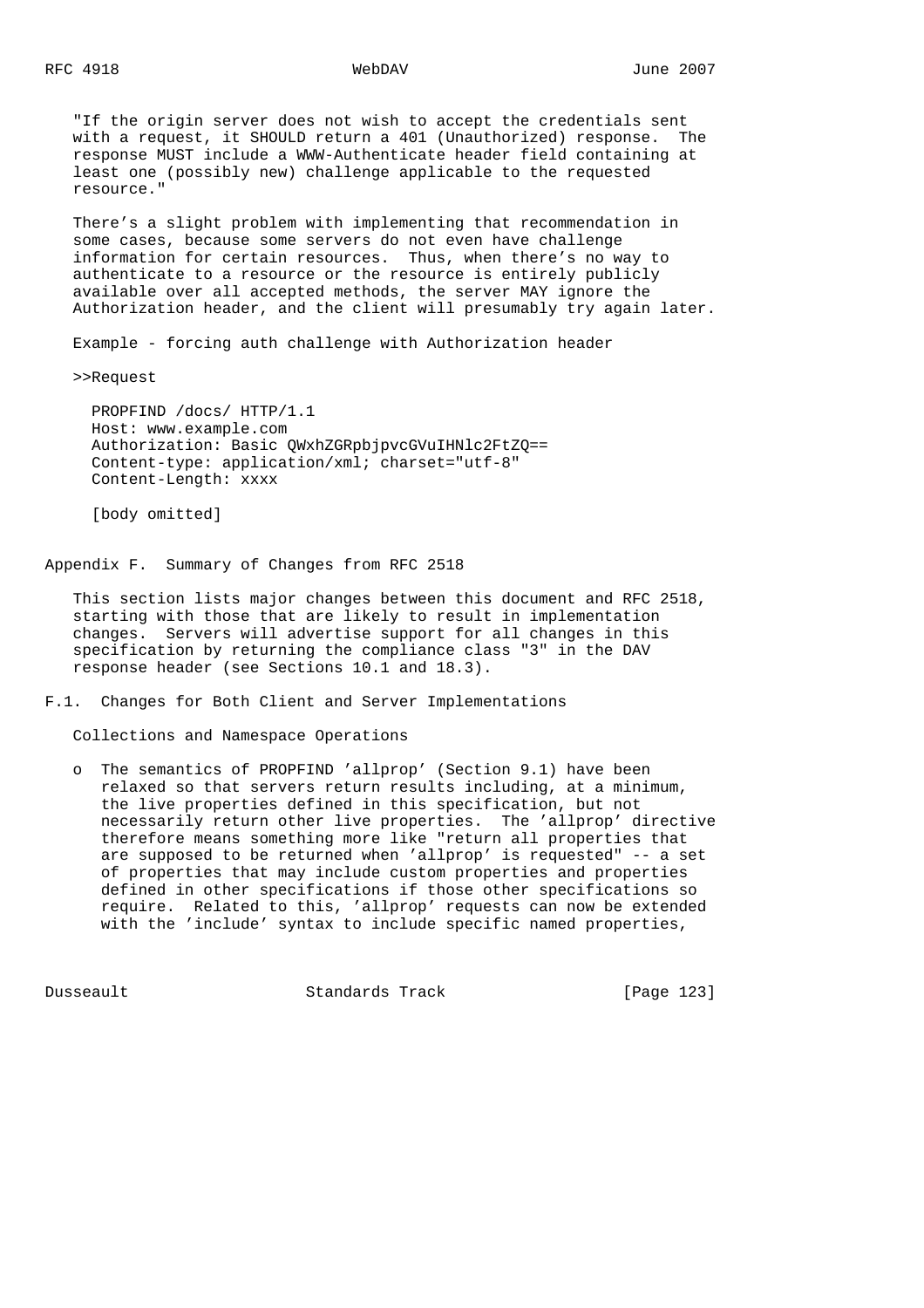"If the origin server does not wish to accept the credentials sent with a request, it SHOULD return a 401 (Unauthorized) response. The response MUST include a WWW-Authenticate header field containing at least one (possibly new) challenge applicable to the requested resource."

 There's a slight problem with implementing that recommendation in some cases, because some servers do not even have challenge information for certain resources. Thus, when there's no way to authenticate to a resource or the resource is entirely publicly available over all accepted methods, the server MAY ignore the Authorization header, and the client will presumably try again later.

Example - forcing auth challenge with Authorization header

>>Request

 PROPFIND /docs/ HTTP/1.1 Host: www.example.com Authorization: Basic QWxhZGRpbjpvcGVuIHNlc2FtZQ== Content-type: application/xml; charset="utf-8" Content-Length: xxxx

[body omitted]

Appendix F. Summary of Changes from RFC 2518

 This section lists major changes between this document and RFC 2518, starting with those that are likely to result in implementation changes. Servers will advertise support for all changes in this specification by returning the compliance class "3" in the DAV response header (see Sections 10.1 and 18.3).

F.1. Changes for Both Client and Server Implementations

Collections and Namespace Operations

 o The semantics of PROPFIND 'allprop' (Section 9.1) have been relaxed so that servers return results including, at a minimum, the live properties defined in this specification, but not necessarily return other live properties. The 'allprop' directive therefore means something more like "return all properties that are supposed to be returned when 'allprop' is requested" -- a set of properties that may include custom properties and properties defined in other specifications if those other specifications so require. Related to this, 'allprop' requests can now be extended with the 'include' syntax to include specific named properties,

Dusseault Standards Track [Page 123]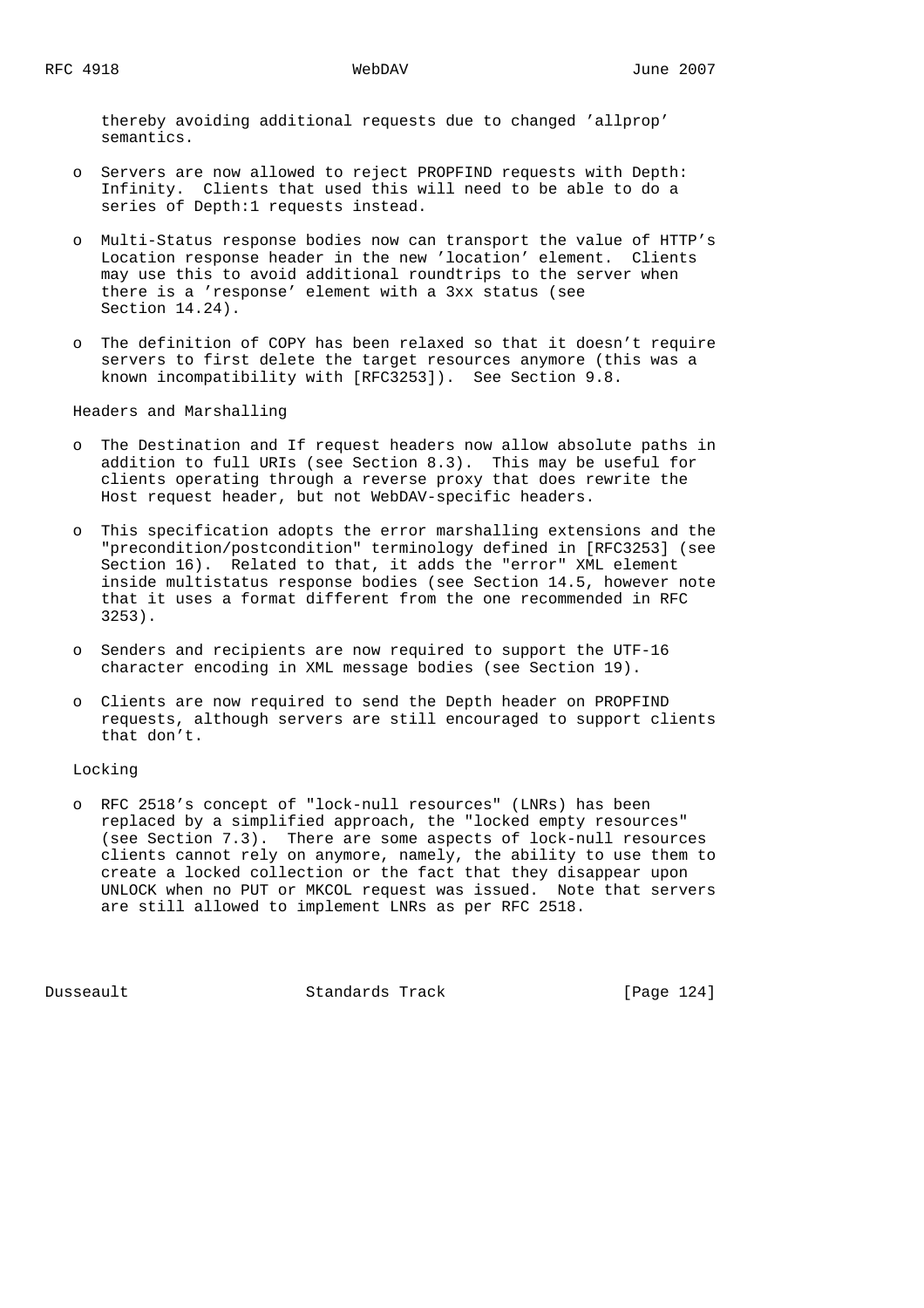thereby avoiding additional requests due to changed 'allprop' semantics.

- o Servers are now allowed to reject PROPFIND requests with Depth: Infinity. Clients that used this will need to be able to do a series of Depth:1 requests instead.
- o Multi-Status response bodies now can transport the value of HTTP's Location response header in the new 'location' element. Clients may use this to avoid additional roundtrips to the server when there is a 'response' element with a 3xx status (see Section 14.24).
- o The definition of COPY has been relaxed so that it doesn't require servers to first delete the target resources anymore (this was a known incompatibility with [RFC3253]). See Section 9.8.

Headers and Marshalling

- o The Destination and If request headers now allow absolute paths in addition to full URIs (see Section 8.3). This may be useful for clients operating through a reverse proxy that does rewrite the Host request header, but not WebDAV-specific headers.
- o This specification adopts the error marshalling extensions and the "precondition/postcondition" terminology defined in [RFC3253] (see Section 16). Related to that, it adds the "error" XML element inside multistatus response bodies (see Section 14.5, however note that it uses a format different from the one recommended in RFC 3253).
- o Senders and recipients are now required to support the UTF-16 character encoding in XML message bodies (see Section 19).
- o Clients are now required to send the Depth header on PROPFIND requests, although servers are still encouraged to support clients that don't.

Locking

 o RFC 2518's concept of "lock-null resources" (LNRs) has been replaced by a simplified approach, the "locked empty resources" (see Section 7.3). There are some aspects of lock-null resources clients cannot rely on anymore, namely, the ability to use them to create a locked collection or the fact that they disappear upon UNLOCK when no PUT or MKCOL request was issued. Note that servers are still allowed to implement LNRs as per RFC 2518.

Dusseault Standards Track [Page 124]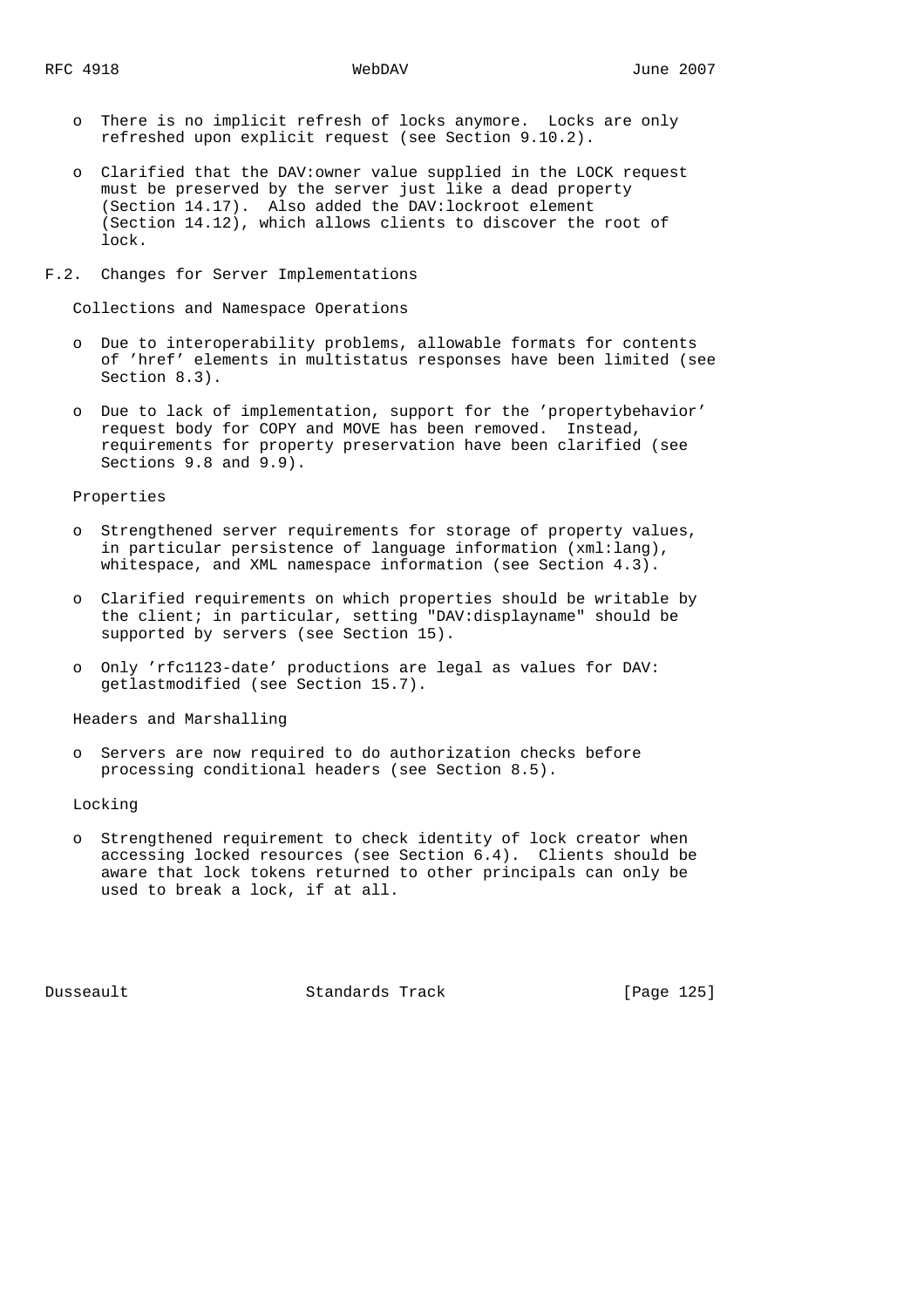- o There is no implicit refresh of locks anymore. Locks are only refreshed upon explicit request (see Section 9.10.2).
- o Clarified that the DAV:owner value supplied in the LOCK request must be preserved by the server just like a dead property (Section 14.17). Also added the DAV:lockroot element (Section 14.12), which allows clients to discover the root of lock.
- F.2. Changes for Server Implementations

Collections and Namespace Operations

- o Due to interoperability problems, allowable formats for contents of 'href' elements in multistatus responses have been limited (see Section 8.3).
- o Due to lack of implementation, support for the 'propertybehavior' request body for COPY and MOVE has been removed. Instead, requirements for property preservation have been clarified (see Sections 9.8 and 9.9).

## Properties

- o Strengthened server requirements for storage of property values, in particular persistence of language information (xml:lang), whitespace, and XML namespace information (see Section 4.3).
- o Clarified requirements on which properties should be writable by the client; in particular, setting "DAV:displayname" should be supported by servers (see Section 15).
- o Only 'rfc1123-date' productions are legal as values for DAV: getlastmodified (see Section 15.7).

Headers and Marshalling

 o Servers are now required to do authorization checks before processing conditional headers (see Section 8.5).

Locking

 o Strengthened requirement to check identity of lock creator when accessing locked resources (see Section 6.4). Clients should be aware that lock tokens returned to other principals can only be used to break a lock, if at all.

Dusseault Standards Track [Page 125]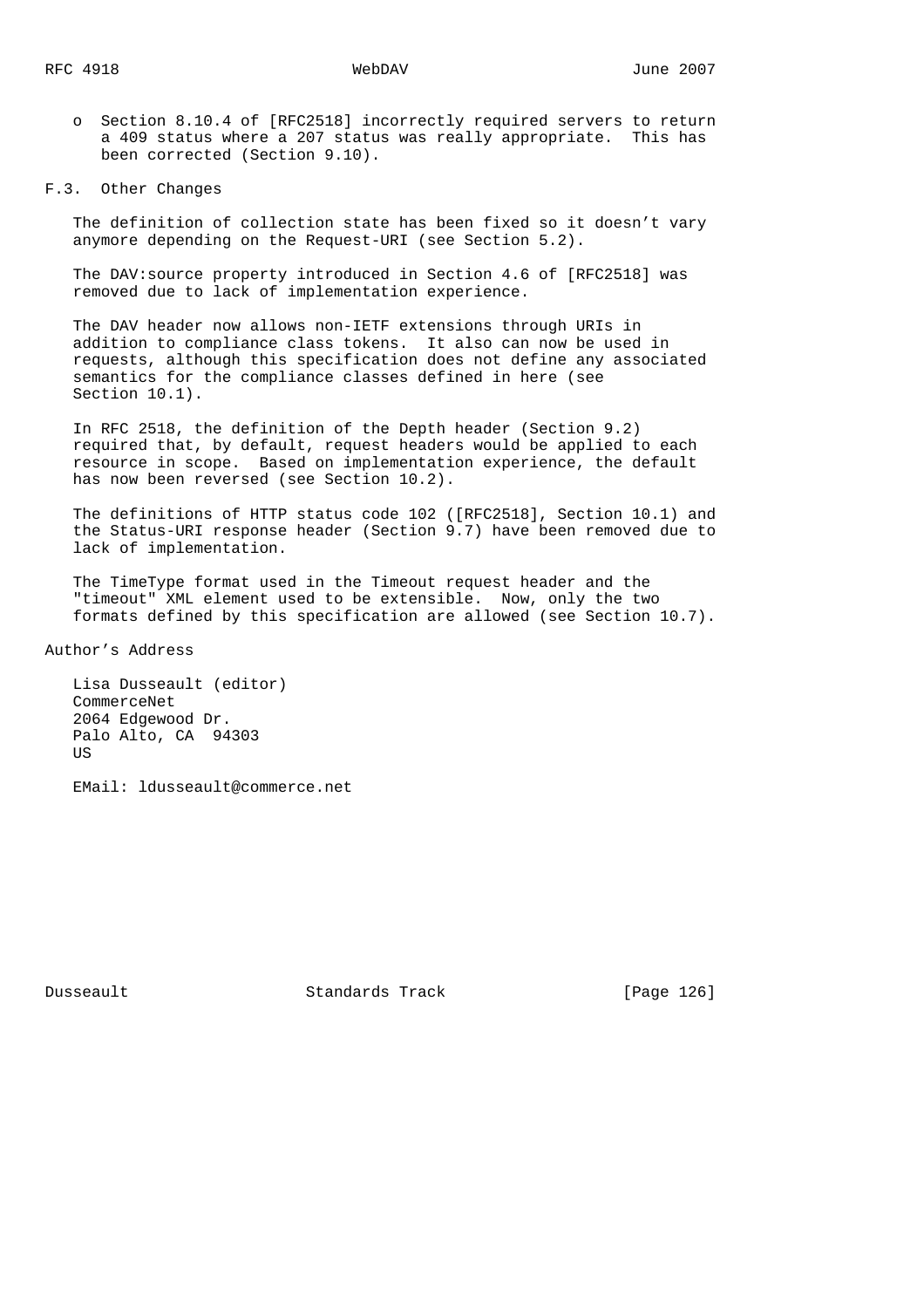o Section 8.10.4 of [RFC2518] incorrectly required servers to return a 409 status where a 207 status was really appropriate. This has been corrected (Section 9.10).

### F.3. Other Changes

 The definition of collection state has been fixed so it doesn't vary anymore depending on the Request-URI (see Section 5.2).

 The DAV:source property introduced in Section 4.6 of [RFC2518] was removed due to lack of implementation experience.

 The DAV header now allows non-IETF extensions through URIs in addition to compliance class tokens. It also can now be used in requests, although this specification does not define any associated semantics for the compliance classes defined in here (see Section 10.1).

 In RFC 2518, the definition of the Depth header (Section 9.2) required that, by default, request headers would be applied to each resource in scope. Based on implementation experience, the default has now been reversed (see Section 10.2).

 The definitions of HTTP status code 102 ([RFC2518], Section 10.1) and the Status-URI response header (Section 9.7) have been removed due to lack of implementation.

 The TimeType format used in the Timeout request header and the "timeout" XML element used to be extensible. Now, only the two formats defined by this specification are allowed (see Section 10.7).

Author's Address

 Lisa Dusseault (editor) CommerceNet 2064 Edgewood Dr. Palo Alto, CA 94303 **US** 

EMail: ldusseault@commerce.net

Dusseault Standards Track [Page 126]